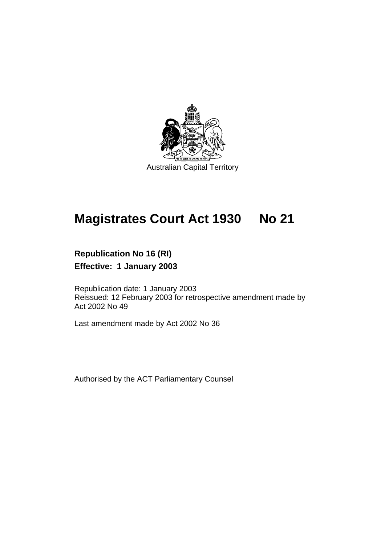

# **Magistrates Court Act 1930 No 21**

# **Republication No 16 (RI) Effective: 1 January 2003**

Republication date: 1 January 2003 Reissued: 12 February 2003 for retrospective amendment made by Act 2002 No 49

Last amendment made by Act 2002 No 36

Authorised by the ACT Parliamentary Counsel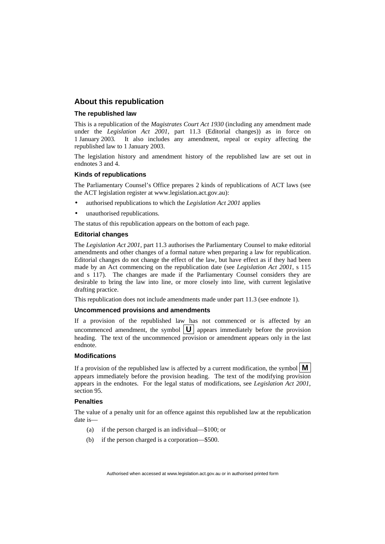#### **About this republication**

#### **The republished law**

This is a republication of the *Magistrates Court Act 1930* (including any amendment made under the *Legislation Act 2001*, part 11.3 (Editorial changes)) as in force on 1 January 2003*.* It also includes any amendment, repeal or expiry affecting the republished law to 1 January 2003.

The legislation history and amendment history of the republished law are set out in endnotes 3 and 4.

#### **Kinds of republications**

The Parliamentary Counsel's Office prepares 2 kinds of republications of ACT laws (see the ACT legislation register at www.legislation.act.gov.au):

- authorised republications to which the *Legislation Act 2001* applies
- unauthorised republications.

The status of this republication appears on the bottom of each page.

#### **Editorial changes**

The *Legislation Act 2001*, part 11.3 authorises the Parliamentary Counsel to make editorial amendments and other changes of a formal nature when preparing a law for republication. Editorial changes do not change the effect of the law, but have effect as if they had been made by an Act commencing on the republication date (see *Legislation Act 2001*, s 115 and s 117). The changes are made if the Parliamentary Counsel considers they are desirable to bring the law into line, or more closely into line, with current legislative drafting practice.

This republication does not include amendments made under part 11.3 (see endnote 1).

#### **Uncommenced provisions and amendments**

If a provision of the republished law has not commenced or is affected by an uncommenced amendment, the symbol  $|\mathbf{U}|$  appears immediately before the provision heading. The text of the uncommenced provision or amendment appears only in the last endnote.

#### **Modifications**

If a provision of the republished law is affected by a current modification, the symbol  $\vert \mathbf{M} \vert$ appears immediately before the provision heading. The text of the modifying provision appears in the endnotes. For the legal status of modifications, see *Legislation Act 2001*, section 95.

#### **Penalties**

The value of a penalty unit for an offence against this republished law at the republication date is—

- (a) if the person charged is an individual—\$100; or
- (b) if the person charged is a corporation—\$500.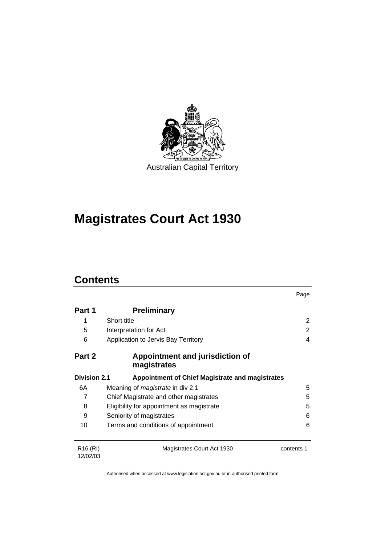

# **Magistrates Court Act 1930**

# **Contents**

|                                  |                                                        | Page       |
|----------------------------------|--------------------------------------------------------|------------|
| Part 1                           | <b>Preliminary</b>                                     |            |
| 1                                | Short title                                            | 2          |
| 5                                | Interpretation for Act                                 | 2          |
| 6                                | Application to Jervis Bay Territory                    | 4          |
| Part 2                           | Appointment and jurisdiction of<br>magistrates         |            |
| <b>Division 2.1</b>              | <b>Appointment of Chief Magistrate and magistrates</b> |            |
| 6A                               | Meaning of <i>magistrate</i> in div 2.1                | 5          |
| 7                                | Chief Magistrate and other magistrates                 | 5          |
| 8                                | Eligibility for appointment as magistrate              | 5          |
| 9                                | Seniority of magistrates                               | 6          |
| 10                               | Terms and conditions of appointment                    | 6          |
| R <sub>16</sub> (RI)<br>12/02/03 | Magistrates Court Act 1930                             | contents 1 |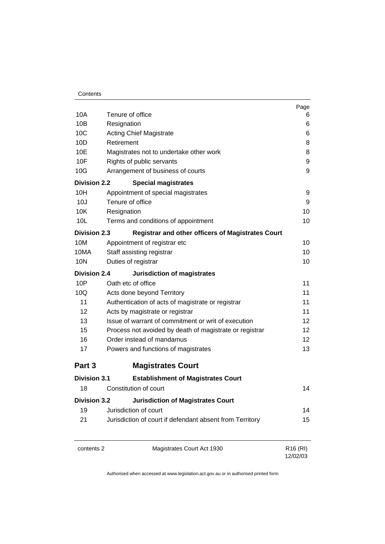| Contents |
|----------|
|----------|

| 10A                 | Tenure of office                                         | Page<br>6            |
|---------------------|----------------------------------------------------------|----------------------|
| 10B                 | Resignation                                              | 6                    |
| 10 <sub>C</sub>     | <b>Acting Chief Magistrate</b>                           | 6                    |
| 10D                 | Retirement                                               | 8                    |
| 10E                 | Magistrates not to undertake other work                  | 8                    |
| 10F                 | Rights of public servants                                | 9                    |
| 10G                 | Arrangement of business of courts                        | 9                    |
| <b>Division 2.2</b> | <b>Special magistrates</b>                               |                      |
| 10H                 | Appointment of special magistrates                       | 9                    |
| 10J                 | Tenure of office                                         | 9                    |
| 10K                 | Resignation                                              | 10                   |
| 10 <sub>L</sub>     | Terms and conditions of appointment                      | 10                   |
| <b>Division 2.3</b> | <b>Registrar and other officers of Magistrates Court</b> |                      |
| 10M                 | Appointment of registrar etc                             | 10                   |
| 10MA                | Staff assisting registrar                                | 10                   |
| 10N                 | Duties of registrar                                      | 10                   |
| <b>Division 2.4</b> | <b>Jurisdiction of magistrates</b>                       |                      |
| 10P                 | Oath etc of office                                       | 11                   |
| 10Q                 | Acts done beyond Territory                               | 11                   |
| 11                  | Authentication of acts of magistrate or registrar        | 11                   |
| 12                  | Acts by magistrate or registrar                          | 11                   |
| 13                  | Issue of warrant of commitment or writ of execution      | 12                   |
| 15                  | Process not avoided by death of magistrate or registrar  | 12                   |
| 16                  | Order instead of mandamus                                | 12 <sup>2</sup>      |
| 17                  | Powers and functions of magistrates                      | 13                   |
| Part <sub>3</sub>   | <b>Magistrates Court</b>                                 |                      |
| <b>Division 3.1</b> | <b>Establishment of Magistrates Court</b>                |                      |
| 18                  | Constitution of court                                    | 14                   |
| <b>Division 3.2</b> | <b>Jurisdiction of Magistrates Court</b>                 |                      |
| 19                  | Jurisdiction of court                                    | 14                   |
| 21                  | Jurisdiction of court if defendant absent from Territory | 15                   |
| contents 2          | Magistrates Court Act 1930                               | R <sub>16</sub> (RI) |

12/02/03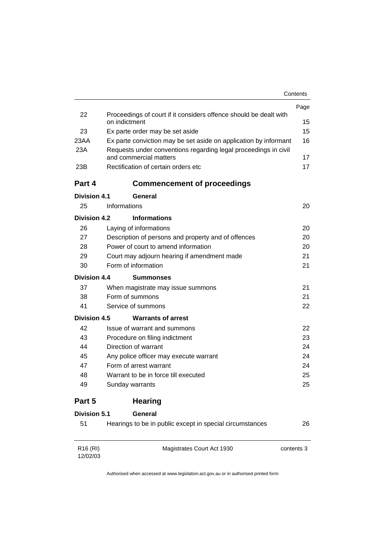|                                  |                                                                                           | Contents   |
|----------------------------------|-------------------------------------------------------------------------------------------|------------|
|                                  |                                                                                           | Page       |
| 22                               | Proceedings of court if it considers offence should be dealt with<br>on indictment        | 15         |
| 23                               | Ex parte order may be set aside                                                           | 15         |
| 23AA                             | Ex parte conviction may be set aside on application by informant                          | 16         |
| 23A                              | Requests under conventions regarding legal proceedings in civil<br>and commercial matters | 17         |
| 23B                              | Rectification of certain orders etc                                                       | 17         |
| Part 4                           | <b>Commencement of proceedings</b>                                                        |            |
| <b>Division 4.1</b>              | General                                                                                   |            |
| 25                               | Informations                                                                              | 20         |
| Division 4.2                     | <b>Informations</b>                                                                       |            |
| 26                               | Laying of informations                                                                    | 20         |
| 27                               | Description of persons and property and of offences                                       | 20         |
| 28                               | Power of court to amend information                                                       | 20         |
| 29                               | Court may adjourn hearing if amendment made                                               | 21         |
| 30                               | Form of information                                                                       | 21         |
| Division 4.4                     | <b>Summonses</b>                                                                          |            |
| 37                               | When magistrate may issue summons                                                         | 21         |
| 38                               | Form of summons                                                                           | 21         |
| 41                               | Service of summons                                                                        | 22         |
| <b>Division 4.5</b>              | <b>Warrants of arrest</b>                                                                 |            |
| 42                               | Issue of warrant and summons                                                              | 22         |
| 43                               | Procedure on filing indictment                                                            | 23         |
| 44                               | Direction of warrant                                                                      | 24         |
| 45                               | Any police officer may execute warrant                                                    | 24         |
| 47                               | Form of arrest warrant                                                                    | 24         |
| 48                               | Warrant to be in force till executed                                                      | 25         |
| 49                               | Sunday warrants                                                                           | 25         |
| Part 5                           | <b>Hearing</b>                                                                            |            |
| <b>Division 5.1</b>              | General                                                                                   |            |
| 51                               | Hearings to be in public except in special circumstances                                  | 26         |
| R <sub>16</sub> (RI)<br>12/02/03 | Magistrates Court Act 1930                                                                | contents 3 |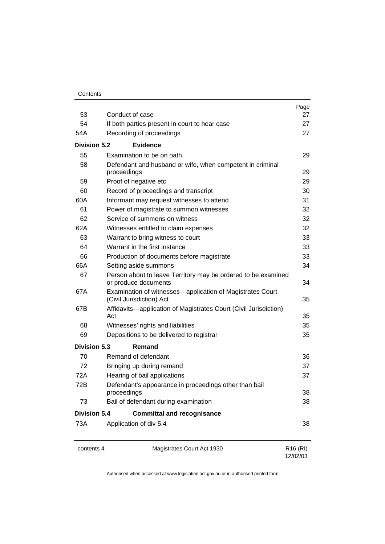| 53                  | Conduct of case                                                                       | Page<br>27                       |
|---------------------|---------------------------------------------------------------------------------------|----------------------------------|
| 54                  | If both parties present in court to hear case                                         | 27                               |
| 54A                 | Recording of proceedings                                                              | 27                               |
|                     |                                                                                       |                                  |
| Division 5.2        | <b>Evidence</b>                                                                       |                                  |
| 55                  | Examination to be on oath                                                             | 29                               |
| 58                  | Defendant and husband or wife, when competent in criminal<br>proceedings              | 29                               |
| 59                  | Proof of negative etc                                                                 | 29                               |
| 60                  | Record of proceedings and transcript                                                  | 30                               |
| 60A                 | Informant may request witnesses to attend                                             | 31                               |
| 61                  | Power of magistrate to summon witnesses                                               | 32                               |
| 62                  | Service of summons on witness                                                         | 32                               |
| 62A                 | Witnesses entitled to claim expenses                                                  | 32                               |
| 63                  | Warrant to bring witness to court                                                     | 33                               |
| 64                  | Warrant in the first instance                                                         | 33                               |
| 66                  | Production of documents before magistrate                                             | 33                               |
| 66A                 | Setting aside summons                                                                 | 34                               |
| 67                  | Person about to leave Territory may be ordered to be examined<br>or produce documents | 34                               |
| 67A                 | Examination of witnesses-application of Magistrates Court<br>(Civil Jurisdiction) Act | 35                               |
| 67B                 | Affidavits-application of Magistrates Court (Civil Jurisdiction)<br>Act               | 35                               |
| 68                  | Witnesses' rights and liabilities                                                     | 35                               |
| 69                  | Depositions to be delivered to registrar                                              | 35                               |
| <b>Division 5.3</b> | Remand                                                                                |                                  |
| 70                  | Remand of defendant                                                                   | 36                               |
| 72                  | Bringing up during remand                                                             | 37                               |
| 72A                 | Hearing of bail applications                                                          | 37                               |
| 72B                 | Defendant's appearance in proceedings other than bail<br>proceedings                  | 38                               |
| 73                  | Bail of defendant during examination                                                  | 38                               |
| <b>Division 5.4</b> | <b>Committal and recognisance</b>                                                     |                                  |
| 73A                 | Application of div 5.4                                                                | 38                               |
|                     |                                                                                       |                                  |
| contents 4          | Magistrates Court Act 1930                                                            | R <sub>16</sub> (RI)<br>12/02/03 |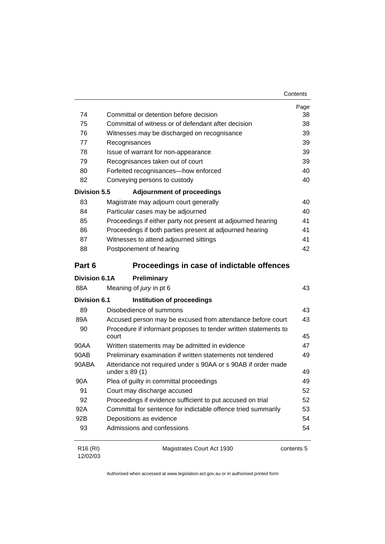|                      |                                                                 | Page       |
|----------------------|-----------------------------------------------------------------|------------|
| 74<br>75             | Committal or detention before decision                          | 38         |
|                      | Committal of witness or of defendant after decision             | 38         |
| 76                   | Witnesses may be discharged on recognisance                     | 39         |
| 77                   | Recognisances                                                   | 39         |
| 78                   | Issue of warrant for non-appearance                             | 39         |
| 79                   | Recognisances taken out of court                                | 39         |
| 80                   | Forfeited recognisances-how enforced                            | 40         |
| 82                   | Conveying persons to custody                                    | 40         |
| <b>Division 5.5</b>  | <b>Adjournment of proceedings</b>                               |            |
| 83                   | Magistrate may adjourn court generally                          | 40         |
| 84                   | Particular cases may be adjourned                               | 40         |
| 85                   | Proceedings if either party not present at adjourned hearing    | 41         |
| 86                   | Proceedings if both parties present at adjourned hearing        | 41         |
| 87                   | Witnesses to attend adjourned sittings                          | 41         |
| 88                   | Postponement of hearing                                         | 42         |
| Part 6               | Proceedings in case of indictable offences                      |            |
| Division 6.1A        | Preliminary                                                     |            |
| 88A                  | Meaning of <i>jury</i> in pt 6                                  | 43         |
| Division 6.1         | Institution of proceedings                                      |            |
| 89                   | Disobedience of summons                                         | 43         |
| 89A                  | Accused person may be excused from attendance before court      | 43         |
| 90                   | Procedure if informant proposes to tender written statements to |            |
|                      | court                                                           | 45         |
| 90AA                 | Written statements may be admitted in evidence                  | 47         |
| 90AB                 | Preliminary examination if written statements not tendered      | 49         |
| 90ABA                | Attendance not required under s 90AA or s 90AB if order made    |            |
|                      | under $s$ 89 $(1)$                                              | 49         |
| 90A                  | Plea of guilty in committal proceedings                         | 49         |
| 91                   | Court may discharge accused                                     | 52         |
| 92                   | Proceedings if evidence sufficient to put accused on trial      | 52         |
| 92A                  | Committal for sentence for indictable offence tried summarily   | 53         |
| 92B                  | Depositions as evidence                                         | 54         |
| 93                   | Admissions and confessions                                      | 54         |
| R <sub>16</sub> (RI) | Magistrates Court Act 1930                                      | contents 5 |

12/02/03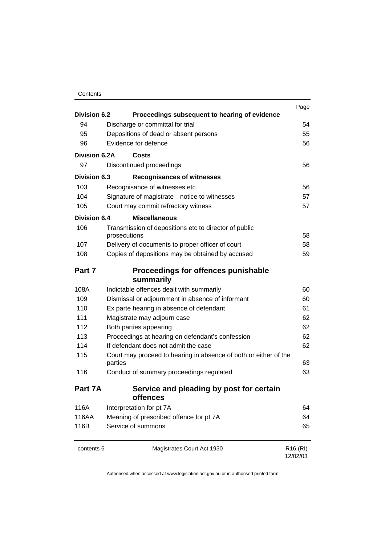#### **Contents**

| <b>Division 6.2</b>  | Proceedings subsequent to hearing of evidence                    | Page                 |
|----------------------|------------------------------------------------------------------|----------------------|
| 94                   | Discharge or committal for trial                                 | 54                   |
| 95                   | Depositions of dead or absent persons                            | 55                   |
| 96                   | Evidence for defence                                             | 56                   |
| <b>Division 6.2A</b> | Costs                                                            |                      |
| 97                   | Discontinued proceedings                                         | 56                   |
| Division 6.3         | <b>Recognisances of witnesses</b>                                |                      |
| 103                  | Recognisance of witnesses etc                                    | 56                   |
| 104                  | Signature of magistrate-notice to witnesses                      | 57                   |
| 105                  | Court may commit refractory witness                              | 57                   |
| Division 6.4         | <b>Miscellaneous</b>                                             |                      |
| 106                  | Transmission of depositions etc to director of public            |                      |
|                      | prosecutions                                                     | 58                   |
| 107                  | Delivery of documents to proper officer of court                 | 58                   |
| 108                  | Copies of depositions may be obtained by accused                 | 59                   |
| Part 7               | Proceedings for offences punishable                              |                      |
|                      | summarily                                                        |                      |
| 108A                 | Indictable offences dealt with summarily                         | 60                   |
| 109                  | Dismissal or adjournment in absence of informant                 | 60                   |
| 110                  | Ex parte hearing in absence of defendant                         | 61                   |
| 111                  | Magistrate may adjourn case                                      | 62                   |
| 112                  | Both parties appearing                                           | 62                   |
| 113                  | Proceedings at hearing on defendant's confession                 | 62                   |
| 114                  | If defendant does not admit the case                             | 62                   |
| 115                  | Court may proceed to hearing in absence of both or either of the |                      |
|                      | parties                                                          | 63                   |
| 116                  | Conduct of summary proceedings regulated                         | 63                   |
| Part 7A              | Service and pleading by post for certain                         |                      |
|                      | offences                                                         |                      |
| 116A                 | Interpretation for pt 7A                                         | 64                   |
| 116AA                | Meaning of prescribed offence for pt 7A                          | 64                   |
| 116B                 | Service of summons                                               | 65                   |
| contents 6           | Magistrates Court Act 1930                                       | R <sub>16</sub> (RI) |
|                      |                                                                  | 12/02/03             |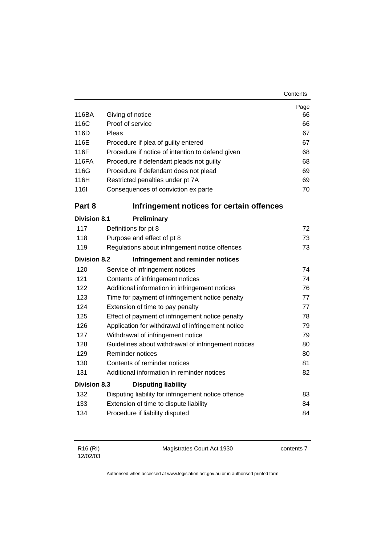| 116BA               | Giving of notice                                    | Page<br>66 |
|---------------------|-----------------------------------------------------|------------|
| 116C                | Proof of service                                    | 66         |
| 116D                | Pleas                                               | 67         |
| 116E                | Procedure if plea of guilty entered                 | 67         |
| 116F                | Procedure if notice of intention to defend given    | 68         |
| 116FA               | Procedure if defendant pleads not guilty            | 68         |
| 116G                | Procedure if defendant does not plead               | 69         |
| 116H                | Restricted penalties under pt 7A                    | 69         |
| <b>1161</b>         | Consequences of conviction ex parte                 | 70         |
| Part 8              | Infringement notices for certain offences           |            |
| <b>Division 8.1</b> | Preliminary                                         |            |
| 117                 | Definitions for pt 8                                | 72         |
| 118                 | Purpose and effect of pt 8                          | 73         |
| 119                 | Regulations about infringement notice offences      | 73         |
| <b>Division 8.2</b> | Infringement and reminder notices                   |            |
| 120                 | Service of infringement notices                     | 74         |
| 121                 | Contents of infringement notices                    | 74         |
| 122                 | Additional information in infringement notices      | 76         |
| 123                 | Time for payment of infringement notice penalty     | 77         |
| 124                 | Extension of time to pay penalty                    | 77         |
| 125                 | Effect of payment of infringement notice penalty    | 78         |
| 126                 | Application for withdrawal of infringement notice   | 79         |
| 127                 | Withdrawal of infringement notice                   | 79         |
| 128                 | Guidelines about withdrawal of infringement notices | 80         |
| 129                 | <b>Reminder notices</b>                             | 80         |
| 130                 | Contents of reminder notices                        | 81         |
| 131                 | Additional information in reminder notices          | 82         |
| <b>Division 8.3</b> | <b>Disputing liability</b>                          |            |
| 132                 | Disputing liability for infringement notice offence | 83         |
| 133                 | Extension of time to dispute liability              | 84         |
| 134                 | Procedure if liability disputed                     | 84         |

R16 (RI) 12/02/03 Magistrates Court Act 1930 contents 7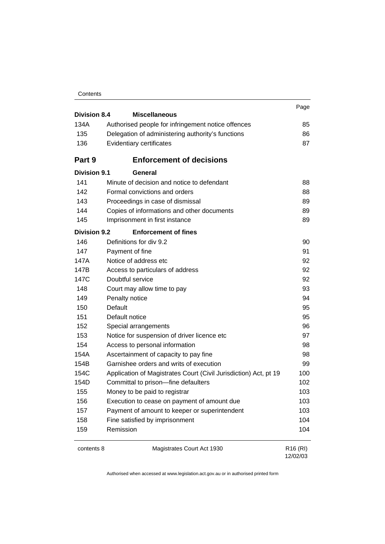| Contents |
|----------|
|----------|

| <b>Division 8.4</b> | <b>Miscellaneous</b>                                             | Page                             |
|---------------------|------------------------------------------------------------------|----------------------------------|
| 134A                | Authorised people for infringement notice offences               | 85                               |
| 135                 | Delegation of administering authority's functions                | 86                               |
| 136                 | Evidentiary certificates                                         | 87                               |
|                     |                                                                  |                                  |
| Part 9              | <b>Enforcement of decisions</b>                                  |                                  |
| <b>Division 9.1</b> | General                                                          |                                  |
| 141                 | Minute of decision and notice to defendant                       | 88                               |
| 142                 | Formal convictions and orders                                    | 88                               |
| 143                 | Proceedings in case of dismissal                                 | 89                               |
| 144                 | Copies of informations and other documents                       | 89                               |
| 145                 | Imprisonment in first instance                                   | 89                               |
| <b>Division 9.2</b> | <b>Enforcement of fines</b>                                      |                                  |
| 146                 | Definitions for div 9.2                                          | 90                               |
| 147                 | Payment of fine                                                  | 91                               |
| 147A                | Notice of address etc                                            | 92                               |
| 147B                | Access to particulars of address                                 | 92                               |
| 147C                | Doubtful service                                                 | 92                               |
| 148                 | Court may allow time to pay                                      | 93                               |
| 149                 | Penalty notice                                                   | 94                               |
| 150                 | Default                                                          | 95                               |
| 151                 | Default notice                                                   | 95                               |
| 152                 | Special arrangements                                             | 96                               |
| 153                 | Notice for suspension of driver licence etc                      | 97                               |
| 154                 | Access to personal information                                   | 98                               |
| 154A                | Ascertainment of capacity to pay fine                            | 98                               |
| 154B                | Garnishee orders and writs of execution                          | 99                               |
| 154C                | Application of Magistrates Court (Civil Jurisdiction) Act, pt 19 | 100                              |
| 154D                | Committal to prison-fine defaulters                              | 102                              |
| 155                 | Money to be paid to registrar                                    | 103                              |
| 156                 | Execution to cease on payment of amount due                      | 103                              |
| 157                 | Payment of amount to keeper or superintendent                    | 103                              |
| 158                 | Fine satisfied by imprisonment                                   | 104                              |
| 159                 | Remission                                                        | 104                              |
| contents 8          | Magistrates Court Act 1930                                       | R <sub>16</sub> (RI)<br>12/02/03 |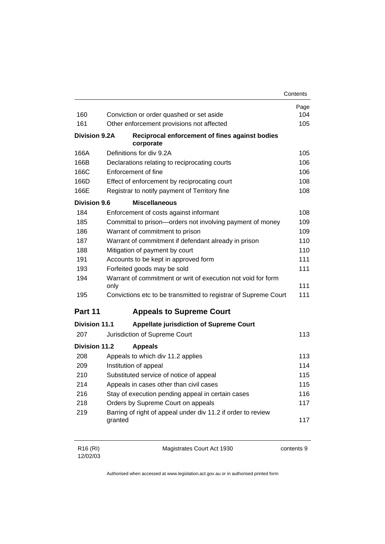|                      |                                   |                                                                 | Contents   |
|----------------------|-----------------------------------|-----------------------------------------------------------------|------------|
|                      |                                   |                                                                 | Page       |
| 160                  |                                   | Conviction or order quashed or set aside                        | 104        |
| 161                  |                                   | Other enforcement provisions not affected                       | 105        |
| <b>Division 9.2A</b> | corporate                         | Reciprocal enforcement of fines against bodies                  |            |
| 166A                 | Definitions for div 9.2A          |                                                                 | 105        |
| 166B                 |                                   | Declarations relating to reciprocating courts                   | 106        |
| 166C                 | Enforcement of fine               |                                                                 | 106        |
| 166D                 |                                   | Effect of enforcement by reciprocating court                    | 108        |
| 166E                 |                                   | Registrar to notify payment of Territory fine                   | 108        |
| <b>Division 9.6</b>  | <b>Miscellaneous</b>              |                                                                 |            |
| 184                  |                                   | Enforcement of costs against informant                          | 108        |
| 185                  |                                   | Committal to prison-orders not involving payment of money       | 109        |
| 186                  | Warrant of commitment to prison   |                                                                 | 109        |
| 187                  |                                   | Warrant of commitment if defendant already in prison            | 110        |
| 188                  | Mitigation of payment by court    |                                                                 | 110        |
| 191                  |                                   | Accounts to be kept in approved form                            | 111        |
| 193                  | Forfeited goods may be sold       |                                                                 | 111        |
| 194                  | only                              | Warrant of commitment or writ of execution not void for form    | 111        |
| 195                  |                                   | Convictions etc to be transmitted to registrar of Supreme Court | 111        |
| Part 11              |                                   | <b>Appeals to Supreme Court</b>                                 |            |
| <b>Division 11.1</b> |                                   | <b>Appellate jurisdiction of Supreme Court</b>                  |            |
| 207                  | Jurisdiction of Supreme Court     |                                                                 | 113        |
| <b>Division 11.2</b> | <b>Appeals</b>                    |                                                                 |            |
| 208                  | Appeals to which div 11.2 applies |                                                                 | 113        |
| 209                  | Institution of appeal             |                                                                 | 114        |
| 210                  |                                   | Substituted service of notice of appeal                         | 115        |
| 214                  |                                   | Appeals in cases other than civil cases                         | 115        |
| 216                  |                                   | Stay of execution pending appeal in certain cases               | 116        |
| 218                  |                                   | Orders by Supreme Court on appeals                              | 117        |
| 219                  |                                   | Barring of right of appeal under div 11.2 if order to review    |            |
|                      | granted                           |                                                                 | 117        |
| R <sub>16</sub> (RI) |                                   | Magistrates Court Act 1930                                      | contents 9 |

R16 (RI) 12/02/03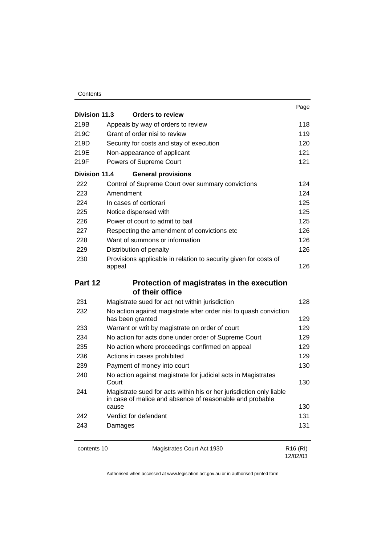#### **Contents**

|               |                                                                                                                                 | Page                 |
|---------------|---------------------------------------------------------------------------------------------------------------------------------|----------------------|
| Division 11.3 | <b>Orders to review</b>                                                                                                         |                      |
| 219B          | Appeals by way of orders to review                                                                                              | 118                  |
| 219C          | Grant of order nisi to review                                                                                                   | 119                  |
| 219D          | Security for costs and stay of execution                                                                                        | 120                  |
| 219E          | Non-appearance of applicant                                                                                                     | 121                  |
| 219F          | Powers of Supreme Court                                                                                                         | 121                  |
| Division 11.4 | <b>General provisions</b>                                                                                                       |                      |
| 222           | Control of Supreme Court over summary convictions                                                                               | 124                  |
| 223           | Amendment                                                                                                                       | 124                  |
| 224           | In cases of certiorari                                                                                                          | 125                  |
| 225           | Notice dispensed with                                                                                                           | 125                  |
| 226           | Power of court to admit to bail                                                                                                 | 125                  |
| 227           | Respecting the amendment of convictions etc                                                                                     | 126                  |
| 228           | Want of summons or information                                                                                                  | 126                  |
| 229           | Distribution of penalty                                                                                                         | 126                  |
| 230           | Provisions applicable in relation to security given for costs of                                                                |                      |
|               | appeal                                                                                                                          | 126                  |
| Part 12       | Protection of magistrates in the execution                                                                                      |                      |
|               | of their office                                                                                                                 |                      |
| 231           | Magistrate sued for act not within jurisdiction                                                                                 | 128                  |
| 232           | No action against magistrate after order nisi to quash conviction                                                               |                      |
|               | has been granted                                                                                                                | 129.                 |
| 233           | Warrant or writ by magistrate on order of court                                                                                 | 129                  |
| 234           | No action for acts done under order of Supreme Court                                                                            | 129                  |
| 235           | No action where proceedings confirmed on appeal                                                                                 | 129                  |
| 236           | Actions in cases prohibited                                                                                                     | 129                  |
| 239           | Payment of money into court                                                                                                     | 130                  |
| 240           | No action against magistrate for judicial acts in Magistrates<br>Court                                                          | 130                  |
| 241           | Magistrate sued for acts within his or her jurisdiction only liable<br>in case of malice and absence of reasonable and probable |                      |
|               | cause                                                                                                                           | 130                  |
| 242           | Verdict for defendant                                                                                                           | 131                  |
| 243           | Damages                                                                                                                         | 131                  |
| contents 10   | Magistrates Court Act 1930                                                                                                      | R <sub>16</sub> (RI) |
|               |                                                                                                                                 | 12/02/03             |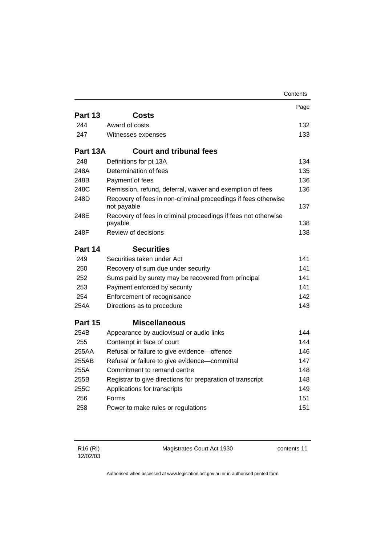|          |                                                                               | Contents |
|----------|-------------------------------------------------------------------------------|----------|
|          |                                                                               | Page     |
| Part 13  | <b>Costs</b>                                                                  |          |
| 244      | Award of costs                                                                | 132      |
| 247      | Witnesses expenses                                                            | 133      |
| Part 13A | <b>Court and tribunal fees</b>                                                |          |
| 248      | Definitions for pt 13A                                                        | 134      |
| 248A     | Determination of fees                                                         | 135      |
| 248B     | Payment of fees                                                               | 136      |
| 248C     | Remission, refund, deferral, waiver and exemption of fees                     | 136      |
| 248D     | Recovery of fees in non-criminal proceedings if fees otherwise<br>not payable | 137      |
| 248E     | Recovery of fees in criminal proceedings if fees not otherwise<br>payable     | 138      |
| 248F     | Review of decisions                                                           | 138      |
| Part 14  | <b>Securities</b>                                                             |          |
| 249      | Securities taken under Act                                                    | 141      |
| 250      | Recovery of sum due under security                                            | 141      |
| 252      | Sums paid by surety may be recovered from principal                           | 141      |
| 253      | Payment enforced by security                                                  | 141      |
| 254      | Enforcement of recognisance                                                   | 142      |
| 254A     | Directions as to procedure                                                    | 143      |
| Part 15  | <b>Miscellaneous</b>                                                          |          |
| 254B     | Appearance by audiovisual or audio links                                      | 144      |
| 255      | Contempt in face of court                                                     | 144      |
| 255AA    | Refusal or failure to give evidence-offence                                   | 146      |
| 255AB    | Refusal or failure to give evidence-committal                                 | 147      |
| 255A     | Commitment to remand centre                                                   | 148      |
| 255B     | Registrar to give directions for preparation of transcript                    | 148      |
| 255C     | Applications for transcripts                                                  | 149      |
| 256      | Forms                                                                         | 151      |
| 258      | Power to make rules or regulations                                            | 151      |
|          |                                                                               |          |

Magistrates Court Act 1930 contents 11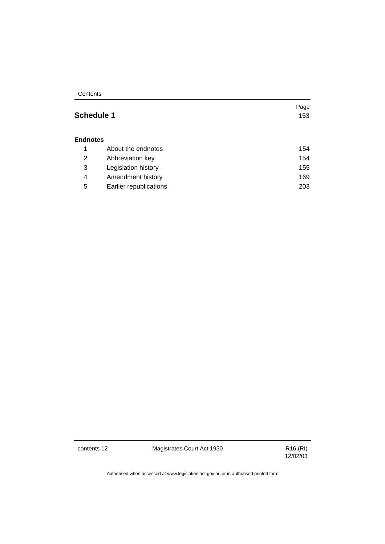**Contents** 

| <b>Schedule 1</b> |                        | Page<br>153 |
|-------------------|------------------------|-------------|
| <b>Endnotes</b>   |                        |             |
| 1                 | About the endnotes     | 154         |
| 2                 | Abbreviation key       | 154         |
| 3                 | Legislation history    | 155         |
| 4                 | Amendment history      | 169         |
| 5                 | Earlier republications | 203         |
|                   |                        |             |

contents 12 Magistrates Court Act 1930

R16 (RI)<br>12/02/03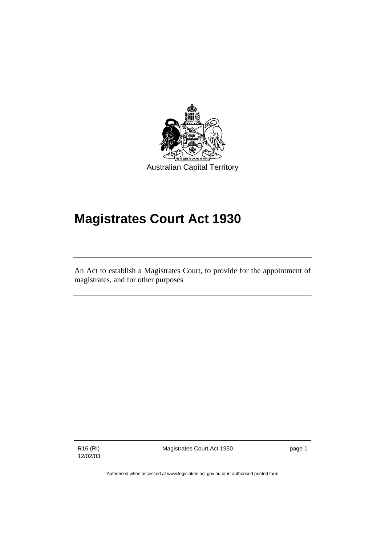

# **Magistrates Court Act 1930**

An Act to establish a Magistrates Court, to provide for the appointment of magistrates, and for other purposes

R16 (RI) 12/02/03 Magistrates Court Act 1930 **page 1**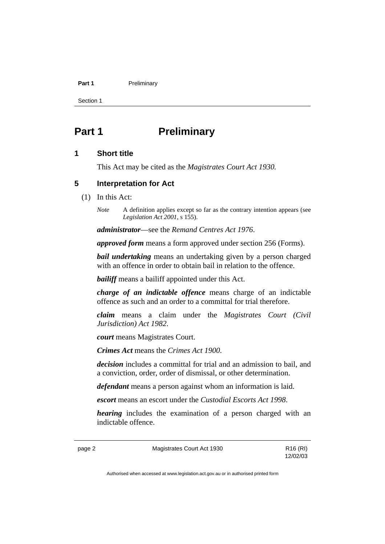#### **Part 1** Preliminary

Section 1

# **Part 1** Preliminary

#### **1 Short title**

This Act may be cited as the *Magistrates Court Act 1930.*

#### **5 Interpretation for Act**

- (1) In this Act:
	- *Note* A definition applies except so far as the contrary intention appears (see *Legislation Act 2001*, s 155).

*administrator*—see the *Remand Centres Act 1976*.

*approved form* means a form approved under section 256 (Forms).

*bail undertaking* means an undertaking given by a person charged with an offence in order to obtain bail in relation to the offence.

*bailiff* means a bailiff appointed under this Act.

*charge of an indictable offence* means charge of an indictable offence as such and an order to a committal for trial therefore.

*claim* means a claim under the *Magistrates Court (Civil Jurisdiction) Act 1982*.

*court* means Magistrates Court.

*Crimes Act* means the *Crimes Act 1900*.

*decision* includes a committal for trial and an admission to bail, and a conviction, order, order of dismissal, or other determination.

*defendant* means a person against whom an information is laid.

*escort* means an escort under the *Custodial Escorts Act 1998*.

*hearing* includes the examination of a person charged with an indictable offence.

page 2 Magistrates Court Act 1930

12/02/03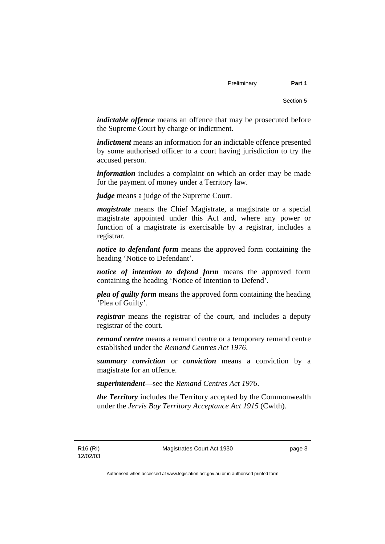*indictable offence* means an offence that may be prosecuted before the Supreme Court by charge or indictment.

*indictment* means an information for an indictable offence presented by some authorised officer to a court having jurisdiction to try the accused person.

*information* includes a complaint on which an order may be made for the payment of money under a Territory law.

*judge* means a judge of the Supreme Court.

*magistrate* means the Chief Magistrate, a magistrate or a special magistrate appointed under this Act and, where any power or function of a magistrate is exercisable by a registrar, includes a registrar.

*notice to defendant form* means the approved form containing the heading 'Notice to Defendant'.

*notice of intention to defend form* means the approved form containing the heading 'Notice of Intention to Defend'.

*plea of guilty form* means the approved form containing the heading 'Plea of Guilty'.

*registrar* means the registrar of the court, and includes a deputy registrar of the court.

*remand centre* means a remand centre or a temporary remand centre established under the *Remand Centres Act 1976*.

*summary conviction* or *conviction* means a conviction by a magistrate for an offence.

*superintendent*—see the *Remand Centres Act 1976*.

*the Territory* includes the Territory accepted by the Commonwealth under the *Jervis Bay Territory Acceptance Act 1915* (Cwlth).

R16 (RI) 12/02/03 Magistrates Court Act 1930 **page 3**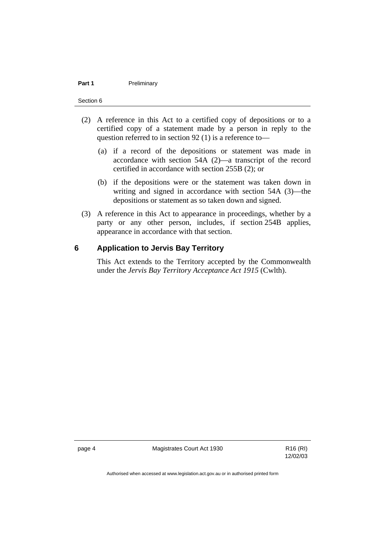#### Part 1 **Preliminary**

#### Section 6

- (2) A reference in this Act to a certified copy of depositions or to a certified copy of a statement made by a person in reply to the question referred to in section 92 (1) is a reference to—
	- (a) if a record of the depositions or statement was made in accordance with section 54A (2)—a transcript of the record certified in accordance with section 255B (2); or
	- (b) if the depositions were or the statement was taken down in writing and signed in accordance with section 54A (3)—the depositions or statement as so taken down and signed.
- (3) A reference in this Act to appearance in proceedings, whether by a party or any other person, includes, if section 254B applies, appearance in accordance with that section.

#### **6 Application to Jervis Bay Territory**

This Act extends to the Territory accepted by the Commonwealth under the *Jervis Bay Territory Acceptance Act 1915* (Cwlth).

page 4 Magistrates Court Act 1930 R16 (RI)

12/02/03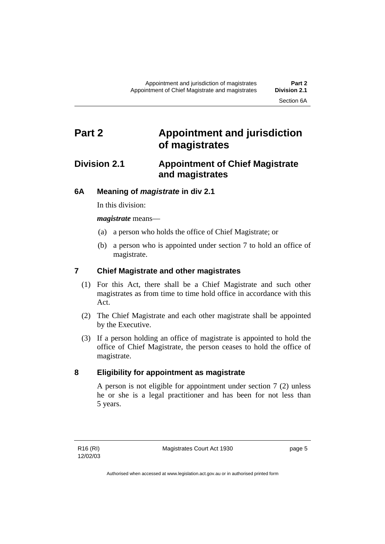# **Part 2 Appointment and jurisdiction of magistrates**

## **Division 2.1 Appointment of Chief Magistrate and magistrates**

#### **6A Meaning of** *magistrate* **in div 2.1**

In this division:

*magistrate* means—

- (a) a person who holds the office of Chief Magistrate; or
- (b) a person who is appointed under section 7 to hold an office of magistrate.

#### **7 Chief Magistrate and other magistrates**

- (1) For this Act, there shall be a Chief Magistrate and such other magistrates as from time to time hold office in accordance with this Act.
- (2) The Chief Magistrate and each other magistrate shall be appointed by the Executive.
- (3) If a person holding an office of magistrate is appointed to hold the office of Chief Magistrate, the person ceases to hold the office of magistrate.

#### **8 Eligibility for appointment as magistrate**

A person is not eligible for appointment under section 7 (2) unless he or she is a legal practitioner and has been for not less than 5 years.

Magistrates Court Act 1930 **page 5**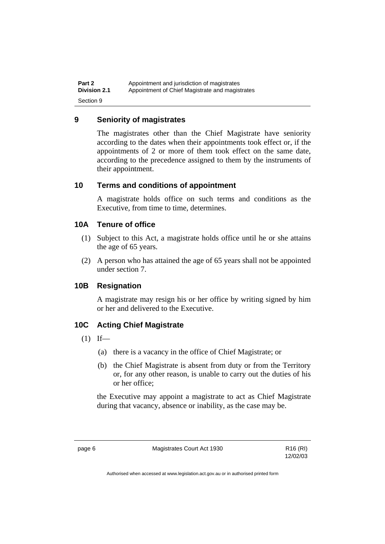| Part 2              | Appointment and jurisdiction of magistrates     |
|---------------------|-------------------------------------------------|
| <b>Division 2.1</b> | Appointment of Chief Magistrate and magistrates |
| Section 9           |                                                 |

#### **9 Seniority of magistrates**

The magistrates other than the Chief Magistrate have seniority according to the dates when their appointments took effect or, if the appointments of 2 or more of them took effect on the same date, according to the precedence assigned to them by the instruments of their appointment.

#### **10 Terms and conditions of appointment**

A magistrate holds office on such terms and conditions as the Executive, from time to time, determines.

#### **10A Tenure of office**

- (1) Subject to this Act, a magistrate holds office until he or she attains the age of 65 years.
- (2) A person who has attained the age of 65 years shall not be appointed under section 7.

#### **10B Resignation**

A magistrate may resign his or her office by writing signed by him or her and delivered to the Executive.

#### **10C Acting Chief Magistrate**

- $(1)$  If—
	- (a) there is a vacancy in the office of Chief Magistrate; or
	- (b) the Chief Magistrate is absent from duty or from the Territory or, for any other reason, is unable to carry out the duties of his or her office;

the Executive may appoint a magistrate to act as Chief Magistrate during that vacancy, absence or inability, as the case may be.

page 6 Magistrates Court Act 1930

12/02/03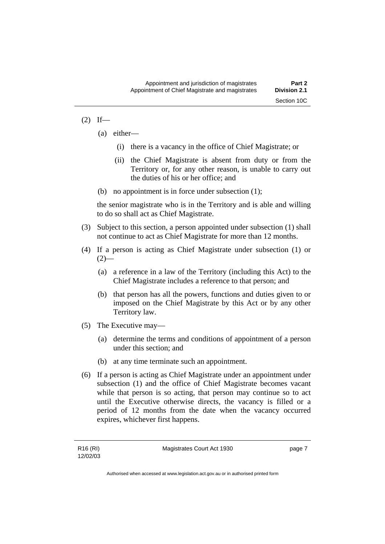#### $(2)$  If—

- (a) either—
	- (i) there is a vacancy in the office of Chief Magistrate; or
	- (ii) the Chief Magistrate is absent from duty or from the Territory or, for any other reason, is unable to carry out the duties of his or her office; and
- (b) no appointment is in force under subsection (1);

the senior magistrate who is in the Territory and is able and willing to do so shall act as Chief Magistrate.

- (3) Subject to this section, a person appointed under subsection (1) shall not continue to act as Chief Magistrate for more than 12 months.
- (4) If a person is acting as Chief Magistrate under subsection (1) or  $(2)$ —
	- (a) a reference in a law of the Territory (including this Act) to the Chief Magistrate includes a reference to that person; and
	- (b) that person has all the powers, functions and duties given to or imposed on the Chief Magistrate by this Act or by any other Territory law.
- (5) The Executive may—
	- (a) determine the terms and conditions of appointment of a person under this section; and
	- (b) at any time terminate such an appointment.
- (6) If a person is acting as Chief Magistrate under an appointment under subsection (1) and the office of Chief Magistrate becomes vacant while that person is so acting, that person may continue so to act until the Executive otherwise directs, the vacancy is filled or a period of 12 months from the date when the vacancy occurred expires, whichever first happens.

Magistrates Court Act 1930 **page 7**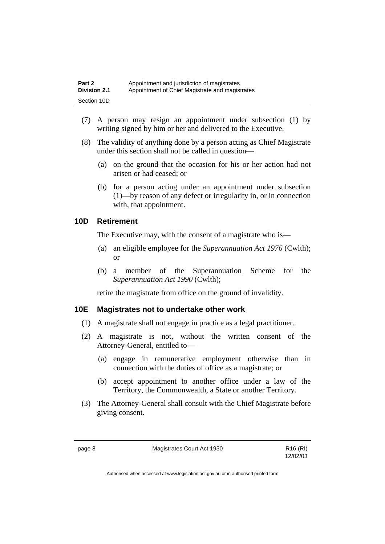| Part 2              | Appointment and jurisdiction of magistrates     |
|---------------------|-------------------------------------------------|
| <b>Division 2.1</b> | Appointment of Chief Magistrate and magistrates |
| Section 10D         |                                                 |

- (7) A person may resign an appointment under subsection (1) by writing signed by him or her and delivered to the Executive.
- (8) The validity of anything done by a person acting as Chief Magistrate under this section shall not be called in question—
	- (a) on the ground that the occasion for his or her action had not arisen or had ceased; or
	- (b) for a person acting under an appointment under subsection (1)—by reason of any defect or irregularity in, or in connection with, that appointment.

#### **10D Retirement**

The Executive may, with the consent of a magistrate who is—

- (a) an eligible employee for the *Superannuation Act 1976* (Cwlth); or
- (b) a member of the Superannuation Scheme for the *Superannuation Act 1990* (Cwlth);

retire the magistrate from office on the ground of invalidity.

#### **10E Magistrates not to undertake other work**

- (1) A magistrate shall not engage in practice as a legal practitioner.
- (2) A magistrate is not, without the written consent of the Attorney-General, entitled to—
	- (a) engage in remunerative employment otherwise than in connection with the duties of office as a magistrate; or
	- (b) accept appointment to another office under a law of the Territory, the Commonwealth, a State or another Territory.
- (3) The Attorney-General shall consult with the Chief Magistrate before giving consent.

page 8 Magistrates Court Act 1930 R16 (RI)

12/02/03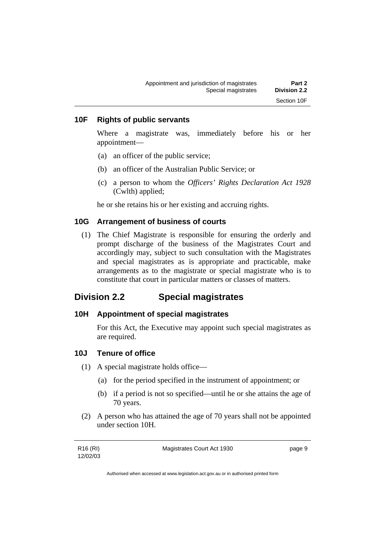#### **10F Rights of public servants**

Where a magistrate was, immediately before his or her appointment—

- (a) an officer of the public service;
- (b) an officer of the Australian Public Service; or
- (c) a person to whom the *Officers' Rights Declaration Act 1928* (Cwlth) applied;

he or she retains his or her existing and accruing rights.

#### **10G Arrangement of business of courts**

 (1) The Chief Magistrate is responsible for ensuring the orderly and prompt discharge of the business of the Magistrates Court and accordingly may, subject to such consultation with the Magistrates and special magistrates as is appropriate and practicable, make arrangements as to the magistrate or special magistrate who is to constitute that court in particular matters or classes of matters.

#### **Division 2.2 Special magistrates**

#### **10H Appointment of special magistrates**

For this Act, the Executive may appoint such special magistrates as are required.

#### **10J Tenure of office**

- (1) A special magistrate holds office—
	- (a) for the period specified in the instrument of appointment; or
	- (b) if a period is not so specified—until he or she attains the age of 70 years.
- (2) A person who has attained the age of 70 years shall not be appointed under section 10H.

Magistrates Court Act 1930 **page 9**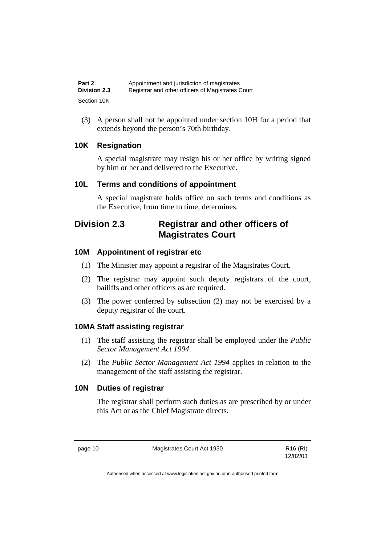(3) A person shall not be appointed under section 10H for a period that extends beyond the person's 70th birthday.

#### **10K Resignation**

A special magistrate may resign his or her office by writing signed by him or her and delivered to the Executive.

#### **10L Terms and conditions of appointment**

A special magistrate holds office on such terms and conditions as the Executive, from time to time, determines.

# **Division 2.3 Registrar and other officers of Magistrates Court**

#### **10M Appointment of registrar etc**

- (1) The Minister may appoint a registrar of the Magistrates Court.
- (2) The registrar may appoint such deputy registrars of the court, bailiffs and other officers as are required.
- (3) The power conferred by subsection (2) may not be exercised by a deputy registrar of the court.

#### **10MA Staff assisting registrar**

- (1) The staff assisting the registrar shall be employed under the *Public Sector Management Act 1994*.
- (2) The *Public Sector Management Act 1994* applies in relation to the management of the staff assisting the registrar.

#### **10N Duties of registrar**

The registrar shall perform such duties as are prescribed by or under this Act or as the Chief Magistrate directs.

page 10 Magistrates Court Act 1930

12/02/03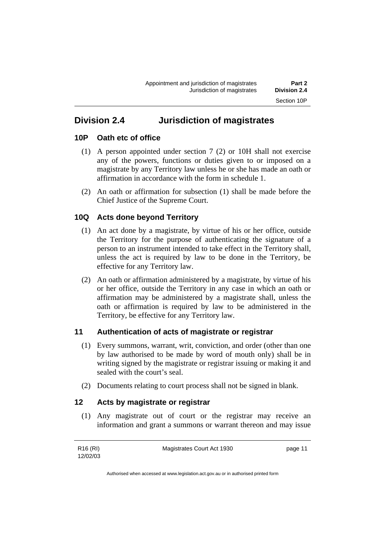# **Division 2.4 Jurisdiction of magistrates**

#### **10P Oath etc of office**

- (1) A person appointed under section 7 (2) or 10H shall not exercise any of the powers, functions or duties given to or imposed on a magistrate by any Territory law unless he or she has made an oath or affirmation in accordance with the form in schedule 1.
- (2) An oath or affirmation for subsection (1) shall be made before the Chief Justice of the Supreme Court.

#### **10Q Acts done beyond Territory**

- (1) An act done by a magistrate, by virtue of his or her office, outside the Territory for the purpose of authenticating the signature of a person to an instrument intended to take effect in the Territory shall, unless the act is required by law to be done in the Territory, be effective for any Territory law.
- (2) An oath or affirmation administered by a magistrate, by virtue of his or her office, outside the Territory in any case in which an oath or affirmation may be administered by a magistrate shall, unless the oath or affirmation is required by law to be administered in the Territory, be effective for any Territory law.

#### **11 Authentication of acts of magistrate or registrar**

- (1) Every summons, warrant, writ, conviction, and order (other than one by law authorised to be made by word of mouth only) shall be in writing signed by the magistrate or registrar issuing or making it and sealed with the court's seal.
- (2) Documents relating to court process shall not be signed in blank.

#### **12 Acts by magistrate or registrar**

 (1) Any magistrate out of court or the registrar may receive an information and grant a summons or warrant thereon and may issue

Magistrates Court Act 1930 **page 11**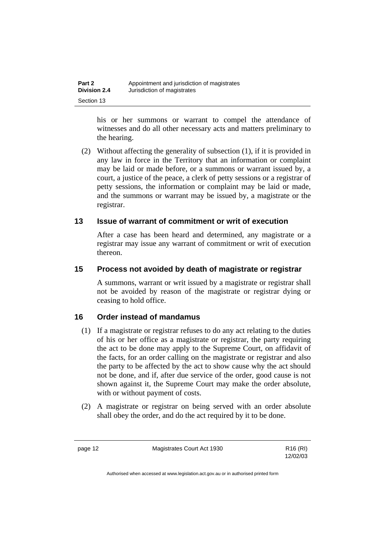| Part 2              | Appointment and jurisdiction of magistrates |
|---------------------|---------------------------------------------|
| <b>Division 2.4</b> | Jurisdiction of magistrates                 |
| Section 13          |                                             |

his or her summons or warrant to compel the attendance of witnesses and do all other necessary acts and matters preliminary to the hearing.

 (2) Without affecting the generality of subsection (1), if it is provided in any law in force in the Territory that an information or complaint may be laid or made before, or a summons or warrant issued by, a court, a justice of the peace, a clerk of petty sessions or a registrar of petty sessions, the information or complaint may be laid or made, and the summons or warrant may be issued by, a magistrate or the registrar.

#### **13 Issue of warrant of commitment or writ of execution**

After a case has been heard and determined, any magistrate or a registrar may issue any warrant of commitment or writ of execution thereon.

#### **15 Process not avoided by death of magistrate or registrar**

A summons, warrant or writ issued by a magistrate or registrar shall not be avoided by reason of the magistrate or registrar dying or ceasing to hold office.

#### **16 Order instead of mandamus**

- (1) If a magistrate or registrar refuses to do any act relating to the duties of his or her office as a magistrate or registrar, the party requiring the act to be done may apply to the Supreme Court, on affidavit of the facts, for an order calling on the magistrate or registrar and also the party to be affected by the act to show cause why the act should not be done, and if, after due service of the order, good cause is not shown against it, the Supreme Court may make the order absolute, with or without payment of costs.
- (2) A magistrate or registrar on being served with an order absolute shall obey the order, and do the act required by it to be done.

page 12 Magistrates Court Act 1930

12/02/03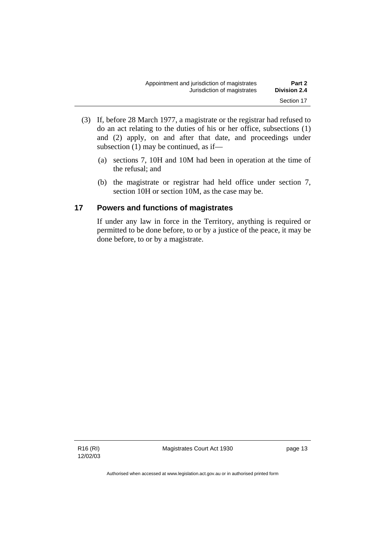- (3) If, before 28 March 1977, a magistrate or the registrar had refused to do an act relating to the duties of his or her office, subsections (1) and (2) apply, on and after that date, and proceedings under subsection (1) may be continued, as if—
	- (a) sections 7, 10H and 10M had been in operation at the time of the refusal; and
	- (b) the magistrate or registrar had held office under section 7, section 10H or section 10M, as the case may be.

#### **17 Powers and functions of magistrates**

If under any law in force in the Territory, anything is required or permitted to be done before, to or by a justice of the peace, it may be done before, to or by a magistrate.

R16 (RI) 12/02/03 Magistrates Court Act 1930 **page 13**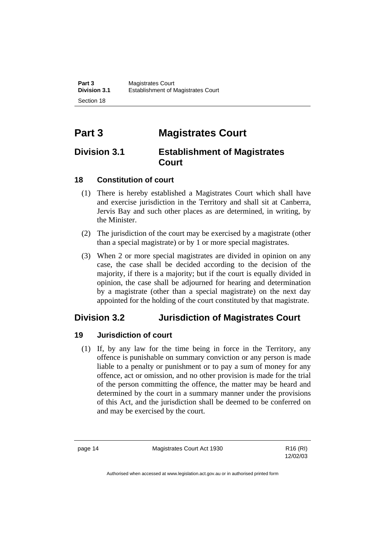# **Part 3 Magistrates Court**

## **Division 3.1 Establishment of Magistrates Court**

#### **18 Constitution of court**

- (1) There is hereby established a Magistrates Court which shall have and exercise jurisdiction in the Territory and shall sit at Canberra, Jervis Bay and such other places as are determined, in writing, by the Minister.
- (2) The jurisdiction of the court may be exercised by a magistrate (other than a special magistrate) or by 1 or more special magistrates.
- (3) When 2 or more special magistrates are divided in opinion on any case, the case shall be decided according to the decision of the majority, if there is a majority; but if the court is equally divided in opinion, the case shall be adjourned for hearing and determination by a magistrate (other than a special magistrate) on the next day appointed for the holding of the court constituted by that magistrate.

## **Division 3.2 Jurisdiction of Magistrates Court**

### **19 Jurisdiction of court**

 (1) If, by any law for the time being in force in the Territory, any offence is punishable on summary conviction or any person is made liable to a penalty or punishment or to pay a sum of money for any offence, act or omission, and no other provision is made for the trial of the person committing the offence, the matter may be heard and determined by the court in a summary manner under the provisions of this Act, and the jurisdiction shall be deemed to be conferred on and may be exercised by the court.

page 14 Magistrates Court Act 1930

12/02/03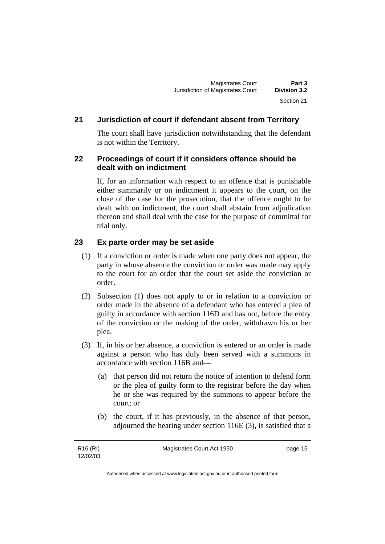#### **21 Jurisdiction of court if defendant absent from Territory**

The court shall have jurisdiction notwithstanding that the defendant is not within the Territory.

#### **22 Proceedings of court if it considers offence should be dealt with on indictment**

If, for an information with respect to an offence that is punishable either summarily or on indictment it appears to the court, on the close of the case for the prosecution, that the offence ought to be dealt with on indictment, the court shall abstain from adjudication thereon and shall deal with the case for the purpose of committal for trial only.

### **23 Ex parte order may be set aside**

- (1) If a conviction or order is made when one party does not appear, the party in whose absence the conviction or order was made may apply to the court for an order that the court set aside the conviction or order.
- (2) Subsection (1) does not apply to or in relation to a conviction or order made in the absence of a defendant who has entered a plea of guilty in accordance with section 116D and has not, before the entry of the conviction or the making of the order, withdrawn his or her plea.
- (3) If, in his or her absence, a conviction is entered or an order is made against a person who has duly been served with a summons in accordance with section 116B and—
	- (a) that person did not return the notice of intention to defend form or the plea of guilty form to the registrar before the day when he or she was required by the summons to appear before the court; or
	- (b) the court, if it has previously, in the absence of that person, adjourned the hearing under section 116E (3), is satisfied that a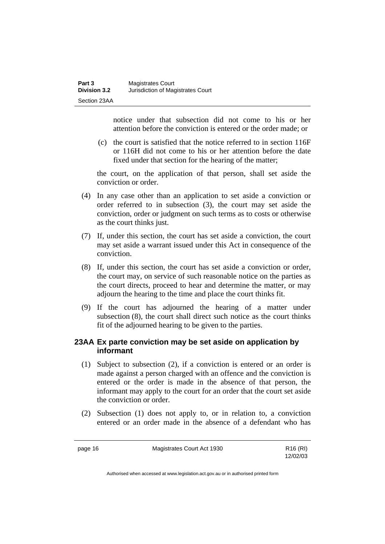notice under that subsection did not come to his or her attention before the conviction is entered or the order made; or

 (c) the court is satisfied that the notice referred to in section 116F or 116H did not come to his or her attention before the date fixed under that section for the hearing of the matter;

the court, on the application of that person, shall set aside the conviction or order.

- (4) In any case other than an application to set aside a conviction or order referred to in subsection (3), the court may set aside the conviction, order or judgment on such terms as to costs or otherwise as the court thinks just.
- (7) If, under this section, the court has set aside a conviction, the court may set aside a warrant issued under this Act in consequence of the conviction.
- (8) If, under this section, the court has set aside a conviction or order, the court may, on service of such reasonable notice on the parties as the court directs, proceed to hear and determine the matter, or may adjourn the hearing to the time and place the court thinks fit.
- (9) If the court has adjourned the hearing of a matter under subsection (8), the court shall direct such notice as the court thinks fit of the adjourned hearing to be given to the parties.

#### **23AA Ex parte conviction may be set aside on application by informant**

- (1) Subject to subsection (2), if a conviction is entered or an order is made against a person charged with an offence and the conviction is entered or the order is made in the absence of that person, the informant may apply to the court for an order that the court set aside the conviction or order.
- (2) Subsection (1) does not apply to, or in relation to, a conviction entered or an order made in the absence of a defendant who has

page 16 Magistrates Court Act 1930

12/02/03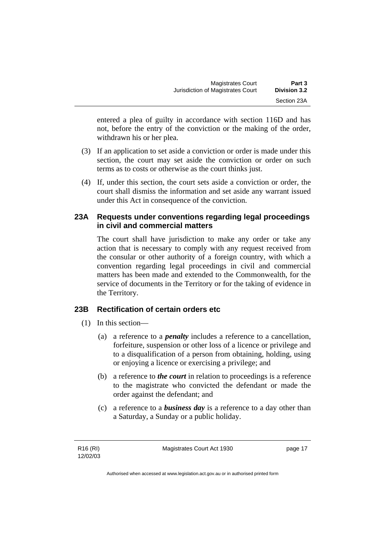| <b>Magistrates Court</b>          | Part 3              |
|-----------------------------------|---------------------|
| Jurisdiction of Magistrates Court | <b>Division 3.2</b> |
|                                   | Section 23A         |

entered a plea of guilty in accordance with section 116D and has not, before the entry of the conviction or the making of the order, withdrawn his or her plea.

- (3) If an application to set aside a conviction or order is made under this section, the court may set aside the conviction or order on such terms as to costs or otherwise as the court thinks just.
- (4) If, under this section, the court sets aside a conviction or order, the court shall dismiss the information and set aside any warrant issued under this Act in consequence of the conviction.

#### **23A Requests under conventions regarding legal proceedings in civil and commercial matters**

The court shall have jurisdiction to make any order or take any action that is necessary to comply with any request received from the consular or other authority of a foreign country, with which a convention regarding legal proceedings in civil and commercial matters has been made and extended to the Commonwealth, for the service of documents in the Territory or for the taking of evidence in the Territory.

#### **23B Rectification of certain orders etc**

- (1) In this section—
	- (a) a reference to a *penalty* includes a reference to a cancellation, forfeiture, suspension or other loss of a licence or privilege and to a disqualification of a person from obtaining, holding, using or enjoying a licence or exercising a privilege; and
	- (b) a reference to *the court* in relation to proceedings is a reference to the magistrate who convicted the defendant or made the order against the defendant; and
	- (c) a reference to a *business day* is a reference to a day other than a Saturday, a Sunday or a public holiday.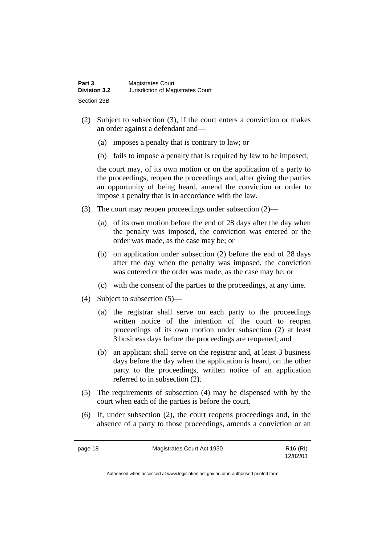- (2) Subject to subsection (3), if the court enters a conviction or makes an order against a defendant and—
	- (a) imposes a penalty that is contrary to law; or
	- (b) fails to impose a penalty that is required by law to be imposed;

the court may, of its own motion or on the application of a party to the proceedings, reopen the proceedings and, after giving the parties an opportunity of being heard, amend the conviction or order to impose a penalty that is in accordance with the law.

- (3) The court may reopen proceedings under subsection (2)—
	- (a) of its own motion before the end of 28 days after the day when the penalty was imposed, the conviction was entered or the order was made, as the case may be; or
	- (b) on application under subsection (2) before the end of 28 days after the day when the penalty was imposed, the conviction was entered or the order was made, as the case may be; or
	- (c) with the consent of the parties to the proceedings, at any time.
- (4) Subject to subsection (5)—
	- (a) the registrar shall serve on each party to the proceedings written notice of the intention of the court to reopen proceedings of its own motion under subsection (2) at least 3 business days before the proceedings are reopened; and
	- (b) an applicant shall serve on the registrar and, at least 3 business days before the day when the application is heard, on the other party to the proceedings, written notice of an application referred to in subsection (2).
- (5) The requirements of subsection (4) may be dispensed with by the court when each of the parties is before the court.
- (6) If, under subsection (2), the court reopens proceedings and, in the absence of a party to those proceedings, amends a conviction or an

page 18 Magistrates Court Act 1930

12/02/03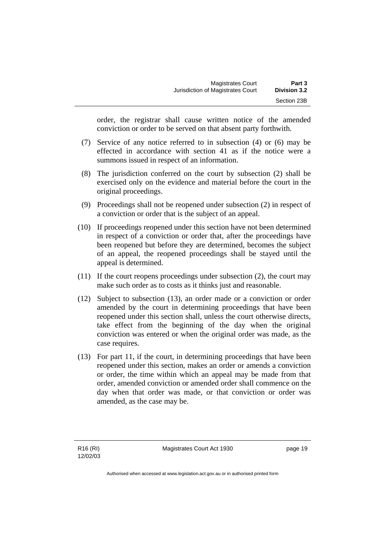| <b>Magistrates Court</b>          | Part 3              |
|-----------------------------------|---------------------|
| Jurisdiction of Magistrates Court | <b>Division 3.2</b> |
|                                   | Section 23B         |

order, the registrar shall cause written notice of the amended conviction or order to be served on that absent party forthwith.

- (7) Service of any notice referred to in subsection (4) or (6) may be effected in accordance with section 41 as if the notice were a summons issued in respect of an information.
- (8) The jurisdiction conferred on the court by subsection (2) shall be exercised only on the evidence and material before the court in the original proceedings.
- (9) Proceedings shall not be reopened under subsection (2) in respect of a conviction or order that is the subject of an appeal.
- (10) If proceedings reopened under this section have not been determined in respect of a conviction or order that, after the proceedings have been reopened but before they are determined, becomes the subject of an appeal, the reopened proceedings shall be stayed until the appeal is determined.
- (11) If the court reopens proceedings under subsection (2), the court may make such order as to costs as it thinks just and reasonable.
- (12) Subject to subsection (13), an order made or a conviction or order amended by the court in determining proceedings that have been reopened under this section shall, unless the court otherwise directs, take effect from the beginning of the day when the original conviction was entered or when the original order was made, as the case requires.
- (13) For part 11, if the court, in determining proceedings that have been reopened under this section, makes an order or amends a conviction or order, the time within which an appeal may be made from that order, amended conviction or amended order shall commence on the day when that order was made, or that conviction or order was amended, as the case may be.

Magistrates Court Act 1930 **page 19**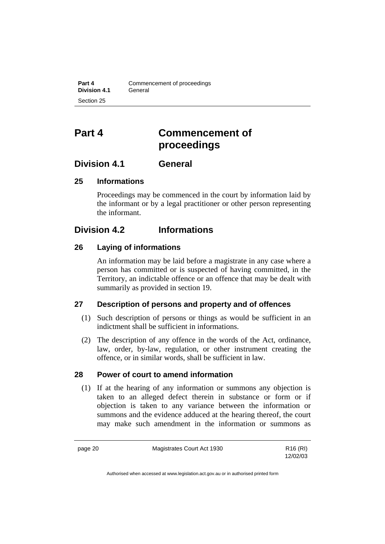# **Part 4 Commencement of proceedings**

### **Division 4.1 General**

#### **25 Informations**

Proceedings may be commenced in the court by information laid by the informant or by a legal practitioner or other person representing the informant.

# **Division 4.2 Informations**

#### **26 Laying of informations**

An information may be laid before a magistrate in any case where a person has committed or is suspected of having committed, in the Territory, an indictable offence or an offence that may be dealt with summarily as provided in section 19.

#### **27 Description of persons and property and of offences**

- (1) Such description of persons or things as would be sufficient in an indictment shall be sufficient in informations.
- (2) The description of any offence in the words of the Act, ordinance, law, order, by-law, regulation, or other instrument creating the offence, or in similar words, shall be sufficient in law.

#### **28 Power of court to amend information**

 (1) If at the hearing of any information or summons any objection is taken to an alleged defect therein in substance or form or if objection is taken to any variance between the information or summons and the evidence adduced at the hearing thereof, the court may make such amendment in the information or summons as

page 20 Magistrates Court Act 1930

12/02/03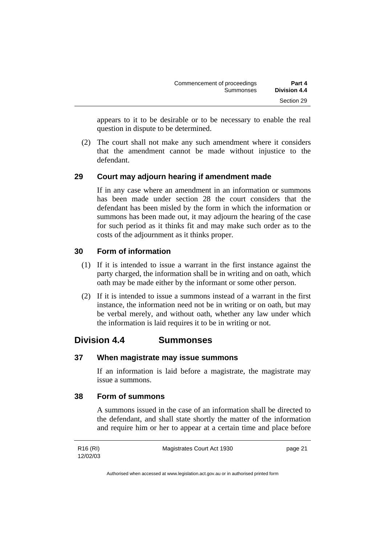appears to it to be desirable or to be necessary to enable the real question in dispute to be determined.

 (2) The court shall not make any such amendment where it considers that the amendment cannot be made without injustice to the defendant.

#### **29 Court may adjourn hearing if amendment made**

If in any case where an amendment in an information or summons has been made under section 28 the court considers that the defendant has been misled by the form in which the information or summons has been made out, it may adjourn the hearing of the case for such period as it thinks fit and may make such order as to the costs of the adjournment as it thinks proper.

#### **30 Form of information**

- (1) If it is intended to issue a warrant in the first instance against the party charged, the information shall be in writing and on oath, which oath may be made either by the informant or some other person.
- (2) If it is intended to issue a summons instead of a warrant in the first instance, the information need not be in writing or on oath, but may be verbal merely, and without oath, whether any law under which the information is laid requires it to be in writing or not.

## **Division 4.4 Summonses**

#### **37 When magistrate may issue summons**

If an information is laid before a magistrate, the magistrate may issue a summons.

#### **38 Form of summons**

A summons issued in the case of an information shall be directed to the defendant, and shall state shortly the matter of the information and require him or her to appear at a certain time and place before

Magistrates Court Act 1930 **page 21**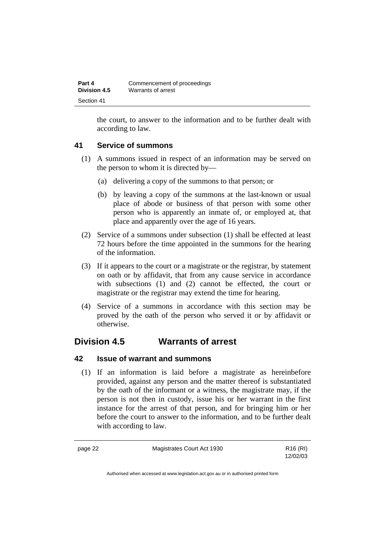| Part 4       | Commencement of proceedings |
|--------------|-----------------------------|
| Division 4.5 | Warrants of arrest          |
| Section 41   |                             |

the court, to answer to the information and to be further dealt with according to law.

#### **41 Service of summons**

- (1) A summons issued in respect of an information may be served on the person to whom it is directed by—
	- (a) delivering a copy of the summons to that person; or
	- (b) by leaving a copy of the summons at the last-known or usual place of abode or business of that person with some other person who is apparently an inmate of, or employed at, that place and apparently over the age of 16 years.
- (2) Service of a summons under subsection (1) shall be effected at least 72 hours before the time appointed in the summons for the hearing of the information.
- (3) If it appears to the court or a magistrate or the registrar, by statement on oath or by affidavit, that from any cause service in accordance with subsections (1) and (2) cannot be effected, the court or magistrate or the registrar may extend the time for hearing.
- (4) Service of a summons in accordance with this section may be proved by the oath of the person who served it or by affidavit or otherwise.

### **Division 4.5 Warrants of arrest**

#### **42 Issue of warrant and summons**

 (1) If an information is laid before a magistrate as hereinbefore provided, against any person and the matter thereof is substantiated by the oath of the informant or a witness, the magistrate may, if the person is not then in custody, issue his or her warrant in the first instance for the arrest of that person, and for bringing him or her before the court to answer to the information, and to be further dealt with according to law.

page 22 Magistrates Court Act 1930

12/02/03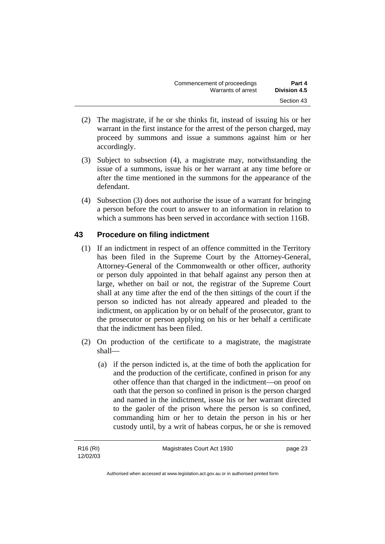| Commencement of proceedings | Part 4       |
|-----------------------------|--------------|
| Warrants of arrest          | Division 4.5 |
|                             | Section 43   |

- (2) The magistrate, if he or she thinks fit, instead of issuing his or her warrant in the first instance for the arrest of the person charged, may proceed by summons and issue a summons against him or her accordingly.
- (3) Subject to subsection (4), a magistrate may, notwithstanding the issue of a summons, issue his or her warrant at any time before or after the time mentioned in the summons for the appearance of the defendant.
- (4) Subsection (3) does not authorise the issue of a warrant for bringing a person before the court to answer to an information in relation to which a summons has been served in accordance with section 116B.

#### **43 Procedure on filing indictment**

- (1) If an indictment in respect of an offence committed in the Territory has been filed in the Supreme Court by the Attorney-General, Attorney-General of the Commonwealth or other officer, authority or person duly appointed in that behalf against any person then at large, whether on bail or not, the registrar of the Supreme Court shall at any time after the end of the then sittings of the court if the person so indicted has not already appeared and pleaded to the indictment, on application by or on behalf of the prosecutor, grant to the prosecutor or person applying on his or her behalf a certificate that the indictment has been filed.
- (2) On production of the certificate to a magistrate, the magistrate shall—
	- (a) if the person indicted is, at the time of both the application for and the production of the certificate, confined in prison for any other offence than that charged in the indictment—on proof on oath that the person so confined in prison is the person charged and named in the indictment, issue his or her warrant directed to the gaoler of the prison where the person is so confined, commanding him or her to detain the person in his or her custody until, by a writ of habeas corpus, he or she is removed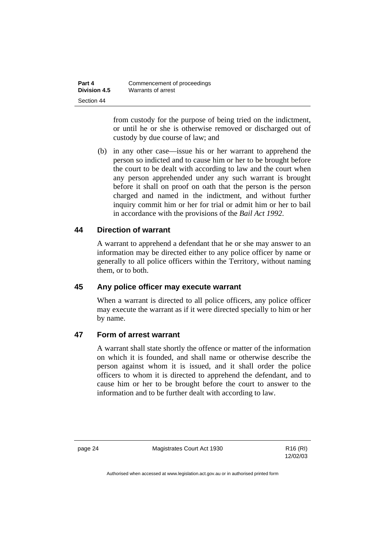| Part 4              | Commencement of proceedings |
|---------------------|-----------------------------|
| <b>Division 4.5</b> | Warrants of arrest          |
| Section 44          |                             |

from custody for the purpose of being tried on the indictment, or until he or she is otherwise removed or discharged out of custody by due course of law; and

 (b) in any other case—issue his or her warrant to apprehend the person so indicted and to cause him or her to be brought before the court to be dealt with according to law and the court when any person apprehended under any such warrant is brought before it shall on proof on oath that the person is the person charged and named in the indictment, and without further inquiry commit him or her for trial or admit him or her to bail in accordance with the provisions of the *Bail Act 1992*.

#### **44 Direction of warrant**

A warrant to apprehend a defendant that he or she may answer to an information may be directed either to any police officer by name or generally to all police officers within the Territory, without naming them, or to both.

#### **45 Any police officer may execute warrant**

When a warrant is directed to all police officers, any police officer may execute the warrant as if it were directed specially to him or her by name.

## **47 Form of arrest warrant**

A warrant shall state shortly the offence or matter of the information on which it is founded, and shall name or otherwise describe the person against whom it is issued, and it shall order the police officers to whom it is directed to apprehend the defendant, and to cause him or her to be brought before the court to answer to the information and to be further dealt with according to law.

page 24 Magistrates Court Act 1930

12/02/03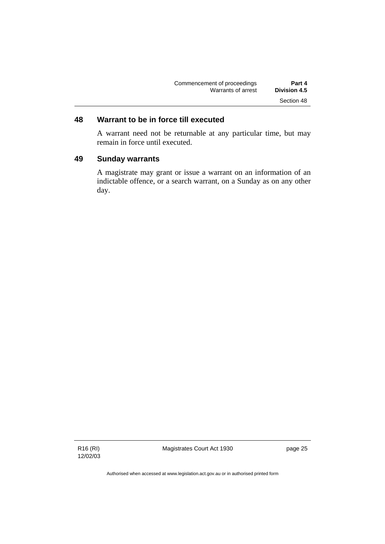| Commencement of proceedings | Part 4       |
|-----------------------------|--------------|
| Warrants of arrest          | Division 4.5 |
|                             | Section 48   |

## **48 Warrant to be in force till executed**

A warrant need not be returnable at any particular time, but may remain in force until executed.

#### **49 Sunday warrants**

A magistrate may grant or issue a warrant on an information of an indictable offence, or a search warrant, on a Sunday as on any other day.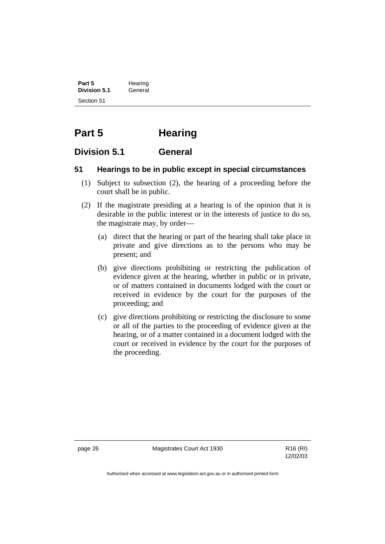Part 5 **Hearing Division 5.1** General Section 51

# **Part 5 Hearing**

## **Division 5.1 General**

#### **51 Hearings to be in public except in special circumstances**

- (1) Subject to subsection (2), the hearing of a proceeding before the court shall be in public.
- (2) If the magistrate presiding at a hearing is of the opinion that it is desirable in the public interest or in the interests of justice to do so, the magistrate may, by order—
	- (a) direct that the hearing or part of the hearing shall take place in private and give directions as to the persons who may be present; and
	- (b) give directions prohibiting or restricting the publication of evidence given at the hearing, whether in public or in private, or of matters contained in documents lodged with the court or received in evidence by the court for the purposes of the proceeding; and
	- (c) give directions prohibiting or restricting the disclosure to some or all of the parties to the proceeding of evidence given at the hearing, or of a matter contained in a document lodged with the court or received in evidence by the court for the purposes of the proceeding.

page 26 Magistrates Court Act 1930

12/02/03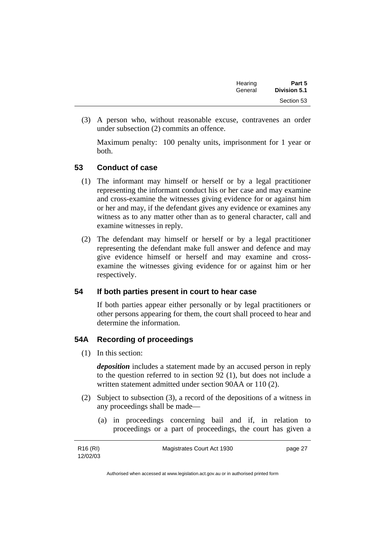| Hearing | Part 5       |
|---------|--------------|
| General | Division 5.1 |
|         | Section 53   |

 (3) A person who, without reasonable excuse, contravenes an order under subsection (2) commits an offence.

Maximum penalty: 100 penalty units, imprisonment for 1 year or both.

#### **53 Conduct of case**

- (1) The informant may himself or herself or by a legal practitioner representing the informant conduct his or her case and may examine and cross-examine the witnesses giving evidence for or against him or her and may, if the defendant gives any evidence or examines any witness as to any matter other than as to general character, call and examine witnesses in reply.
- (2) The defendant may himself or herself or by a legal practitioner representing the defendant make full answer and defence and may give evidence himself or herself and may examine and crossexamine the witnesses giving evidence for or against him or her respectively.

#### **54 If both parties present in court to hear case**

If both parties appear either personally or by legal practitioners or other persons appearing for them, the court shall proceed to hear and determine the information.

#### **54A Recording of proceedings**

(1) In this section:

*deposition* includes a statement made by an accused person in reply to the question referred to in section 92 (1), but does not include a written statement admitted under section 90AA or 110 (2).

- (2) Subject to subsection (3), a record of the depositions of a witness in any proceedings shall be made—
	- (a) in proceedings concerning bail and if, in relation to proceedings or a part of proceedings, the court has given a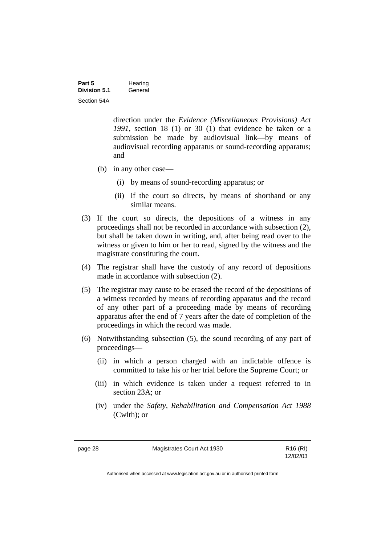| Part 5              | Hearing |
|---------------------|---------|
| <b>Division 5.1</b> | General |
| Section 54A         |         |

direction under the *Evidence (Miscellaneous Provisions) Act 1991*, section 18 (1) or 30 (1) that evidence be taken or a submission be made by audiovisual link—by means of audiovisual recording apparatus or sound-recording apparatus; and

- (b) in any other case—
	- (i) by means of sound-recording apparatus; or
	- (ii) if the court so directs, by means of shorthand or any similar means.
- (3) If the court so directs, the depositions of a witness in any proceedings shall not be recorded in accordance with subsection (2), but shall be taken down in writing, and, after being read over to the witness or given to him or her to read, signed by the witness and the magistrate constituting the court.
- (4) The registrar shall have the custody of any record of depositions made in accordance with subsection (2).
- (5) The registrar may cause to be erased the record of the depositions of a witness recorded by means of recording apparatus and the record of any other part of a proceeding made by means of recording apparatus after the end of 7 years after the date of completion of the proceedings in which the record was made.
- (6) Notwithstanding subsection (5), the sound recording of any part of proceedings—
	- (ii) in which a person charged with an indictable offence is committed to take his or her trial before the Supreme Court; or
	- (iii) in which evidence is taken under a request referred to in section 23A; or
	- (iv) under the *Safety, Rehabilitation and Compensation Act 1988* (Cwlth); or

page 28 Magistrates Court Act 1930

12/02/03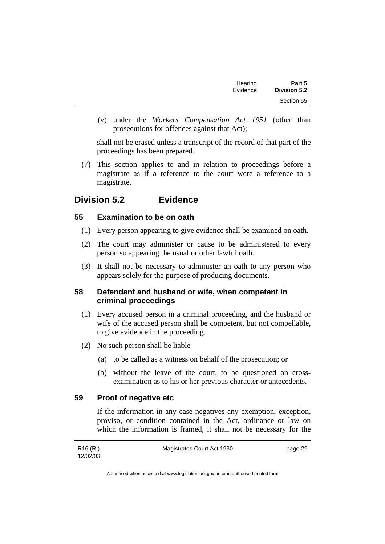| Part 5              | Hearing  |
|---------------------|----------|
| <b>Division 5.2</b> | Evidence |
| Section 55          |          |

 (v) under the *Workers Compensation Act 1951* (other than prosecutions for offences against that Act);

shall not be erased unless a transcript of the record of that part of the proceedings has been prepared.

 (7) This section applies to and in relation to proceedings before a magistrate as if a reference to the court were a reference to a magistrate.

# **Division 5.2 Evidence**

#### **55 Examination to be on oath**

- (1) Every person appearing to give evidence shall be examined on oath.
- (2) The court may administer or cause to be administered to every person so appearing the usual or other lawful oath.
- (3) It shall not be necessary to administer an oath to any person who appears solely for the purpose of producing documents.

#### **58 Defendant and husband or wife, when competent in criminal proceedings**

- (1) Every accused person in a criminal proceeding, and the husband or wife of the accused person shall be competent, but not compellable, to give evidence in the proceeding.
- (2) No such person shall be liable—
	- (a) to be called as a witness on behalf of the prosecution; or
	- (b) without the leave of the court, to be questioned on crossexamination as to his or her previous character or antecedents.

#### **59 Proof of negative etc**

If the information in any case negatives any exemption, exception, proviso, or condition contained in the Act, ordinance or law on which the information is framed, it shall not be necessary for the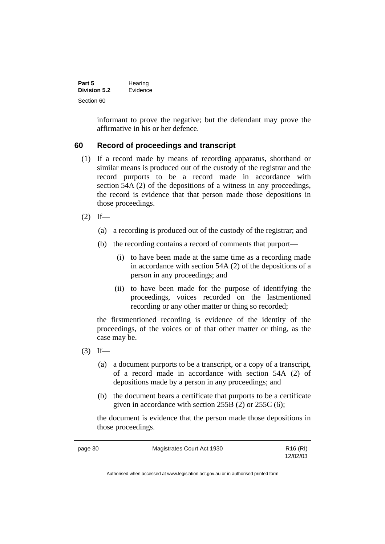| Part 5              | Hearing  |
|---------------------|----------|
| <b>Division 5.2</b> | Evidence |
| Section 60          |          |

informant to prove the negative; but the defendant may prove the affirmative in his or her defence.

#### **60 Record of proceedings and transcript**

- (1) If a record made by means of recording apparatus, shorthand or similar means is produced out of the custody of the registrar and the record purports to be a record made in accordance with section 54A (2) of the depositions of a witness in any proceedings, the record is evidence that that person made those depositions in those proceedings.
- $(2)$  If—
	- (a) a recording is produced out of the custody of the registrar; and
	- (b) the recording contains a record of comments that purport—
		- (i) to have been made at the same time as a recording made in accordance with section 54A (2) of the depositions of a person in any proceedings; and
		- (ii) to have been made for the purpose of identifying the proceedings, voices recorded on the lastmentioned recording or any other matter or thing so recorded;

the firstmentioned recording is evidence of the identity of the proceedings, of the voices or of that other matter or thing, as the case may be.

- $(3)$  If—
	- (a) a document purports to be a transcript, or a copy of a transcript, of a record made in accordance with section 54A (2) of depositions made by a person in any proceedings; and
	- (b) the document bears a certificate that purports to be a certificate given in accordance with section 255B (2) or 255C (6);

the document is evidence that the person made those depositions in those proceedings.

| page 30 | Magistrates Court Act 1930 | R <sub>16</sub> (RI)<br>12/02/03 |
|---------|----------------------------|----------------------------------|
|         |                            |                                  |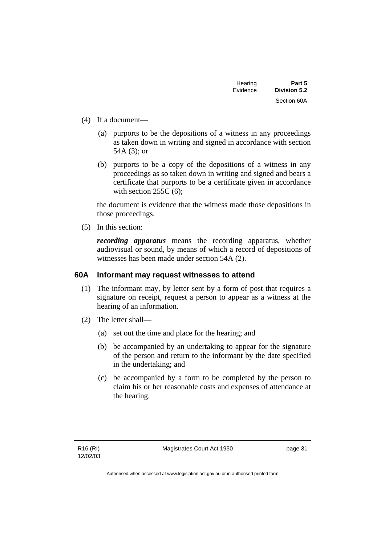| Hearing  | Part 5       |
|----------|--------------|
| Evidence | Division 5.2 |
|          | Section 60A  |

- (4) If a document—
	- (a) purports to be the depositions of a witness in any proceedings as taken down in writing and signed in accordance with section 54A (3); or
	- (b) purports to be a copy of the depositions of a witness in any proceedings as so taken down in writing and signed and bears a certificate that purports to be a certificate given in accordance with section 255C (6);

the document is evidence that the witness made those depositions in those proceedings.

(5) In this section:

*recording apparatus* means the recording apparatus, whether audiovisual or sound, by means of which a record of depositions of witnesses has been made under section 54A (2).

#### **60A Informant may request witnesses to attend**

- (1) The informant may, by letter sent by a form of post that requires a signature on receipt, request a person to appear as a witness at the hearing of an information.
- (2) The letter shall—
	- (a) set out the time and place for the hearing; and
	- (b) be accompanied by an undertaking to appear for the signature of the person and return to the informant by the date specified in the undertaking; and
	- (c) be accompanied by a form to be completed by the person to claim his or her reasonable costs and expenses of attendance at the hearing.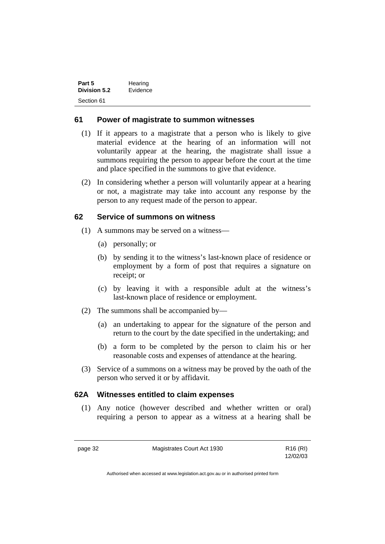| Part 5              | Hearing  |
|---------------------|----------|
| <b>Division 5.2</b> | Evidence |
| Section 61          |          |

#### **61 Power of magistrate to summon witnesses**

- (1) If it appears to a magistrate that a person who is likely to give material evidence at the hearing of an information will not voluntarily appear at the hearing, the magistrate shall issue a summons requiring the person to appear before the court at the time and place specified in the summons to give that evidence.
- (2) In considering whether a person will voluntarily appear at a hearing or not, a magistrate may take into account any response by the person to any request made of the person to appear.

#### **62 Service of summons on witness**

- (1) A summons may be served on a witness—
	- (a) personally; or
	- (b) by sending it to the witness's last-known place of residence or employment by a form of post that requires a signature on receipt; or
	- (c) by leaving it with a responsible adult at the witness's last-known place of residence or employment.
- (2) The summons shall be accompanied by—
	- (a) an undertaking to appear for the signature of the person and return to the court by the date specified in the undertaking; and
	- (b) a form to be completed by the person to claim his or her reasonable costs and expenses of attendance at the hearing.
- (3) Service of a summons on a witness may be proved by the oath of the person who served it or by affidavit.

#### **62A Witnesses entitled to claim expenses**

 (1) Any notice (however described and whether written or oral) requiring a person to appear as a witness at a hearing shall be

page 32 Magistrates Court Act 1930

12/02/03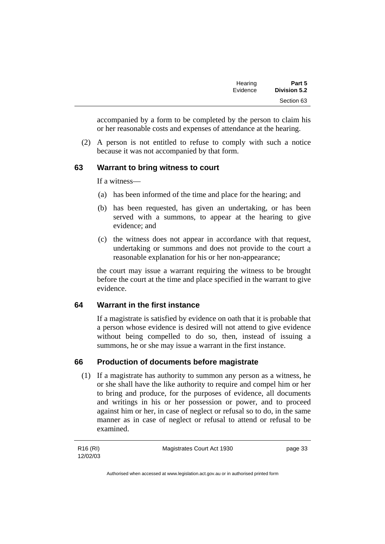| Part 5              | Hearing  |
|---------------------|----------|
| <b>Division 5.2</b> | Evidence |
| Section 63          |          |

accompanied by a form to be completed by the person to claim his or her reasonable costs and expenses of attendance at the hearing.

 (2) A person is not entitled to refuse to comply with such a notice because it was not accompanied by that form.

#### **63 Warrant to bring witness to court**

If a witness—

- (a) has been informed of the time and place for the hearing; and
- (b) has been requested, has given an undertaking, or has been served with a summons, to appear at the hearing to give evidence; and
- (c) the witness does not appear in accordance with that request, undertaking or summons and does not provide to the court a reasonable explanation for his or her non-appearance;

the court may issue a warrant requiring the witness to be brought before the court at the time and place specified in the warrant to give evidence.

#### **64 Warrant in the first instance**

If a magistrate is satisfied by evidence on oath that it is probable that a person whose evidence is desired will not attend to give evidence without being compelled to do so, then, instead of issuing a summons, he or she may issue a warrant in the first instance.

#### **66 Production of documents before magistrate**

 (1) If a magistrate has authority to summon any person as a witness, he or she shall have the like authority to require and compel him or her to bring and produce, for the purposes of evidence, all documents and writings in his or her possession or power, and to proceed against him or her, in case of neglect or refusal so to do, in the same manner as in case of neglect or refusal to attend or refusal to be examined.

R16 (RI) 12/02/03 Magistrates Court Act 1930 **page 33**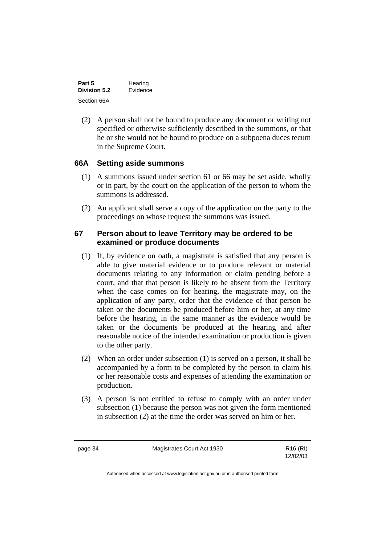| Part 5              | Hearing  |
|---------------------|----------|
| <b>Division 5.2</b> | Evidence |
| Section 66A         |          |

 (2) A person shall not be bound to produce any document or writing not specified or otherwise sufficiently described in the summons, or that he or she would not be bound to produce on a subpoena duces tecum in the Supreme Court.

#### **66A Setting aside summons**

- (1) A summons issued under section 61 or 66 may be set aside, wholly or in part, by the court on the application of the person to whom the summons is addressed.
- (2) An applicant shall serve a copy of the application on the party to the proceedings on whose request the summons was issued.

#### **67 Person about to leave Territory may be ordered to be examined or produce documents**

- (1) If, by evidence on oath, a magistrate is satisfied that any person is able to give material evidence or to produce relevant or material documents relating to any information or claim pending before a court, and that that person is likely to be absent from the Territory when the case comes on for hearing, the magistrate may, on the application of any party, order that the evidence of that person be taken or the documents be produced before him or her, at any time before the hearing, in the same manner as the evidence would be taken or the documents be produced at the hearing and after reasonable notice of the intended examination or production is given to the other party.
- (2) When an order under subsection (1) is served on a person, it shall be accompanied by a form to be completed by the person to claim his or her reasonable costs and expenses of attending the examination or production.
- (3) A person is not entitled to refuse to comply with an order under subsection (1) because the person was not given the form mentioned in subsection (2) at the time the order was served on him or her.

page 34 Magistrates Court Act 1930

12/02/03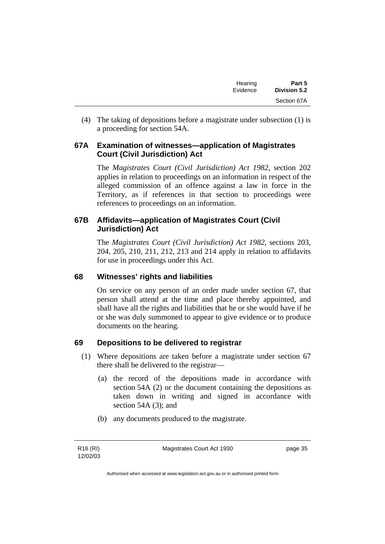| Hearing  | Part 5       |
|----------|--------------|
| Evidence | Division 5.2 |
|          | Section 67A  |

 (4) The taking of depositions before a magistrate under subsection (1) is a proceeding for section 54A.

#### **67A Examination of witnesses—application of Magistrates Court (Civil Jurisdiction) Act**

The *Magistrates Court (Civil Jurisdiction) Act 1982*, section 202 applies in relation to proceedings on an information in respect of the alleged commission of an offence against a law in force in the Territory, as if references in that section to proceedings were references to proceedings on an information.

### **67B Affidavits—application of Magistrates Court (Civil Jurisdiction) Act**

The *Magistrates Court (Civil Jurisdiction) Act 1982*, sections 203, 204, 205, 210, 211, 212, 213 and 214 apply in relation to affidavits for use in proceedings under this Act.

## **68 Witnesses' rights and liabilities**

On service on any person of an order made under section 67, that person shall attend at the time and place thereby appointed, and shall have all the rights and liabilities that he or she would have if he or she was duly summoned to appear to give evidence or to produce documents on the hearing.

## **69 Depositions to be delivered to registrar**

- (1) Where depositions are taken before a magistrate under section 67 there shall be delivered to the registrar—
	- (a) the record of the depositions made in accordance with section 54A (2) or the document containing the depositions as taken down in writing and signed in accordance with section 54A (3); and
	- (b) any documents produced to the magistrate.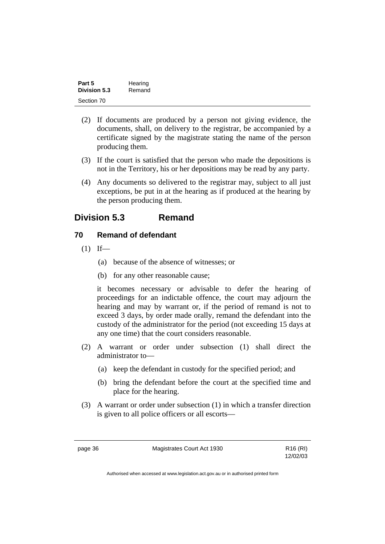| Part 5       | Hearing |
|--------------|---------|
| Division 5.3 | Remand  |
| Section 70   |         |

- (2) If documents are produced by a person not giving evidence, the documents, shall, on delivery to the registrar, be accompanied by a certificate signed by the magistrate stating the name of the person producing them.
- (3) If the court is satisfied that the person who made the depositions is not in the Territory, his or her depositions may be read by any party.
- (4) Any documents so delivered to the registrar may, subject to all just exceptions, be put in at the hearing as if produced at the hearing by the person producing them.

# **Division 5.3 Remand**

#### **70 Remand of defendant**

- $(1)$  If—
	- (a) because of the absence of witnesses; or
	- (b) for any other reasonable cause;

it becomes necessary or advisable to defer the hearing of proceedings for an indictable offence, the court may adjourn the hearing and may by warrant or, if the period of remand is not to exceed 3 days, by order made orally, remand the defendant into the custody of the administrator for the period (not exceeding 15 days at any one time) that the court considers reasonable.

- (2) A warrant or order under subsection (1) shall direct the administrator to—
	- (a) keep the defendant in custody for the specified period; and
	- (b) bring the defendant before the court at the specified time and place for the hearing.
- (3) A warrant or order under subsection (1) in which a transfer direction is given to all police officers or all escorts—

page 36 Magistrates Court Act 1930

12/02/03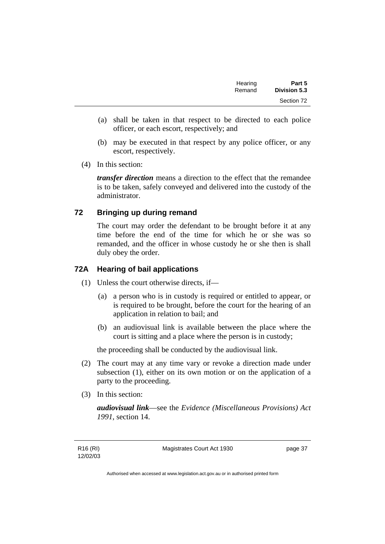| Hearing<br>Remand | Part 5<br><b>Division 5.3</b> |
|-------------------|-------------------------------|
|                   | Section 72                    |

- (a) shall be taken in that respect to be directed to each police officer, or each escort, respectively; and
- (b) may be executed in that respect by any police officer, or any escort, respectively.
- (4) In this section:

*transfer direction* means a direction to the effect that the remandee is to be taken, safely conveyed and delivered into the custody of the administrator.

#### **72 Bringing up during remand**

The court may order the defendant to be brought before it at any time before the end of the time for which he or she was so remanded, and the officer in whose custody he or she then is shall duly obey the order.

#### **72A Hearing of bail applications**

- (1) Unless the court otherwise directs, if—
	- (a) a person who is in custody is required or entitled to appear, or is required to be brought, before the court for the hearing of an application in relation to bail; and
	- (b) an audiovisual link is available between the place where the court is sitting and a place where the person is in custody;

the proceeding shall be conducted by the audiovisual link.

- (2) The court may at any time vary or revoke a direction made under subsection (1), either on its own motion or on the application of a party to the proceeding.
- (3) In this section:

*audiovisual link*—see the *Evidence (Miscellaneous Provisions) Act 1991*, section 14.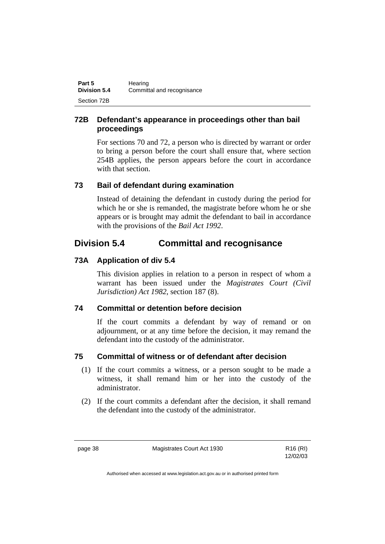| Part 5              | Hearing                    |
|---------------------|----------------------------|
| <b>Division 5.4</b> | Committal and recognisance |
| Section 72B         |                            |

# **72B Defendant's appearance in proceedings other than bail proceedings**

For sections 70 and 72, a person who is directed by warrant or order to bring a person before the court shall ensure that, where section 254B applies, the person appears before the court in accordance with that section.

# **73 Bail of defendant during examination**

Instead of detaining the defendant in custody during the period for which he or she is remanded, the magistrate before whom he or she appears or is brought may admit the defendant to bail in accordance with the provisions of the *Bail Act 1992*.

# **Division 5.4 Committal and recognisance**

# **73A Application of div 5.4**

This division applies in relation to a person in respect of whom a warrant has been issued under the *Magistrates Court (Civil Jurisdiction) Act 1982*, section 187 (8).

# **74 Committal or detention before decision**

If the court commits a defendant by way of remand or on adjournment, or at any time before the decision, it may remand the defendant into the custody of the administrator.

# **75 Committal of witness or of defendant after decision**

- (1) If the court commits a witness, or a person sought to be made a witness, it shall remand him or her into the custody of the administrator.
- (2) If the court commits a defendant after the decision, it shall remand the defendant into the custody of the administrator.

page 38 Magistrates Court Act 1930 R16 (RI)

12/02/03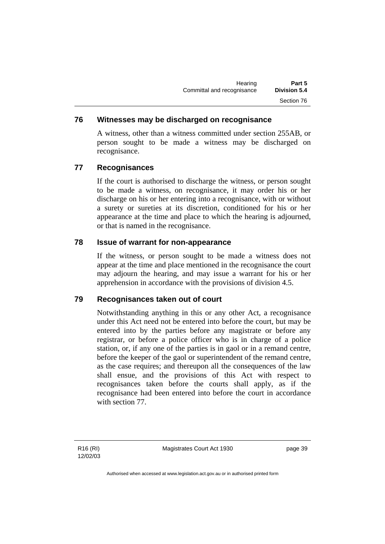#### **76 Witnesses may be discharged on recognisance**

A witness, other than a witness committed under section 255AB, or person sought to be made a witness may be discharged on recognisance.

#### **77 Recognisances**

If the court is authorised to discharge the witness, or person sought to be made a witness, on recognisance, it may order his or her discharge on his or her entering into a recognisance, with or without a surety or sureties at its discretion, conditioned for his or her appearance at the time and place to which the hearing is adjourned, or that is named in the recognisance.

#### **78 Issue of warrant for non-appearance**

If the witness, or person sought to be made a witness does not appear at the time and place mentioned in the recognisance the court may adjourn the hearing, and may issue a warrant for his or her apprehension in accordance with the provisions of division 4.5.

#### **79 Recognisances taken out of court**

Notwithstanding anything in this or any other Act, a recognisance under this Act need not be entered into before the court, but may be entered into by the parties before any magistrate or before any registrar, or before a police officer who is in charge of a police station, or, if any one of the parties is in gaol or in a remand centre, before the keeper of the gaol or superintendent of the remand centre, as the case requires; and thereupon all the consequences of the law shall ensue, and the provisions of this Act with respect to recognisances taken before the courts shall apply, as if the recognisance had been entered into before the court in accordance with section 77.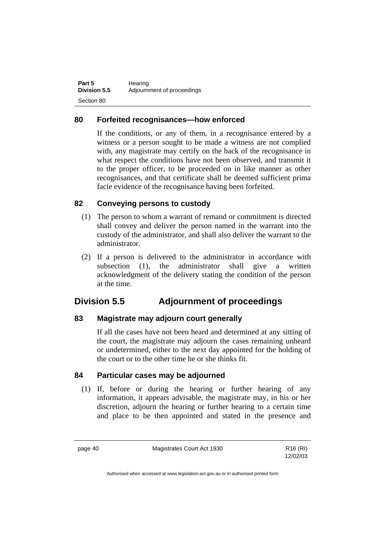| Part 5              | Hearing                    |
|---------------------|----------------------------|
| <b>Division 5.5</b> | Adjournment of proceedings |
| Section 80          |                            |

#### **80 Forfeited recognisances—how enforced**

If the conditions, or any of them, in a recognisance entered by a witness or a person sought to be made a witness are not complied with, any magistrate may certify on the back of the recognisance in what respect the conditions have not been observed, and transmit it to the proper officer, to be proceeded on in like manner as other recognisances, and that certificate shall be deemed sufficient prima facie evidence of the recognisance having been forfeited.

#### **82 Conveying persons to custody**

- (1) The person to whom a warrant of remand or commitment is directed shall convey and deliver the person named in the warrant into the custody of the administrator, and shall also deliver the warrant to the administrator.
- (2) If a person is delivered to the administrator in accordance with subsection (1), the administrator shall give a written acknowledgment of the delivery stating the condition of the person at the time.

# **Division 5.5 Adjournment of proceedings**

#### **83 Magistrate may adjourn court generally**

If all the cases have not been heard and determined at any sitting of the court, the magistrate may adjourn the cases remaining unheard or undetermined, either to the next day appointed for the holding of the court or to the other time he or she thinks fit.

#### **84 Particular cases may be adjourned**

 (1) If, before or during the hearing or further hearing of any information, it appears advisable, the magistrate may, in his or her discretion, adjourn the hearing or further hearing to a certain time and place to be then appointed and stated in the presence and

page 40 Magistrates Court Act 1930 R16 (RI)

12/02/03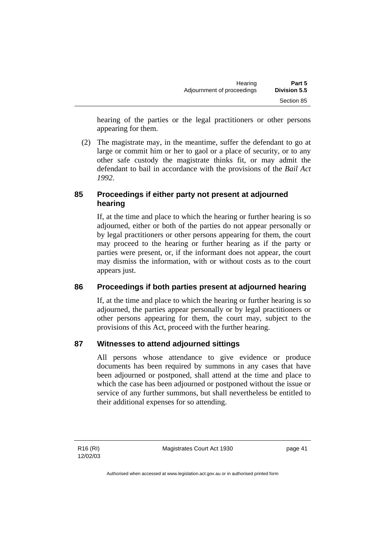hearing of the parties or the legal practitioners or other persons appearing for them.

 (2) The magistrate may, in the meantime, suffer the defendant to go at large or commit him or her to gaol or a place of security, or to any other safe custody the magistrate thinks fit, or may admit the defendant to bail in accordance with the provisions of the *Bail Act 1992*.

## **85 Proceedings if either party not present at adjourned hearing**

If, at the time and place to which the hearing or further hearing is so adjourned, either or both of the parties do not appear personally or by legal practitioners or other persons appearing for them, the court may proceed to the hearing or further hearing as if the party or parties were present, or, if the informant does not appear, the court may dismiss the information, with or without costs as to the court appears just.

# **86 Proceedings if both parties present at adjourned hearing**

If, at the time and place to which the hearing or further hearing is so adjourned, the parties appear personally or by legal practitioners or other persons appearing for them, the court may, subject to the provisions of this Act, proceed with the further hearing.

## **87 Witnesses to attend adjourned sittings**

All persons whose attendance to give evidence or produce documents has been required by summons in any cases that have been adjourned or postponed, shall attend at the time and place to which the case has been adjourned or postponed without the issue or service of any further summons, but shall nevertheless be entitled to their additional expenses for so attending.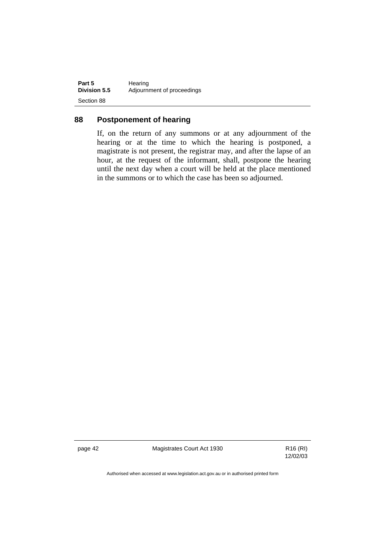| Part 5              | Hearing                    |
|---------------------|----------------------------|
| <b>Division 5.5</b> | Adjournment of proceedings |
| Section 88          |                            |

## **88 Postponement of hearing**

If, on the return of any summons or at any adjournment of the hearing or at the time to which the hearing is postponed, a magistrate is not present, the registrar may, and after the lapse of an hour, at the request of the informant, shall, postpone the hearing until the next day when a court will be held at the place mentioned in the summons or to which the case has been so adjourned.

page 42 Magistrates Court Act 1930 R16 (RI)

12/02/03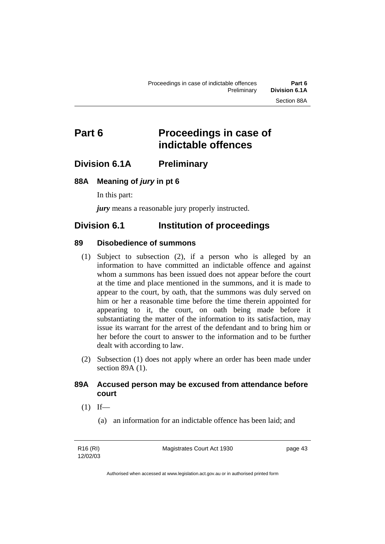# **Part 6 Proceedings in case of indictable offences**

# **Division 6.1A Preliminary**

#### **88A Meaning of** *jury* **in pt 6**

In this part:

*jury* means a reasonable jury properly instructed.

# **Division 6.1 Institution of proceedings**

#### **89 Disobedience of summons**

- (1) Subject to subsection (2), if a person who is alleged by an information to have committed an indictable offence and against whom a summons has been issued does not appear before the court at the time and place mentioned in the summons, and it is made to appear to the court, by oath, that the summons was duly served on him or her a reasonable time before the time therein appointed for appearing to it, the court, on oath being made before it substantiating the matter of the information to its satisfaction, may issue its warrant for the arrest of the defendant and to bring him or her before the court to answer to the information and to be further dealt with according to law.
- (2) Subsection (1) does not apply where an order has been made under section 89A (1).

#### **89A Accused person may be excused from attendance before court**

- $(1)$  If—
	- (a) an information for an indictable offence has been laid; and

Magistrates Court Act 1930 **page 43**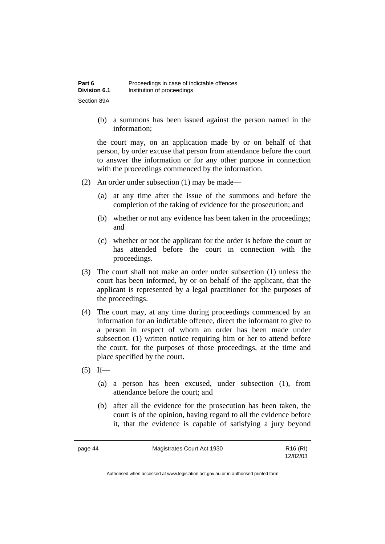(b) a summons has been issued against the person named in the information;

the court may, on an application made by or on behalf of that person, by order excuse that person from attendance before the court to answer the information or for any other purpose in connection with the proceedings commenced by the information.

- (2) An order under subsection (1) may be made—
	- (a) at any time after the issue of the summons and before the completion of the taking of evidence for the prosecution; and
	- (b) whether or not any evidence has been taken in the proceedings; and
	- (c) whether or not the applicant for the order is before the court or has attended before the court in connection with the proceedings.
- (3) The court shall not make an order under subsection (1) unless the court has been informed, by or on behalf of the applicant, that the applicant is represented by a legal practitioner for the purposes of the proceedings.
- (4) The court may, at any time during proceedings commenced by an information for an indictable offence, direct the informant to give to a person in respect of whom an order has been made under subsection (1) written notice requiring him or her to attend before the court, for the purposes of those proceedings, at the time and place specified by the court.
- $(5)$  If—
	- (a) a person has been excused, under subsection (1), from attendance before the court; and
	- (b) after all the evidence for the prosecution has been taken, the court is of the opinion, having regard to all the evidence before it, that the evidence is capable of satisfying a jury beyond

| page 44 | Magistrates Court Act 1930 | R <sub>16</sub> (RI)<br>12/02/03 |
|---------|----------------------------|----------------------------------|
|         |                            |                                  |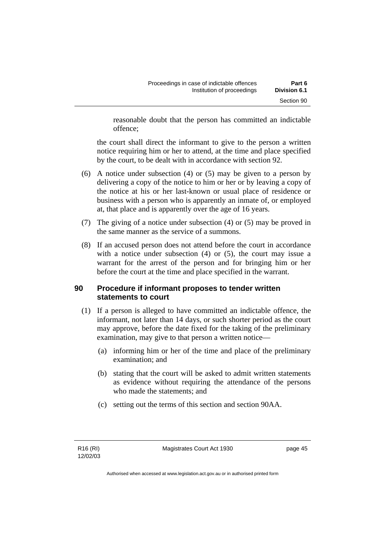reasonable doubt that the person has committed an indictable offence;

the court shall direct the informant to give to the person a written notice requiring him or her to attend, at the time and place specified by the court, to be dealt with in accordance with section 92.

- (6) A notice under subsection (4) or (5) may be given to a person by delivering a copy of the notice to him or her or by leaving a copy of the notice at his or her last-known or usual place of residence or business with a person who is apparently an inmate of, or employed at, that place and is apparently over the age of 16 years.
- (7) The giving of a notice under subsection (4) or (5) may be proved in the same manner as the service of a summons.
- (8) If an accused person does not attend before the court in accordance with a notice under subsection (4) or (5), the court may issue a warrant for the arrest of the person and for bringing him or her before the court at the time and place specified in the warrant.

#### **90 Procedure if informant proposes to tender written statements to court**

- (1) If a person is alleged to have committed an indictable offence, the informant, not later than 14 days, or such shorter period as the court may approve, before the date fixed for the taking of the preliminary examination, may give to that person a written notice—
	- (a) informing him or her of the time and place of the preliminary examination; and
	- (b) stating that the court will be asked to admit written statements as evidence without requiring the attendance of the persons who made the statements; and
	- (c) setting out the terms of this section and section 90AA.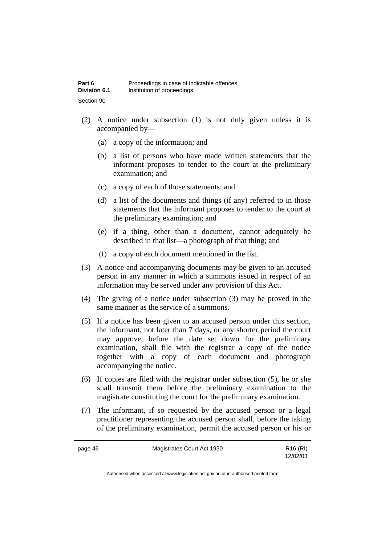- (2) A notice under subsection (1) is not duly given unless it is accompanied by—
	- (a) a copy of the information; and
	- (b) a list of persons who have made written statements that the informant proposes to tender to the court at the preliminary examination; and
	- (c) a copy of each of those statements; and
	- (d) a list of the documents and things (if any) referred to in those statements that the informant proposes to tender to the court at the preliminary examination; and
	- (e) if a thing, other than a document, cannot adequately be described in that list—a photograph of that thing; and
	- (f) a copy of each document mentioned in the list.
- (3) A notice and accompanying documents may be given to an accused person in any manner in which a summons issued in respect of an information may be served under any provision of this Act.
- (4) The giving of a notice under subsection (3) may be proved in the same manner as the service of a summons.
- (5) If a notice has been given to an accused person under this section, the informant, not later than 7 days, or any shorter period the court may approve, before the date set down for the preliminary examination, shall file with the registrar a copy of the notice together with a copy of each document and photograph accompanying the notice.
- (6) If copies are filed with the registrar under subsection (5), he or she shall transmit them before the preliminary examination to the magistrate constituting the court for the preliminary examination.
- (7) The informant, if so requested by the accused person or a legal practitioner representing the accused person shall, before the taking of the preliminary examination, permit the accused person or his or

page 46 Magistrates Court Act 1930 12/02/03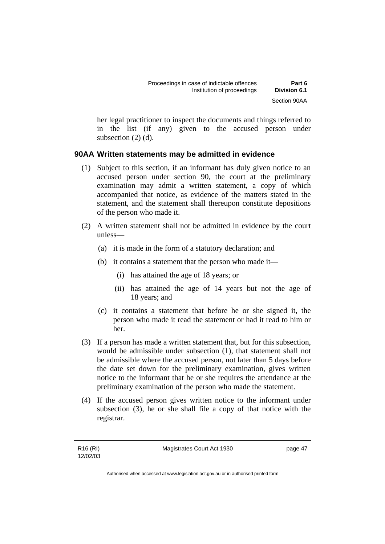her legal practitioner to inspect the documents and things referred to in the list (if any) given to the accused person under subsection (2) (d).

#### **90AA Written statements may be admitted in evidence**

- (1) Subject to this section, if an informant has duly given notice to an accused person under section 90, the court at the preliminary examination may admit a written statement, a copy of which accompanied that notice, as evidence of the matters stated in the statement, and the statement shall thereupon constitute depositions of the person who made it.
- (2) A written statement shall not be admitted in evidence by the court unless—
	- (a) it is made in the form of a statutory declaration; and
	- (b) it contains a statement that the person who made it—
		- (i) has attained the age of 18 years; or
		- (ii) has attained the age of 14 years but not the age of 18 years; and
	- (c) it contains a statement that before he or she signed it, the person who made it read the statement or had it read to him or her.
- (3) If a person has made a written statement that, but for this subsection, would be admissible under subsection (1), that statement shall not be admissible where the accused person, not later than 5 days before the date set down for the preliminary examination, gives written notice to the informant that he or she requires the attendance at the preliminary examination of the person who made the statement.
- (4) If the accused person gives written notice to the informant under subsection (3), he or she shall file a copy of that notice with the registrar.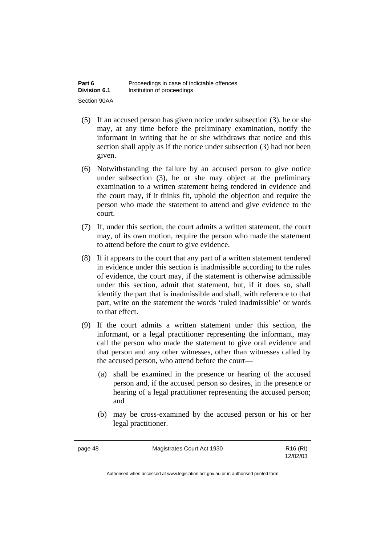| Part 6       | Proceedings in case of indictable offences |
|--------------|--------------------------------------------|
| Division 6.1 | Institution of proceedings                 |
| Section 90AA |                                            |

- (5) If an accused person has given notice under subsection (3), he or she may, at any time before the preliminary examination, notify the informant in writing that he or she withdraws that notice and this section shall apply as if the notice under subsection (3) had not been given.
- (6) Notwithstanding the failure by an accused person to give notice under subsection (3), he or she may object at the preliminary examination to a written statement being tendered in evidence and the court may, if it thinks fit, uphold the objection and require the person who made the statement to attend and give evidence to the court.
- (7) If, under this section, the court admits a written statement, the court may, of its own motion, require the person who made the statement to attend before the court to give evidence.
- (8) If it appears to the court that any part of a written statement tendered in evidence under this section is inadmissible according to the rules of evidence, the court may, if the statement is otherwise admissible under this section, admit that statement, but, if it does so, shall identify the part that is inadmissible and shall, with reference to that part, write on the statement the words 'ruled inadmissible' or words to that effect.
- (9) If the court admits a written statement under this section, the informant, or a legal practitioner representing the informant, may call the person who made the statement to give oral evidence and that person and any other witnesses, other than witnesses called by the accused person, who attend before the court—
	- (a) shall be examined in the presence or hearing of the accused person and, if the accused person so desires, in the presence or hearing of a legal practitioner representing the accused person; and
	- (b) may be cross-examined by the accused person or his or her legal practitioner.

page 48 Magistrates Court Act 1930

12/02/03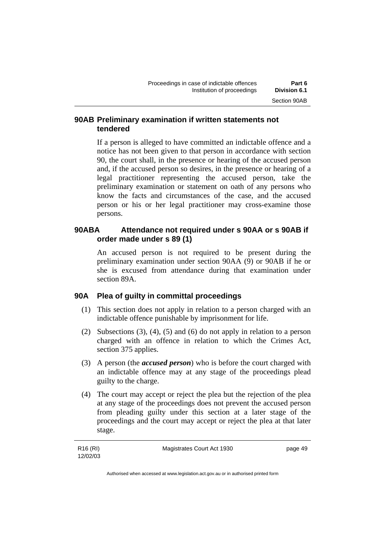### **90AB Preliminary examination if written statements not tendered**

If a person is alleged to have committed an indictable offence and a notice has not been given to that person in accordance with section 90, the court shall, in the presence or hearing of the accused person and, if the accused person so desires, in the presence or hearing of a legal practitioner representing the accused person, take the preliminary examination or statement on oath of any persons who know the facts and circumstances of the case, and the accused person or his or her legal practitioner may cross-examine those persons.

## **90ABA Attendance not required under s 90AA or s 90AB if order made under s 89 (1)**

An accused person is not required to be present during the preliminary examination under section 90AA (9) or 90AB if he or she is excused from attendance during that examination under section 89A.

## **90A Plea of guilty in committal proceedings**

- (1) This section does not apply in relation to a person charged with an indictable offence punishable by imprisonment for life.
- (2) Subsections (3), (4), (5) and (6) do not apply in relation to a person charged with an offence in relation to which the Crimes Act, section 375 applies.
- (3) A person (the *accused person*) who is before the court charged with an indictable offence may at any stage of the proceedings plead guilty to the charge.
- (4) The court may accept or reject the plea but the rejection of the plea at any stage of the proceedings does not prevent the accused person from pleading guilty under this section at a later stage of the proceedings and the court may accept or reject the plea at that later stage.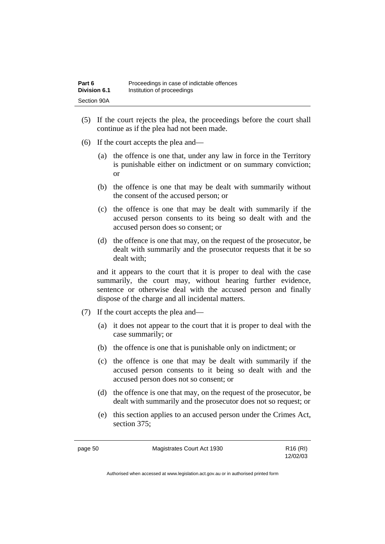- (5) If the court rejects the plea, the proceedings before the court shall continue as if the plea had not been made.
- (6) If the court accepts the plea and—
	- (a) the offence is one that, under any law in force in the Territory is punishable either on indictment or on summary conviction; or
	- (b) the offence is one that may be dealt with summarily without the consent of the accused person; or
	- (c) the offence is one that may be dealt with summarily if the accused person consents to its being so dealt with and the accused person does so consent; or
	- (d) the offence is one that may, on the request of the prosecutor, be dealt with summarily and the prosecutor requests that it be so dealt with;

and it appears to the court that it is proper to deal with the case summarily, the court may, without hearing further evidence, sentence or otherwise deal with the accused person and finally dispose of the charge and all incidental matters.

- (7) If the court accepts the plea and—
	- (a) it does not appear to the court that it is proper to deal with the case summarily; or
	- (b) the offence is one that is punishable only on indictment; or
	- (c) the offence is one that may be dealt with summarily if the accused person consents to it being so dealt with and the accused person does not so consent; or
	- (d) the offence is one that may, on the request of the prosecutor, be dealt with summarily and the prosecutor does not so request; or
	- (e) this section applies to an accused person under the Crimes Act, section 375;

page 50 Magistrates Court Act 1930

12/02/03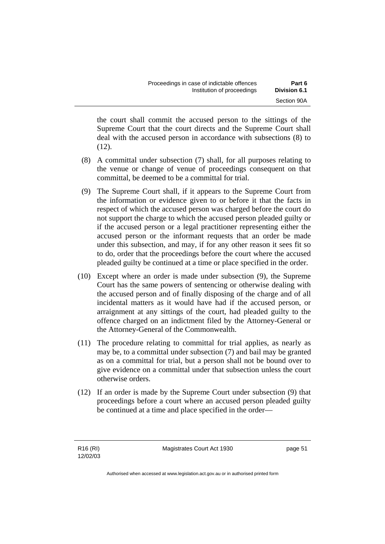the court shall commit the accused person to the sittings of the Supreme Court that the court directs and the Supreme Court shall deal with the accused person in accordance with subsections (8) to  $(12)$ .

- (8) A committal under subsection (7) shall, for all purposes relating to the venue or change of venue of proceedings consequent on that committal, be deemed to be a committal for trial.
- (9) The Supreme Court shall, if it appears to the Supreme Court from the information or evidence given to or before it that the facts in respect of which the accused person was charged before the court do not support the charge to which the accused person pleaded guilty or if the accused person or a legal practitioner representing either the accused person or the informant requests that an order be made under this subsection, and may, if for any other reason it sees fit so to do, order that the proceedings before the court where the accused pleaded guilty be continued at a time or place specified in the order.
- (10) Except where an order is made under subsection (9), the Supreme Court has the same powers of sentencing or otherwise dealing with the accused person and of finally disposing of the charge and of all incidental matters as it would have had if the accused person, or arraignment at any sittings of the court, had pleaded guilty to the offence charged on an indictment filed by the Attorney-General or the Attorney-General of the Commonwealth.
- (11) The procedure relating to committal for trial applies, as nearly as may be, to a committal under subsection (7) and bail may be granted as on a committal for trial, but a person shall not be bound over to give evidence on a committal under that subsection unless the court otherwise orders.
- (12) If an order is made by the Supreme Court under subsection (9) that proceedings before a court where an accused person pleaded guilty be continued at a time and place specified in the order—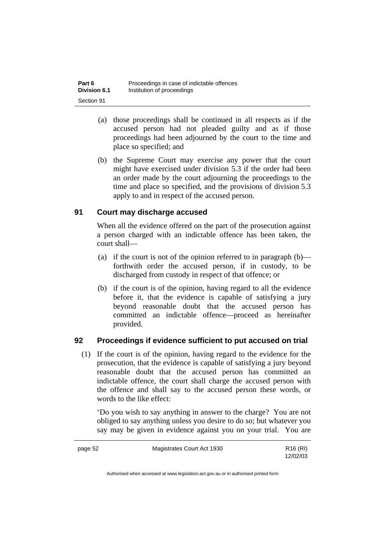- (a) those proceedings shall be continued in all respects as if the accused person had not pleaded guilty and as if those proceedings had been adjourned by the court to the time and place so specified; and
- (b) the Supreme Court may exercise any power that the court might have exercised under division 5.3 if the order had been an order made by the court adjourning the proceedings to the time and place so specified, and the provisions of division 5.3 apply to and in respect of the accused person.

# **91 Court may discharge accused**

When all the evidence offered on the part of the prosecution against a person charged with an indictable offence has been taken, the court shall—

- (a) if the court is not of the opinion referred to in paragraph  $(b)$  forthwith order the accused person, if in custody, to be discharged from custody in respect of that offence; or
- (b) if the court is of the opinion, having regard to all the evidence before it, that the evidence is capable of satisfying a jury beyond reasonable doubt that the accused person has committed an indictable offence—proceed as hereinafter provided.

## **92 Proceedings if evidence sufficient to put accused on trial**

 (1) If the court is of the opinion, having regard to the evidence for the prosecution, that the evidence is capable of satisfying a jury beyond reasonable doubt that the accused person has committed an indictable offence, the court shall charge the accused person with the offence and shall say to the accused person these words, or words to the like effect:

'Do you wish to say anything in answer to the charge? You are not obliged to say anything unless you desire to do so; but whatever you say may be given in evidence against you on your trial. You are

| page 52 | Magistrates Court Act 1930 | R <sub>16</sub> (RI)<br>12/02/03 |
|---------|----------------------------|----------------------------------|
|         |                            |                                  |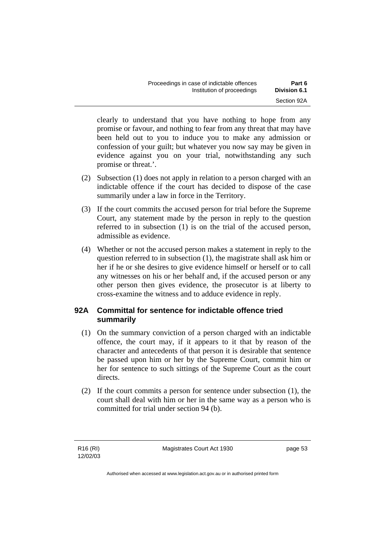| Proceedings in case of indictable offences | Part 6       |
|--------------------------------------------|--------------|
| Institution of proceedings                 | Division 6.1 |
|                                            | Section 92A  |

clearly to understand that you have nothing to hope from any promise or favour, and nothing to fear from any threat that may have been held out to you to induce you to make any admission or confession of your guilt; but whatever you now say may be given in evidence against you on your trial, notwithstanding any such promise or threat.'.

- (2) Subsection (1) does not apply in relation to a person charged with an indictable offence if the court has decided to dispose of the case summarily under a law in force in the Territory.
- (3) If the court commits the accused person for trial before the Supreme Court, any statement made by the person in reply to the question referred to in subsection (1) is on the trial of the accused person, admissible as evidence.
- (4) Whether or not the accused person makes a statement in reply to the question referred to in subsection (1), the magistrate shall ask him or her if he or she desires to give evidence himself or herself or to call any witnesses on his or her behalf and, if the accused person or any other person then gives evidence, the prosecutor is at liberty to cross-examine the witness and to adduce evidence in reply.

#### **92A Committal for sentence for indictable offence tried summarily**

- (1) On the summary conviction of a person charged with an indictable offence, the court may, if it appears to it that by reason of the character and antecedents of that person it is desirable that sentence be passed upon him or her by the Supreme Court, commit him or her for sentence to such sittings of the Supreme Court as the court directs.
- (2) If the court commits a person for sentence under subsection (1), the court shall deal with him or her in the same way as a person who is committed for trial under section 94 (b).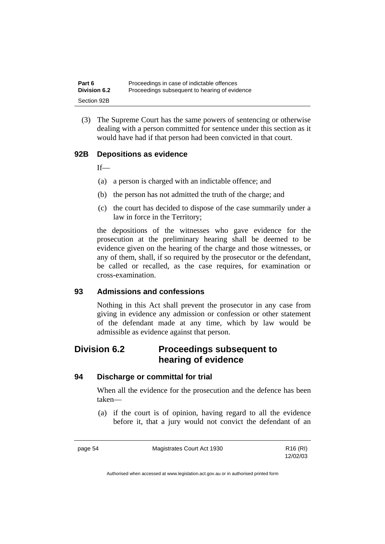| Part 6              | Proceedings in case of indictable offences    |
|---------------------|-----------------------------------------------|
| <b>Division 6.2</b> | Proceedings subsequent to hearing of evidence |
| Section 92B         |                                               |

 (3) The Supreme Court has the same powers of sentencing or otherwise dealing with a person committed for sentence under this section as it would have had if that person had been convicted in that court.

#### **92B Depositions as evidence**

 $If$ —

- (a) a person is charged with an indictable offence; and
- (b) the person has not admitted the truth of the charge; and
- (c) the court has decided to dispose of the case summarily under a law in force in the Territory;

the depositions of the witnesses who gave evidence for the prosecution at the preliminary hearing shall be deemed to be evidence given on the hearing of the charge and those witnesses, or any of them, shall, if so required by the prosecutor or the defendant, be called or recalled, as the case requires, for examination or cross-examination.

#### **93 Admissions and confessions**

Nothing in this Act shall prevent the prosecutor in any case from giving in evidence any admission or confession or other statement of the defendant made at any time, which by law would be admissible as evidence against that person.

# **Division 6.2 Proceedings subsequent to hearing of evidence**

#### **94 Discharge or committal for trial**

When all the evidence for the prosecution and the defence has been taken—

 (a) if the court is of opinion, having regard to all the evidence before it, that a jury would not convict the defendant of an

page 54 Magistrates Court Act 1930 R16 (RI)

12/02/03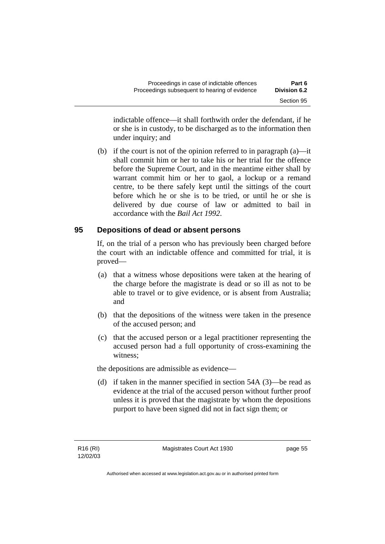indictable offence—it shall forthwith order the defendant, if he or she is in custody, to be discharged as to the information then under inquiry; and

 (b) if the court is not of the opinion referred to in paragraph (a)—it shall commit him or her to take his or her trial for the offence before the Supreme Court, and in the meantime either shall by warrant commit him or her to gaol, a lockup or a remand centre, to be there safely kept until the sittings of the court before which he or she is to be tried, or until he or she is delivered by due course of law or admitted to bail in accordance with the *Bail Act 1992*.

#### **95 Depositions of dead or absent persons**

If, on the trial of a person who has previously been charged before the court with an indictable offence and committed for trial, it is proved—

- (a) that a witness whose depositions were taken at the hearing of the charge before the magistrate is dead or so ill as not to be able to travel or to give evidence, or is absent from Australia; and
- (b) that the depositions of the witness were taken in the presence of the accused person; and
- (c) that the accused person or a legal practitioner representing the accused person had a full opportunity of cross-examining the witness;

the depositions are admissible as evidence—

 (d) if taken in the manner specified in section 54A (3)—be read as evidence at the trial of the accused person without further proof unless it is proved that the magistrate by whom the depositions purport to have been signed did not in fact sign them; or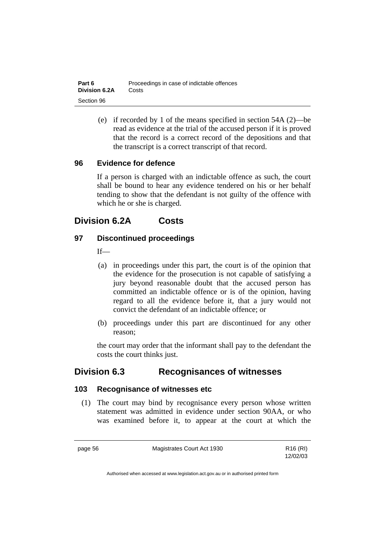| Part 6               | Proceedings in case of indictable offences |
|----------------------|--------------------------------------------|
| <b>Division 6.2A</b> | Costs                                      |
| Section 96           |                                            |

 (e) if recorded by 1 of the means specified in section 54A (2)—be read as evidence at the trial of the accused person if it is proved that the record is a correct record of the depositions and that the transcript is a correct transcript of that record.

#### **96 Evidence for defence**

If a person is charged with an indictable offence as such, the court shall be bound to hear any evidence tendered on his or her behalf tending to show that the defendant is not guilty of the offence with which he or she is charged.

# **Division 6.2A Costs**

#### **97 Discontinued proceedings**

 $If$ —

- (a) in proceedings under this part, the court is of the opinion that the evidence for the prosecution is not capable of satisfying a jury beyond reasonable doubt that the accused person has committed an indictable offence or is of the opinion, having regard to all the evidence before it, that a jury would not convict the defendant of an indictable offence; or
- (b) proceedings under this part are discontinued for any other reason;

the court may order that the informant shall pay to the defendant the costs the court thinks just.

# **Division 6.3 Recognisances of witnesses**

#### **103 Recognisance of witnesses etc**

 (1) The court may bind by recognisance every person whose written statement was admitted in evidence under section 90AA, or who was examined before it, to appear at the court at which the

page 56 Magistrates Court Act 1930

12/02/03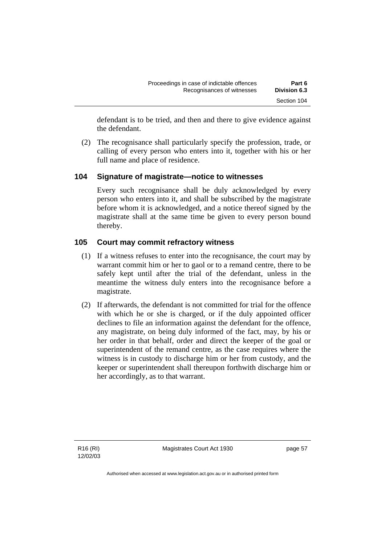defendant is to be tried, and then and there to give evidence against the defendant.

 (2) The recognisance shall particularly specify the profession, trade, or calling of every person who enters into it, together with his or her full name and place of residence.

#### **104 Signature of magistrate—notice to witnesses**

Every such recognisance shall be duly acknowledged by every person who enters into it, and shall be subscribed by the magistrate before whom it is acknowledged, and a notice thereof signed by the magistrate shall at the same time be given to every person bound thereby.

#### **105 Court may commit refractory witness**

- (1) If a witness refuses to enter into the recognisance, the court may by warrant commit him or her to gaol or to a remand centre, there to be safely kept until after the trial of the defendant, unless in the meantime the witness duly enters into the recognisance before a magistrate.
- (2) If afterwards, the defendant is not committed for trial for the offence with which he or she is charged, or if the duly appointed officer declines to file an information against the defendant for the offence, any magistrate, on being duly informed of the fact, may, by his or her order in that behalf, order and direct the keeper of the goal or superintendent of the remand centre, as the case requires where the witness is in custody to discharge him or her from custody, and the keeper or superintendent shall thereupon forthwith discharge him or her accordingly, as to that warrant.

R16 (RI) 12/02/03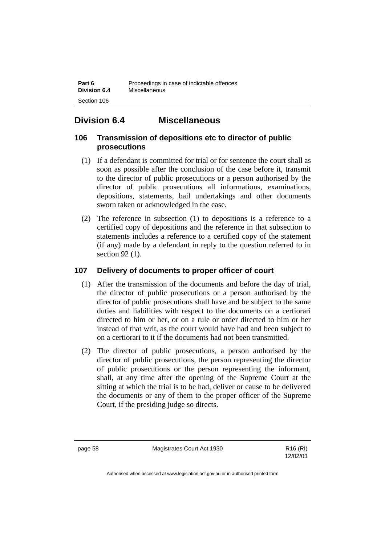# **Division 6.4 Miscellaneous**

## **106 Transmission of depositions etc to director of public prosecutions**

- (1) If a defendant is committed for trial or for sentence the court shall as soon as possible after the conclusion of the case before it, transmit to the director of public prosecutions or a person authorised by the director of public prosecutions all informations, examinations, depositions, statements, bail undertakings and other documents sworn taken or acknowledged in the case.
- (2) The reference in subsection (1) to depositions is a reference to a certified copy of depositions and the reference in that subsection to statements includes a reference to a certified copy of the statement (if any) made by a defendant in reply to the question referred to in section 92 (1).

## **107 Delivery of documents to proper officer of court**

- (1) After the transmission of the documents and before the day of trial, the director of public prosecutions or a person authorised by the director of public prosecutions shall have and be subject to the same duties and liabilities with respect to the documents on a certiorari directed to him or her, or on a rule or order directed to him or her instead of that writ, as the court would have had and been subject to on a certiorari to it if the documents had not been transmitted.
- (2) The director of public prosecutions, a person authorised by the director of public prosecutions, the person representing the director of public prosecutions or the person representing the informant, shall, at any time after the opening of the Supreme Court at the sitting at which the trial is to be had, deliver or cause to be delivered the documents or any of them to the proper officer of the Supreme Court, if the presiding judge so directs.

page 58 Magistrates Court Act 1930

12/02/03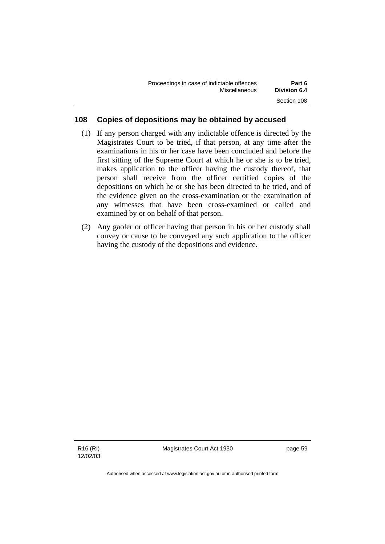| Proceedings in case of indictable offences | Part 6       |
|--------------------------------------------|--------------|
| Miscellaneous                              | Division 6.4 |
|                                            | Section 108  |

## **108 Copies of depositions may be obtained by accused**

- (1) If any person charged with any indictable offence is directed by the Magistrates Court to be tried, if that person, at any time after the examinations in his or her case have been concluded and before the first sitting of the Supreme Court at which he or she is to be tried, makes application to the officer having the custody thereof, that person shall receive from the officer certified copies of the depositions on which he or she has been directed to be tried, and of the evidence given on the cross-examination or the examination of any witnesses that have been cross-examined or called and examined by or on behalf of that person.
- (2) Any gaoler or officer having that person in his or her custody shall convey or cause to be conveyed any such application to the officer having the custody of the depositions and evidence.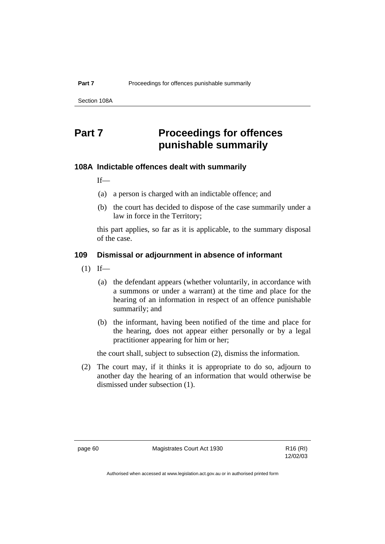Section 108A

# **Part 7** Proceedings for offences **punishable summarily**

## **108A Indictable offences dealt with summarily**

 $If$ —

- (a) a person is charged with an indictable offence; and
- (b) the court has decided to dispose of the case summarily under a law in force in the Territory;

this part applies, so far as it is applicable, to the summary disposal of the case.

## **109 Dismissal or adjournment in absence of informant**

- $(1)$  If—
	- (a) the defendant appears (whether voluntarily, in accordance with a summons or under a warrant) at the time and place for the hearing of an information in respect of an offence punishable summarily; and
	- (b) the informant, having been notified of the time and place for the hearing, does not appear either personally or by a legal practitioner appearing for him or her;

the court shall, subject to subsection (2), dismiss the information.

 (2) The court may, if it thinks it is appropriate to do so, adjourn to another day the hearing of an information that would otherwise be dismissed under subsection (1).

page 60 Magistrates Court Act 1930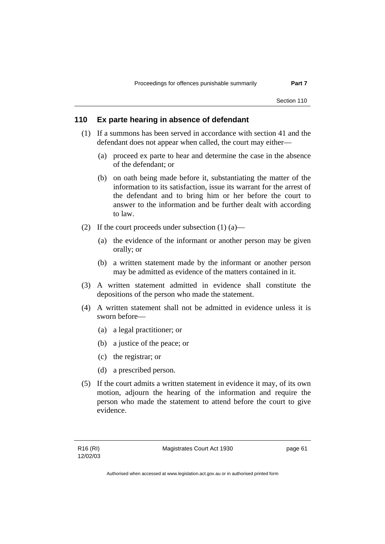## **110 Ex parte hearing in absence of defendant**

- (1) If a summons has been served in accordance with section 41 and the defendant does not appear when called, the court may either—
	- (a) proceed ex parte to hear and determine the case in the absence of the defendant; or
	- (b) on oath being made before it, substantiating the matter of the information to its satisfaction, issue its warrant for the arrest of the defendant and to bring him or her before the court to answer to the information and be further dealt with according to law.
- (2) If the court proceeds under subsection (1) (a)—
	- (a) the evidence of the informant or another person may be given orally; or
	- (b) a written statement made by the informant or another person may be admitted as evidence of the matters contained in it.
- (3) A written statement admitted in evidence shall constitute the depositions of the person who made the statement.
- (4) A written statement shall not be admitted in evidence unless it is sworn before—
	- (a) a legal practitioner; or
	- (b) a justice of the peace; or
	- (c) the registrar; or
	- (d) a prescribed person.
- (5) If the court admits a written statement in evidence it may, of its own motion, adjourn the hearing of the information and require the person who made the statement to attend before the court to give evidence.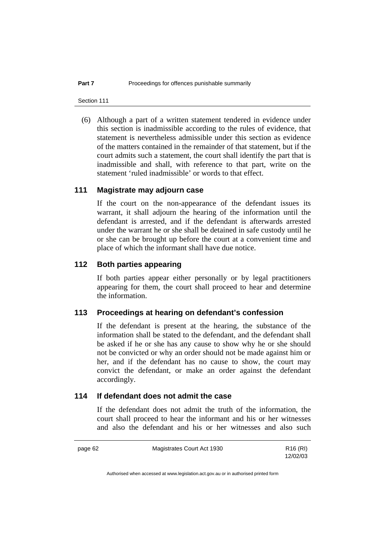Section 111

 (6) Although a part of a written statement tendered in evidence under this section is inadmissible according to the rules of evidence, that statement is nevertheless admissible under this section as evidence of the matters contained in the remainder of that statement, but if the court admits such a statement, the court shall identify the part that is inadmissible and shall, with reference to that part, write on the statement 'ruled inadmissible' or words to that effect.

## **111 Magistrate may adjourn case**

If the court on the non-appearance of the defendant issues its warrant, it shall adjourn the hearing of the information until the defendant is arrested, and if the defendant is afterwards arrested under the warrant he or she shall be detained in safe custody until he or she can be brought up before the court at a convenient time and place of which the informant shall have due notice.

## **112 Both parties appearing**

If both parties appear either personally or by legal practitioners appearing for them, the court shall proceed to hear and determine the information.

#### **113 Proceedings at hearing on defendant's confession**

If the defendant is present at the hearing, the substance of the information shall be stated to the defendant, and the defendant shall be asked if he or she has any cause to show why he or she should not be convicted or why an order should not be made against him or her, and if the defendant has no cause to show, the court may convict the defendant, or make an order against the defendant accordingly.

## **114 If defendant does not admit the case**

If the defendant does not admit the truth of the information, the court shall proceed to hear the informant and his or her witnesses and also the defendant and his or her witnesses and also such

page 62 Magistrates Court Act 1930

12/02/03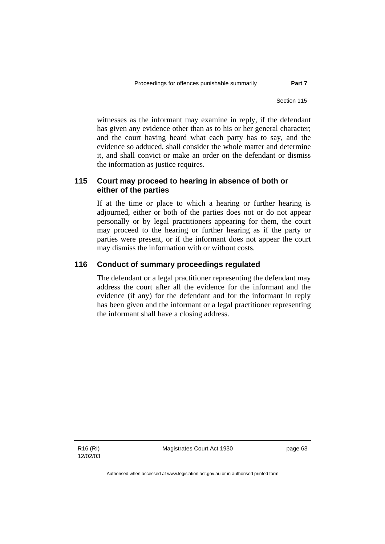witnesses as the informant may examine in reply, if the defendant has given any evidence other than as to his or her general character; and the court having heard what each party has to say, and the evidence so adduced, shall consider the whole matter and determine it, and shall convict or make an order on the defendant or dismiss the information as justice requires.

## **115 Court may proceed to hearing in absence of both or either of the parties**

If at the time or place to which a hearing or further hearing is adjourned, either or both of the parties does not or do not appear personally or by legal practitioners appearing for them, the court may proceed to the hearing or further hearing as if the party or parties were present, or if the informant does not appear the court may dismiss the information with or without costs.

#### **116 Conduct of summary proceedings regulated**

The defendant or a legal practitioner representing the defendant may address the court after all the evidence for the informant and the evidence (if any) for the defendant and for the informant in reply has been given and the informant or a legal practitioner representing the informant shall have a closing address.

R16 (RI) 12/02/03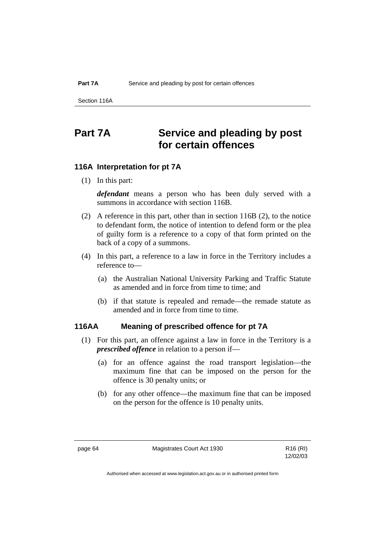Section 116A

# **Part 7A Service and pleading by post for certain offences**

## **116A Interpretation for pt 7A**

(1) In this part:

*defendant* means a person who has been duly served with a summons in accordance with section 116B.

- (2) A reference in this part, other than in section 116B (2), to the notice to defendant form, the notice of intention to defend form or the plea of guilty form is a reference to a copy of that form printed on the back of a copy of a summons.
- (4) In this part, a reference to a law in force in the Territory includes a reference to—
	- (a) the Australian National University Parking and Traffic Statute as amended and in force from time to time; and
	- (b) if that statute is repealed and remade—the remade statute as amended and in force from time to time.

#### **116AA Meaning of prescribed offence for pt 7A**

- (1) For this part, an offence against a law in force in the Territory is a *prescribed offence* in relation to a person if—
	- (a) for an offence against the road transport legislation—the maximum fine that can be imposed on the person for the offence is 30 penalty units; or
	- (b) for any other offence—the maximum fine that can be imposed on the person for the offence is 10 penalty units.

page 64 Magistrates Court Act 1930 R16 (RI)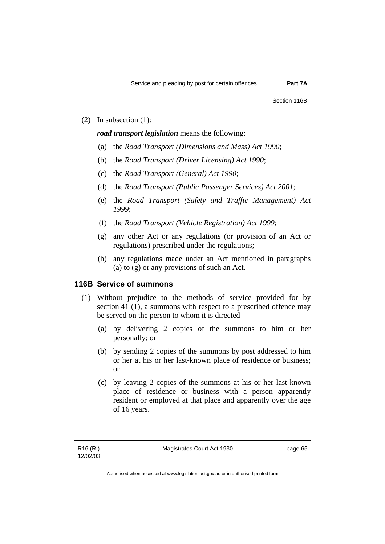(2) In subsection (1):

*road transport legislation* means the following:

- (a) the *Road Transport (Dimensions and Mass) Act 1990*;
- (b) the *Road Transport (Driver Licensing) Act 1990*;
- (c) the *Road Transport (General) Act 1990*;
- (d) the *Road Transport (Public Passenger Services) Act 2001*;
- (e) the *Road Transport (Safety and Traffic Management) Act 1999*;
- (f) the *Road Transport (Vehicle Registration) Act 1999*;
- (g) any other Act or any regulations (or provision of an Act or regulations) prescribed under the regulations;
- (h) any regulations made under an Act mentioned in paragraphs (a) to (g) or any provisions of such an Act.

## **116B Service of summons**

- (1) Without prejudice to the methods of service provided for by section 41 (1), a summons with respect to a prescribed offence may be served on the person to whom it is directed—
	- (a) by delivering 2 copies of the summons to him or her personally; or
	- (b) by sending 2 copies of the summons by post addressed to him or her at his or her last-known place of residence or business; or
	- (c) by leaving 2 copies of the summons at his or her last-known place of residence or business with a person apparently resident or employed at that place and apparently over the age of 16 years.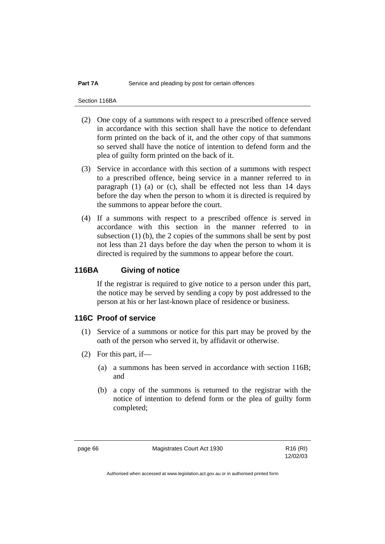Section 116BA

- (2) One copy of a summons with respect to a prescribed offence served in accordance with this section shall have the notice to defendant form printed on the back of it, and the other copy of that summons so served shall have the notice of intention to defend form and the plea of guilty form printed on the back of it.
- (3) Service in accordance with this section of a summons with respect to a prescribed offence, being service in a manner referred to in paragraph (1) (a) or (c), shall be effected not less than 14 days before the day when the person to whom it is directed is required by the summons to appear before the court.
- (4) If a summons with respect to a prescribed offence is served in accordance with this section in the manner referred to in subsection (1) (b), the 2 copies of the summons shall be sent by post not less than 21 days before the day when the person to whom it is directed is required by the summons to appear before the court.

#### **116BA Giving of notice**

If the registrar is required to give notice to a person under this part, the notice may be served by sending a copy by post addressed to the person at his or her last-known place of residence or business.

## **116C Proof of service**

- (1) Service of a summons or notice for this part may be proved by the oath of the person who served it, by affidavit or otherwise.
- (2) For this part, if—
	- (a) a summons has been served in accordance with section 116B; and
	- (b) a copy of the summons is returned to the registrar with the notice of intention to defend form or the plea of guilty form completed;

page 66 Magistrates Court Act 1930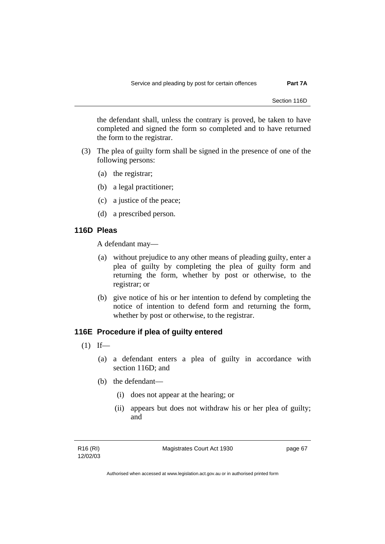the defendant shall, unless the contrary is proved, be taken to have completed and signed the form so completed and to have returned the form to the registrar.

- (3) The plea of guilty form shall be signed in the presence of one of the following persons:
	- (a) the registrar;
	- (b) a legal practitioner;
	- (c) a justice of the peace;
	- (d) a prescribed person.

## **116D Pleas**

A defendant may—

- (a) without prejudice to any other means of pleading guilty, enter a plea of guilty by completing the plea of guilty form and returning the form, whether by post or otherwise, to the registrar; or
- (b) give notice of his or her intention to defend by completing the notice of intention to defend form and returning the form, whether by post or otherwise, to the registrar.

#### **116E Procedure if plea of guilty entered**

- $(1)$  If—
	- (a) a defendant enters a plea of guilty in accordance with section 116D; and
	- (b) the defendant—
		- (i) does not appear at the hearing; or
		- (ii) appears but does not withdraw his or her plea of guilty; and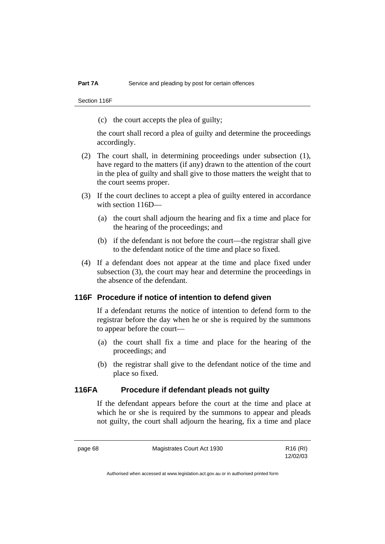Section 116F

(c) the court accepts the plea of guilty;

the court shall record a plea of guilty and determine the proceedings accordingly.

- (2) The court shall, in determining proceedings under subsection (1), have regard to the matters (if any) drawn to the attention of the court in the plea of guilty and shall give to those matters the weight that to the court seems proper.
- (3) If the court declines to accept a plea of guilty entered in accordance with section 116D—
	- (a) the court shall adjourn the hearing and fix a time and place for the hearing of the proceedings; and
	- (b) if the defendant is not before the court—the registrar shall give to the defendant notice of the time and place so fixed.
- (4) If a defendant does not appear at the time and place fixed under subsection (3), the court may hear and determine the proceedings in the absence of the defendant.

#### **116F Procedure if notice of intention to defend given**

If a defendant returns the notice of intention to defend form to the registrar before the day when he or she is required by the summons to appear before the court—

- (a) the court shall fix a time and place for the hearing of the proceedings; and
- (b) the registrar shall give to the defendant notice of the time and place so fixed.

## **116FA Procedure if defendant pleads not guilty**

If the defendant appears before the court at the time and place at which he or she is required by the summons to appear and pleads not guilty, the court shall adjourn the hearing, fix a time and place

page 68 Magistrates Court Act 1930

12/02/03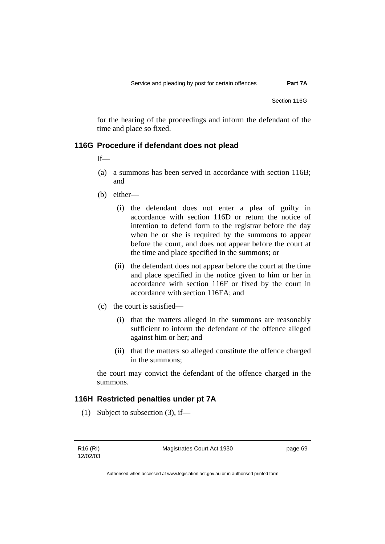for the hearing of the proceedings and inform the defendant of the time and place so fixed.

## **116G Procedure if defendant does not plead**

If—

- (a) a summons has been served in accordance with section 116B; and
- (b) either—
	- (i) the defendant does not enter a plea of guilty in accordance with section 116D or return the notice of intention to defend form to the registrar before the day when he or she is required by the summons to appear before the court, and does not appear before the court at the time and place specified in the summons; or
	- (ii) the defendant does not appear before the court at the time and place specified in the notice given to him or her in accordance with section 116F or fixed by the court in accordance with section 116FA; and
- (c) the court is satisfied—
	- (i) that the matters alleged in the summons are reasonably sufficient to inform the defendant of the offence alleged against him or her; and
	- (ii) that the matters so alleged constitute the offence charged in the summons;

the court may convict the defendant of the offence charged in the summons.

## **116H Restricted penalties under pt 7A**

(1) Subject to subsection (3), if—

R16 (RI) 12/02/03 Magistrates Court Act 1930 **page 69**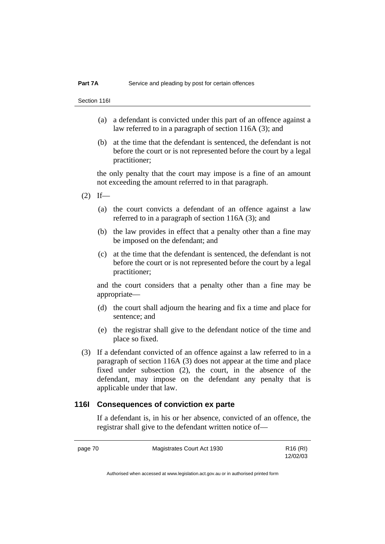- (a) a defendant is convicted under this part of an offence against a law referred to in a paragraph of section 116A (3); and
- (b) at the time that the defendant is sentenced, the defendant is not before the court or is not represented before the court by a legal practitioner;

the only penalty that the court may impose is a fine of an amount not exceeding the amount referred to in that paragraph.

- $(2)$  If—
	- (a) the court convicts a defendant of an offence against a law referred to in a paragraph of section 116A (3); and
	- (b) the law provides in effect that a penalty other than a fine may be imposed on the defendant; and
	- (c) at the time that the defendant is sentenced, the defendant is not before the court or is not represented before the court by a legal practitioner;

and the court considers that a penalty other than a fine may be appropriate—

- (d) the court shall adjourn the hearing and fix a time and place for sentence; and
- (e) the registrar shall give to the defendant notice of the time and place so fixed.
- (3) If a defendant convicted of an offence against a law referred to in a paragraph of section 116A (3) does not appear at the time and place fixed under subsection (2), the court, in the absence of the defendant, may impose on the defendant any penalty that is applicable under that law.

#### **116I Consequences of conviction ex parte**

If a defendant is, in his or her absence, convicted of an offence, the registrar shall give to the defendant written notice of—

| page 70 | Magistrates Court Act 1930 | R <sub>16</sub> (RI)<br>12/02/03 |
|---------|----------------------------|----------------------------------|
|         |                            |                                  |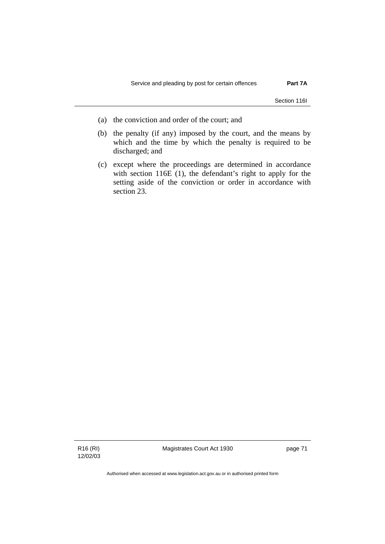Section 116I

- (a) the conviction and order of the court; and
- (b) the penalty (if any) imposed by the court, and the means by which and the time by which the penalty is required to be discharged; and
- (c) except where the proceedings are determined in accordance with section 116E (1), the defendant's right to apply for the setting aside of the conviction or order in accordance with section 23.

R16 (RI) 12/02/03 Magistrates Court Act 1930 **page 71**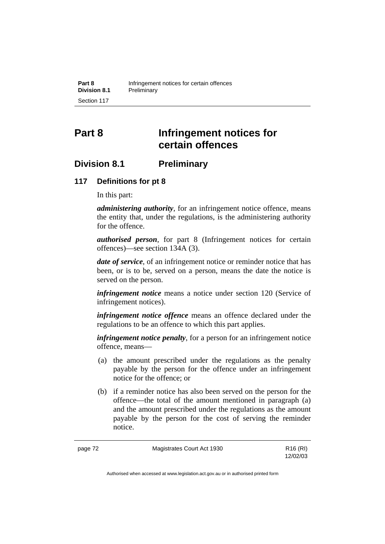# **Part 8 Infringement notices for certain offences**

# **Division 8.1 Preliminary**

## **117 Definitions for pt 8**

In this part:

*administering authority*, for an infringement notice offence, means the entity that, under the regulations, is the administering authority for the offence.

*authorised person*, for part 8 (Infringement notices for certain offences)—see section 134A (3).

*date of service*, of an infringement notice or reminder notice that has been, or is to be, served on a person, means the date the notice is served on the person.

*infringement notice* means a notice under section 120 (Service of infringement notices).

*infringement notice offence* means an offence declared under the regulations to be an offence to which this part applies.

*infringement notice penalty*, for a person for an infringement notice offence, means—

- (a) the amount prescribed under the regulations as the penalty payable by the person for the offence under an infringement notice for the offence; or
- (b) if a reminder notice has also been served on the person for the offence—the total of the amount mentioned in paragraph (a) and the amount prescribed under the regulations as the amount payable by the person for the cost of serving the reminder notice.

page 72 Magistrates Court Act 1930 R16 (RI)

12/02/03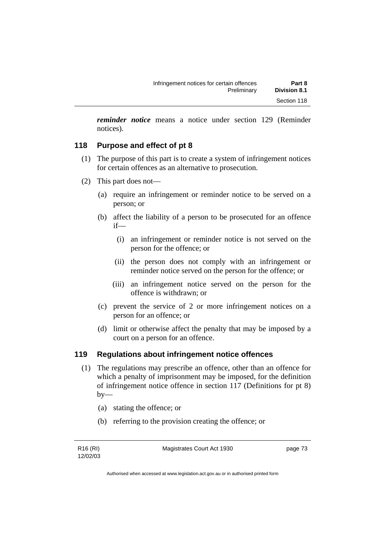*reminder notice* means a notice under section 129 (Reminder notices).

## **118 Purpose and effect of pt 8**

- (1) The purpose of this part is to create a system of infringement notices for certain offences as an alternative to prosecution.
- (2) This part does not—
	- (a) require an infringement or reminder notice to be served on a person; or
	- (b) affect the liability of a person to be prosecuted for an offence if—
		- (i) an infringement or reminder notice is not served on the person for the offence; or
		- (ii) the person does not comply with an infringement or reminder notice served on the person for the offence; or
		- (iii) an infringement notice served on the person for the offence is withdrawn; or
	- (c) prevent the service of 2 or more infringement notices on a person for an offence; or
	- (d) limit or otherwise affect the penalty that may be imposed by a court on a person for an offence.

## **119 Regulations about infringement notice offences**

- (1) The regulations may prescribe an offence, other than an offence for which a penalty of imprisonment may be imposed, for the definition of infringement notice offence in section 117 (Definitions for pt 8)  $by-$ 
	- (a) stating the offence; or
	- (b) referring to the provision creating the offence; or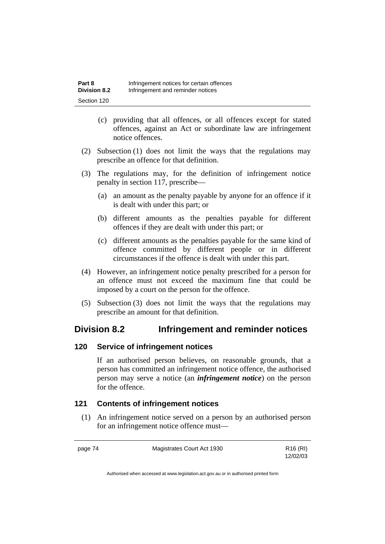- (c) providing that all offences, or all offences except for stated offences, against an Act or subordinate law are infringement notice offences.
- (2) Subsection (1) does not limit the ways that the regulations may prescribe an offence for that definition.
- (3) The regulations may, for the definition of infringement notice penalty in section 117, prescribe—
	- (a) an amount as the penalty payable by anyone for an offence if it is dealt with under this part; or
	- (b) different amounts as the penalties payable for different offences if they are dealt with under this part; or
	- (c) different amounts as the penalties payable for the same kind of offence committed by different people or in different circumstances if the offence is dealt with under this part.
- (4) However, an infringement notice penalty prescribed for a person for an offence must not exceed the maximum fine that could be imposed by a court on the person for the offence.
- (5) Subsection (3) does not limit the ways that the regulations may prescribe an amount for that definition.

# **Division 8.2 Infringement and reminder notices**

## **120 Service of infringement notices**

If an authorised person believes, on reasonable grounds, that a person has committed an infringement notice offence, the authorised person may serve a notice (an *infringement notice*) on the person for the offence.

## **121 Contents of infringement notices**

 (1) An infringement notice served on a person by an authorised person for an infringement notice offence must—

page 74 Magistrates Court Act 1930

12/02/03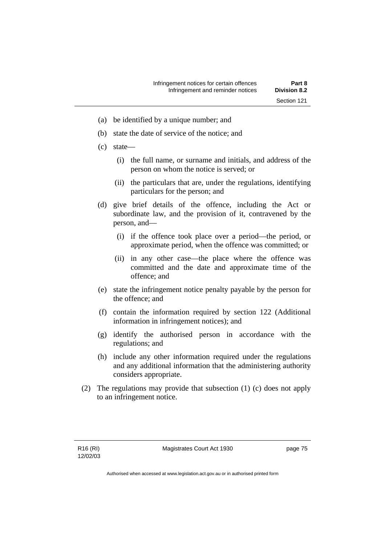- (a) be identified by a unique number; and
- (b) state the date of service of the notice; and
- (c) state—
	- (i) the full name, or surname and initials, and address of the person on whom the notice is served; or
	- (ii) the particulars that are, under the regulations, identifying particulars for the person; and
- (d) give brief details of the offence, including the Act or subordinate law, and the provision of it, contravened by the person, and—
	- (i) if the offence took place over a period—the period, or approximate period, when the offence was committed; or
	- (ii) in any other case—the place where the offence was committed and the date and approximate time of the offence; and
- (e) state the infringement notice penalty payable by the person for the offence; and
- (f) contain the information required by section 122 (Additional information in infringement notices); and
- (g) identify the authorised person in accordance with the regulations; and
- (h) include any other information required under the regulations and any additional information that the administering authority considers appropriate.
- (2) The regulations may provide that subsection (1) (c) does not apply to an infringement notice.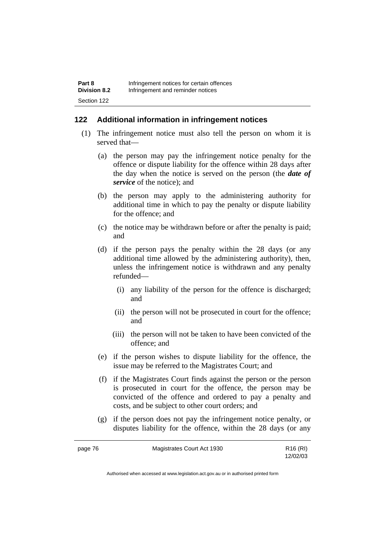## **122 Additional information in infringement notices**

- (1) The infringement notice must also tell the person on whom it is served that—
	- (a) the person may pay the infringement notice penalty for the offence or dispute liability for the offence within 28 days after the day when the notice is served on the person (the *date of service* of the notice); and
	- (b) the person may apply to the administering authority for additional time in which to pay the penalty or dispute liability for the offence; and
	- (c) the notice may be withdrawn before or after the penalty is paid; and
	- (d) if the person pays the penalty within the 28 days (or any additional time allowed by the administering authority), then, unless the infringement notice is withdrawn and any penalty refunded—
		- (i) any liability of the person for the offence is discharged; and
		- (ii) the person will not be prosecuted in court for the offence; and
		- (iii) the person will not be taken to have been convicted of the offence; and
	- (e) if the person wishes to dispute liability for the offence, the issue may be referred to the Magistrates Court; and
	- (f) if the Magistrates Court finds against the person or the person is prosecuted in court for the offence, the person may be convicted of the offence and ordered to pay a penalty and costs, and be subject to other court orders; and
	- (g) if the person does not pay the infringement notice penalty, or disputes liability for the offence, within the 28 days (or any

page 76 Magistrates Court Act 1930 12/02/03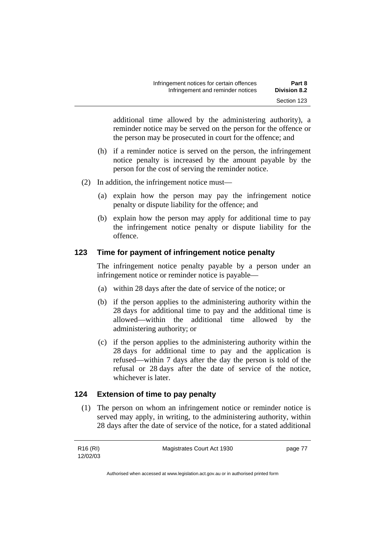additional time allowed by the administering authority), a reminder notice may be served on the person for the offence or the person may be prosecuted in court for the offence; and

- (h) if a reminder notice is served on the person, the infringement notice penalty is increased by the amount payable by the person for the cost of serving the reminder notice.
- (2) In addition, the infringement notice must—
	- (a) explain how the person may pay the infringement notice penalty or dispute liability for the offence; and
	- (b) explain how the person may apply for additional time to pay the infringement notice penalty or dispute liability for the offence.

## **123 Time for payment of infringement notice penalty**

The infringement notice penalty payable by a person under an infringement notice or reminder notice is payable—

- (a) within 28 days after the date of service of the notice; or
- (b) if the person applies to the administering authority within the 28 days for additional time to pay and the additional time is allowed—within the additional time allowed by the administering authority; or
- (c) if the person applies to the administering authority within the 28 days for additional time to pay and the application is refused—within 7 days after the day the person is told of the refusal or 28 days after the date of service of the notice, whichever is later.

## **124 Extension of time to pay penalty**

 (1) The person on whom an infringement notice or reminder notice is served may apply, in writing, to the administering authority, within 28 days after the date of service of the notice, for a stated additional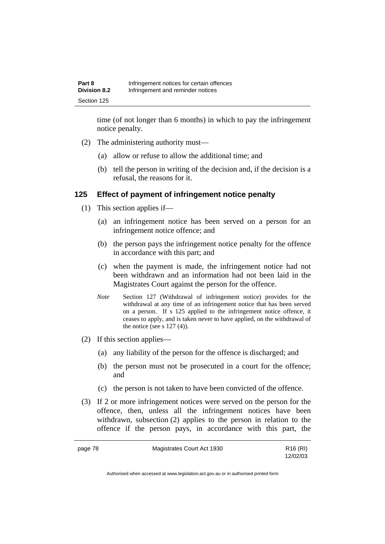time (of not longer than 6 months) in which to pay the infringement notice penalty.

- (2) The administering authority must—
	- (a) allow or refuse to allow the additional time; and
	- (b) tell the person in writing of the decision and, if the decision is a refusal, the reasons for it.

## **125 Effect of payment of infringement notice penalty**

- (1) This section applies if—
	- (a) an infringement notice has been served on a person for an infringement notice offence; and
	- (b) the person pays the infringement notice penalty for the offence in accordance with this part; and
	- (c) when the payment is made, the infringement notice had not been withdrawn and an information had not been laid in the Magistrates Court against the person for the offence.
	- *Note* Section 127 (Withdrawal of infringement notice) provides for the withdrawal at any time of an infringement notice that has been served on a person. If s 125 applied to the infringement notice offence, it ceases to apply, and is taken never to have applied, on the withdrawal of the notice (see s  $127(4)$ ).
- (2) If this section applies—
	- (a) any liability of the person for the offence is discharged; and
	- (b) the person must not be prosecuted in a court for the offence; and
	- (c) the person is not taken to have been convicted of the offence.
- (3) If 2 or more infringement notices were served on the person for the offence, then, unless all the infringement notices have been withdrawn, subsection (2) applies to the person in relation to the offence if the person pays, in accordance with this part, the

| page 78 | Magistrates Court Act 1930 | R <sub>16</sub> (RI) |
|---------|----------------------------|----------------------|
|         |                            | 12/02/03             |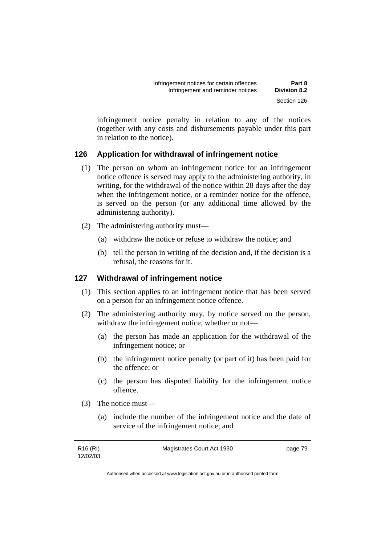infringement notice penalty in relation to any of the notices (together with any costs and disbursements payable under this part in relation to the notice).

## **126 Application for withdrawal of infringement notice**

- (1) The person on whom an infringement notice for an infringement notice offence is served may apply to the administering authority, in writing, for the withdrawal of the notice within 28 days after the day when the infringement notice, or a reminder notice for the offence, is served on the person (or any additional time allowed by the administering authority).
- (2) The administering authority must—
	- (a) withdraw the notice or refuse to withdraw the notice; and
	- (b) tell the person in writing of the decision and, if the decision is a refusal, the reasons for it.

## **127 Withdrawal of infringement notice**

- (1) This section applies to an infringement notice that has been served on a person for an infringement notice offence.
- (2) The administering authority may, by notice served on the person, withdraw the infringement notice, whether or not—
	- (a) the person has made an application for the withdrawal of the infringement notice; or
	- (b) the infringement notice penalty (or part of it) has been paid for the offence; or
	- (c) the person has disputed liability for the infringement notice offence.
- (3) The notice must—
	- (a) include the number of the infringement notice and the date of service of the infringement notice; and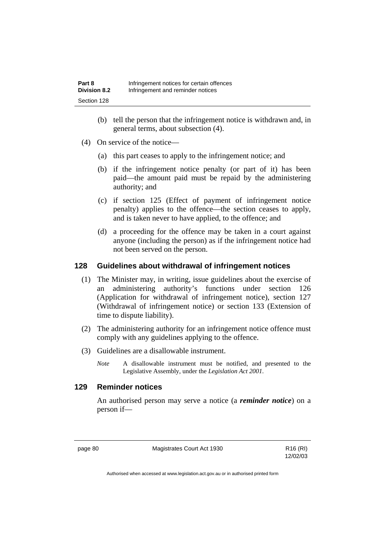- (b) tell the person that the infringement notice is withdrawn and, in general terms, about subsection (4).
- (4) On service of the notice—
	- (a) this part ceases to apply to the infringement notice; and
	- (b) if the infringement notice penalty (or part of it) has been paid—the amount paid must be repaid by the administering authority; and
	- (c) if section 125 (Effect of payment of infringement notice penalty) applies to the offence—the section ceases to apply, and is taken never to have applied, to the offence; and
	- (d) a proceeding for the offence may be taken in a court against anyone (including the person) as if the infringement notice had not been served on the person.

## **128 Guidelines about withdrawal of infringement notices**

- (1) The Minister may, in writing, issue guidelines about the exercise of an administering authority's functions under section 126 (Application for withdrawal of infringement notice), section 127 (Withdrawal of infringement notice) or section 133 (Extension of time to dispute liability).
- (2) The administering authority for an infringement notice offence must comply with any guidelines applying to the offence.
- (3) Guidelines are a disallowable instrument.
	- *Note* A disallowable instrument must be notified, and presented to the Legislative Assembly, under the *Legislation Act 2001*.

## **129 Reminder notices**

An authorised person may serve a notice (a *reminder notice*) on a person if—

page 80 Magistrates Court Act 1930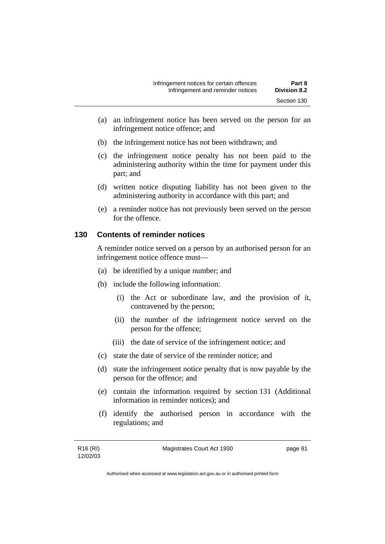- (a) an infringement notice has been served on the person for an infringement notice offence; and
- (b) the infringement notice has not been withdrawn; and
- (c) the infringement notice penalty has not been paid to the administering authority within the time for payment under this part; and
- (d) written notice disputing liability has not been given to the administering authority in accordance with this part; and
- (e) a reminder notice has not previously been served on the person for the offence.

## **130 Contents of reminder notices**

A reminder notice served on a person by an authorised person for an infringement notice offence must—

- (a) be identified by a unique number; and
- (b) include the following information:
	- (i) the Act or subordinate law, and the provision of it, contravened by the person;
	- (ii) the number of the infringement notice served on the person for the offence;
	- (iii) the date of service of the infringement notice; and
- (c) state the date of service of the reminder notice; and
- (d) state the infringement notice penalty that is now payable by the person for the offence; and
- (e) contain the information required by section 131 (Additional information in reminder notices); and
- (f) identify the authorised person in accordance with the regulations; and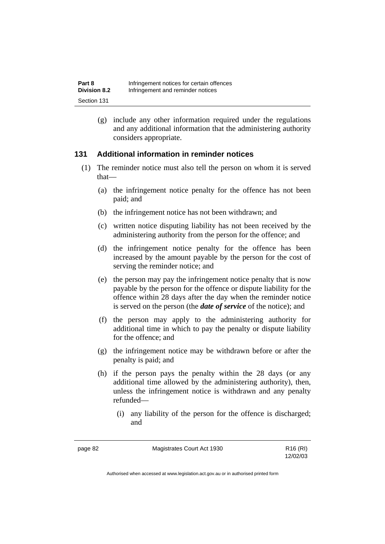(g) include any other information required under the regulations and any additional information that the administering authority considers appropriate.

## **131 Additional information in reminder notices**

- (1) The reminder notice must also tell the person on whom it is served that—
	- (a) the infringement notice penalty for the offence has not been paid; and
	- (b) the infringement notice has not been withdrawn; and
	- (c) written notice disputing liability has not been received by the administering authority from the person for the offence; and
	- (d) the infringement notice penalty for the offence has been increased by the amount payable by the person for the cost of serving the reminder notice; and
	- (e) the person may pay the infringement notice penalty that is now payable by the person for the offence or dispute liability for the offence within 28 days after the day when the reminder notice is served on the person (the *date of service* of the notice); and
	- (f) the person may apply to the administering authority for additional time in which to pay the penalty or dispute liability for the offence; and
	- (g) the infringement notice may be withdrawn before or after the penalty is paid; and
	- (h) if the person pays the penalty within the 28 days (or any additional time allowed by the administering authority), then, unless the infringement notice is withdrawn and any penalty refunded—
		- (i) any liability of the person for the offence is discharged; and

page 82 Magistrates Court Act 1930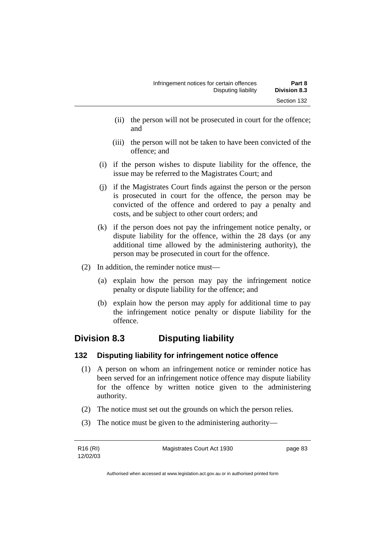- (ii) the person will not be prosecuted in court for the offence; and
- (iii) the person will not be taken to have been convicted of the offence; and
- (i) if the person wishes to dispute liability for the offence, the issue may be referred to the Magistrates Court; and
- (j) if the Magistrates Court finds against the person or the person is prosecuted in court for the offence, the person may be convicted of the offence and ordered to pay a penalty and costs, and be subject to other court orders; and
- (k) if the person does not pay the infringement notice penalty, or dispute liability for the offence, within the 28 days (or any additional time allowed by the administering authority), the person may be prosecuted in court for the offence.
- (2) In addition, the reminder notice must—
	- (a) explain how the person may pay the infringement notice penalty or dispute liability for the offence; and
	- (b) explain how the person may apply for additional time to pay the infringement notice penalty or dispute liability for the offence.

# **Division 8.3 Disputing liability**

## **132 Disputing liability for infringement notice offence**

- (1) A person on whom an infringement notice or reminder notice has been served for an infringement notice offence may dispute liability for the offence by written notice given to the administering authority.
- (2) The notice must set out the grounds on which the person relies.
- (3) The notice must be given to the administering authority—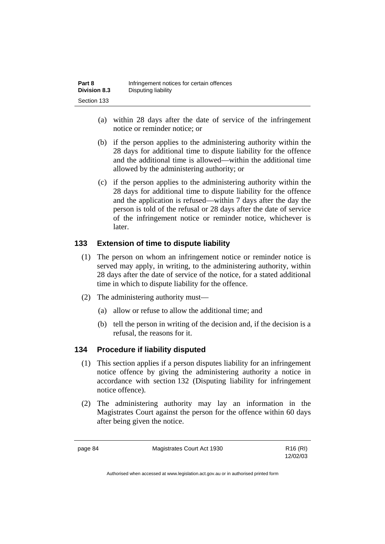| Part 8              | Infringement notices for certain offences |
|---------------------|-------------------------------------------|
| <b>Division 8.3</b> | Disputing liability                       |
| Section 133         |                                           |

- (a) within 28 days after the date of service of the infringement notice or reminder notice; or
- (b) if the person applies to the administering authority within the 28 days for additional time to dispute liability for the offence and the additional time is allowed—within the additional time allowed by the administering authority; or
- (c) if the person applies to the administering authority within the 28 days for additional time to dispute liability for the offence and the application is refused—within 7 days after the day the person is told of the refusal or 28 days after the date of service of the infringement notice or reminder notice, whichever is later.

## **133 Extension of time to dispute liability**

- (1) The person on whom an infringement notice or reminder notice is served may apply, in writing, to the administering authority, within 28 days after the date of service of the notice, for a stated additional time in which to dispute liability for the offence.
- (2) The administering authority must—
	- (a) allow or refuse to allow the additional time; and
	- (b) tell the person in writing of the decision and, if the decision is a refusal, the reasons for it.

## **134 Procedure if liability disputed**

- (1) This section applies if a person disputes liability for an infringement notice offence by giving the administering authority a notice in accordance with section 132 (Disputing liability for infringement notice offence).
- (2) The administering authority may lay an information in the Magistrates Court against the person for the offence within 60 days after being given the notice.

page 84 Magistrates Court Act 1930

12/02/03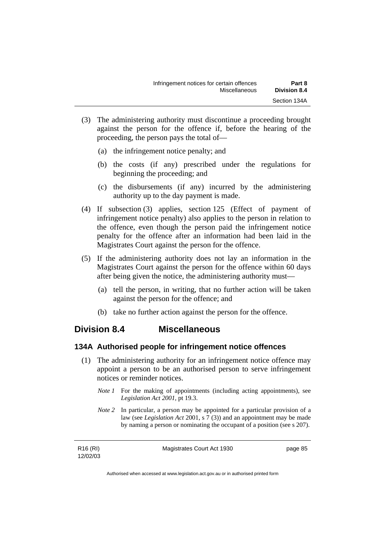- (3) The administering authority must discontinue a proceeding brought against the person for the offence if, before the hearing of the proceeding, the person pays the total of—
	- (a) the infringement notice penalty; and
	- (b) the costs (if any) prescribed under the regulations for beginning the proceeding; and
	- (c) the disbursements (if any) incurred by the administering authority up to the day payment is made.
- (4) If subsection (3) applies, section 125 (Effect of payment of infringement notice penalty) also applies to the person in relation to the offence, even though the person paid the infringement notice penalty for the offence after an information had been laid in the Magistrates Court against the person for the offence.
- (5) If the administering authority does not lay an information in the Magistrates Court against the person for the offence within 60 days after being given the notice, the administering authority must—
	- (a) tell the person, in writing, that no further action will be taken against the person for the offence; and
	- (b) take no further action against the person for the offence.

# **Division 8.4 Miscellaneous**

## **134A Authorised people for infringement notice offences**

- (1) The administering authority for an infringement notice offence may appoint a person to be an authorised person to serve infringement notices or reminder notices.
	- *Note 1* For the making of appointments (including acting appointments), see *Legislation Act 2001*, pt 19.3.
	- *Note 2* In particular, a person may be appointed for a particular provision of a law (see *Legislation Act* 2001, s 7 (3)) and an appointment may be made by naming a person or nominating the occupant of a position (see s 207).

R16 (RI) 12/02/03 Magistrates Court Act 1930 **page 85**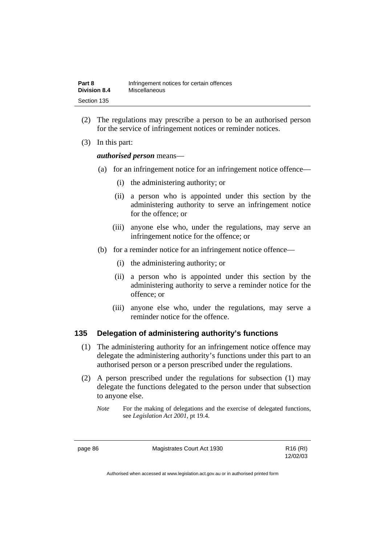| Part 8              | Infringement notices for certain offences |
|---------------------|-------------------------------------------|
| <b>Division 8.4</b> | <b>Miscellaneous</b>                      |
| Section 135         |                                           |

- (2) The regulations may prescribe a person to be an authorised person for the service of infringement notices or reminder notices.
- (3) In this part:

#### *authorised person* means—

- (a) for an infringement notice for an infringement notice offence—
	- (i) the administering authority; or
	- (ii) a person who is appointed under this section by the administering authority to serve an infringement notice for the offence; or
	- (iii) anyone else who, under the regulations, may serve an infringement notice for the offence; or
- (b) for a reminder notice for an infringement notice offence—
	- (i) the administering authority; or
	- (ii) a person who is appointed under this section by the administering authority to serve a reminder notice for the offence; or
	- (iii) anyone else who, under the regulations, may serve a reminder notice for the offence.

## **135 Delegation of administering authority's functions**

- (1) The administering authority for an infringement notice offence may delegate the administering authority's functions under this part to an authorised person or a person prescribed under the regulations.
- (2) A person prescribed under the regulations for subsection (1) may delegate the functions delegated to the person under that subsection to anyone else.

page 86 Magistrates Court Act 1930

*Note* For the making of delegations and the exercise of delegated functions, see *Legislation Act 2001*, pt 19.4.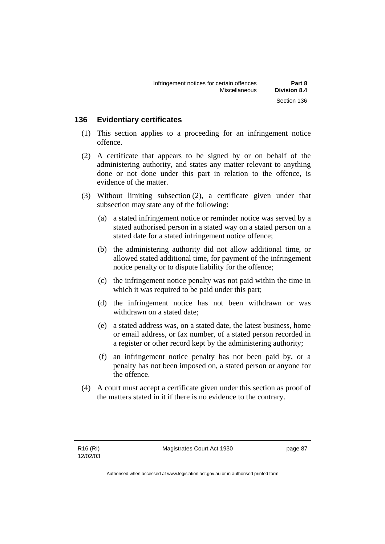#### **136 Evidentiary certificates**

- (1) This section applies to a proceeding for an infringement notice offence.
- (2) A certificate that appears to be signed by or on behalf of the administering authority, and states any matter relevant to anything done or not done under this part in relation to the offence, is evidence of the matter.
- (3) Without limiting subsection (2), a certificate given under that subsection may state any of the following:
	- (a) a stated infringement notice or reminder notice was served by a stated authorised person in a stated way on a stated person on a stated date for a stated infringement notice offence;
	- (b) the administering authority did not allow additional time, or allowed stated additional time, for payment of the infringement notice penalty or to dispute liability for the offence;
	- (c) the infringement notice penalty was not paid within the time in which it was required to be paid under this part;
	- (d) the infringement notice has not been withdrawn or was withdrawn on a stated date;
	- (e) a stated address was, on a stated date, the latest business, home or email address, or fax number, of a stated person recorded in a register or other record kept by the administering authority;
	- (f) an infringement notice penalty has not been paid by, or a penalty has not been imposed on, a stated person or anyone for the offence.
- (4) A court must accept a certificate given under this section as proof of the matters stated in it if there is no evidence to the contrary.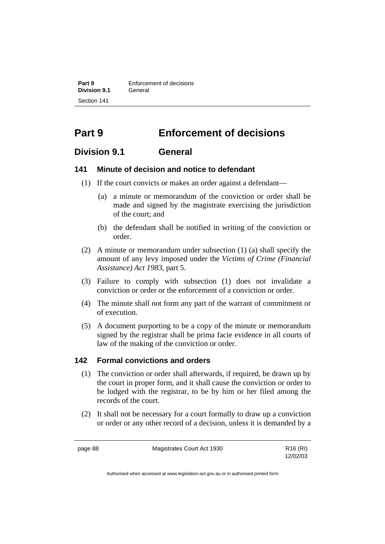**Part 9 Enforcement of decisions Division 9.1** General Section 141

# **Part 9 Enforcement of decisions**

## **Division 9.1 General**

#### **141 Minute of decision and notice to defendant**

- (1) If the court convicts or makes an order against a defendant—
	- (a) a minute or memorandum of the conviction or order shall be made and signed by the magistrate exercising the jurisdiction of the court; and
	- (b) the defendant shall be notified in writing of the conviction or order.
- (2) A minute or memorandum under subsection (1) (a) shall specify the amount of any levy imposed under the *Victims of Crime (Financial Assistance) Act 1983*, part 5.
- (3) Failure to comply with subsection (1) does not invalidate a conviction or order or the enforcement of a conviction or order.
- (4) The minute shall not form any part of the warrant of commitment or of execution.
- (5) A document purporting to be a copy of the minute or memorandum signed by the registrar shall be prima facie evidence in all courts of law of the making of the conviction or order.

#### **142 Formal convictions and orders**

- (1) The conviction or order shall afterwards, if required, be drawn up by the court in proper form, and it shall cause the conviction or order to be lodged with the registrar, to be by him or her filed among the records of the court.
- (2) It shall not be necessary for a court formally to draw up a conviction or order or any other record of a decision, unless it is demanded by a

page 88 Magistrates Court Act 1930

12/02/03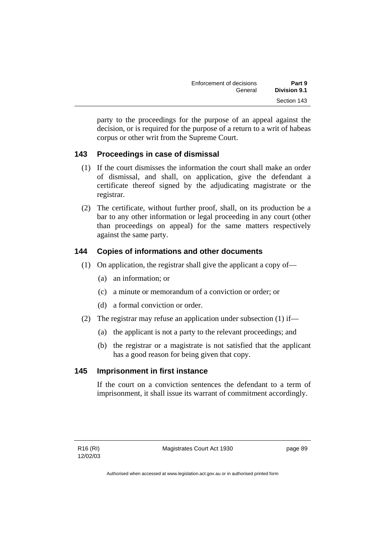| Enforcement of decisions | Part 9              |
|--------------------------|---------------------|
| General                  | <b>Division 9.1</b> |
|                          | Section 143         |

party to the proceedings for the purpose of an appeal against the decision, or is required for the purpose of a return to a writ of habeas corpus or other writ from the Supreme Court.

## **143 Proceedings in case of dismissal**

- (1) If the court dismisses the information the court shall make an order of dismissal, and shall, on application, give the defendant a certificate thereof signed by the adjudicating magistrate or the registrar.
- (2) The certificate, without further proof, shall, on its production be a bar to any other information or legal proceeding in any court (other than proceedings on appeal) for the same matters respectively against the same party.

## **144 Copies of informations and other documents**

- (1) On application, the registrar shall give the applicant a copy of—
	- (a) an information; or
	- (c) a minute or memorandum of a conviction or order; or
	- (d) a formal conviction or order.
- (2) The registrar may refuse an application under subsection (1) if—
	- (a) the applicant is not a party to the relevant proceedings; and
	- (b) the registrar or a magistrate is not satisfied that the applicant has a good reason for being given that copy.

## **145 Imprisonment in first instance**

If the court on a conviction sentences the defendant to a term of imprisonment, it shall issue its warrant of commitment accordingly.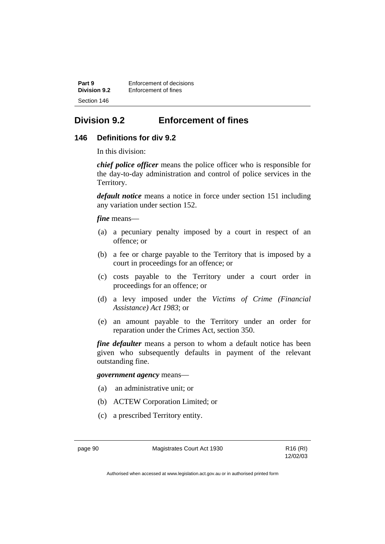**Part 9 Enforcement of decisions**<br>**Division 9.2 Enforcement of fines Enforcement of fines** Section 146

# **Division 9.2 Enforcement of fines**

## **146 Definitions for div 9.2**

In this division:

*chief police officer* means the police officer who is responsible for the day-to-day administration and control of police services in the Territory.

*default notice* means a notice in force under section 151 including any variation under section 152.

*fine* means—

- (a) a pecuniary penalty imposed by a court in respect of an offence; or
- (b) a fee or charge payable to the Territory that is imposed by a court in proceedings for an offence; or
- (c) costs payable to the Territory under a court order in proceedings for an offence; or
- (d) a levy imposed under the *Victims of Crime (Financial Assistance) Act 1983*; or
- (e) an amount payable to the Territory under an order for reparation under the Crimes Act, section 350.

*fine defaulter* means a person to whom a default notice has been given who subsequently defaults in payment of the relevant outstanding fine.

*government agency* means—

- (a) an administrative unit; or
- (b) ACTEW Corporation Limited; or
- (c) a prescribed Territory entity.

page 90 Magistrates Court Act 1930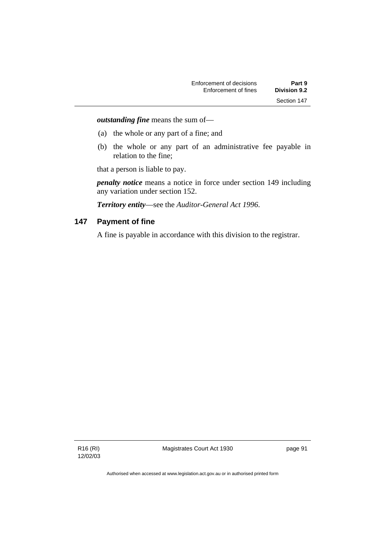*outstanding fine* means the sum of—

- (a) the whole or any part of a fine; and
- (b) the whole or any part of an administrative fee payable in relation to the fine;

that a person is liable to pay.

*penalty notice* means a notice in force under section 149 including any variation under section 152.

*Territory entity*—see the *Auditor-General Act 1996*.

## **147 Payment of fine**

A fine is payable in accordance with this division to the registrar.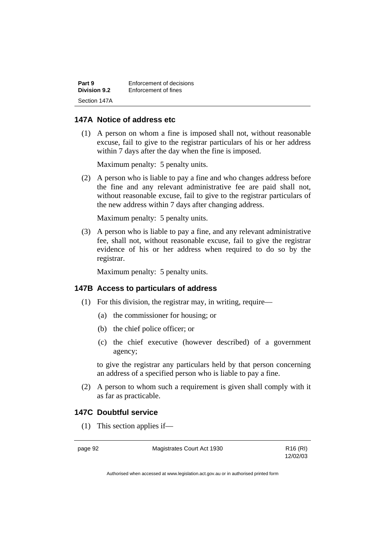| Part 9              | Enforcement of decisions |
|---------------------|--------------------------|
| <b>Division 9.2</b> | Enforcement of fines     |
| Section 147A        |                          |

#### **147A Notice of address etc**

 (1) A person on whom a fine is imposed shall not, without reasonable excuse, fail to give to the registrar particulars of his or her address within 7 days after the day when the fine is imposed.

Maximum penalty: 5 penalty units.

 (2) A person who is liable to pay a fine and who changes address before the fine and any relevant administrative fee are paid shall not, without reasonable excuse, fail to give to the registrar particulars of the new address within 7 days after changing address.

Maximum penalty: 5 penalty units.

 (3) A person who is liable to pay a fine, and any relevant administrative fee, shall not, without reasonable excuse, fail to give the registrar evidence of his or her address when required to do so by the registrar.

Maximum penalty: 5 penalty units.

## **147B Access to particulars of address**

- (1) For this division, the registrar may, in writing, require—
	- (a) the commissioner for housing; or
	- (b) the chief police officer; or
	- (c) the chief executive (however described) of a government agency;

to give the registrar any particulars held by that person concerning an address of a specified person who is liable to pay a fine.

 (2) A person to whom such a requirement is given shall comply with it as far as practicable.

## **147C Doubtful service**

(1) This section applies if—

page 92 Magistrates Court Act 1930

12/02/03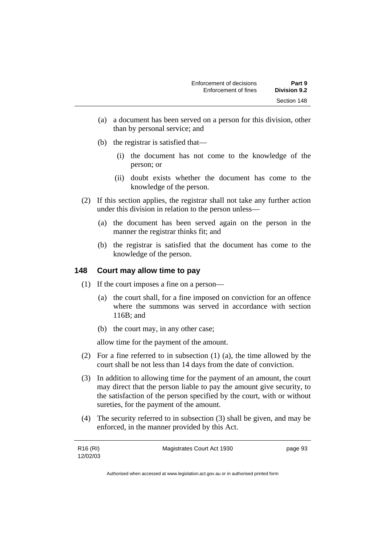- (a) a document has been served on a person for this division, other than by personal service; and
- (b) the registrar is satisfied that—
	- (i) the document has not come to the knowledge of the person; or
	- (ii) doubt exists whether the document has come to the knowledge of the person.
- (2) If this section applies, the registrar shall not take any further action under this division in relation to the person unless—
	- (a) the document has been served again on the person in the manner the registrar thinks fit; and
	- (b) the registrar is satisfied that the document has come to the knowledge of the person.

## **148 Court may allow time to pay**

- (1) If the court imposes a fine on a person—
	- (a) the court shall, for a fine imposed on conviction for an offence where the summons was served in accordance with section 116B; and
	- (b) the court may, in any other case;

allow time for the payment of the amount.

- (2) For a fine referred to in subsection (1) (a), the time allowed by the court shall be not less than 14 days from the date of conviction.
- (3) In addition to allowing time for the payment of an amount, the court may direct that the person liable to pay the amount give security, to the satisfaction of the person specified by the court, with or without sureties, for the payment of the amount.
- (4) The security referred to in subsection (3) shall be given, and may be enforced, in the manner provided by this Act.

R16 (RI) 12/02/03 Magistrates Court Act 1930 **page 93**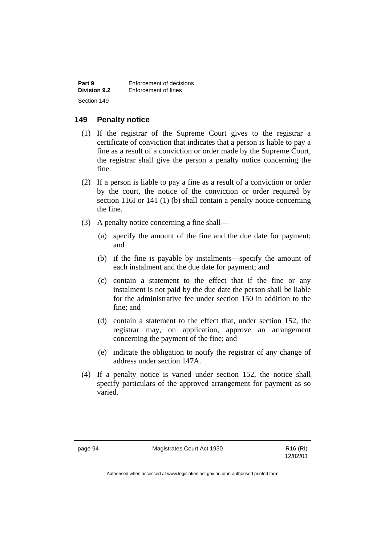| Part 9              | Enforcement of decisions |
|---------------------|--------------------------|
| <b>Division 9.2</b> | Enforcement of fines     |
| Section 149         |                          |

## **149 Penalty notice**

- (1) If the registrar of the Supreme Court gives to the registrar a certificate of conviction that indicates that a person is liable to pay a fine as a result of a conviction or order made by the Supreme Court, the registrar shall give the person a penalty notice concerning the fine.
- (2) If a person is liable to pay a fine as a result of a conviction or order by the court, the notice of the conviction or order required by section 116I or 141 (1) (b) shall contain a penalty notice concerning the fine.
- (3) A penalty notice concerning a fine shall—
	- (a) specify the amount of the fine and the due date for payment; and
	- (b) if the fine is payable by instalments—specify the amount of each instalment and the due date for payment; and
	- (c) contain a statement to the effect that if the fine or any instalment is not paid by the due date the person shall be liable for the administrative fee under section 150 in addition to the fine; and
	- (d) contain a statement to the effect that, under section 152, the registrar may, on application, approve an arrangement concerning the payment of the fine; and
	- (e) indicate the obligation to notify the registrar of any change of address under section 147A.
- (4) If a penalty notice is varied under section 152, the notice shall specify particulars of the approved arrangement for payment as so varied.

page 94 Magistrates Court Act 1930 R16 (RI)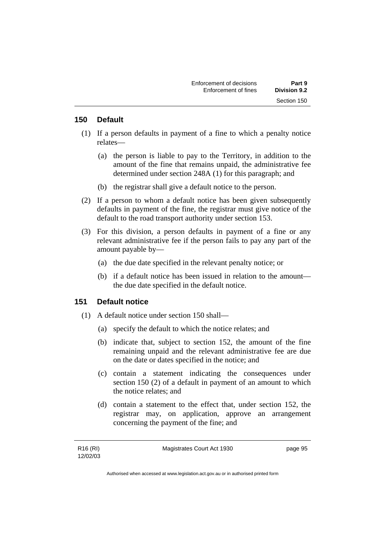#### **150 Default**

- (1) If a person defaults in payment of a fine to which a penalty notice relates—
	- (a) the person is liable to pay to the Territory, in addition to the amount of the fine that remains unpaid, the administrative fee determined under section 248A (1) for this paragraph; and
	- (b) the registrar shall give a default notice to the person.
- (2) If a person to whom a default notice has been given subsequently defaults in payment of the fine, the registrar must give notice of the default to the road transport authority under section 153.
- (3) For this division, a person defaults in payment of a fine or any relevant administrative fee if the person fails to pay any part of the amount payable by—
	- (a) the due date specified in the relevant penalty notice; or
	- (b) if a default notice has been issued in relation to the amount the due date specified in the default notice.

#### **151 Default notice**

- (1) A default notice under section 150 shall—
	- (a) specify the default to which the notice relates; and
	- (b) indicate that, subject to section 152, the amount of the fine remaining unpaid and the relevant administrative fee are due on the date or dates specified in the notice; and
	- (c) contain a statement indicating the consequences under section 150 (2) of a default in payment of an amount to which the notice relates; and
	- (d) contain a statement to the effect that, under section 152, the registrar may, on application, approve an arrangement concerning the payment of the fine; and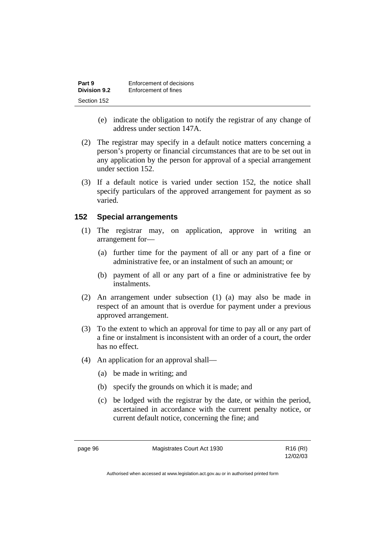| Part 9              | Enforcement of decisions |
|---------------------|--------------------------|
| <b>Division 9.2</b> | Enforcement of fines     |
| Section 152         |                          |

- (e) indicate the obligation to notify the registrar of any change of address under section 147A.
- (2) The registrar may specify in a default notice matters concerning a person's property or financial circumstances that are to be set out in any application by the person for approval of a special arrangement under section 152.
- (3) If a default notice is varied under section 152, the notice shall specify particulars of the approved arrangement for payment as so varied.

#### **152 Special arrangements**

- (1) The registrar may, on application, approve in writing an arrangement for—
	- (a) further time for the payment of all or any part of a fine or administrative fee, or an instalment of such an amount; or
	- (b) payment of all or any part of a fine or administrative fee by instalments.
- (2) An arrangement under subsection (1) (a) may also be made in respect of an amount that is overdue for payment under a previous approved arrangement.
- (3) To the extent to which an approval for time to pay all or any part of a fine or instalment is inconsistent with an order of a court, the order has no effect.
- (4) An application for an approval shall—
	- (a) be made in writing; and
	- (b) specify the grounds on which it is made; and
	- (c) be lodged with the registrar by the date, or within the period, ascertained in accordance with the current penalty notice, or current default notice, concerning the fine; and

page 96 Magistrates Court Act 1930 R16 (RI)

12/02/03

Authorised when accessed at www.legislation.act.gov.au or in authorised printed form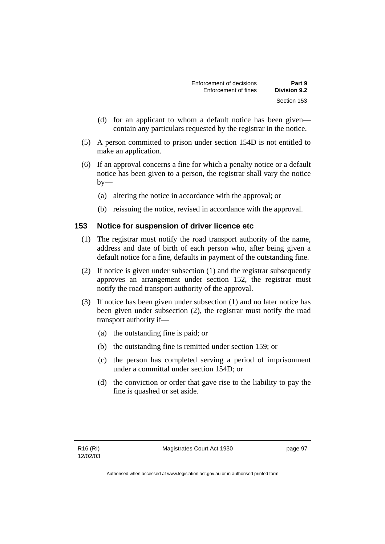- (d) for an applicant to whom a default notice has been given contain any particulars requested by the registrar in the notice.
- (5) A person committed to prison under section 154D is not entitled to make an application.
- (6) If an approval concerns a fine for which a penalty notice or a default notice has been given to a person, the registrar shall vary the notice  $by-$ 
	- (a) altering the notice in accordance with the approval; or
	- (b) reissuing the notice, revised in accordance with the approval.

#### **153 Notice for suspension of driver licence etc**

- (1) The registrar must notify the road transport authority of the name, address and date of birth of each person who, after being given a default notice for a fine, defaults in payment of the outstanding fine.
- (2) If notice is given under subsection (1) and the registrar subsequently approves an arrangement under section 152, the registrar must notify the road transport authority of the approval.
- (3) If notice has been given under subsection (1) and no later notice has been given under subsection (2), the registrar must notify the road transport authority if—
	- (a) the outstanding fine is paid; or
	- (b) the outstanding fine is remitted under section 159; or
	- (c) the person has completed serving a period of imprisonment under a committal under section 154D; or
	- (d) the conviction or order that gave rise to the liability to pay the fine is quashed or set aside.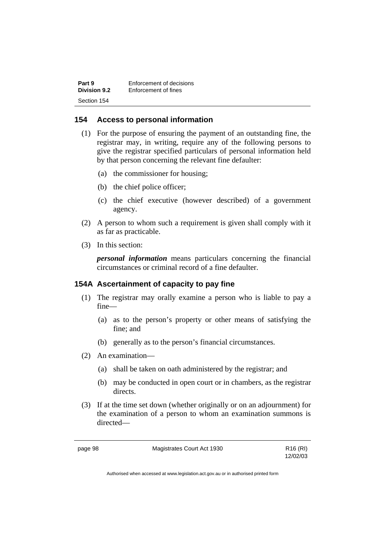| Part 9              | Enforcement of decisions |
|---------------------|--------------------------|
| <b>Division 9.2</b> | Enforcement of fines     |
| Section 154         |                          |

# **154 Access to personal information**

- (1) For the purpose of ensuring the payment of an outstanding fine, the registrar may, in writing, require any of the following persons to give the registrar specified particulars of personal information held by that person concerning the relevant fine defaulter:
	- (a) the commissioner for housing;
	- (b) the chief police officer;
	- (c) the chief executive (however described) of a government agency.
- (2) A person to whom such a requirement is given shall comply with it as far as practicable.
- (3) In this section:

*personal information* means particulars concerning the financial circumstances or criminal record of a fine defaulter.

#### **154A Ascertainment of capacity to pay fine**

- (1) The registrar may orally examine a person who is liable to pay a fine—
	- (a) as to the person's property or other means of satisfying the fine; and
	- (b) generally as to the person's financial circumstances.
- (2) An examination—
	- (a) shall be taken on oath administered by the registrar; and
	- (b) may be conducted in open court or in chambers, as the registrar directs.
- (3) If at the time set down (whether originally or on an adjournment) for the examination of a person to whom an examination summons is directed—

page 98 Magistrates Court Act 1930 R16 (RI)

12/02/03

Authorised when accessed at www.legislation.act.gov.au or in authorised printed form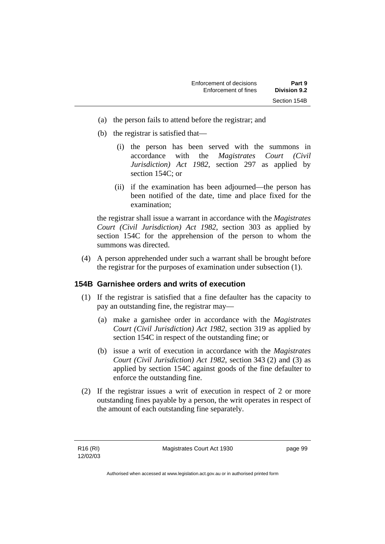- (a) the person fails to attend before the registrar; and
- (b) the registrar is satisfied that—
	- (i) the person has been served with the summons in accordance with the *Magistrates Court (Civil Jurisdiction) Act 1982*, section 297 as applied by section 154C; or
	- (ii) if the examination has been adjourned—the person has been notified of the date, time and place fixed for the examination;

the registrar shall issue a warrant in accordance with the *Magistrates Court (Civil Jurisdiction) Act 1982*, section 303 as applied by section 154C for the apprehension of the person to whom the summons was directed.

 (4) A person apprehended under such a warrant shall be brought before the registrar for the purposes of examination under subsection (1).

# **154B Garnishee orders and writs of execution**

- (1) If the registrar is satisfied that a fine defaulter has the capacity to pay an outstanding fine, the registrar may—
	- (a) make a garnishee order in accordance with the *Magistrates Court (Civil Jurisdiction) Act 1982*, section 319 as applied by section 154C in respect of the outstanding fine; or
	- (b) issue a writ of execution in accordance with the *Magistrates Court (Civil Jurisdiction) Act 1982*, section 343 (2) and (3) as applied by section 154C against goods of the fine defaulter to enforce the outstanding fine.
- (2) If the registrar issues a writ of execution in respect of 2 or more outstanding fines payable by a person, the writ operates in respect of the amount of each outstanding fine separately.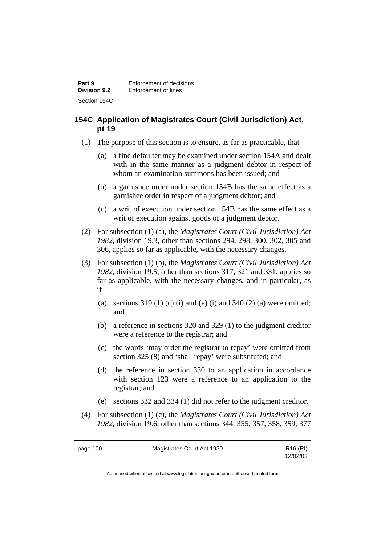| Part 9              | Enforcement of decisions |
|---------------------|--------------------------|
| <b>Division 9.2</b> | Enforcement of fines     |
| Section 154C        |                          |

# **154C Application of Magistrates Court (Civil Jurisdiction) Act, pt 19**

- (1) The purpose of this section is to ensure, as far as practicable, that—
	- (a) a fine defaulter may be examined under section 154A and dealt with in the same manner as a judgment debtor in respect of whom an examination summons has been issued; and
	- (b) a garnishee order under section 154B has the same effect as a garnishee order in respect of a judgment debtor; and
	- (c) a writ of execution under section 154B has the same effect as a writ of execution against goods of a judgment debtor.
- (2) For subsection (1) (a), the *Magistrates Court (Civil Jurisdiction) Act 1982*, division 19.3, other than sections 294, 298, 300, 302, 305 and 306, applies so far as applicable, with the necessary changes.
- (3) For subsection (1) (b), the *Magistrates Court (Civil Jurisdiction) Act 1982*, division 19.5, other than sections 317, 321 and 331, applies so far as applicable, with the necessary changes, and in particular, as if—
	- (a) sections  $319(1)$  (c) (i) and (e) (i) and  $340(2)$  (a) were omitted; and
	- (b) a reference in sections 320 and 329 (1) to the judgment creditor were a reference to the registrar; and
	- (c) the words 'may order the registrar to repay' were omitted from section 325 (8) and 'shall repay' were substituted; and
	- (d) the reference in section 330 to an application in accordance with section 123 were a reference to an application to the registrar; and
	- (e) sections 332 and 334 (1) did not refer to the judgment creditor.
- (4) For subsection (1) (c), the *Magistrates Court (Civil Jurisdiction) Act 1982*, division 19.6, other than sections 344, 355, 357, 358, 359, 377

page 100 Magistrates Court Act 1930 R16 (RI)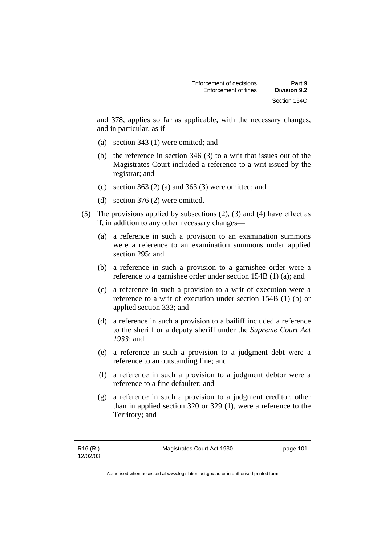and 378, applies so far as applicable, with the necessary changes, and in particular, as if—

- (a) section 343 (1) were omitted; and
- (b) the reference in section 346 (3) to a writ that issues out of the Magistrates Court included a reference to a writ issued by the registrar; and
- (c) section 363 (2) (a) and 363 (3) were omitted; and
- (d) section 376 (2) were omitted.
- (5) The provisions applied by subsections (2), (3) and (4) have effect as if, in addition to any other necessary changes—
	- (a) a reference in such a provision to an examination summons were a reference to an examination summons under applied section 295; and
	- (b) a reference in such a provision to a garnishee order were a reference to a garnishee order under section 154B (1) (a); and
	- (c) a reference in such a provision to a writ of execution were a reference to a writ of execution under section 154B (1) (b) or applied section 333; and
	- (d) a reference in such a provision to a bailiff included a reference to the sheriff or a deputy sheriff under the *Supreme Court Act 1933*; and
	- (e) a reference in such a provision to a judgment debt were a reference to an outstanding fine; and
	- (f) a reference in such a provision to a judgment debtor were a reference to a fine defaulter; and
	- (g) a reference in such a provision to a judgment creditor, other than in applied section 320 or 329 (1), were a reference to the Territory; and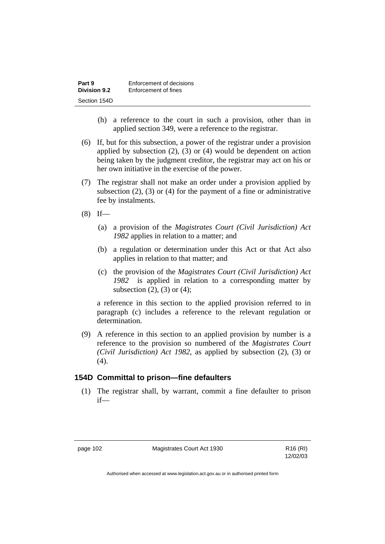| Part 9              | Enforcement of decisions |
|---------------------|--------------------------|
| <b>Division 9.2</b> | Enforcement of fines     |
| Section 154D        |                          |

- (h) a reference to the court in such a provision, other than in applied section 349, were a reference to the registrar.
- (6) If, but for this subsection, a power of the registrar under a provision applied by subsection (2), (3) or (4) would be dependent on action being taken by the judgment creditor, the registrar may act on his or her own initiative in the exercise of the power.
- (7) The registrar shall not make an order under a provision applied by subsection (2), (3) or (4) for the payment of a fine or administrative fee by instalments.
- $(8)$  If—
	- (a) a provision of the *Magistrates Court (Civil Jurisdiction) Act 1982* applies in relation to a matter; and
	- (b) a regulation or determination under this Act or that Act also applies in relation to that matter; and
	- (c) the provision of the *Magistrates Court (Civil Jurisdiction) Act 1982* is applied in relation to a corresponding matter by subsection  $(2)$ ,  $(3)$  or  $(4)$ ;

a reference in this section to the applied provision referred to in paragraph (c) includes a reference to the relevant regulation or determination.

 (9) A reference in this section to an applied provision by number is a reference to the provision so numbered of the *Magistrates Court (Civil Jurisdiction) Act 1982*, as applied by subsection (2), (3) or (4).

#### **154D Committal to prison—fine defaulters**

 (1) The registrar shall, by warrant, commit a fine defaulter to prison if—

page 102 Magistrates Court Act 1930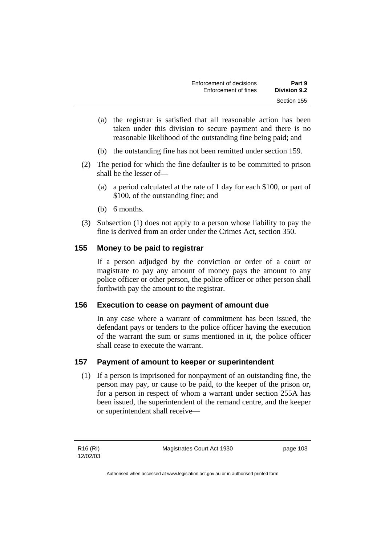| Enforcement of decisions | Part 9              |
|--------------------------|---------------------|
| Enforcement of fines     | <b>Division 9.2</b> |
|                          | Section 155         |

- (a) the registrar is satisfied that all reasonable action has been taken under this division to secure payment and there is no reasonable likelihood of the outstanding fine being paid; and
- (b) the outstanding fine has not been remitted under section 159.
- (2) The period for which the fine defaulter is to be committed to prison shall be the lesser of—
	- (a) a period calculated at the rate of 1 day for each \$100, or part of \$100, of the outstanding fine; and
	- (b) 6 months.
- (3) Subsection (1) does not apply to a person whose liability to pay the fine is derived from an order under the Crimes Act, section 350.

#### **155 Money to be paid to registrar**

If a person adjudged by the conviction or order of a court or magistrate to pay any amount of money pays the amount to any police officer or other person, the police officer or other person shall forthwith pay the amount to the registrar.

#### **156 Execution to cease on payment of amount due**

In any case where a warrant of commitment has been issued, the defendant pays or tenders to the police officer having the execution of the warrant the sum or sums mentioned in it, the police officer shall cease to execute the warrant.

#### **157 Payment of amount to keeper or superintendent**

 (1) If a person is imprisoned for nonpayment of an outstanding fine, the person may pay, or cause to be paid, to the keeper of the prison or, for a person in respect of whom a warrant under section 255A has been issued, the superintendent of the remand centre, and the keeper or superintendent shall receive—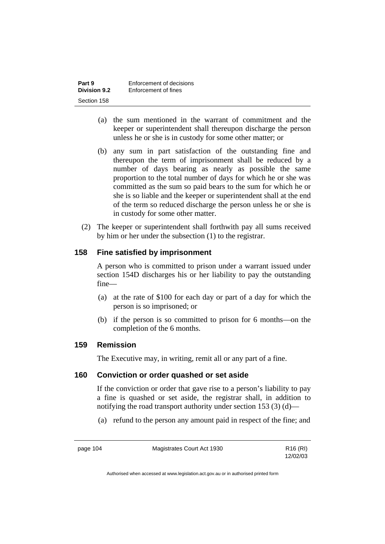| Part 9              | Enforcement of decisions |
|---------------------|--------------------------|
| <b>Division 9.2</b> | Enforcement of fines     |
| Section 158         |                          |

- (a) the sum mentioned in the warrant of commitment and the keeper or superintendent shall thereupon discharge the person unless he or she is in custody for some other matter; or
- (b) any sum in part satisfaction of the outstanding fine and thereupon the term of imprisonment shall be reduced by a number of days bearing as nearly as possible the same proportion to the total number of days for which he or she was committed as the sum so paid bears to the sum for which he or she is so liable and the keeper or superintendent shall at the end of the term so reduced discharge the person unless he or she is in custody for some other matter.
- (2) The keeper or superintendent shall forthwith pay all sums received by him or her under the subsection (1) to the registrar.

#### **158 Fine satisfied by imprisonment**

A person who is committed to prison under a warrant issued under section 154D discharges his or her liability to pay the outstanding fine—

- (a) at the rate of \$100 for each day or part of a day for which the person is so imprisoned; or
- (b) if the person is so committed to prison for 6 months—on the completion of the 6 months.

#### **159 Remission**

The Executive may, in writing, remit all or any part of a fine.

#### **160 Conviction or order quashed or set aside**

If the conviction or order that gave rise to a person's liability to pay a fine is quashed or set aside, the registrar shall, in addition to notifying the road transport authority under section 153 (3) (d)—

(a) refund to the person any amount paid in respect of the fine; and

page 104 Magistrates Court Act 1930

12/02/03

Authorised when accessed at www.legislation.act.gov.au or in authorised printed form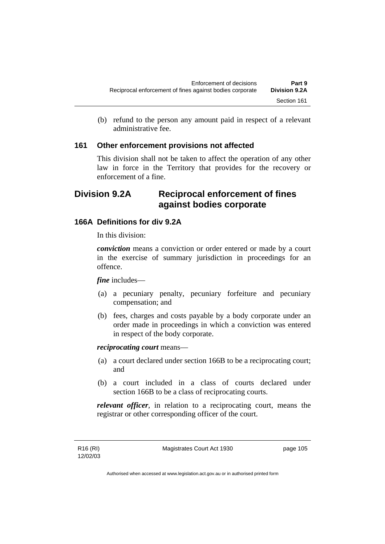(b) refund to the person any amount paid in respect of a relevant administrative fee.

# **161 Other enforcement provisions not affected**

This division shall not be taken to affect the operation of any other law in force in the Territory that provides for the recovery or enforcement of a fine.

# **Division 9.2A Reciprocal enforcement of fines against bodies corporate**

# **166A Definitions for div 9.2A**

In this division:

*conviction* means a conviction or order entered or made by a court in the exercise of summary jurisdiction in proceedings for an offence.

*fine* includes—

- (a) a pecuniary penalty, pecuniary forfeiture and pecuniary compensation; and
- (b) fees, charges and costs payable by a body corporate under an order made in proceedings in which a conviction was entered in respect of the body corporate.

*reciprocating court* means—

- (a) a court declared under section 166B to be a reciprocating court; and
- (b) a court included in a class of courts declared under section 166B to be a class of reciprocating courts.

*relevant officer*, in relation to a reciprocating court, means the registrar or other corresponding officer of the court.

R16 (RI) 12/02/03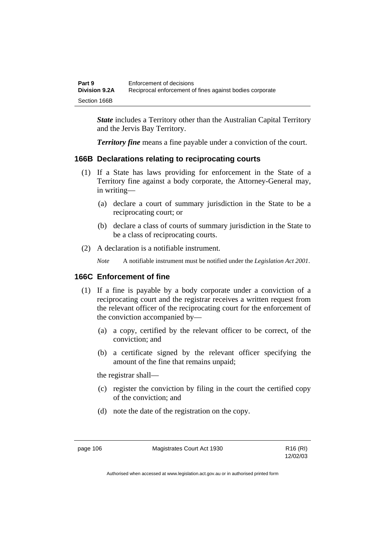| Part 9               | Enforcement of decisions                                 |
|----------------------|----------------------------------------------------------|
| <b>Division 9.2A</b> | Reciprocal enforcement of fines against bodies corporate |
| Section 166B         |                                                          |

*State* includes a Territory other than the Australian Capital Territory and the Jervis Bay Territory.

*Territory fine* means a fine payable under a conviction of the court.

# **166B Declarations relating to reciprocating courts**

- (1) If a State has laws providing for enforcement in the State of a Territory fine against a body corporate, the Attorney-General may, in writing—
	- (a) declare a court of summary jurisdiction in the State to be a reciprocating court; or
	- (b) declare a class of courts of summary jurisdiction in the State to be a class of reciprocating courts.
- (2) A declaration is a notifiable instrument.
	- *Note* A notifiable instrument must be notified under the *Legislation Act 2001*.

#### **166C Enforcement of fine**

- (1) If a fine is payable by a body corporate under a conviction of a reciprocating court and the registrar receives a written request from the relevant officer of the reciprocating court for the enforcement of the conviction accompanied by—
	- (a) a copy, certified by the relevant officer to be correct, of the conviction; and
	- (b) a certificate signed by the relevant officer specifying the amount of the fine that remains unpaid;

the registrar shall—

- (c) register the conviction by filing in the court the certified copy of the conviction; and
- (d) note the date of the registration on the copy.

page 106 Magistrates Court Act 1930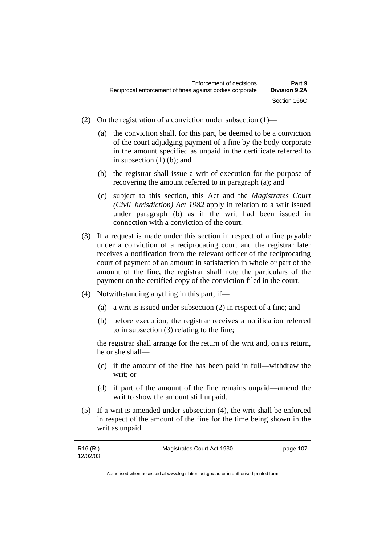- (2) On the registration of a conviction under subsection (1)—
	- (a) the conviction shall, for this part, be deemed to be a conviction of the court adjudging payment of a fine by the body corporate in the amount specified as unpaid in the certificate referred to in subsection (1) (b); and
	- (b) the registrar shall issue a writ of execution for the purpose of recovering the amount referred to in paragraph (a); and
	- (c) subject to this section, this Act and the *Magistrates Court (Civil Jurisdiction) Act 1982* apply in relation to a writ issued under paragraph (b) as if the writ had been issued in connection with a conviction of the court.
- (3) If a request is made under this section in respect of a fine payable under a conviction of a reciprocating court and the registrar later receives a notification from the relevant officer of the reciprocating court of payment of an amount in satisfaction in whole or part of the amount of the fine, the registrar shall note the particulars of the payment on the certified copy of the conviction filed in the court.
- (4) Notwithstanding anything in this part, if—
	- (a) a writ is issued under subsection (2) in respect of a fine; and
	- (b) before execution, the registrar receives a notification referred to in subsection (3) relating to the fine;

the registrar shall arrange for the return of the writ and, on its return, he or she shall—

- (c) if the amount of the fine has been paid in full—withdraw the writ; or
- (d) if part of the amount of the fine remains unpaid—amend the writ to show the amount still unpaid.
- (5) If a writ is amended under subsection (4), the writ shall be enforced in respect of the amount of the fine for the time being shown in the writ as unpaid.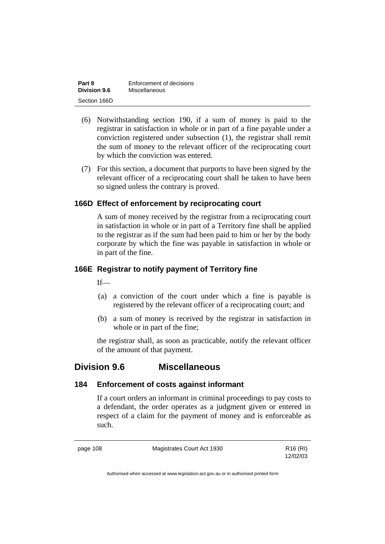| Part 9              | Enforcement of decisions |
|---------------------|--------------------------|
| <b>Division 9.6</b> | Miscellaneous            |
| Section 166D        |                          |

- (6) Notwithstanding section 190, if a sum of money is paid to the registrar in satisfaction in whole or in part of a fine payable under a conviction registered under subsection (1), the registrar shall remit the sum of money to the relevant officer of the reciprocating court by which the conviction was entered.
- (7) For this section, a document that purports to have been signed by the relevant officer of a reciprocating court shall be taken to have been so signed unless the contrary is proved.

#### **166D Effect of enforcement by reciprocating court**

A sum of money received by the registrar from a reciprocating court in satisfaction in whole or in part of a Territory fine shall be applied to the registrar as if the sum had been paid to him or her by the body corporate by which the fine was payable in satisfaction in whole or in part of the fine.

#### **166E Registrar to notify payment of Territory fine**

If—

- (a) a conviction of the court under which a fine is payable is registered by the relevant officer of a reciprocating court; and
- (b) a sum of money is received by the registrar in satisfaction in whole or in part of the fine;

the registrar shall, as soon as practicable, notify the relevant officer of the amount of that payment.

# **Division 9.6 Miscellaneous**

#### **184 Enforcement of costs against informant**

If a court orders an informant in criminal proceedings to pay costs to a defendant, the order operates as a judgment given or entered in respect of a claim for the payment of money and is enforceable as such.

page 108 Magistrates Court Act 1930

12/02/03

Authorised when accessed at www.legislation.act.gov.au or in authorised printed form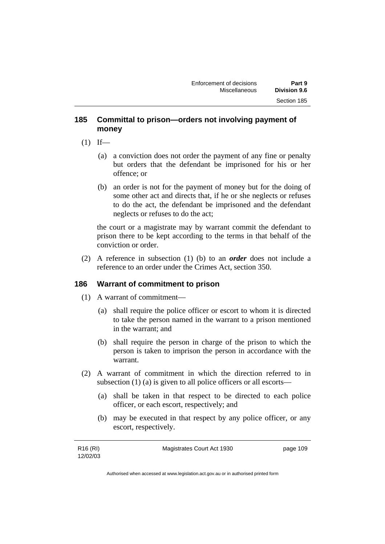# **185 Committal to prison—orders not involving payment of money**

- $(1)$  If—
	- (a) a conviction does not order the payment of any fine or penalty but orders that the defendant be imprisoned for his or her offence; or
	- (b) an order is not for the payment of money but for the doing of some other act and directs that, if he or she neglects or refuses to do the act, the defendant be imprisoned and the defendant neglects or refuses to do the act;

the court or a magistrate may by warrant commit the defendant to prison there to be kept according to the terms in that behalf of the conviction or order.

 (2) A reference in subsection (1) (b) to an *order* does not include a reference to an order under the Crimes Act, section 350.

# **186 Warrant of commitment to prison**

- (1) A warrant of commitment—
	- (a) shall require the police officer or escort to whom it is directed to take the person named in the warrant to a prison mentioned in the warrant; and
	- (b) shall require the person in charge of the prison to which the person is taken to imprison the person in accordance with the warrant.
- (2) A warrant of commitment in which the direction referred to in subsection (1) (a) is given to all police officers or all escorts—
	- (a) shall be taken in that respect to be directed to each police officer, or each escort, respectively; and
	- (b) may be executed in that respect by any police officer, or any escort, respectively.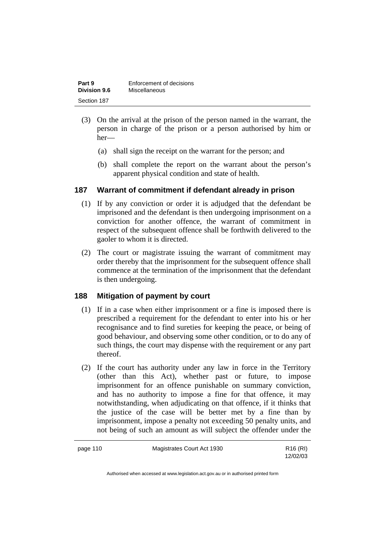| Part 9              | Enforcement of decisions |
|---------------------|--------------------------|
| <b>Division 9.6</b> | Miscellaneous            |
| Section 187         |                          |

- (3) On the arrival at the prison of the person named in the warrant, the person in charge of the prison or a person authorised by him or her—
	- (a) shall sign the receipt on the warrant for the person; and
	- (b) shall complete the report on the warrant about the person's apparent physical condition and state of health.

#### **187 Warrant of commitment if defendant already in prison**

- (1) If by any conviction or order it is adjudged that the defendant be imprisoned and the defendant is then undergoing imprisonment on a conviction for another offence, the warrant of commitment in respect of the subsequent offence shall be forthwith delivered to the gaoler to whom it is directed.
- (2) The court or magistrate issuing the warrant of commitment may order thereby that the imprisonment for the subsequent offence shall commence at the termination of the imprisonment that the defendant is then undergoing.

#### **188 Mitigation of payment by court**

- (1) If in a case when either imprisonment or a fine is imposed there is prescribed a requirement for the defendant to enter into his or her recognisance and to find sureties for keeping the peace, or being of good behaviour, and observing some other condition, or to do any of such things, the court may dispense with the requirement or any part thereof.
- (2) If the court has authority under any law in force in the Territory (other than this Act), whether past or future, to impose imprisonment for an offence punishable on summary conviction, and has no authority to impose a fine for that offence, it may notwithstanding, when adjudicating on that offence, if it thinks that the justice of the case will be better met by a fine than by imprisonment, impose a penalty not exceeding 50 penalty units, and not being of such an amount as will subject the offender under the

| page 110 | Magistrates Court Act 1930 | R <sub>16</sub> (RI)<br>12/02/03 |
|----------|----------------------------|----------------------------------|
|          |                            |                                  |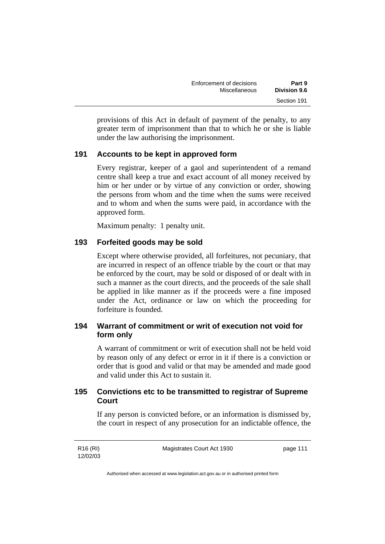| Enforcement of decisions | Part 9       |
|--------------------------|--------------|
| Miscellaneous            | Division 9.6 |
|                          | Section 191  |

provisions of this Act in default of payment of the penalty, to any greater term of imprisonment than that to which he or she is liable under the law authorising the imprisonment.

#### **191 Accounts to be kept in approved form**

Every registrar, keeper of a gaol and superintendent of a remand centre shall keep a true and exact account of all money received by him or her under or by virtue of any conviction or order, showing the persons from whom and the time when the sums were received and to whom and when the sums were paid, in accordance with the approved form.

Maximum penalty: 1 penalty unit.

# **193 Forfeited goods may be sold**

Except where otherwise provided, all forfeitures, not pecuniary, that are incurred in respect of an offence triable by the court or that may be enforced by the court, may be sold or disposed of or dealt with in such a manner as the court directs, and the proceeds of the sale shall be applied in like manner as if the proceeds were a fine imposed under the Act, ordinance or law on which the proceeding for forfeiture is founded.

# **194 Warrant of commitment or writ of execution not void for form only**

A warrant of commitment or writ of execution shall not be held void by reason only of any defect or error in it if there is a conviction or order that is good and valid or that may be amended and made good and valid under this Act to sustain it.

# **195 Convictions etc to be transmitted to registrar of Supreme Court**

If any person is convicted before, or an information is dismissed by, the court in respect of any prosecution for an indictable offence, the

R16 (RI) 12/02/03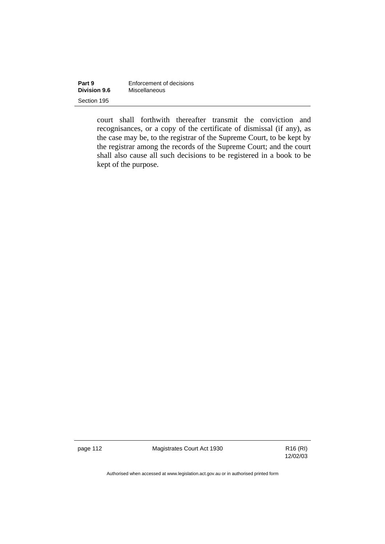| Part 9              | Enforcement of decisions |
|---------------------|--------------------------|
| <b>Division 9.6</b> | Miscellaneous            |
| Section 195         |                          |

court shall forthwith thereafter transmit the conviction and recognisances, or a copy of the certificate of dismissal (if any), as the case may be, to the registrar of the Supreme Court, to be kept by the registrar among the records of the Supreme Court; and the court shall also cause all such decisions to be registered in a book to be kept of the purpose.

page 112 Magistrates Court Act 1930 R16 (RI)

12/02/03

Authorised when accessed at www.legislation.act.gov.au or in authorised printed form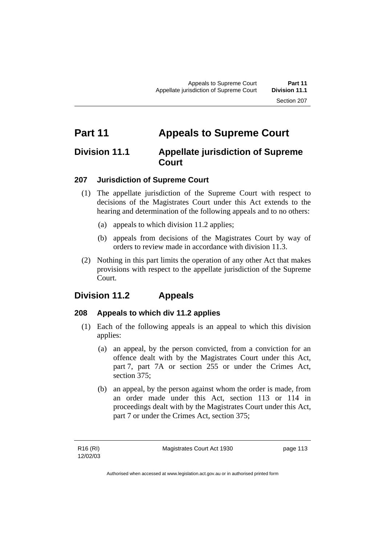# **Part 11 Appeals to Supreme Court**

# **Division 11.1 Appellate jurisdiction of Supreme Court**

# **207 Jurisdiction of Supreme Court**

- (1) The appellate jurisdiction of the Supreme Court with respect to decisions of the Magistrates Court under this Act extends to the hearing and determination of the following appeals and to no others:
	- (a) appeals to which division 11.2 applies;
	- (b) appeals from decisions of the Magistrates Court by way of orders to review made in accordance with division 11.3.
- (2) Nothing in this part limits the operation of any other Act that makes provisions with respect to the appellate jurisdiction of the Supreme Court.

# **Division 11.2 Appeals**

#### **208 Appeals to which div 11.2 applies**

- (1) Each of the following appeals is an appeal to which this division applies:
	- (a) an appeal, by the person convicted, from a conviction for an offence dealt with by the Magistrates Court under this Act, part 7, part 7A or section 255 or under the Crimes Act, section 375:
	- (b) an appeal, by the person against whom the order is made, from an order made under this Act, section 113 or 114 in proceedings dealt with by the Magistrates Court under this Act, part 7 or under the Crimes Act, section 375;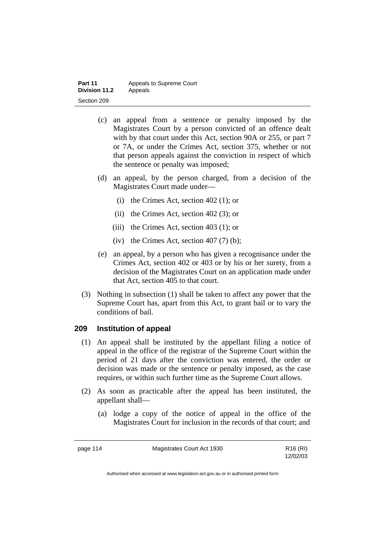| Part 11       | Appeals to Supreme Court |
|---------------|--------------------------|
| Division 11.2 | Appeals                  |
| Section 209   |                          |

- (c) an appeal from a sentence or penalty imposed by the Magistrates Court by a person convicted of an offence dealt with by that court under this Act, section 90A or 255, or part 7 or 7A, or under the Crimes Act, section 375, whether or not that person appeals against the conviction in respect of which the sentence or penalty was imposed;
- (d) an appeal, by the person charged, from a decision of the Magistrates Court made under—
	- (i) the Crimes Act, section 402 (1); or
	- (ii) the Crimes Act, section 402 (3); or
	- (iii) the Crimes Act, section 403 (1); or
	- (iv) the Crimes Act, section  $407(7)$  (b);
- (e) an appeal, by a person who has given a recognisance under the Crimes Act, section 402 or 403 or by his or her surety, from a decision of the Magistrates Court on an application made under that Act, section 405 to that court.
- (3) Nothing in subsection (1) shall be taken to affect any power that the Supreme Court has, apart from this Act, to grant bail or to vary the conditions of bail.

#### **209 Institution of appeal**

- (1) An appeal shall be instituted by the appellant filing a notice of appeal in the office of the registrar of the Supreme Court within the period of 21 days after the conviction was entered, the order or decision was made or the sentence or penalty imposed, as the case requires, or within such further time as the Supreme Court allows.
- (2) As soon as practicable after the appeal has been instituted, the appellant shall—
	- (a) lodge a copy of the notice of appeal in the office of the Magistrates Court for inclusion in the records of that court; and

page 114 Magistrates Court Act 1930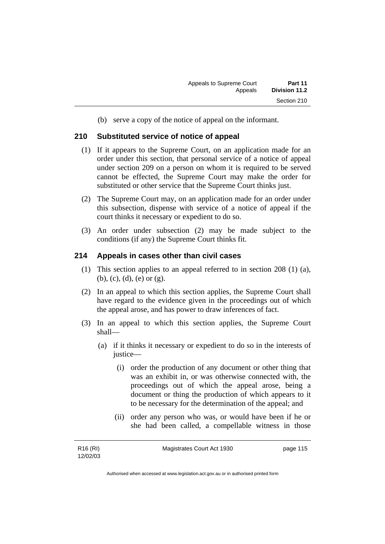(b) serve a copy of the notice of appeal on the informant.

#### **210 Substituted service of notice of appeal**

- (1) If it appears to the Supreme Court, on an application made for an order under this section, that personal service of a notice of appeal under section 209 on a person on whom it is required to be served cannot be effected, the Supreme Court may make the order for substituted or other service that the Supreme Court thinks just.
- (2) The Supreme Court may, on an application made for an order under this subsection, dispense with service of a notice of appeal if the court thinks it necessary or expedient to do so.
- (3) An order under subsection (2) may be made subject to the conditions (if any) the Supreme Court thinks fit.

#### **214 Appeals in cases other than civil cases**

- (1) This section applies to an appeal referred to in section 208 (1) (a), (b), (c), (d), (e) or (g).
- (2) In an appeal to which this section applies, the Supreme Court shall have regard to the evidence given in the proceedings out of which the appeal arose, and has power to draw inferences of fact.
- (3) In an appeal to which this section applies, the Supreme Court shall—
	- (a) if it thinks it necessary or expedient to do so in the interests of justice—
		- (i) order the production of any document or other thing that was an exhibit in, or was otherwise connected with, the proceedings out of which the appeal arose, being a document or thing the production of which appears to it to be necessary for the determination of the appeal; and
		- (ii) order any person who was, or would have been if he or she had been called, a compellable witness in those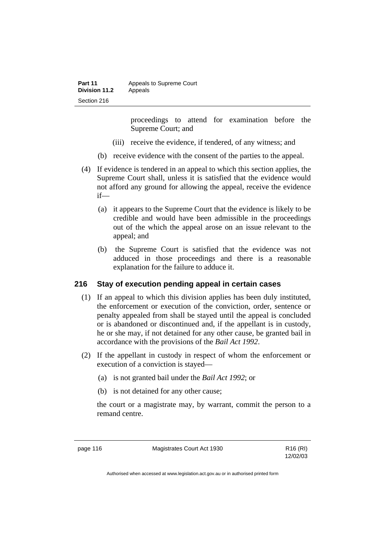| Part 11       | Appeals to Supreme Court |
|---------------|--------------------------|
| Division 11.2 | Appeals                  |
| Section 216   |                          |

proceedings to attend for examination before the Supreme Court; and

- (iii) receive the evidence, if tendered, of any witness; and
- (b) receive evidence with the consent of the parties to the appeal.
- (4) If evidence is tendered in an appeal to which this section applies, the Supreme Court shall, unless it is satisfied that the evidence would not afford any ground for allowing the appeal, receive the evidence if—
	- (a) it appears to the Supreme Court that the evidence is likely to be credible and would have been admissible in the proceedings out of the which the appeal arose on an issue relevant to the appeal; and
	- (b) the Supreme Court is satisfied that the evidence was not adduced in those proceedings and there is a reasonable explanation for the failure to adduce it.

#### **216 Stay of execution pending appeal in certain cases**

- (1) If an appeal to which this division applies has been duly instituted, the enforcement or execution of the conviction, order, sentence or penalty appealed from shall be stayed until the appeal is concluded or is abandoned or discontinued and, if the appellant is in custody, he or she may, if not detained for any other cause, be granted bail in accordance with the provisions of the *Bail Act 1992*.
- (2) If the appellant in custody in respect of whom the enforcement or execution of a conviction is stayed—
	- (a) is not granted bail under the *Bail Act 1992*; or
	- (b) is not detained for any other cause;

the court or a magistrate may, by warrant, commit the person to a remand centre.

page 116 Magistrates Court Act 1930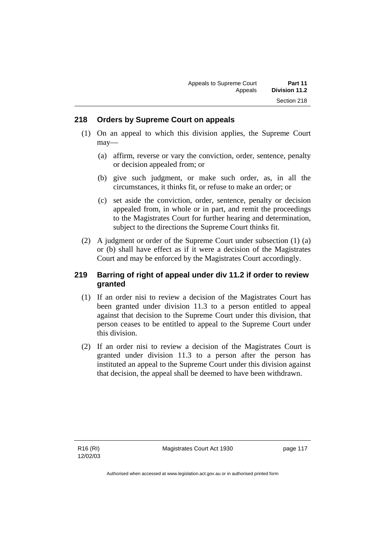#### **218 Orders by Supreme Court on appeals**

- (1) On an appeal to which this division applies, the Supreme Court may—
	- (a) affirm, reverse or vary the conviction, order, sentence, penalty or decision appealed from; or
	- (b) give such judgment, or make such order, as, in all the circumstances, it thinks fit, or refuse to make an order; or
	- (c) set aside the conviction, order, sentence, penalty or decision appealed from, in whole or in part, and remit the proceedings to the Magistrates Court for further hearing and determination, subject to the directions the Supreme Court thinks fit.
- (2) A judgment or order of the Supreme Court under subsection (1) (a) or (b) shall have effect as if it were a decision of the Magistrates Court and may be enforced by the Magistrates Court accordingly.

#### **219 Barring of right of appeal under div 11.2 if order to review granted**

- (1) If an order nisi to review a decision of the Magistrates Court has been granted under division 11.3 to a person entitled to appeal against that decision to the Supreme Court under this division, that person ceases to be entitled to appeal to the Supreme Court under this division.
- (2) If an order nisi to review a decision of the Magistrates Court is granted under division 11.3 to a person after the person has instituted an appeal to the Supreme Court under this division against that decision, the appeal shall be deemed to have been withdrawn.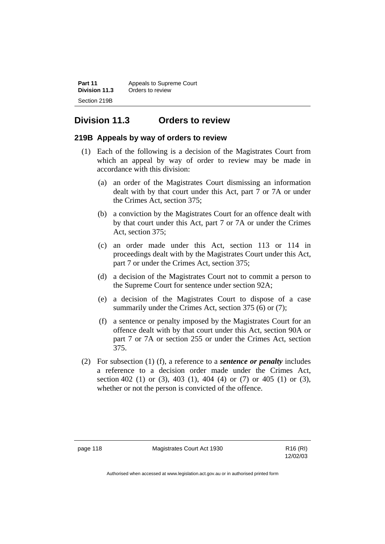| Part 11       | Appeals to Supreme Court |
|---------------|--------------------------|
| Division 11.3 | Orders to review         |
| Section 219B  |                          |

# **Division 11.3 Orders to review**

# **219B Appeals by way of orders to review**

- (1) Each of the following is a decision of the Magistrates Court from which an appeal by way of order to review may be made in accordance with this division:
	- (a) an order of the Magistrates Court dismissing an information dealt with by that court under this Act, part 7 or 7A or under the Crimes Act, section 375;
	- (b) a conviction by the Magistrates Court for an offence dealt with by that court under this Act, part 7 or 7A or under the Crimes Act, section 375;
	- (c) an order made under this Act, section 113 or 114 in proceedings dealt with by the Magistrates Court under this Act, part 7 or under the Crimes Act, section 375;
	- (d) a decision of the Magistrates Court not to commit a person to the Supreme Court for sentence under section 92A;
	- (e) a decision of the Magistrates Court to dispose of a case summarily under the Crimes Act, section 375 (6) or (7);
	- (f) a sentence or penalty imposed by the Magistrates Court for an offence dealt with by that court under this Act, section 90A or part 7 or 7A or section 255 or under the Crimes Act, section 375.
- (2) For subsection (1) (f), a reference to a *sentence or penalty* includes a reference to a decision order made under the Crimes Act, section 402 (1) or (3), 403 (1), 404 (4) or (7) or 405 (1) or (3), whether or not the person is convicted of the offence.

page 118 Magistrates Court Act 1930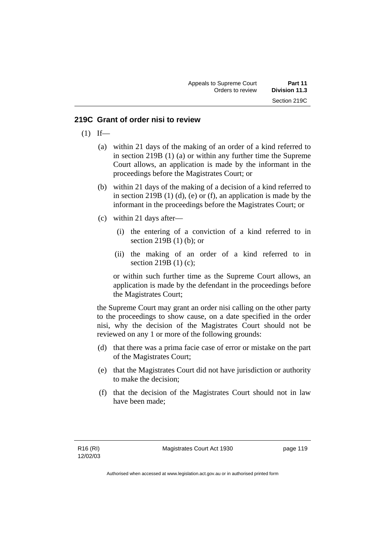#### **219C Grant of order nisi to review**

- $(1)$  If—
	- (a) within 21 days of the making of an order of a kind referred to in section 219B (1) (a) or within any further time the Supreme Court allows, an application is made by the informant in the proceedings before the Magistrates Court; or
	- (b) within 21 days of the making of a decision of a kind referred to in section 219B  $(1)$   $(d)$ ,  $(e)$  or  $(f)$ , an application is made by the informant in the proceedings before the Magistrates Court; or
	- (c) within 21 days after—
		- (i) the entering of a conviction of a kind referred to in section 219B (1) (b); or
		- (ii) the making of an order of a kind referred to in section 219B (1) (c);

or within such further time as the Supreme Court allows, an application is made by the defendant in the proceedings before the Magistrates Court;

the Supreme Court may grant an order nisi calling on the other party to the proceedings to show cause, on a date specified in the order nisi, why the decision of the Magistrates Court should not be reviewed on any 1 or more of the following grounds:

- (d) that there was a prima facie case of error or mistake on the part of the Magistrates Court;
- (e) that the Magistrates Court did not have jurisdiction or authority to make the decision;
- (f) that the decision of the Magistrates Court should not in law have been made;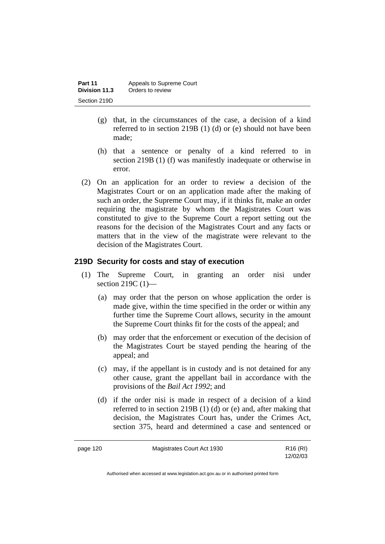| Part 11       | Appeals to Supreme Court |
|---------------|--------------------------|
| Division 11.3 | Orders to review         |
| Section 219D  |                          |

- (g) that, in the circumstances of the case, a decision of a kind referred to in section 219B (1) (d) or (e) should not have been made;
- (h) that a sentence or penalty of a kind referred to in section 219B (1) (f) was manifestly inadequate or otherwise in error.
- (2) On an application for an order to review a decision of the Magistrates Court or on an application made after the making of such an order, the Supreme Court may, if it thinks fit, make an order requiring the magistrate by whom the Magistrates Court was constituted to give to the Supreme Court a report setting out the reasons for the decision of the Magistrates Court and any facts or matters that in the view of the magistrate were relevant to the decision of the Magistrates Court.

#### **219D Security for costs and stay of execution**

- (1) The Supreme Court, in granting an order nisi under section 219C (1)—
	- (a) may order that the person on whose application the order is made give, within the time specified in the order or within any further time the Supreme Court allows, security in the amount the Supreme Court thinks fit for the costs of the appeal; and
	- (b) may order that the enforcement or execution of the decision of the Magistrates Court be stayed pending the hearing of the appeal; and
	- (c) may, if the appellant is in custody and is not detained for any other cause, grant the appellant bail in accordance with the provisions of the *Bail Act 1992*; and
	- (d) if the order nisi is made in respect of a decision of a kind referred to in section 219B (1) (d) or (e) and, after making that decision, the Magistrates Court has, under the Crimes Act, section 375, heard and determined a case and sentenced or

| page 120 | Magistrates Court Act 1930 | R <sub>16</sub> (RI) |
|----------|----------------------------|----------------------|
|          |                            | 12/02/03             |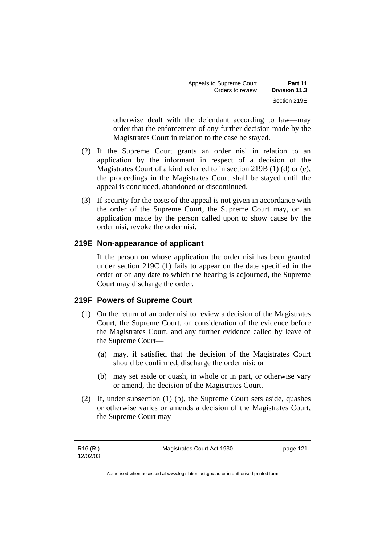| Part 11       | Appeals to Supreme Court |
|---------------|--------------------------|
| Division 11.3 | Orders to review         |
| Section 219E  |                          |

otherwise dealt with the defendant according to law—may order that the enforcement of any further decision made by the Magistrates Court in relation to the case be stayed.

- (2) If the Supreme Court grants an order nisi in relation to an application by the informant in respect of a decision of the Magistrates Court of a kind referred to in section 219B (1) (d) or (e), the proceedings in the Magistrates Court shall be stayed until the appeal is concluded, abandoned or discontinued.
- (3) If security for the costs of the appeal is not given in accordance with the order of the Supreme Court, the Supreme Court may, on an application made by the person called upon to show cause by the order nisi, revoke the order nisi.

#### **219E Non-appearance of applicant**

If the person on whose application the order nisi has been granted under section 219C (1) fails to appear on the date specified in the order or on any date to which the hearing is adjourned, the Supreme Court may discharge the order.

#### **219F Powers of Supreme Court**

- (1) On the return of an order nisi to review a decision of the Magistrates Court, the Supreme Court, on consideration of the evidence before the Magistrates Court, and any further evidence called by leave of the Supreme Court—
	- (a) may, if satisfied that the decision of the Magistrates Court should be confirmed, discharge the order nisi; or
	- (b) may set aside or quash, in whole or in part, or otherwise vary or amend, the decision of the Magistrates Court.
- (2) If, under subsection (1) (b), the Supreme Court sets aside, quashes or otherwise varies or amends a decision of the Magistrates Court, the Supreme Court may—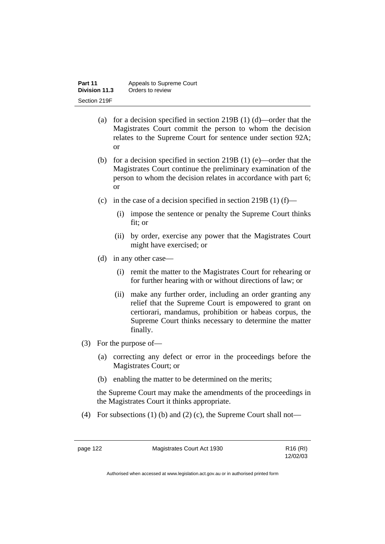- (a) for a decision specified in section 219B (1) (d)—order that the Magistrates Court commit the person to whom the decision relates to the Supreme Court for sentence under section 92A; or
- (b) for a decision specified in section 219B (1) (e)—order that the Magistrates Court continue the preliminary examination of the person to whom the decision relates in accordance with part 6; or
- (c) in the case of a decision specified in section 219B (1) (f)—
	- (i) impose the sentence or penalty the Supreme Court thinks fit; or
	- (ii) by order, exercise any power that the Magistrates Court might have exercised; or
- (d) in any other case—
	- (i) remit the matter to the Magistrates Court for rehearing or for further hearing with or without directions of law; or
	- (ii) make any further order, including an order granting any relief that the Supreme Court is empowered to grant on certiorari, mandamus, prohibition or habeas corpus, the Supreme Court thinks necessary to determine the matter finally.
- (3) For the purpose of—
	- (a) correcting any defect or error in the proceedings before the Magistrates Court; or
	- (b) enabling the matter to be determined on the merits;

the Supreme Court may make the amendments of the proceedings in the Magistrates Court it thinks appropriate.

(4) For subsections (1) (b) and (2) (c), the Supreme Court shall not—

page 122 Magistrates Court Act 1930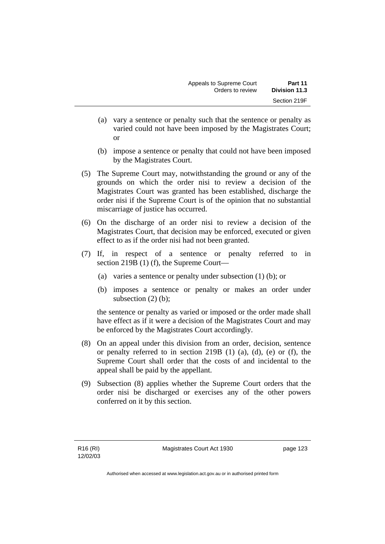- (a) vary a sentence or penalty such that the sentence or penalty as varied could not have been imposed by the Magistrates Court; or
- (b) impose a sentence or penalty that could not have been imposed by the Magistrates Court.
- (5) The Supreme Court may, notwithstanding the ground or any of the grounds on which the order nisi to review a decision of the Magistrates Court was granted has been established, discharge the order nisi if the Supreme Court is of the opinion that no substantial miscarriage of justice has occurred.
- (6) On the discharge of an order nisi to review a decision of the Magistrates Court, that decision may be enforced, executed or given effect to as if the order nisi had not been granted.
- (7) If, in respect of a sentence or penalty referred to in section 219B (1) (f), the Supreme Court—
	- (a) varies a sentence or penalty under subsection (1) (b); or
	- (b) imposes a sentence or penalty or makes an order under subsection  $(2)$  (b);

the sentence or penalty as varied or imposed or the order made shall have effect as if it were a decision of the Magistrates Court and may be enforced by the Magistrates Court accordingly.

- (8) On an appeal under this division from an order, decision, sentence or penalty referred to in section 219B (1) (a), (d), (e) or (f), the Supreme Court shall order that the costs of and incidental to the appeal shall be paid by the appellant.
- (9) Subsection (8) applies whether the Supreme Court orders that the order nisi be discharged or exercises any of the other powers conferred on it by this section.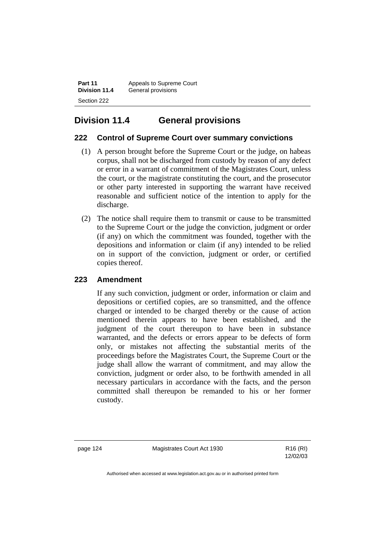| Part 11       | Appeals to Supreme Court |
|---------------|--------------------------|
| Division 11.4 | General provisions       |
| Section 222   |                          |

# **Division 11.4 General provisions**

# **222 Control of Supreme Court over summary convictions**

- (1) A person brought before the Supreme Court or the judge, on habeas corpus, shall not be discharged from custody by reason of any defect or error in a warrant of commitment of the Magistrates Court, unless the court, or the magistrate constituting the court, and the prosecutor or other party interested in supporting the warrant have received reasonable and sufficient notice of the intention to apply for the discharge.
- (2) The notice shall require them to transmit or cause to be transmitted to the Supreme Court or the judge the conviction, judgment or order (if any) on which the commitment was founded, together with the depositions and information or claim (if any) intended to be relied on in support of the conviction, judgment or order, or certified copies thereof.

# **223 Amendment**

If any such conviction, judgment or order, information or claim and depositions or certified copies, are so transmitted, and the offence charged or intended to be charged thereby or the cause of action mentioned therein appears to have been established, and the judgment of the court thereupon to have been in substance warranted, and the defects or errors appear to be defects of form only, or mistakes not affecting the substantial merits of the proceedings before the Magistrates Court, the Supreme Court or the judge shall allow the warrant of commitment, and may allow the conviction, judgment or order also, to be forthwith amended in all necessary particulars in accordance with the facts, and the person committed shall thereupon be remanded to his or her former custody.

page 124 Magistrates Court Act 1930 R16 (RI)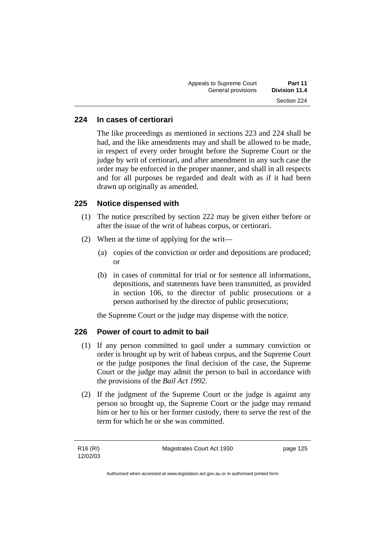# **224 In cases of certiorari**

The like proceedings as mentioned in sections 223 and 224 shall be had, and the like amendments may and shall be allowed to be made, in respect of every order brought before the Supreme Court or the judge by writ of certiorari, and after amendment in any such case the order may be enforced in the proper manner, and shall in all respects and for all purposes be regarded and dealt with as if it had been drawn up originally as amended.

# **225 Notice dispensed with**

- (1) The notice prescribed by section 222 may be given either before or after the issue of the writ of habeas corpus, or certiorari.
- (2) When at the time of applying for the writ—
	- (a) copies of the conviction or order and depositions are produced; or
	- (b) in cases of committal for trial or for sentence all informations, depositions, and statements have been transmitted, as provided in section 106, to the director of public prosecutions or a person authorised by the director of public prosecutions;

the Supreme Court or the judge may dispense with the notice.

#### **226 Power of court to admit to bail**

- (1) If any person committed to gaol under a summary conviction or order is brought up by writ of habeas corpus, and the Supreme Court or the judge postpones the final decision of the case, the Supreme Court or the judge may admit the person to bail in accordance with the provisions of the *Bail Act 1992*.
- (2) If the judgment of the Supreme Court or the judge is against any person so brought up, the Supreme Court or the judge may remand him or her to his or her former custody, there to serve the rest of the term for which he or she was committed.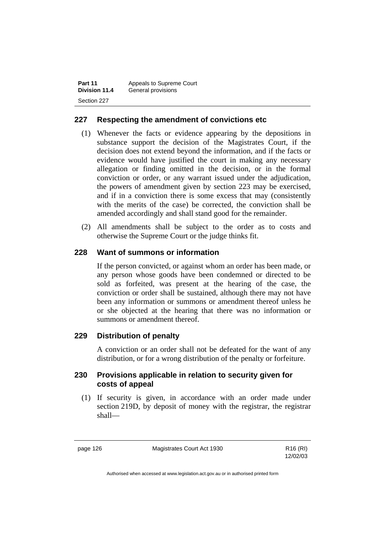| Part 11       | Appeals to Supreme Court |
|---------------|--------------------------|
| Division 11.4 | General provisions       |
| Section 227   |                          |

# **227 Respecting the amendment of convictions etc**

- (1) Whenever the facts or evidence appearing by the depositions in substance support the decision of the Magistrates Court, if the decision does not extend beyond the information, and if the facts or evidence would have justified the court in making any necessary allegation or finding omitted in the decision, or in the formal conviction or order, or any warrant issued under the adjudication, the powers of amendment given by section 223 may be exercised, and if in a conviction there is some excess that may (consistently with the merits of the case) be corrected, the conviction shall be amended accordingly and shall stand good for the remainder.
- (2) All amendments shall be subject to the order as to costs and otherwise the Supreme Court or the judge thinks fit.

#### **228 Want of summons or information**

If the person convicted, or against whom an order has been made, or any person whose goods have been condemned or directed to be sold as forfeited, was present at the hearing of the case, the conviction or order shall be sustained, although there may not have been any information or summons or amendment thereof unless he or she objected at the hearing that there was no information or summons or amendment thereof.

#### **229 Distribution of penalty**

A conviction or an order shall not be defeated for the want of any distribution, or for a wrong distribution of the penalty or forfeiture.

#### **230 Provisions applicable in relation to security given for costs of appeal**

 (1) If security is given, in accordance with an order made under section 219D, by deposit of money with the registrar, the registrar shall—

page 126 Magistrates Court Act 1930 R16 (RI)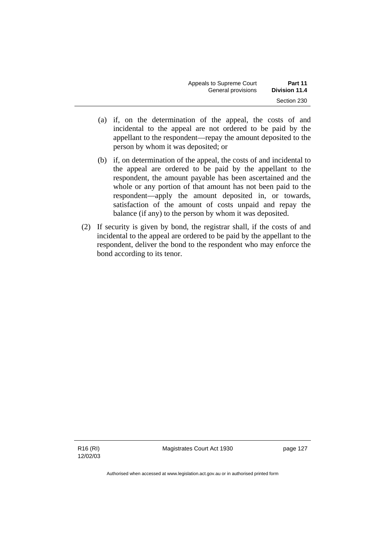| Appeals to Supreme Court | Part 11       |
|--------------------------|---------------|
| General provisions       | Division 11.4 |
|                          | Section 230   |

- (a) if, on the determination of the appeal, the costs of and incidental to the appeal are not ordered to be paid by the appellant to the respondent—repay the amount deposited to the person by whom it was deposited; or
- (b) if, on determination of the appeal, the costs of and incidental to the appeal are ordered to be paid by the appellant to the respondent, the amount payable has been ascertained and the whole or any portion of that amount has not been paid to the respondent—apply the amount deposited in, or towards, satisfaction of the amount of costs unpaid and repay the balance (if any) to the person by whom it was deposited.
- (2) If security is given by bond, the registrar shall, if the costs of and incidental to the appeal are ordered to be paid by the appellant to the respondent, deliver the bond to the respondent who may enforce the bond according to its tenor.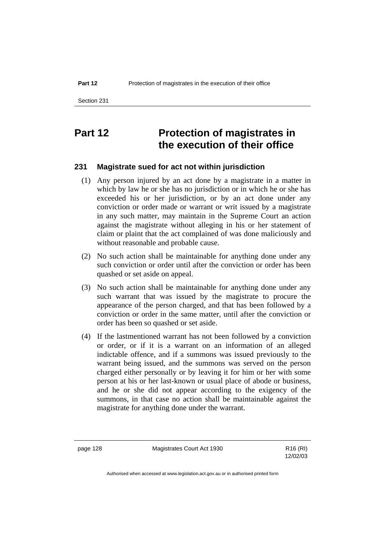# **Part 12 Protection of magistrates in the execution of their office**

#### **231 Magistrate sued for act not within jurisdiction**

- (1) Any person injured by an act done by a magistrate in a matter in which by law he or she has no jurisdiction or in which he or she has exceeded his or her jurisdiction, or by an act done under any conviction or order made or warrant or writ issued by a magistrate in any such matter, may maintain in the Supreme Court an action against the magistrate without alleging in his or her statement of claim or plaint that the act complained of was done maliciously and without reasonable and probable cause.
- (2) No such action shall be maintainable for anything done under any such conviction or order until after the conviction or order has been quashed or set aside on appeal.
- (3) No such action shall be maintainable for anything done under any such warrant that was issued by the magistrate to procure the appearance of the person charged, and that has been followed by a conviction or order in the same matter, until after the conviction or order has been so quashed or set aside.
- (4) If the lastmentioned warrant has not been followed by a conviction or order, or if it is a warrant on an information of an alleged indictable offence, and if a summons was issued previously to the warrant being issued, and the summons was served on the person charged either personally or by leaving it for him or her with some person at his or her last-known or usual place of abode or business, and he or she did not appear according to the exigency of the summons, in that case no action shall be maintainable against the magistrate for anything done under the warrant.

page 128 Magistrates Court Act 1930

12/02/03

Authorised when accessed at www.legislation.act.gov.au or in authorised printed form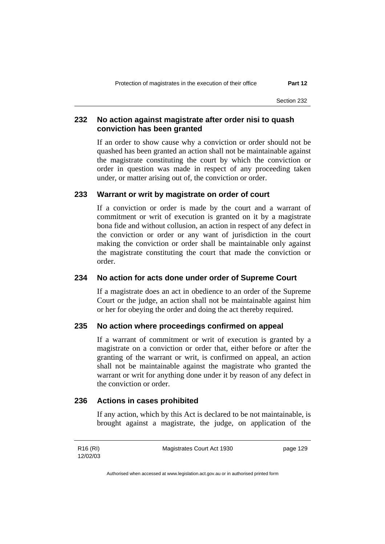Section 232

#### **232 No action against magistrate after order nisi to quash conviction has been granted**

If an order to show cause why a conviction or order should not be quashed has been granted an action shall not be maintainable against the magistrate constituting the court by which the conviction or order in question was made in respect of any proceeding taken under, or matter arising out of, the conviction or order.

#### **233 Warrant or writ by magistrate on order of court**

If a conviction or order is made by the court and a warrant of commitment or writ of execution is granted on it by a magistrate bona fide and without collusion, an action in respect of any defect in the conviction or order or any want of jurisdiction in the court making the conviction or order shall be maintainable only against the magistrate constituting the court that made the conviction or order.

#### **234 No action for acts done under order of Supreme Court**

If a magistrate does an act in obedience to an order of the Supreme Court or the judge, an action shall not be maintainable against him or her for obeying the order and doing the act thereby required.

#### **235 No action where proceedings confirmed on appeal**

If a warrant of commitment or writ of execution is granted by a magistrate on a conviction or order that, either before or after the granting of the warrant or writ, is confirmed on appeal, an action shall not be maintainable against the magistrate who granted the warrant or writ for anything done under it by reason of any defect in the conviction or order.

#### **236 Actions in cases prohibited**

If any action, which by this Act is declared to be not maintainable, is brought against a magistrate, the judge, on application of the

R16 (RI) 12/02/03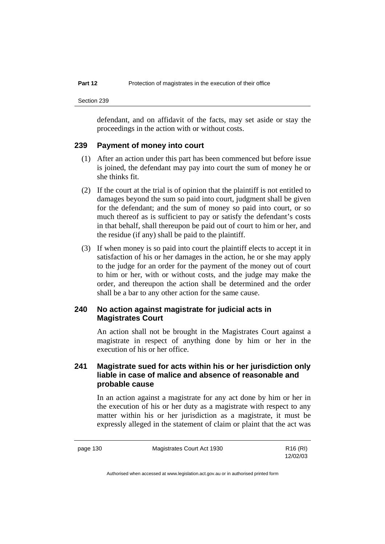defendant, and on affidavit of the facts, may set aside or stay the proceedings in the action with or without costs.

#### **239 Payment of money into court**

- (1) After an action under this part has been commenced but before issue is joined, the defendant may pay into court the sum of money he or she thinks fit.
- (2) If the court at the trial is of opinion that the plaintiff is not entitled to damages beyond the sum so paid into court, judgment shall be given for the defendant; and the sum of money so paid into court, or so much thereof as is sufficient to pay or satisfy the defendant's costs in that behalf, shall thereupon be paid out of court to him or her, and the residue (if any) shall be paid to the plaintiff.
- (3) If when money is so paid into court the plaintiff elects to accept it in satisfaction of his or her damages in the action, he or she may apply to the judge for an order for the payment of the money out of court to him or her, with or without costs, and the judge may make the order, and thereupon the action shall be determined and the order shall be a bar to any other action for the same cause.

#### **240 No action against magistrate for judicial acts in Magistrates Court**

An action shall not be brought in the Magistrates Court against a magistrate in respect of anything done by him or her in the execution of his or her office.

# **241 Magistrate sued for acts within his or her jurisdiction only liable in case of malice and absence of reasonable and probable cause**

In an action against a magistrate for any act done by him or her in the execution of his or her duty as a magistrate with respect to any matter within his or her jurisdiction as a magistrate, it must be expressly alleged in the statement of claim or plaint that the act was

page 130 Magistrates Court Act 1930 R16 (RI)

12/02/03

Authorised when accessed at www.legislation.act.gov.au or in authorised printed form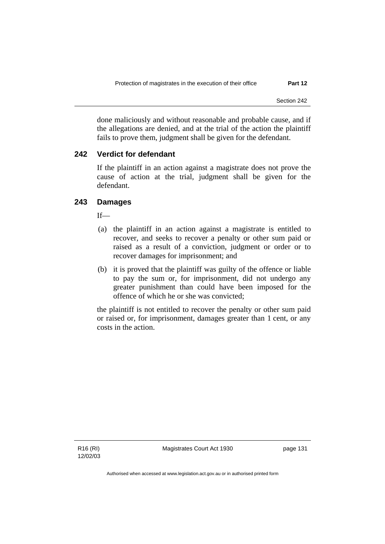done maliciously and without reasonable and probable cause, and if the allegations are denied, and at the trial of the action the plaintiff fails to prove them, judgment shall be given for the defendant.

## **242 Verdict for defendant**

If the plaintiff in an action against a magistrate does not prove the cause of action at the trial, judgment shall be given for the defendant.

## **243 Damages**

If—

- (a) the plaintiff in an action against a magistrate is entitled to recover, and seeks to recover a penalty or other sum paid or raised as a result of a conviction, judgment or order or to recover damages for imprisonment; and
- (b) it is proved that the plaintiff was guilty of the offence or liable to pay the sum or, for imprisonment, did not undergo any greater punishment than could have been imposed for the offence of which he or she was convicted;

the plaintiff is not entitled to recover the penalty or other sum paid or raised or, for imprisonment, damages greater than 1 cent, or any costs in the action.

R16 (RI) 12/02/03 Magistrates Court Act 1930 **page 131**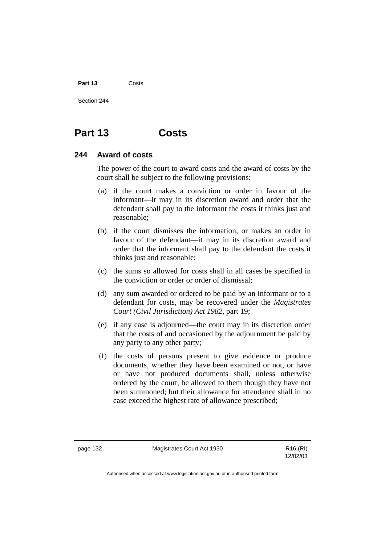### Part 13 **Costs**

Section 244

# **Part 13 Costs**

## **244 Award of costs**

The power of the court to award costs and the award of costs by the court shall be subject to the following provisions:

- (a) if the court makes a conviction or order in favour of the informant—it may in its discretion award and order that the defendant shall pay to the informant the costs it thinks just and reasonable;
- (b) if the court dismisses the information, or makes an order in favour of the defendant—it may in its discretion award and order that the informant shall pay to the defendant the costs it thinks just and reasonable;
- (c) the sums so allowed for costs shall in all cases be specified in the conviction or order or order of dismissal;
- (d) any sum awarded or ordered to be paid by an informant or to a defendant for costs, may be recovered under the *Magistrates Court (Civil Jurisdiction) Act 1982*, part 19;
- (e) if any case is adjourned—the court may in its discretion order that the costs of and occasioned by the adjournment be paid by any party to any other party;
- (f) the costs of persons present to give evidence or produce documents, whether they have been examined or not, or have or have not produced documents shall, unless otherwise ordered by the court, be allowed to them though they have not been summoned; but their allowance for attendance shall in no case exceed the highest rate of allowance prescribed;

page 132 Magistrates Court Act 1930

12/02/03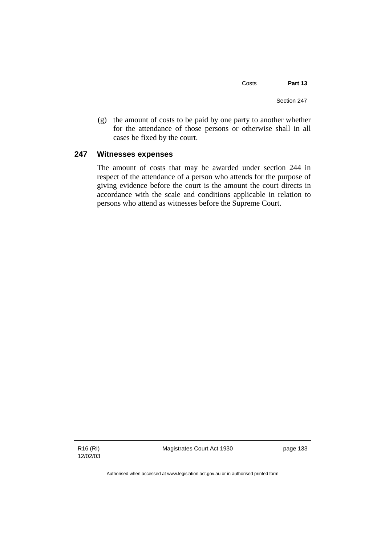Costs **Part 13** 

Section 247

 (g) the amount of costs to be paid by one party to another whether for the attendance of those persons or otherwise shall in all cases be fixed by the court.

## **247 Witnesses expenses**

The amount of costs that may be awarded under section 244 in respect of the attendance of a person who attends for the purpose of giving evidence before the court is the amount the court directs in accordance with the scale and conditions applicable in relation to persons who attend as witnesses before the Supreme Court.

R16 (RI) 12/02/03 Magistrates Court Act 1930 **page 133**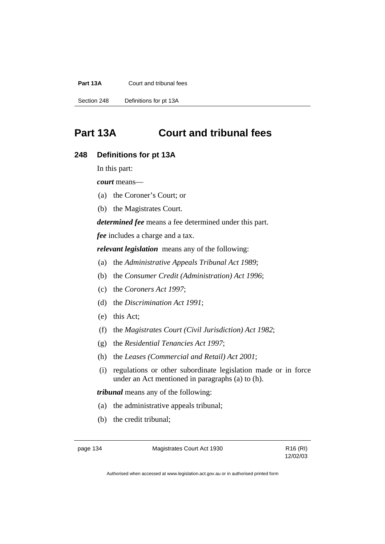# **Part 13A Court and tribunal fees**

## **248 Definitions for pt 13A**

In this part:

*court* means—

- (a) the Coroner's Court; or
- (b) the Magistrates Court.

*determined fee* means a fee determined under this part.

*fee* includes a charge and a tax.

*relevant legislation* means any of the following:

- (a) the *Administrative Appeals Tribunal Act 1989*;
- (b) the *Consumer Credit (Administration) Act 1996*;
- (c) the *Coroners Act 1997*;
- (d) the *Discrimination Act 1991*;
- (e) this Act;
- (f) the *Magistrates Court (Civil Jurisdiction) Act 1982*;
- (g) the *Residential Tenancies Act 1997*;
- (h) the *Leases (Commercial and Retail) Act 2001*;
- (i) regulations or other subordinate legislation made or in force under an Act mentioned in paragraphs (a) to (h).

*tribunal* means any of the following:

- (a) the administrative appeals tribunal;
- (b) the credit tribunal;

page 134 Magistrates Court Act 1930

12/02/03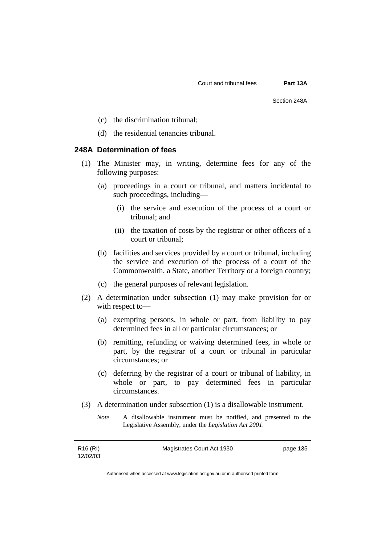- (c) the discrimination tribunal;
- (d) the residential tenancies tribunal.

## **248A Determination of fees**

- (1) The Minister may, in writing, determine fees for any of the following purposes:
	- (a) proceedings in a court or tribunal, and matters incidental to such proceedings, including—
		- (i) the service and execution of the process of a court or tribunal; and
		- (ii) the taxation of costs by the registrar or other officers of a court or tribunal;
	- (b) facilities and services provided by a court or tribunal, including the service and execution of the process of a court of the Commonwealth, a State, another Territory or a foreign country;
	- (c) the general purposes of relevant legislation.
- (2) A determination under subsection (1) may make provision for or with respect to—
	- (a) exempting persons, in whole or part, from liability to pay determined fees in all or particular circumstances; or
	- (b) remitting, refunding or waiving determined fees, in whole or part, by the registrar of a court or tribunal in particular circumstances; or
	- (c) deferring by the registrar of a court or tribunal of liability, in whole or part, to pay determined fees in particular circumstances.
- (3) A determination under subsection (1) is a disallowable instrument.
	- *Note* A disallowable instrument must be notified, and presented to the Legislative Assembly, under the *Legislation Act 2001*.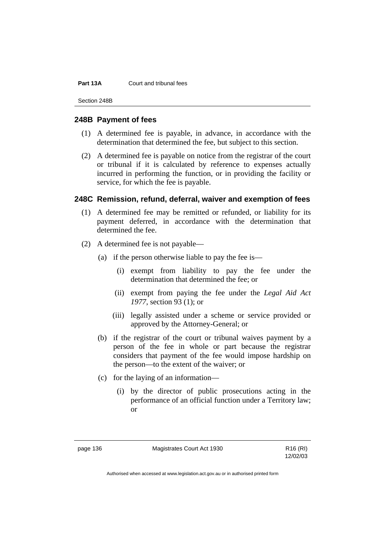#### **Part 13A** Court and tribunal fees

Section 248B

## **248B Payment of fees**

- (1) A determined fee is payable, in advance, in accordance with the determination that determined the fee, but subject to this section.
- (2) A determined fee is payable on notice from the registrar of the court or tribunal if it is calculated by reference to expenses actually incurred in performing the function, or in providing the facility or service, for which the fee is payable.

## **248C Remission, refund, deferral, waiver and exemption of fees**

- (1) A determined fee may be remitted or refunded, or liability for its payment deferred, in accordance with the determination that determined the fee.
- (2) A determined fee is not payable—
	- (a) if the person otherwise liable to pay the fee is—
		- (i) exempt from liability to pay the fee under the determination that determined the fee; or
		- (ii) exempt from paying the fee under the *Legal Aid Act 1977*, section 93 (1); or
		- (iii) legally assisted under a scheme or service provided or approved by the Attorney-General; or
	- (b) if the registrar of the court or tribunal waives payment by a person of the fee in whole or part because the registrar considers that payment of the fee would impose hardship on the person—to the extent of the waiver; or
	- (c) for the laying of an information—
		- (i) by the director of public prosecutions acting in the performance of an official function under a Territory law; or

page 136 Magistrates Court Act 1930

12/02/03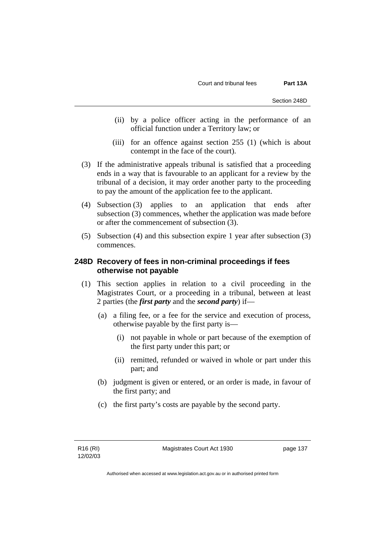- (ii) by a police officer acting in the performance of an official function under a Territory law; or
- (iii) for an offence against section 255 (1) (which is about contempt in the face of the court).
- (3) If the administrative appeals tribunal is satisfied that a proceeding ends in a way that is favourable to an applicant for a review by the tribunal of a decision, it may order another party to the proceeding to pay the amount of the application fee to the applicant.
- (4) Subsection (3) applies to an application that ends after subsection (3) commences, whether the application was made before or after the commencement of subsection (3).
- (5) Subsection (4) and this subsection expire 1 year after subsection (3) commences.

## **248D Recovery of fees in non-criminal proceedings if fees otherwise not payable**

- (1) This section applies in relation to a civil proceeding in the Magistrates Court, or a proceeding in a tribunal, between at least 2 parties (the *first party* and the *second party*) if—
	- (a) a filing fee, or a fee for the service and execution of process, otherwise payable by the first party is—
		- (i) not payable in whole or part because of the exemption of the first party under this part; or
		- (ii) remitted, refunded or waived in whole or part under this part; and
	- (b) judgment is given or entered, or an order is made, in favour of the first party; and
	- (c) the first party's costs are payable by the second party.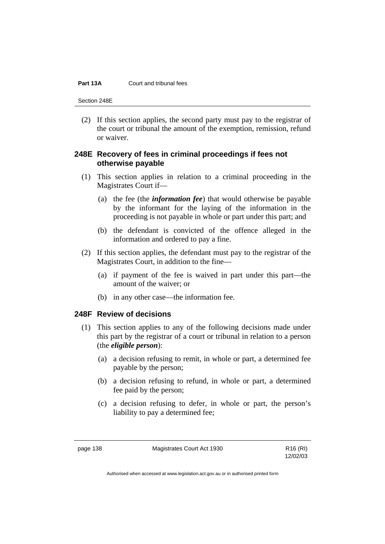#### **Part 13A Court and tribunal fees**

Section 248E

 (2) If this section applies, the second party must pay to the registrar of the court or tribunal the amount of the exemption, remission, refund or waiver.

## **248E Recovery of fees in criminal proceedings if fees not otherwise payable**

- (1) This section applies in relation to a criminal proceeding in the Magistrates Court if—
	- (a) the fee (the *information fee*) that would otherwise be payable by the informant for the laying of the information in the proceeding is not payable in whole or part under this part; and
	- (b) the defendant is convicted of the offence alleged in the information and ordered to pay a fine.
- (2) If this section applies, the defendant must pay to the registrar of the Magistrates Court, in addition to the fine—
	- (a) if payment of the fee is waived in part under this part—the amount of the waiver; or
	- (b) in any other case—the information fee.

## **248F Review of decisions**

- (1) This section applies to any of the following decisions made under this part by the registrar of a court or tribunal in relation to a person (the *eligible person*):
	- (a) a decision refusing to remit, in whole or part, a determined fee payable by the person;
	- (b) a decision refusing to refund, in whole or part, a determined fee paid by the person;
	- (c) a decision refusing to defer, in whole or part, the person's liability to pay a determined fee;

page 138 Magistrates Court Act 1930 R16 (RI)

12/02/03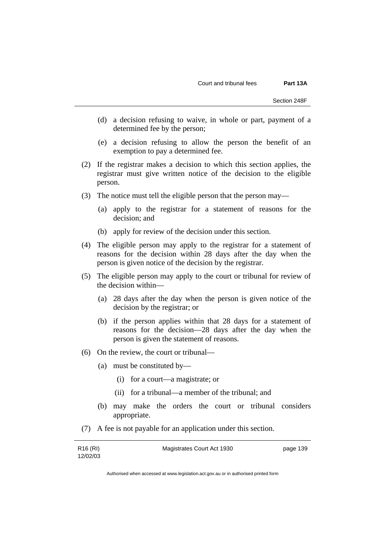- (d) a decision refusing to waive, in whole or part, payment of a determined fee by the person;
- (e) a decision refusing to allow the person the benefit of an exemption to pay a determined fee.
- (2) If the registrar makes a decision to which this section applies, the registrar must give written notice of the decision to the eligible person.
- (3) The notice must tell the eligible person that the person may—
	- (a) apply to the registrar for a statement of reasons for the decision; and
	- (b) apply for review of the decision under this section.
- (4) The eligible person may apply to the registrar for a statement of reasons for the decision within 28 days after the day when the person is given notice of the decision by the registrar.
- (5) The eligible person may apply to the court or tribunal for review of the decision within—
	- (a) 28 days after the day when the person is given notice of the decision by the registrar; or
	- (b) if the person applies within that 28 days for a statement of reasons for the decision—28 days after the day when the person is given the statement of reasons.
- (6) On the review, the court or tribunal—
	- (a) must be constituted by—
		- (i) for a court—a magistrate; or
		- (ii) for a tribunal—a member of the tribunal; and
	- (b) may make the orders the court or tribunal considers appropriate.
- (7) A fee is not payable for an application under this section.

| R <sub>16</sub> (RI) | Magistrates Court Act 1930 | page 139 |
|----------------------|----------------------------|----------|
| 12/02/03             |                            |          |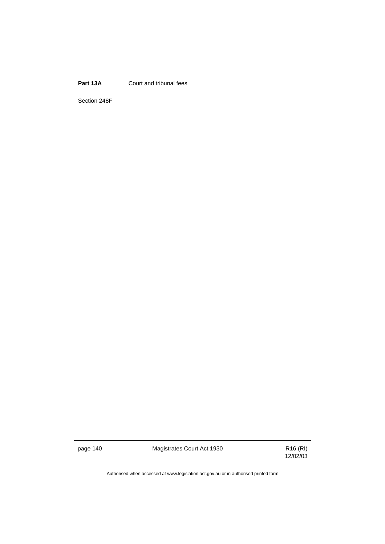## **Part 13A Court and tribunal fees**

Section 248F

page 140 Magistrates Court Act 1930

R16 (RI)<br>12/02/03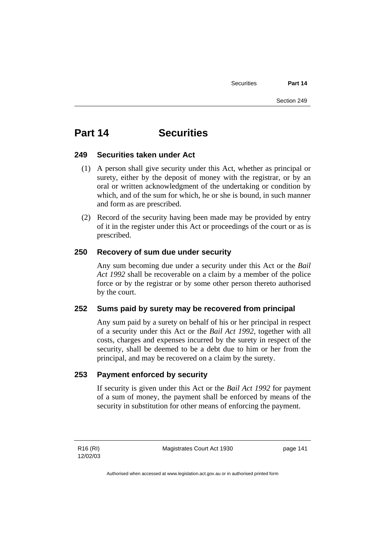# **Part 14 Securities**

## **249 Securities taken under Act**

- (1) A person shall give security under this Act, whether as principal or surety, either by the deposit of money with the registrar, or by an oral or written acknowledgment of the undertaking or condition by which, and of the sum for which, he or she is bound, in such manner and form as are prescribed.
- (2) Record of the security having been made may be provided by entry of it in the register under this Act or proceedings of the court or as is prescribed.

## **250 Recovery of sum due under security**

Any sum becoming due under a security under this Act or the *Bail Act 1992* shall be recoverable on a claim by a member of the police force or by the registrar or by some other person thereto authorised by the court.

## **252 Sums paid by surety may be recovered from principal**

Any sum paid by a surety on behalf of his or her principal in respect of a security under this Act or the *Bail Act 1992*, together with all costs, charges and expenses incurred by the surety in respect of the security, shall be deemed to be a debt due to him or her from the principal, and may be recovered on a claim by the surety.

## **253 Payment enforced by security**

If security is given under this Act or the *Bail Act 1992* for payment of a sum of money, the payment shall be enforced by means of the security in substitution for other means of enforcing the payment.

R16 (RI) 12/02/03 Magistrates Court Act 1930 page 141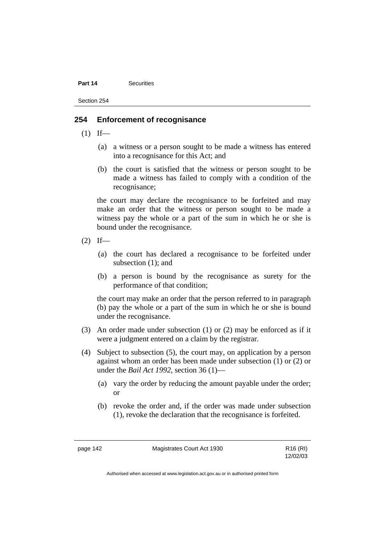#### **Part 14** Securities

Section 254

## **254 Enforcement of recognisance**

- $(1)$  If—
	- (a) a witness or a person sought to be made a witness has entered into a recognisance for this Act; and
	- (b) the court is satisfied that the witness or person sought to be made a witness has failed to comply with a condition of the recognisance;

the court may declare the recognisance to be forfeited and may make an order that the witness or person sought to be made a witness pay the whole or a part of the sum in which he or she is bound under the recognisance.

- $(2)$  If—
	- (a) the court has declared a recognisance to be forfeited under subsection (1); and
	- (b) a person is bound by the recognisance as surety for the performance of that condition;

the court may make an order that the person referred to in paragraph (b) pay the whole or a part of the sum in which he or she is bound under the recognisance.

- (3) An order made under subsection (1) or (2) may be enforced as if it were a judgment entered on a claim by the registrar.
- (4) Subject to subsection (5), the court may, on application by a person against whom an order has been made under subsection (1) or (2) or under the *Bail Act 1992*, section 36 (1)—
	- (a) vary the order by reducing the amount payable under the order; or
	- (b) revoke the order and, if the order was made under subsection (1), revoke the declaration that the recognisance is forfeited.

page 142 Magistrates Court Act 1930

12/02/03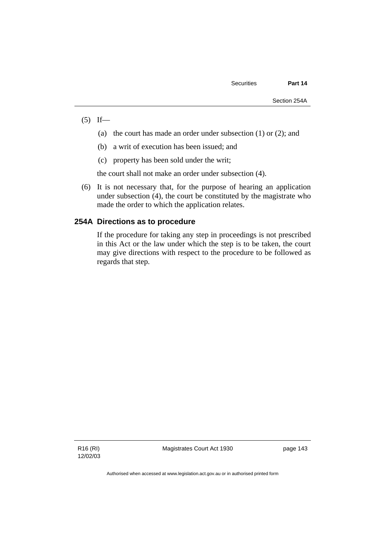## $(5)$  If—

- (a) the court has made an order under subsection (1) or (2); and
- (b) a writ of execution has been issued; and
- (c) property has been sold under the writ;

the court shall not make an order under subsection (4).

 (6) It is not necessary that, for the purpose of hearing an application under subsection (4), the court be constituted by the magistrate who made the order to which the application relates.

## **254A Directions as to procedure**

If the procedure for taking any step in proceedings is not prescribed in this Act or the law under which the step is to be taken, the court may give directions with respect to the procedure to be followed as regards that step.

R16 (RI) 12/02/03 Magistrates Court Act 1930 **page 143**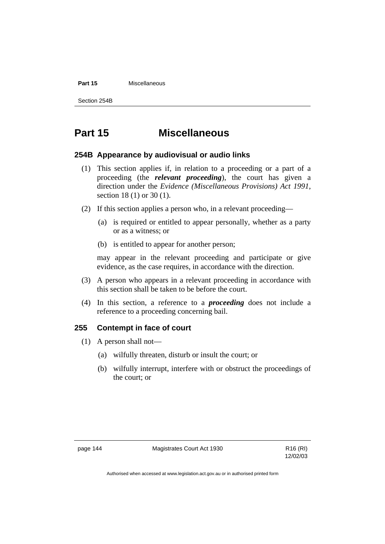#### **Part 15** Miscellaneous

Section 254B

# **Part 15 Miscellaneous**

## **254B Appearance by audiovisual or audio links**

- (1) This section applies if, in relation to a proceeding or a part of a proceeding (the *relevant proceeding*), the court has given a direction under the *Evidence (Miscellaneous Provisions) Act 1991*, section 18 (1) or 30 (1).
- (2) If this section applies a person who, in a relevant proceeding—
	- (a) is required or entitled to appear personally, whether as a party or as a witness; or
	- (b) is entitled to appear for another person;

may appear in the relevant proceeding and participate or give evidence, as the case requires, in accordance with the direction.

- (3) A person who appears in a relevant proceeding in accordance with this section shall be taken to be before the court.
- (4) In this section, a reference to a *proceeding* does not include a reference to a proceeding concerning bail.

## **255 Contempt in face of court**

- (1) A person shall not—
	- (a) wilfully threaten, disturb or insult the court; or
	- (b) wilfully interrupt, interfere with or obstruct the proceedings of the court; or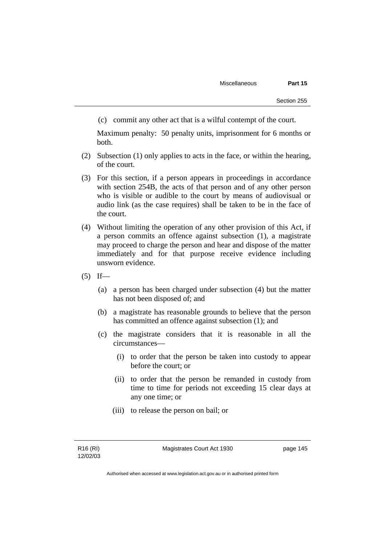(c) commit any other act that is a wilful contempt of the court.

Maximum penalty: 50 penalty units, imprisonment for 6 months or both.

- (2) Subsection (1) only applies to acts in the face, or within the hearing, of the court.
- (3) For this section, if a person appears in proceedings in accordance with section 254B, the acts of that person and of any other person who is visible or audible to the court by means of audiovisual or audio link (as the case requires) shall be taken to be in the face of the court.
- (4) Without limiting the operation of any other provision of this Act, if a person commits an offence against subsection (1), a magistrate may proceed to charge the person and hear and dispose of the matter immediately and for that purpose receive evidence including unsworn evidence.
- $(5)$  If—
	- (a) a person has been charged under subsection (4) but the matter has not been disposed of; and
	- (b) a magistrate has reasonable grounds to believe that the person has committed an offence against subsection (1); and
	- (c) the magistrate considers that it is reasonable in all the circumstances—
		- (i) to order that the person be taken into custody to appear before the court; or
		- (ii) to order that the person be remanded in custody from time to time for periods not exceeding 15 clear days at any one time; or
		- (iii) to release the person on bail; or

Magistrates Court Act 1930 **page 145**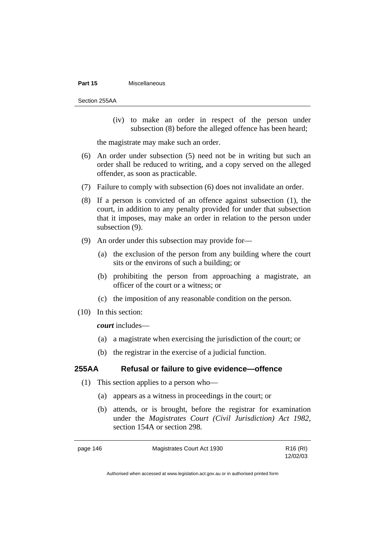#### **Part 15** Miscellaneous

Section 255AA

 (iv) to make an order in respect of the person under subsection (8) before the alleged offence has been heard;

the magistrate may make such an order.

- (6) An order under subsection (5) need not be in writing but such an order shall be reduced to writing, and a copy served on the alleged offender, as soon as practicable.
- (7) Failure to comply with subsection (6) does not invalidate an order.
- (8) If a person is convicted of an offence against subsection (1), the court, in addition to any penalty provided for under that subsection that it imposes, may make an order in relation to the person under subsection (9).
- (9) An order under this subsection may provide for—
	- (a) the exclusion of the person from any building where the court sits or the environs of such a building; or
	- (b) prohibiting the person from approaching a magistrate, an officer of the court or a witness; or
	- (c) the imposition of any reasonable condition on the person.
- (10) In this section:

*court* includes—

- (a) a magistrate when exercising the jurisdiction of the court; or
- (b) the registrar in the exercise of a judicial function.

## **255AA Refusal or failure to give evidence—offence**

- (1) This section applies to a person who—
	- (a) appears as a witness in proceedings in the court; or
	- (b) attends, or is brought, before the registrar for examination under the *Magistrates Court (Civil Jurisdiction) Act 1982*, section 154A or section 298*.*

page 146 Magistrates Court Act 1930 12/02/03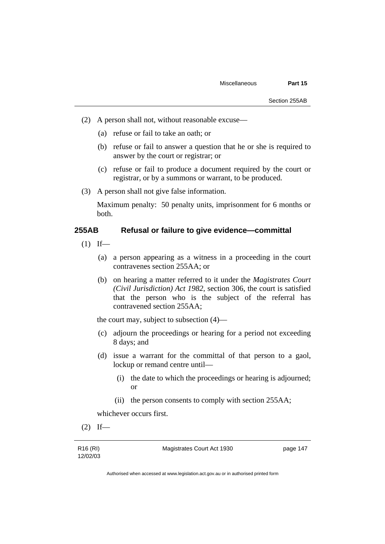- (2) A person shall not, without reasonable excuse—
	- (a) refuse or fail to take an oath; or
	- (b) refuse or fail to answer a question that he or she is required to answer by the court or registrar; or
	- (c) refuse or fail to produce a document required by the court or registrar, or by a summons or warrant, to be produced.
- (3) A person shall not give false information.

Maximum penalty: 50 penalty units, imprisonment for 6 months or both.

## **255AB Refusal or failure to give evidence—committal**

- $(1)$  If—
	- (a) a person appearing as a witness in a proceeding in the court contravenes section 255AA; or
	- (b) on hearing a matter referred to it under the *Magistrates Court (Civil Jurisdiction) Act 1982*, section 306, the court is satisfied that the person who is the subject of the referral has contravened section 255AA;

the court may, subject to subsection (4)—

- (c) adjourn the proceedings or hearing for a period not exceeding 8 days; and
- (d) issue a warrant for the committal of that person to a gaol, lockup or remand centre until—
	- (i) the date to which the proceedings or hearing is adjourned; or
	- (ii) the person consents to comply with section 255AA;

whichever occurs first.

 $(2)$  If—

R16 (RI) 12/02/03 Magistrates Court Act 1930 **page 147**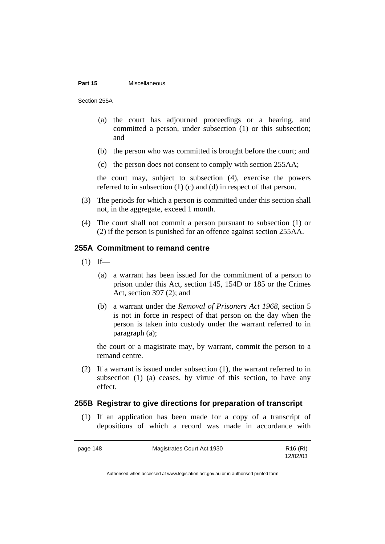#### **Part 15** Miscellaneous

Section 255A

- (a) the court has adjourned proceedings or a hearing, and committed a person, under subsection (1) or this subsection; and
- (b) the person who was committed is brought before the court; and
- (c) the person does not consent to comply with section 255AA;

the court may, subject to subsection (4), exercise the powers referred to in subsection (1) (c) and (d) in respect of that person.

- (3) The periods for which a person is committed under this section shall not, in the aggregate, exceed 1 month.
- (4) The court shall not commit a person pursuant to subsection (1) or (2) if the person is punished for an offence against section 255AA.

## **255A Commitment to remand centre**

- $(1)$  If—
	- (a) a warrant has been issued for the commitment of a person to prison under this Act, section 145, 154D or 185 or the Crimes Act, section 397 (2); and
	- (b) a warrant under the *Removal of Prisoners Act 1968*, section 5 is not in force in respect of that person on the day when the person is taken into custody under the warrant referred to in paragraph (a);

the court or a magistrate may, by warrant, commit the person to a remand centre.

 (2) If a warrant is issued under subsection (1), the warrant referred to in subsection (1) (a) ceases, by virtue of this section, to have any effect.

## **255B Registrar to give directions for preparation of transcript**

 (1) If an application has been made for a copy of a transcript of depositions of which a record was made in accordance with

page 148 Magistrates Court Act 1930

12/02/03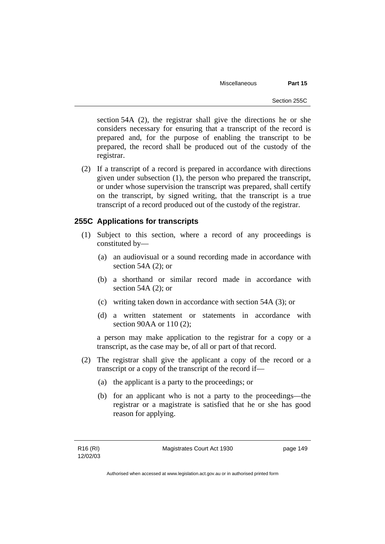section 54A (2), the registrar shall give the directions he or she considers necessary for ensuring that a transcript of the record is prepared and, for the purpose of enabling the transcript to be prepared, the record shall be produced out of the custody of the registrar.

 (2) If a transcript of a record is prepared in accordance with directions given under subsection (1), the person who prepared the transcript, or under whose supervision the transcript was prepared, shall certify on the transcript, by signed writing, that the transcript is a true transcript of a record produced out of the custody of the registrar.

## **255C Applications for transcripts**

- (1) Subject to this section, where a record of any proceedings is constituted by—
	- (a) an audiovisual or a sound recording made in accordance with section 54A (2); or
	- (b) a shorthand or similar record made in accordance with section 54A (2); or
	- (c) writing taken down in accordance with section 54A (3); or
	- (d) a written statement or statements in accordance with section 90AA or 110 (2);

a person may make application to the registrar for a copy or a transcript, as the case may be, of all or part of that record.

- (2) The registrar shall give the applicant a copy of the record or a transcript or a copy of the transcript of the record if—
	- (a) the applicant is a party to the proceedings; or
	- (b) for an applicant who is not a party to the proceedings—the registrar or a magistrate is satisfied that he or she has good reason for applying.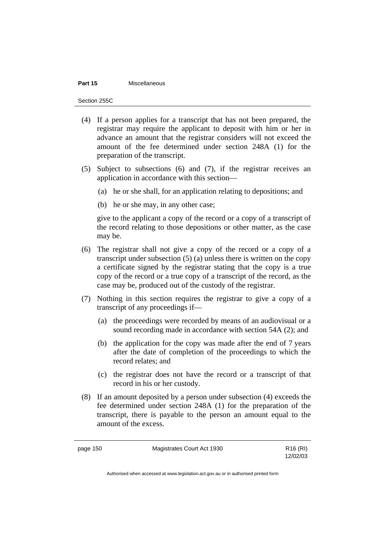#### **Part 15** Miscellaneous

Section 255C

- (4) If a person applies for a transcript that has not been prepared, the registrar may require the applicant to deposit with him or her in advance an amount that the registrar considers will not exceed the amount of the fee determined under section 248A (1) for the preparation of the transcript.
- (5) Subject to subsections (6) and (7), if the registrar receives an application in accordance with this section—
	- (a) he or she shall, for an application relating to depositions; and
	- (b) he or she may, in any other case;

give to the applicant a copy of the record or a copy of a transcript of the record relating to those depositions or other matter, as the case may be.

- (6) The registrar shall not give a copy of the record or a copy of a transcript under subsection (5) (a) unless there is written on the copy a certificate signed by the registrar stating that the copy is a true copy of the record or a true copy of a transcript of the record, as the case may be, produced out of the custody of the registrar.
- (7) Nothing in this section requires the registrar to give a copy of a transcript of any proceedings if—
	- (a) the proceedings were recorded by means of an audiovisual or a sound recording made in accordance with section 54A (2); and
	- (b) the application for the copy was made after the end of 7 years after the date of completion of the proceedings to which the record relates; and
	- (c) the registrar does not have the record or a transcript of that record in his or her custody.
- (8) If an amount deposited by a person under subsection (4) exceeds the fee determined under section 248A (1) for the preparation of the transcript, there is payable to the person an amount equal to the amount of the excess.

page 150 Magistrates Court Act 1930

12/02/03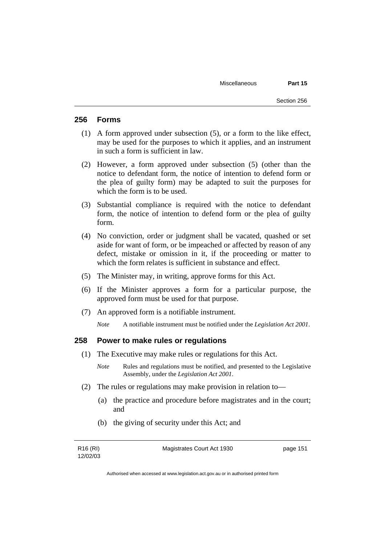## **256 Forms**

- (1) A form approved under subsection (5), or a form to the like effect, may be used for the purposes to which it applies, and an instrument in such a form is sufficient in law.
- (2) However, a form approved under subsection (5) (other than the notice to defendant form, the notice of intention to defend form or the plea of guilty form) may be adapted to suit the purposes for which the form is to be used.
- (3) Substantial compliance is required with the notice to defendant form, the notice of intention to defend form or the plea of guilty form.
- (4) No conviction, order or judgment shall be vacated, quashed or set aside for want of form, or be impeached or affected by reason of any defect, mistake or omission in it, if the proceeding or matter to which the form relates is sufficient in substance and effect.
- (5) The Minister may, in writing, approve forms for this Act.
- (6) If the Minister approves a form for a particular purpose, the approved form must be used for that purpose.
- (7) An approved form is a notifiable instrument.

*Note* A notifiable instrument must be notified under the *Legislation Act 2001*.

#### **258 Power to make rules or regulations**

- (1) The Executive may make rules or regulations for this Act.
	- *Note* Rules and regulations must be notified, and presented to the Legislative Assembly, under the *Legislation Act 2001*.
- (2) The rules or regulations may make provision in relation to—
	- (a) the practice and procedure before magistrates and in the court; and
	- (b) the giving of security under this Act; and

R16 (RI) 12/02/03 Magistrates Court Act 1930 **page 151**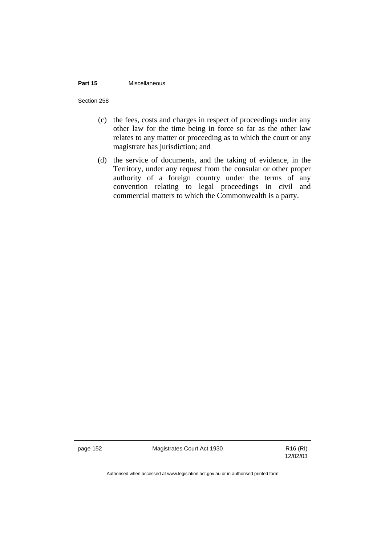#### **Part 15** Miscellaneous

Section 258

- (c) the fees, costs and charges in respect of proceedings under any other law for the time being in force so far as the other law relates to any matter or proceeding as to which the court or any magistrate has jurisdiction; and
- (d) the service of documents, and the taking of evidence, in the Territory, under any request from the consular or other proper authority of a foreign country under the terms of any convention relating to legal proceedings in civil and commercial matters to which the Commonwealth is a party.

page 152 Magistrates Court Act 1930 R16 (RI)

12/02/03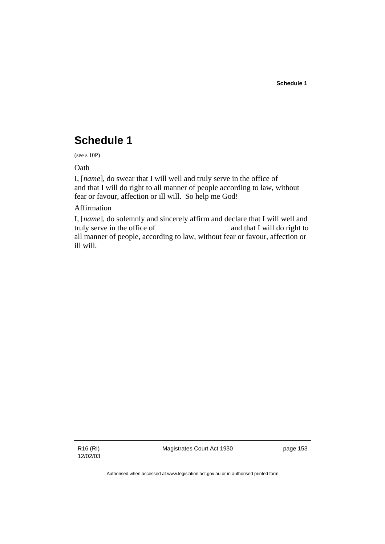# **Schedule 1**

(see s 10P)

Oath

I, [*name*], do swear that I will well and truly serve in the office of and that I will do right to all manner of people according to law, without fear or favour, affection or ill will. So help me God!

Affirmation

I, [*name*], do solemnly and sincerely affirm and declare that I will well and truly serve in the office of and that I will do right to all manner of people, according to law, without fear or favour, affection or ill will.

R16 (RI) 12/02/03 Magistrates Court Act 1930 **page 153**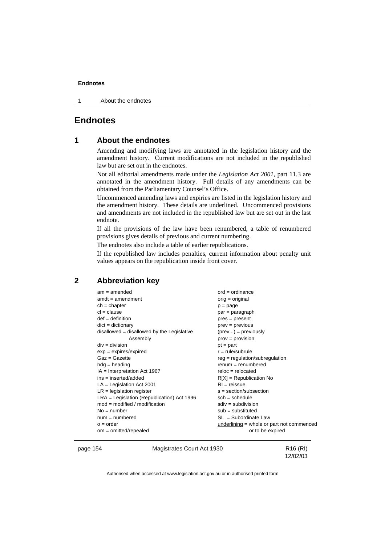1 About the endnotes

## **Endnotes**

## **1 About the endnotes**

Amending and modifying laws are annotated in the legislation history and the amendment history. Current modifications are not included in the republished law but are set out in the endnotes.

Not all editorial amendments made under the *Legislation Act 2001*, part 11.3 are annotated in the amendment history. Full details of any amendments can be obtained from the Parliamentary Counsel's Office.

Uncommenced amending laws and expiries are listed in the legislation history and the amendment history. These details are underlined. Uncommenced provisions and amendments are not included in the republished law but are set out in the last endnote.

If all the provisions of the law have been renumbered, a table of renumbered provisions gives details of previous and current numbering.

The endnotes also include a table of earlier republications.

If the republished law includes penalties, current information about penalty unit values appears on the republication inside front cover.

## **2 Abbreviation key**

| $am = amended$                               | $ord = ordinance$                         |
|----------------------------------------------|-------------------------------------------|
| $amdt = amendment$                           | $orig = original$                         |
| $ch = chapter$                               | $p = page$                                |
| $cl = clause$                                | $par = paragraph$                         |
| $def = definition$                           | $pres = present$                          |
| $dict = dictionary$                          | $prev = previous$                         |
| disallowed = disallowed by the Legislative   | $(\text{prev}) = \text{previously}$       |
| Assembly                                     | $prov = provision$                        |
| $div = division$                             | $pt = part$                               |
| $exp = expires/expired$                      | $r = rule/subrule$                        |
| $Gaz = Gazette$                              | $reg = regulation/subregulation$          |
| $hdg =$ heading                              | $renum = renumbered$                      |
| $IA = Interpretation Act 1967$               | $reloc = relocated$                       |
| $ins = inserted/added$                       | $R[X]$ = Republication No                 |
| $LA =$ Legislation Act 2001                  | $RI =$ reissue                            |
| $LR =$ legislation register                  | s = section/subsection                    |
| $LRA =$ Legislation (Republication) Act 1996 | $sch = schedule$                          |
| $mod = modified / modified$                  | $sdiv = subdivision$                      |
| $No = number$                                | $sub =$ substituted                       |
| $num = numbered$                             | $SL = Subordinate Law$                    |
| $o = order$                                  | underlining = whole or part not commenced |
| $om = omitted/repealed$                      | or to be expired                          |
|                                              |                                           |

page 154 Magistrates Court Act 1930 R16 (RI)

12/02/03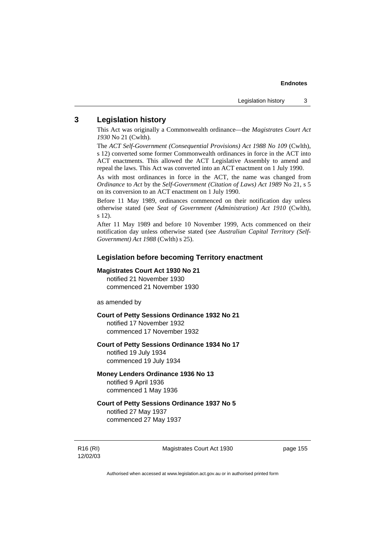## **3 Legislation history**

This Act was originally a Commonwealth ordinance—the *Magistrates Court Act 1930* No 21 (Cwlth).

The *ACT Self-Government (Consequential Provisions) Act 1988 No 109* (Cwlth), s 12) converted some former Commonwealth ordinances in force in the ACT into ACT enactments. This allowed the ACT Legislative Assembly to amend and repeal the laws. This Act was converted into an ACT enactment on 1 July 1990.

As with most ordinances in force in the ACT, the name was changed from *Ordinance* to *Act* by the *Self-Government (Citation of Laws) Act 1989* No 21, s 5 on its conversion to an ACT enactment on 1 July 1990.

Before 11 May 1989, ordinances commenced on their notification day unless otherwise stated (see *Seat of Government (Administration) Act 1910* (Cwlth), s 12).

After 11 May 1989 and before 10 November 1999, Acts commenced on their notification day unless otherwise stated (see *Australian Capital Territory (Self-Government) Act 1988* (Cwlth) s 25).

#### **Legislation before becoming Territory enactment**

#### **Magistrates Court Act 1930 No 21**

notified 21 November 1930 commenced 21 November 1930

as amended by

#### **Court of Petty Sessions Ordinance 1932 No 21**

notified 17 November 1932 commenced 17 November 1932

#### **Court of Petty Sessions Ordinance 1934 No 17**

notified 19 July 1934 commenced 19 July 1934

## **Money Lenders Ordinance 1936 No 13**

notified 9 April 1936 commenced 1 May 1936

#### **Court of Petty Sessions Ordinance 1937 No 5**  notified 27 May 1937

commenced 27 May 1937

R16 (RI) 12/02/03 Magistrates Court Act 1930 **page 155**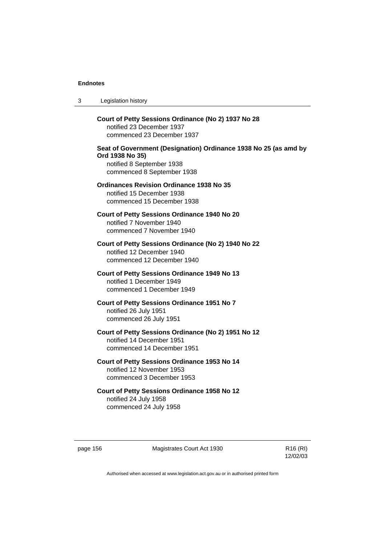| 3 | Legislation history |  |
|---|---------------------|--|
|---|---------------------|--|

## **Court of Petty Sessions Ordinance (No 2) 1937 No 28**  notified 23 December 1937 commenced 23 December 1937 **Seat of Government (Designation) Ordinance 1938 No 25 (as amd by Ord 1938 No 35)**  notified 8 September 1938 commenced 8 September 1938 **Ordinances Revision Ordinance 1938 No 35**  notified 15 December 1938 commenced 15 December 1938 **Court of Petty Sessions Ordinance 1940 No 20**  notified 7 November 1940 commenced 7 November 1940 **Court of Petty Sessions Ordinance (No 2) 1940 No 22**  notified 12 December 1940 commenced 12 December 1940 **Court of Petty Sessions Ordinance 1949 No 13**  notified 1 December 1949 commenced 1 December 1949 **Court of Petty Sessions Ordinance 1951 No 7**  notified 26 July 1951 commenced 26 July 1951 **Court of Petty Sessions Ordinance (No 2) 1951 No 12**  notified 14 December 1951 commenced 14 December 1951 **Court of Petty Sessions Ordinance 1953 No 14**  notified 12 November 1953 commenced 3 December 1953 **Court of Petty Sessions Ordinance 1958 No 12**  notified 24 July 1958

commenced 24 July 1958

page 156 Magistrates Court Act 1930 R16 (RI)

12/02/03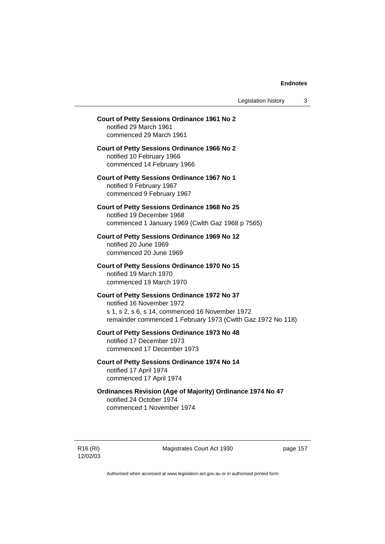Legislation history 3

**Court of Petty Sessions Ordinance 1961 No 2**  notified 29 March 1961 commenced 29 March 1961 **Court of Petty Sessions Ordinance 1966 No 2**  notified 10 February 1966 commenced 14 February 1966 **Court of Petty Sessions Ordinance 1967 No 1**  notified 9 February 1967 commenced 9 February 1967 **Court of Petty Sessions Ordinance 1968 No 25**  notified 19 December 1968 commenced 1 January 1969 (Cwlth Gaz 1968 p 7565) **Court of Petty Sessions Ordinance 1969 No 12**  notified 20 June 1969 commenced 20 June 1969 **Court of Petty Sessions Ordinance 1970 No 15**  notified 19 March 1970 commenced 19 March 1970 **Court of Petty Sessions Ordinance 1972 No 37**  notified 16 November 1972 s 1, s 2, s 6, s 14, commenced 16 November 1972 remainder commenced 1 February 1973 (Cwlth Gaz 1972 No 118) **Court of Petty Sessions Ordinance 1973 No 48**  notified 17 December 1973 commenced 17 December 1973 **Court of Petty Sessions Ordinance 1974 No 14**  notified 17 April 1974 commenced 17 April 1974 **Ordinances Revision (Age of Majority) Ordinance 1974 No 47**  notified 24 October 1974 commenced 1 November 1974

R16 (RI) 12/02/03 Magistrates Court Act 1930 **page 157**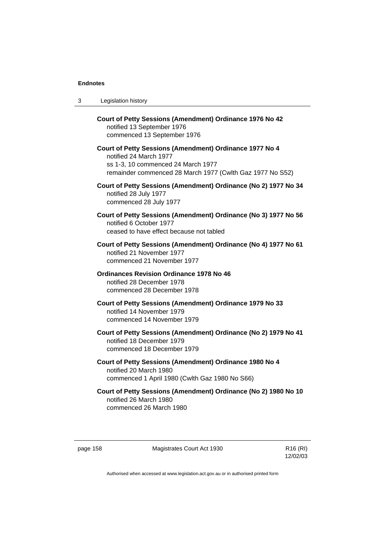| Legislation history<br>-3 |  |
|---------------------------|--|
|---------------------------|--|

| Court of Petty Sessions (Amendment) Ordinance 1976 No 42<br>notified 13 September 1976<br>commenced 13 September 1976                                                                |
|--------------------------------------------------------------------------------------------------------------------------------------------------------------------------------------|
| Court of Petty Sessions (Amendment) Ordinance 1977 No 4<br>notified 24 March 1977<br>ss 1-3, 10 commenced 24 March 1977<br>remainder commenced 28 March 1977 (Cwlth Gaz 1977 No S52) |
| Court of Petty Sessions (Amendment) Ordinance (No 2) 1977 No 34<br>notified 28 July 1977<br>commenced 28 July 1977                                                                   |
| Court of Petty Sessions (Amendment) Ordinance (No 3) 1977 No 56<br>notified 6 October 1977<br>ceased to have effect because not tabled                                               |
| Court of Petty Sessions (Amendment) Ordinance (No 4) 1977 No 61<br>notified 21 November 1977<br>commenced 21 November 1977                                                           |
| <b>Ordinances Revision Ordinance 1978 No 46</b><br>notified 28 December 1978<br>commenced 28 December 1978                                                                           |
| Court of Petty Sessions (Amendment) Ordinance 1979 No 33<br>notified 14 November 1979<br>commenced 14 November 1979                                                                  |
| Court of Petty Sessions (Amendment) Ordinance (No 2) 1979 No 41<br>notified 18 December 1979<br>commenced 18 December 1979                                                           |
| Court of Petty Sessions (Amendment) Ordinance 1980 No 4<br>notified 20 March 1980<br>commenced 1 April 1980 (Cwlth Gaz 1980 No S66)                                                  |

**Court of Petty Sessions (Amendment) Ordinance (No 2) 1980 No 10**  notified 26 March 1980 commenced 26 March 1980

page 158 Magistrates Court Act 1930 R16 (RI)

12/02/03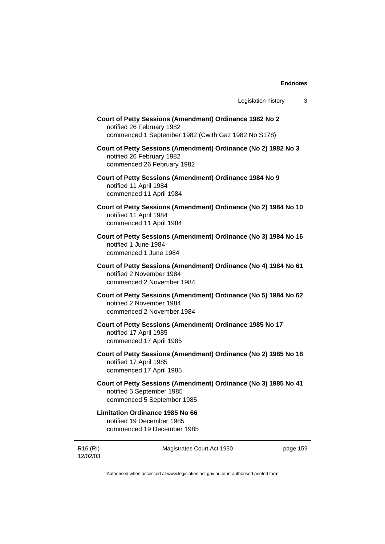| Court of Petty Sessions (Amendment) Ordinance 1982 No 2<br>notified 26 February 1982<br>commenced 1 September 1982 (Cwlth Gaz 1982 No S178) |
|---------------------------------------------------------------------------------------------------------------------------------------------|
|                                                                                                                                             |
| Court of Petty Sessions (Amendment) Ordinance (No 2) 1982 No 3<br>notified 26 February 1982<br>commenced 26 February 1982                   |
| Court of Petty Sessions (Amendment) Ordinance 1984 No 9<br>notified 11 April 1984<br>commenced 11 April 1984                                |
| Court of Petty Sessions (Amendment) Ordinance (No 2) 1984 No 10<br>notified 11 April 1984<br>commenced 11 April 1984                        |
| Court of Petty Sessions (Amendment) Ordinance (No 3) 1984 No 16<br>notified 1 June 1984<br>commenced 1 June 1984                            |
| Court of Petty Sessions (Amendment) Ordinance (No 4) 1984 No 61<br>notified 2 November 1984<br>commenced 2 November 1984                    |
| Court of Petty Sessions (Amendment) Ordinance (No 5) 1984 No 62<br>notified 2 November 1984<br>commenced 2 November 1984                    |
| Court of Petty Sessions (Amendment) Ordinance 1985 No 17<br>notified 17 April 1985<br>commenced 17 April 1985                               |
| Court of Petty Sessions (Amendment) Ordinance (No 2) 1985 No 18<br>notified 17 April 1985<br>commenced 17 April 1985                        |
| Court of Petty Sessions (Amendment) Ordinance (No 3) 1985 No 41<br>notified 5 September 1985<br>commenced 5 September 1985                  |
| <b>Limitation Ordinance 1985 No 66</b><br>notified 19 December 1985<br>commenced 19 December 1985                                           |

R16 (RI) 12/02/03 Magistrates Court Act 1930 **page 159**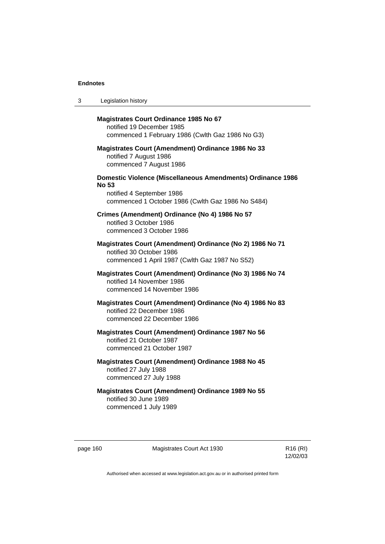| 3 | Legislation history |  |
|---|---------------------|--|
|---|---------------------|--|

| <b>Magistrates Court Ordinance 1985 No 67</b><br>notified 19 December 1985<br>commenced 1 February 1986 (Cwlth Gaz 1986 No G3)                                |
|---------------------------------------------------------------------------------------------------------------------------------------------------------------|
| <b>Magistrates Court (Amendment) Ordinance 1986 No 33</b><br>notified 7 August 1986<br>commenced 7 August 1986                                                |
| Domestic Violence (Miscellaneous Amendments) Ordinance 1986<br><b>No 53</b><br>notified 4 September 1986<br>commenced 1 October 1986 (Cwlth Gaz 1986 No S484) |
| Crimes (Amendment) Ordinance (No 4) 1986 No 57<br>notified 3 October 1986<br>commenced 3 October 1986                                                         |
| Magistrates Court (Amendment) Ordinance (No 2) 1986 No 71<br>notified 30 October 1986<br>commenced 1 April 1987 (Cwlth Gaz 1987 No S52)                       |
| Magistrates Court (Amendment) Ordinance (No 3) 1986 No 74<br>notified 14 November 1986<br>commenced 14 November 1986                                          |
| Magistrates Court (Amendment) Ordinance (No 4) 1986 No 83<br>notified 22 December 1986<br>commenced 22 December 1986                                          |
| Magistrates Court (Amendment) Ordinance 1987 No 56<br>notified 21 October 1987<br>commenced 21 October 1987                                                   |
| <b>Magistrates Court (Amendment) Ordinance 1988 No 45</b><br>notified 27 July 1988<br>commenced 27 July 1988                                                  |

#### **Magistrates Court (Amendment) Ordinance 1989 No 55**  notified 30 June 1989 commenced 1 July 1989

page 160 Magistrates Court Act 1930 R16 (RI)

12/02/03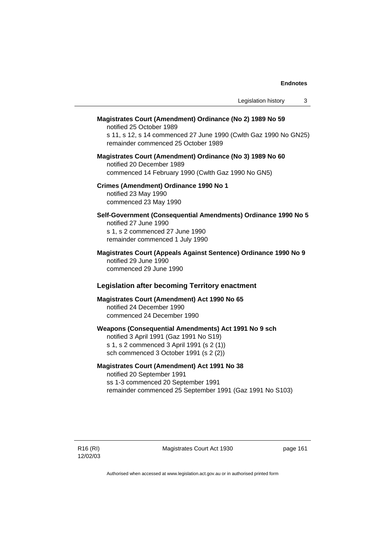| Legislation history |  |
|---------------------|--|
|---------------------|--|

#### **Magistrates Court (Amendment) Ordinance (No 2) 1989 No 59**  notified 25 October 1989

s 11, s 12, s 14 commenced 27 June 1990 (Cwlth Gaz 1990 No GN25) remainder commenced 25 October 1989

## **Magistrates Court (Amendment) Ordinance (No 3) 1989 No 60**  notified 20 December 1989 commenced 14 February 1990 (Cwlth Gaz 1990 No GN5)

## **Crimes (Amendment) Ordinance 1990 No 1**  notified 23 May 1990

commenced 23 May 1990

#### **Self-Government (Consequential Amendments) Ordinance 1990 No 5**  notified 27 June 1990

s 1, s 2 commenced 27 June 1990 remainder commenced 1 July 1990

#### **Magistrates Court (Appeals Against Sentence) Ordinance 1990 No 9**  notified 29 June 1990 commenced 29 June 1990

## **Legislation after becoming Territory enactment**

## **Magistrates Court (Amendment) Act 1990 No 65**

notified 24 December 1990 commenced 24 December 1990

#### **Weapons (Consequential Amendments) Act 1991 No 9 sch**

notified 3 April 1991 (Gaz 1991 No S19) s 1, s 2 commenced 3 April 1991 (s 2 (1)) sch commenced 3 October 1991 (s 2 (2))

#### **Magistrates Court (Amendment) Act 1991 No 38**

notified 20 September 1991 ss 1-3 commenced 20 September 1991 remainder commenced 25 September 1991 (Gaz 1991 No S103)

R16 (RI) 12/02/03 Magistrates Court Act 1930 **page 161**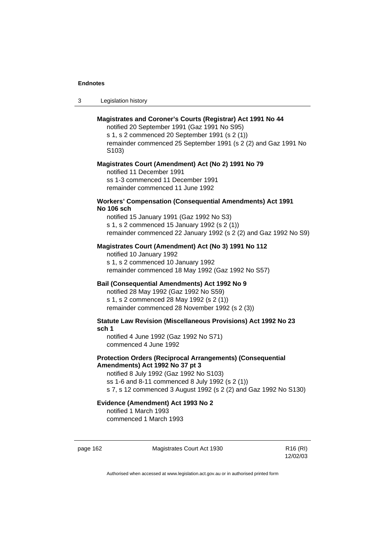3 Legislation history

#### **Magistrates and Coroner's Courts (Registrar) Act 1991 No 44**

notified 20 September 1991 (Gaz 1991 No S95) s 1, s 2 commenced 20 September 1991 (s 2 (1)) remainder commenced 25 September 1991 (s 2 (2) and Gaz 1991 No S103)

#### **Magistrates Court (Amendment) Act (No 2) 1991 No 79**

notified 11 December 1991 ss 1-3 commenced 11 December 1991 remainder commenced 11 June 1992

#### **Workers' Compensation (Consequential Amendments) Act 1991 No 106 sch**

notified 15 January 1991 (Gaz 1992 No S3) s 1, s 2 commenced 15 January 1992 (s 2 (1)) remainder commenced 22 January 1992 (s 2 (2) and Gaz 1992 No S9)

## **Magistrates Court (Amendment) Act (No 3) 1991 No 112**

notified 10 January 1992 s 1, s 2 commenced 10 January 1992 remainder commenced 18 May 1992 (Gaz 1992 No S57)

## **Bail (Consequential Amendments) Act 1992 No 9**

notified 28 May 1992 (Gaz 1992 No S59) s 1, s 2 commenced 28 May 1992 (s 2 (1)) remainder commenced 28 November 1992 (s 2 (3))

## **Statute Law Revision (Miscellaneous Provisions) Act 1992 No 23 sch 1**

notified 4 June 1992 (Gaz 1992 No S71) commenced 4 June 1992

#### **Protection Orders (Reciprocal Arrangements) (Consequential Amendments) Act 1992 No 37 pt 3**

notified 8 July 1992 (Gaz 1992 No S103) ss 1-6 and 8-11 commenced 8 July 1992 (s 2 (1)) s 7, s 12 commenced 3 August 1992 (s 2 (2) and Gaz 1992 No S130)

#### **Evidence (Amendment) Act 1993 No 2**  notified 1 March 1993

commenced 1 March 1993

page 162 Magistrates Court Act 1930

12/02/03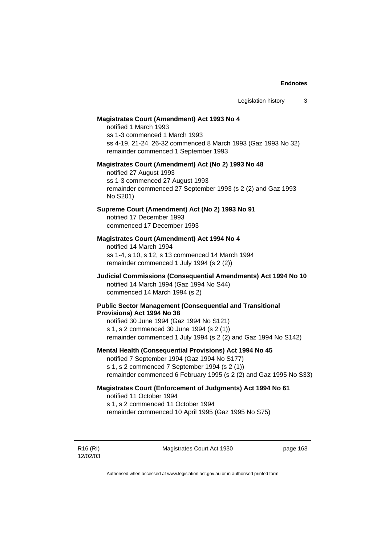#### **Magistrates Court (Amendment) Act 1993 No 4**

notified 1 March 1993 ss 1-3 commenced 1 March 1993 ss 4-19, 21-24, 26-32 commenced 8 March 1993 (Gaz 1993 No 32) remainder commenced 1 September 1993

#### **Magistrates Court (Amendment) Act (No 2) 1993 No 48**

notified 27 August 1993 ss 1-3 commenced 27 August 1993 remainder commenced 27 September 1993 (s 2 (2) and Gaz 1993 No S201)

## **Supreme Court (Amendment) Act (No 2) 1993 No 91**

notified 17 December 1993 commenced 17 December 1993

## **Magistrates Court (Amendment) Act 1994 No 4**

notified 14 March 1994 ss 1-4, s 10, s 12, s 13 commenced 14 March 1994 remainder commenced 1 July 1994 (s 2 (2))

#### **Judicial Commissions (Consequential Amendments) Act 1994 No 10**  notified 14 March 1994 (Gaz 1994 No S44) commenced 14 March 1994 (s 2)

#### **Public Sector Management (Consequential and Transitional Provisions) Act 1994 No 38**

notified 30 June 1994 (Gaz 1994 No S121) s 1, s 2 commenced 30 June 1994 (s 2 (1)) remainder commenced 1 July 1994 (s 2 (2) and Gaz 1994 No S142)

#### **Mental Health (Consequential Provisions) Act 1994 No 45**

notified 7 September 1994 (Gaz 1994 No S177) s 1, s 2 commenced 7 September 1994 (s 2 (1)) remainder commenced 6 February 1995 (s 2 (2) and Gaz 1995 No S33)

## **Magistrates Court (Enforcement of Judgments) Act 1994 No 61**  notified 11 October 1994

s 1, s 2 commenced 11 October 1994 remainder commenced 10 April 1995 (Gaz 1995 No S75)

R16 (RI) 12/02/03 Magistrates Court Act 1930 **page 163**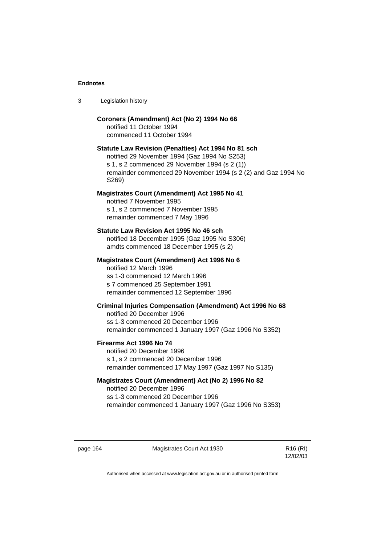3 Legislation history

#### **Coroners (Amendment) Act (No 2) 1994 No 66**

notified 11 October 1994 commenced 11 October 1994

#### **Statute Law Revision (Penalties) Act 1994 No 81 sch**

notified 29 November 1994 (Gaz 1994 No S253) s 1, s 2 commenced 29 November 1994 (s 2 (1)) remainder commenced 29 November 1994 (s 2 (2) and Gaz 1994 No S269)

#### **Magistrates Court (Amendment) Act 1995 No 41**

notified 7 November 1995 s 1, s 2 commenced 7 November 1995 remainder commenced 7 May 1996

#### **Statute Law Revision Act 1995 No 46 sch**

notified 18 December 1995 (Gaz 1995 No S306) amdts commenced 18 December 1995 (s 2)

#### **Magistrates Court (Amendment) Act 1996 No 6**  notified 12 March 1996

ss 1-3 commenced 12 March 1996 s 7 commenced 25 September 1991 remainder commenced 12 September 1996

## **Criminal Injuries Compensation (Amendment) Act 1996 No 68**

notified 20 December 1996 ss 1-3 commenced 20 December 1996 remainder commenced 1 January 1997 (Gaz 1996 No S352)

#### **Firearms Act 1996 No 74**

notified 20 December 1996 s 1, s 2 commenced 20 December 1996 remainder commenced 17 May 1997 (Gaz 1997 No S135)

## **Magistrates Court (Amendment) Act (No 2) 1996 No 82**

notified 20 December 1996 ss 1-3 commenced 20 December 1996 remainder commenced 1 January 1997 (Gaz 1996 No S353)

page 164 Magistrates Court Act 1930 R16 (RI)

12/02/03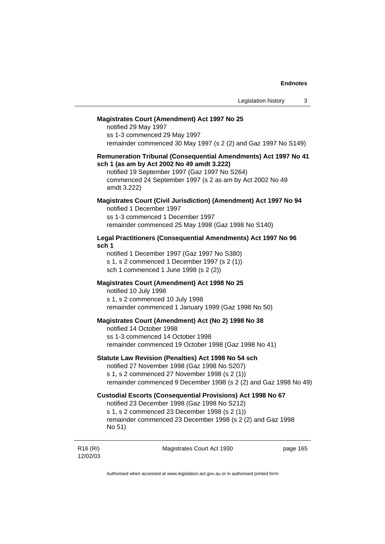#### **Magistrates Court (Amendment) Act 1997 No 25**

notified 29 May 1997 ss 1-3 commenced 29 May 1997 remainder commenced 30 May 1997 (s 2 (2) and Gaz 1997 No S149)

#### **Remuneration Tribunal (Consequential Amendments) Act 1997 No 41 sch 1 (as am by Act 2002 No 49 amdt 3.222)**

notified 19 September 1997 (Gaz 1997 No S264) commenced 24 September 1997 (s 2 as am by Act 2002 No 49 amdt 3.222)

#### **Magistrates Court (Civil Jurisdiction) (Amendment) Act 1997 No 94**  notified 1 December 1997 ss 1-3 commenced 1 December 1997

remainder commenced 25 May 1998 (Gaz 1998 No S140)

### **Legal Practitioners (Consequential Amendments) Act 1997 No 96 sch 1**

notified 1 December 1997 (Gaz 1997 No S380) s 1, s 2 commenced 1 December 1997 (s 2 (1)) sch 1 commenced 1 June 1998 (s 2 (2))

## **Magistrates Court (Amendment) Act 1998 No 25**

notified 10 July 1998 s 1, s 2 commenced 10 July 1998

remainder commenced 1 January 1999 (Gaz 1998 No 50)

#### **Magistrates Court (Amendment) Act (No 2) 1998 No 38**

notified 14 October 1998 ss 1-3 commenced 14 October 1998 remainder commenced 19 October 1998 (Gaz 1998 No 41)

#### **Statute Law Revision (Penalties) Act 1998 No 54 sch**

notified 27 November 1998 (Gaz 1998 No S207) s 1, s 2 commenced 27 November 1998 (s 2 (1)) remainder commenced 9 December 1998 (s 2 (2) and Gaz 1998 No 49)

#### **Custodial Escorts (Consequential Provisions) Act 1998 No 67**

notified 23 December 1998 (Gaz 1998 No S212) s 1, s 2 commenced 23 December 1998 (s 2 (1))

remainder commenced 23 December 1998 (s 2 (2) and Gaz 1998 No 51)

R16 (RI) 12/02/03 Magistrates Court Act 1930 **page 165**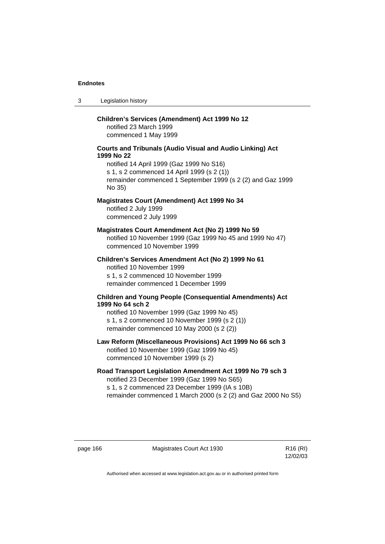3 Legislation history

## **Children's Services (Amendment) Act 1999 No 12**

notified 23 March 1999 commenced 1 May 1999

#### **Courts and Tribunals (Audio Visual and Audio Linking) Act 1999 No 22**

notified 14 April 1999 (Gaz 1999 No S16) s 1, s 2 commenced 14 April 1999 (s 2 (1)) remainder commenced 1 September 1999 (s 2 (2) and Gaz 1999 No 35)

## **Magistrates Court (Amendment) Act 1999 No 34**

notified 2 July 1999 commenced 2 July 1999

#### **Magistrates Court Amendment Act (No 2) 1999 No 59**

notified 10 November 1999 (Gaz 1999 No 45 and 1999 No 47) commenced 10 November 1999

**Children's Services Amendment Act (No 2) 1999 No 61**  notified 10 November 1999 s 1, s 2 commenced 10 November 1999

remainder commenced 1 December 1999

## **Children and Young People (Consequential Amendments) Act 1999 No 64 sch 2**

notified 10 November 1999 (Gaz 1999 No 45) s 1, s 2 commenced 10 November 1999 (s 2 (1)) remainder commenced 10 May 2000 (s 2 (2))

## **Law Reform (Miscellaneous Provisions) Act 1999 No 66 sch 3**

notified 10 November 1999 (Gaz 1999 No 45) commenced 10 November 1999 (s 2)

## **Road Transport Legislation Amendment Act 1999 No 79 sch 3**

notified 23 December 1999 (Gaz 1999 No S65) s 1, s 2 commenced 23 December 1999 (IA s 10B) remainder commenced 1 March 2000 (s 2 (2) and Gaz 2000 No S5)

page 166 Magistrates Court Act 1930 R16 (RI)

12/02/03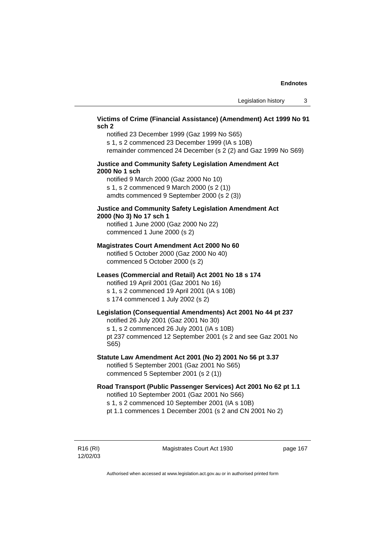## **Victims of Crime (Financial Assistance) (Amendment) Act 1999 No 91 sch 2**

notified 23 December 1999 (Gaz 1999 No S65) s 1, s 2 commenced 23 December 1999 (IA s 10B) remainder commenced 24 December (s 2 (2) and Gaz 1999 No S69)

# **Justice and Community Safety Legislation Amendment Act 2000 No 1 sch**

notified 9 March 2000 (Gaz 2000 No 10) s 1, s 2 commenced 9 March 2000 (s 2 (1)) amdts commenced 9 September 2000 (s 2 (3))

# **Justice and Community Safety Legislation Amendment Act 2000 (No 3) No 17 sch 1**

notified 1 June 2000 (Gaz 2000 No 22) commenced 1 June 2000 (s 2)

## **Magistrates Court Amendment Act 2000 No 60**

notified 5 October 2000 (Gaz 2000 No 40) commenced 5 October 2000 (s 2)

## **Leases (Commercial and Retail) Act 2001 No 18 s 174**

notified 19 April 2001 (Gaz 2001 No 16) s 1, s 2 commenced 19 April 2001 (IA s 10B) s 174 commenced 1 July 2002 (s 2)

## **Legislation (Consequential Amendments) Act 2001 No 44 pt 237**

notified 26 July 2001 (Gaz 2001 No 30)

s 1, s 2 commenced 26 July 2001 (IA s 10B)

pt 237 commenced 12 September 2001 (s 2 and see Gaz 2001 No S65)

## **Statute Law Amendment Act 2001 (No 2) 2001 No 56 pt 3.37**  notified 5 September 2001 (Gaz 2001 No S65) commenced 5 September 2001 (s 2 (1))

**Road Transport (Public Passenger Services) Act 2001 No 62 pt 1.1**  notified 10 September 2001 (Gaz 2001 No S66) s 1, s 2 commenced 10 September 2001 (IA s 10B)

pt 1.1 commences 1 December 2001 (s 2 and CN 2001 No 2)

R16 (RI) 12/02/03 Magistrates Court Act 1930 **page 167**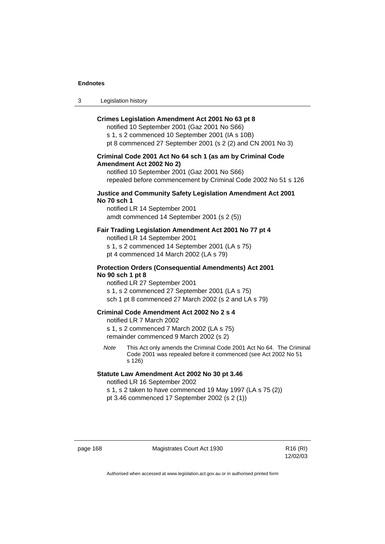| -3 | Legislation history |
|----|---------------------|
|----|---------------------|

## **Crimes Legislation Amendment Act 2001 No 63 pt 8**

notified 10 September 2001 (Gaz 2001 No S66) s 1, s 2 commenced 10 September 2001 (IA s 10B) pt 8 commenced 27 September 2001 (s 2 (2) and CN 2001 No 3)

## **Criminal Code 2001 Act No 64 sch 1 (as am by Criminal Code Amendment Act 2002 No 2)**

notified 10 September 2001 (Gaz 2001 No S66) repealed before commencement by Criminal Code 2002 No 51 s 126

### **Justice and Community Safety Legislation Amendment Act 2001 No 70 sch 1**

notified LR 14 September 2001 amdt commenced 14 September 2001 (s 2 (5))

## **Fair Trading Legislation Amendment Act 2001 No 77 pt 4**

notified LR 14 September 2001

s 1, s 2 commenced 14 September 2001 (LA s 75)

pt 4 commenced 14 March 2002 (LA s 79)

## **Protection Orders (Consequential Amendments) Act 2001 No 90 sch 1 pt 8**

notified LR 27 September 2001

s 1, s 2 commenced 27 September 2001 (LA s 75)

sch 1 pt 8 commenced 27 March 2002 (s 2 and LA s 79)

# **Criminal Code Amendment Act 2002 No 2 s 4**

notified LR 7 March 2002

s 1, s 2 commenced 7 March 2002 (LA s 75) remainder commenced 9 March 2002 (s 2)

*Note* This Act only amends the Criminal Code 2001 Act No 64. The Criminal Code 2001 was repealed before it commenced (see Act 2002 No 51 s 126)

# **Statute Law Amendment Act 2002 No 30 pt 3.46**

notified LR 16 September 2002

```
s 1, s 2 taken to have commenced 19 May 1997 (LA s 75 (2)) 
pt 3.46 commenced 17 September 2002 (s 2 (1))
```
page 168 Magistrates Court Act 1930 R16 (RI)

12/02/03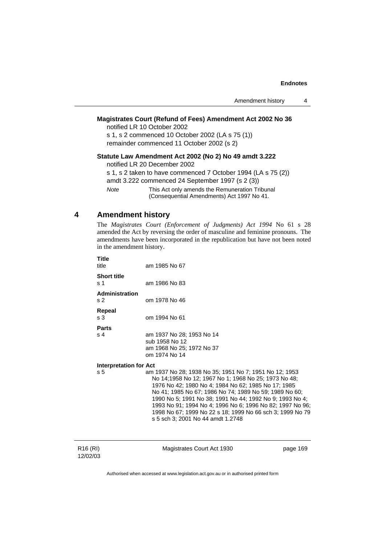## **Magistrates Court (Refund of Fees) Amendment Act 2002 No 36**

notified LR 10 October 2002 s 1, s 2 commenced 10 October 2002 (LA s 75 (1)) remainder commenced 11 October 2002 (s 2)

### **Statute Law Amendment Act 2002 (No 2) No 49 amdt 3.222**

notified LR 20 December 2002

s 1, s 2 taken to have commenced 7 October 1994 (LA s 75 (2)) amdt 3.222 commenced 24 September 1997 (s 2 (3))

*Note* This Act only amends the Remuneration Tribunal (Consequential Amendments) Act 1997 No 41.

# **4 Amendment history**

The *Magistrates Court (Enforcement of Judgments) Act 1994* No 61 s 28 amended the Act by reversing the order of masculine and feminine pronouns. The amendments have been incorporated in the republication but have not been noted in the amendment history.

| <b>Title</b><br>title                | am 1985 No 67                                                                                                                                                                                                                                                                                                                                                                                                                                              |
|--------------------------------------|------------------------------------------------------------------------------------------------------------------------------------------------------------------------------------------------------------------------------------------------------------------------------------------------------------------------------------------------------------------------------------------------------------------------------------------------------------|
| <b>Short title</b><br>s 1            | am 1986 No 83                                                                                                                                                                                                                                                                                                                                                                                                                                              |
| Administration<br>s <sub>2</sub>     | om 1978 No 46                                                                                                                                                                                                                                                                                                                                                                                                                                              |
| Repeal<br>s 3                        | om 1994 No 61                                                                                                                                                                                                                                                                                                                                                                                                                                              |
| <b>Parts</b><br>s 4                  | am 1937 No 28; 1953 No 14<br>sub 1958 No 12<br>am 1968 No 25; 1972 No 37<br>om 1974 No 14                                                                                                                                                                                                                                                                                                                                                                  |
| <b>Interpretation for Act</b><br>s 5 | am 1937 No 28; 1938 No 35; 1951 No 7; 1951 No 12; 1953<br>No 14;1958 No 12; 1967 No 1; 1968 No 25; 1973 No 48;<br>1976 No 42; 1980 No 4; 1984 No 62; 1985 No 17; 1985<br>No 41; 1985 No 67; 1986 No 74; 1989 No 59; 1989 No 60;<br>1990 No 5: 1991 No 38: 1991 No 44: 1992 No 9: 1993 No 4:<br>1993 No 91; 1994 No 4; 1996 No 6; 1996 No 82; 1997 No 96;<br>1998 No 67; 1999 No 22 s 18; 1999 No 66 sch 3; 1999 No 79<br>s 5 sch 3; 2001 No 44 amdt 1.2748 |

R16 (RI) 12/02/03 Magistrates Court Act 1930 **page 169**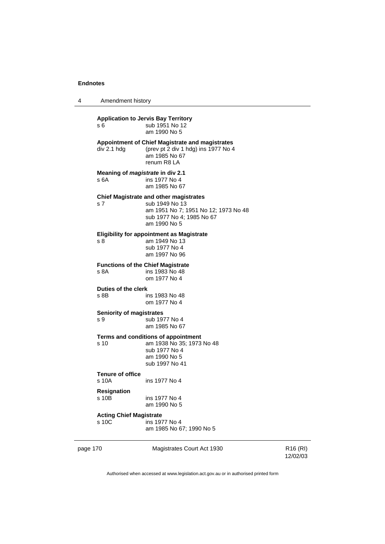4 Amendment history

**Application to Jervis Bay Territory**  s 6 5 sub 1951 No 12 am 1990 No 5 **Appointment of Chief Magistrate and magistrates**  div 2.1 hdg (prev pt 2 div 1 hdg) ins 1977 No 4 am 1985 No 67 renum R8 LA **Meaning of** *magistrate* **in div 2.1**  s 6A ins 1977 No 4 am 1985 No 67 **Chief Magistrate and other magistrates**  s 7 sub 1949 No 13 am 1951 No 7; 1951 No 12; 1973 No 48 sub 1977 No 4; 1985 No 67 am 1990 No 5 **Eligibility for appointment as Magistrate**  s 8 am 1949 No 13 sub 1977 No 4 am 1997 No 96 **Functions of the Chief Magistrate**  s 8A ins 1983 No 48 om 1977 No 4 **Duties of the clerk**  s 8B ins 1983 No 48 om 1977 No 4 **Seniority of magistrates**  s 9 sub 1977 No 4 am 1985 No 67 **Terms and conditions of appointment**<br>s 10 am 1938 No 35: 1973 am 1938 No 35; 1973 No 48 sub 1977 No 4 am 1990 No 5 sub 1997 No 41 **Tenure of office**  s 10A ins 1977 No 4 **Resignation**  s 10B ins 1977 No 4 am 1990 No 5 **Acting Chief Magistrate**  ins 1977 No 4 am 1985 No 67; 1990 No 5

page 170 Magistrates Court Act 1930 R16 (RI)

12/02/03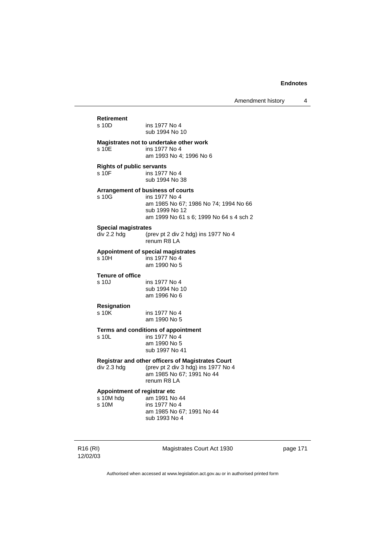# **Retirement**  ins 1977 No 4 sub 1994 No 10 **Magistrates not to undertake other work**  ins 1977 No 4 am 1993 No 4; 1996 No 6 **Rights of public servants**  s 10F ins 1977 No 4 sub 1994 No 38 **Arrangement of business of courts**  ins 1977 No 4 am 1985 No 67; 1986 No 74; 1994 No 66 sub 1999 No 12 am 1999 No 61 s 6; 1999 No 64 s 4 sch 2 **Special magistrates**  (prev pt 2 div 2 hdg) ins 1977 No 4 renum R8 LA **Appointment of special magistrates**   $\frac{1}{1}$  ins 1977 No 4 am 1990 No 5 **Tenure of office**  s 10J ins 1977 No 4 sub 1994 No 10 am 1996 No 6 **Resignation**  ins 1977 No 4 am 1990 No 5 **Terms and conditions of appointment**  s 10L ins 1977 No 4 am 1990 No 5 sub 1997 No 41 **Registrar and other officers of Magistrates Court**  div 2.3 hdg (prev pt 2 div 3 hdg) ins 1977 No 4 am 1985 No 67; 1991 No 44 renum R8 LA **Appointment of registrar etc**  s 10M hdg am 1991 No 44<br>s 10M ins 1977 No 4 ins 1977 No 4 am 1985 No 67; 1991 No 44 sub 1993 No 4

R16 (RI) 12/02/03 Magistrates Court Act 1930 **page 171**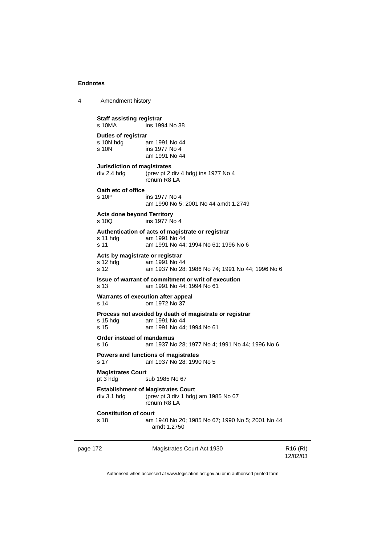| 4                                                                                                                          | Amendment history                                                                                                        |                                                                                                            |                      |
|----------------------------------------------------------------------------------------------------------------------------|--------------------------------------------------------------------------------------------------------------------------|------------------------------------------------------------------------------------------------------------|----------------------|
|                                                                                                                            | <b>Staff assisting registrar</b><br>s 10MA                                                                               | ins 1994 No 38                                                                                             |                      |
|                                                                                                                            | Duties of registrar<br>s 10N hdg<br>s 10N                                                                                | am 1991 No 44<br>ins 1977 No 4<br>am 1991 No 44                                                            |                      |
|                                                                                                                            | Jurisdiction of magistrates<br>div 2.4 hdg                                                                               | (prev pt 2 div 4 hdg) ins 1977 No 4<br>renum R8 LA                                                         |                      |
|                                                                                                                            | Oath etc of office<br>s 10P                                                                                              | ins 1977 No 4<br>am 1990 No 5; 2001 No 44 amdt 1.2749                                                      |                      |
|                                                                                                                            | <b>Acts done beyond Territory</b><br>s 10Q                                                                               | ins 1977 No 4                                                                                              |                      |
|                                                                                                                            | s 11 hda<br>s <sub>11</sub>                                                                                              | Authentication of acts of magistrate or registrar<br>am 1991 No 44<br>am 1991 No 44; 1994 No 61; 1996 No 6 |                      |
|                                                                                                                            | Acts by magistrate or registrar<br>am 1991 No 44<br>s 12 hdg<br>s 12<br>am 1937 No 28; 1986 No 74; 1991 No 44; 1996 No 6 |                                                                                                            |                      |
|                                                                                                                            | s 13                                                                                                                     | Issue of warrant of commitment or writ of execution<br>am 1991 No 44; 1994 No 61                           |                      |
|                                                                                                                            | s 14                                                                                                                     | Warrants of execution after appeal<br>om 1972 No 37                                                        |                      |
| Process not avoided by death of magistrate or registrar<br>$s15$ hdg<br>am 1991 No 44<br>s 15<br>am 1991 No 44; 1994 No 61 |                                                                                                                          |                                                                                                            |                      |
|                                                                                                                            | Order instead of mandamus<br>s 16                                                                                        | am 1937 No 28; 1977 No 4; 1991 No 44; 1996 No 6                                                            |                      |
|                                                                                                                            | s 17                                                                                                                     | Powers and functions of magistrates<br>am 1937 No 28; 1990 No 5                                            |                      |
|                                                                                                                            | <b>Magistrates Court</b><br>pt 3 hdg                                                                                     | sub 1985 No 67                                                                                             |                      |
|                                                                                                                            | div 3.1 hdg                                                                                                              | <b>Establishment of Magistrates Court</b><br>(prev pt 3 div 1 hdg) am 1985 No 67<br>renum R8 LA            |                      |
|                                                                                                                            | <b>Constitution of court</b><br>s 18                                                                                     | am 1940 No 20; 1985 No 67; 1990 No 5; 2001 No 44<br>amdt 1.2750                                            |                      |
| page 172                                                                                                                   |                                                                                                                          | Magistrates Court Act 1930                                                                                 | R <sub>16</sub> (RI) |

12/02/03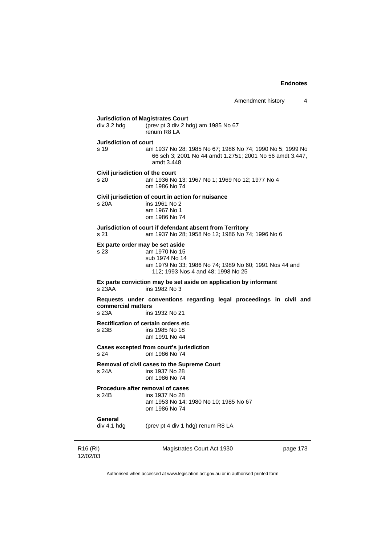**Jurisdiction of Magistrates Court<br>
div 3.2 hdg (prev pt 3 div 2 hdg)** (prev pt 3 div 2 hdg) am 1985 No  $67$  renum R8 LA **Jurisdiction of court**  s 19 am 1937 No 28; 1985 No 67; 1986 No 74; 1990 No 5; 1999 No 66 sch 3; 2001 No 44 amdt 1.2751; 2001 No 56 amdt 3.447, amdt 3.448 **Civil jurisdiction of the court**  s 20 am 1936 No 13; 1967 No 1; 1969 No 12; 1977 No 4 om 1986 No 74 **Civil jurisdiction of court in action for nuisance**  ins 1961 No 2 am 1967 No 1 om 1986 No 74 **Jurisdiction of court if defendant absent from Territory**  s 21 am 1937 No 28; 1958 No 12; 1986 No 74; 1996 No 6 **Ex parte order may be set aside**  s 23 am 1970 No 15 sub 1974 No 14 am 1979 No 33; 1986 No 74; 1989 No 60; 1991 Nos 44 and 112; 1993 Nos 4 and 48; 1998 No 25 **Ex parte conviction may be set aside on application by informant**  s 23AA ins 1982 No 3 **Requests under conventions regarding legal proceedings in civil and commercial matters**  s 23A ins 1932 No 21 **Rectification of certain orders etc**  ins 1985 No 18 am 1991 No 44 **Cases excepted from court's jurisdiction**  s 24 om 1986 No 74 **Removal of civil cases to the Supreme Court**  s 24A ins 1937 No 28 om 1986 No 74 **Procedure after removal of cases**  s 24B ins 1937 No 28 am 1953 No 14; 1980 No 10; 1985 No 67 om 1986 No 74 **General**  div 4.1 hdg (prev pt 4 div 1 hdg) renum R8 LA

R16 (RI) 12/02/03 Magistrates Court Act 1930 **page 173**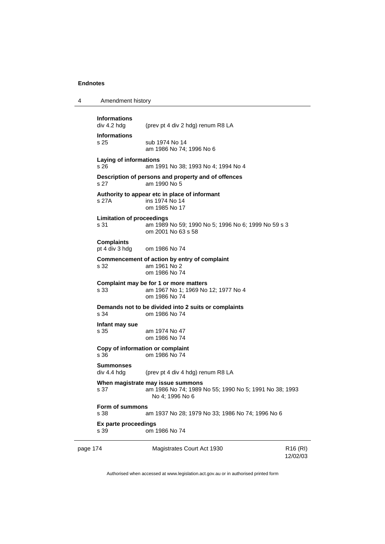4 Amendment history

```
page 174 Magistrates Court Act 1930 R16 (RI)
     Informations 
                     (prev pt 4 div 2 hdg) renum R8 LA
     Informations 
     s 25 sub 1974 No 14 
                      am 1986 No 74; 1996 No 6 
     Laying of informations 
      s 26 am 1991 No 38; 1993 No 4; 1994 No 4 
      Description of persons and property and of offences 
     s 27 am 1990 No 5 
      Authority to appear etc in place of informant 
     s 27A ins 1974 No 14 
                     om 1985 No 17 
     Limitation of proceedings 
      s 31 am 1989 No 59; 1990 No 5; 1996 No 6; 1999 No 59 s 3 
                     om 2001 No 63 s 58 
      Complaints 
     pt 4 div 3 hdg om 1986 No 74 
      Commencement of action by entry of complaint 
     s 32 am 1961 No 2 
                     om 1986 No 74 
     Complaint may be for 1 or more matters 
      s 33 am 1967 No 1; 1969 No 12; 1977 No 4 
                      om 1986 No 74 
     Demands not to be divided into 2 suits or complaints 
                    om 1986 No 74
     Infant may sue 
     s 35 am 1974 No 47 
                      om 1986 No 74 
      Copy of information or complaint 
     s 36 om 1986 No 74 
     Summonses 
                     (prev pt 4 div 4 hdg) renum R8 LA
     When magistrate may issue summons 
     s 37 am 1986 No 74; 1989 No 55; 1990 No 5; 1991 No 38; 1993 
                      No 4; 1996 No 6 
     Form of summons 
      s 38 am 1937 No 28; 1979 No 33; 1986 No 74; 1996 No 6 
      Ex parte proceedings 
     s 39 om 1986 No 74
```
Authorised when accessed at www.legislation.act.gov.au or in authorised printed form

12/02/03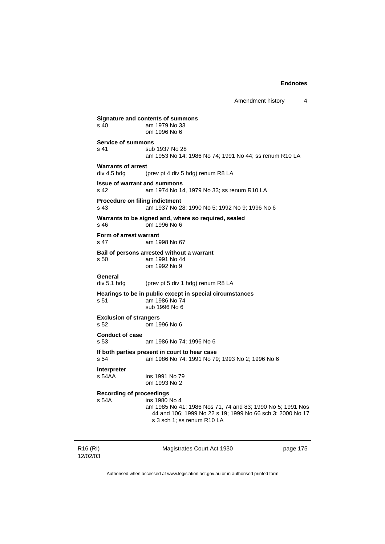Amendment history 4

**Signature and contents of summons**<br>s 40 am 1979 No 33 am 1979 No 33 om 1996 No 6 **Service of summons**  s 41 sub 1937 No 28 am 1953 No 14; 1986 No 74; 1991 No 44; ss renum R10 LA **Warrants of arrest**  div 4.5 hdg (prev pt 4 div 5 hdg) renum R8 LA **Issue of warrant and summons**  s 42 am 1974 No 14, 1979 No 33; ss renum R10 LA **Procedure on filing indictment**  s 43 am 1937 No 28; 1990 No 5; 1992 No 9; 1996 No 6 **Warrants to be signed and, where so required, sealed**  s 46 om 1996 No 6 **Form of arrest warrant**  s 47 am 1998 No 67 **Bail of persons arrested without a warrant**  s 50 am 1991 No 44 om 1992 No 9 **General**  div 5.1 hdg (prev pt 5 div 1 hdg) renum R8 LA **Hearings to be in public except in special circumstances**  s 51 am 1986 No 74 sub 1996 No 6 **Exclusion of strangers**  s 52 om 1996 No 6 **Conduct of case**  s 53 am 1986 No 74; 1996 No 6 **If both parties present in court to hear case**  s 54 am 1986 No 74; 1991 No 79; 1993 No 2; 1996 No 6 **Interpreter**  s 54AA ins 1991 No 79 om 1993 No 2 **Recording of proceedings**  s 54A ins 1980 No 4 am 1985 No 41; 1986 Nos 71, 74 and 83; 1990 No 5; 1991 Nos 44 and 106; 1999 No 22 s 19; 1999 No 66 sch 3; 2000 No 17 s 3 sch 1; ss renum R10 LA

R16 (RI) 12/02/03 Magistrates Court Act 1930 **page 175**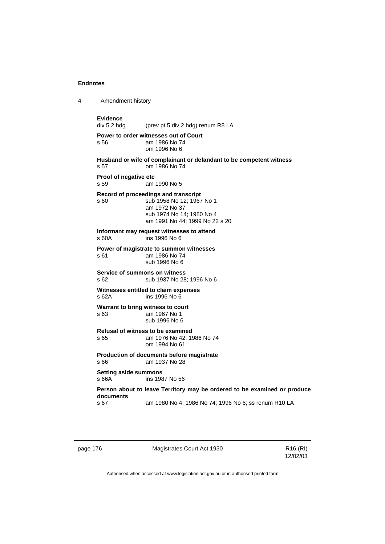4 Amendment history Evidence<br>div 5.2 hda (prev pt 5 div 2 hdg) renum R8 LA **Power to order witnesses out of Court**  s 56 am 1986 No 74 om 1996 No 6 **Husband or wife of complainant or defandant to be competent witness**  s 57 om 1986 No 74 **Proof of negative etc**  s 59 am 1990 No 5 **Record of proceedings and transcript**  s 60 sub 1958 No 12; 1967 No 1 am 1972 No 37 sub 1974 No 14; 1980 No 4 am 1991 No 44; 1999 No 22 s 20 **Informant may request witnesses to attend**  s 60A ins 1996 No 6 **Power of magistrate to summon witnesses**  s 61 am 1986 No 74 sub 1996 No 6 **Service of summons on witness**  s 62 sub 1937 No 28; 1996 No 6 **Witnesses entitled to claim expenses**  s 62A ins 1996 No 6 **Warrant to bring witness to court**  s 63 am 1967 No 1 sub 1996 No 6 **Refusal of witness to be examined**  s 65 am 1976 No 42; 1986 No 74 om 1994 No 61 **Production of documents before magistrate**  s 66 am 1937 No 28 **Setting aside summons**  s 66A ins 1987 No 56 **Person about to leave Territory may be ordered to be examined or produce documents**  s 67 am 1980 No 4; 1986 No 74; 1996 No 6; ss renum R10 LA

page 176 Magistrates Court Act 1930 R16 (RI)

12/02/03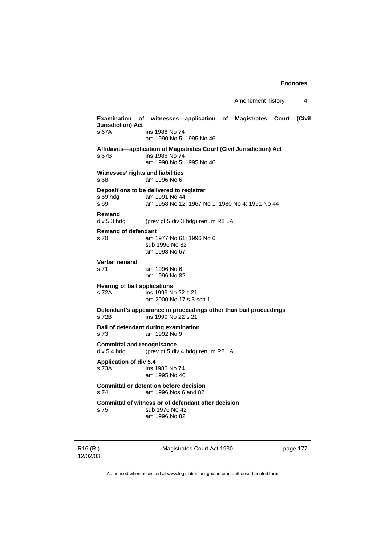| Examination of<br><b>Jurisdiction</b> ) Act<br>s 67A | witnesses—application of Magistrates Court (Civil<br>ins 1986 No 74                                                |
|------------------------------------------------------|--------------------------------------------------------------------------------------------------------------------|
|                                                      | am 1990 No 5; 1995 No 46                                                                                           |
| s 67B                                                | Affidavits-application of Magistrates Court (Civil Jurisdiction) Act<br>ins 1986 No 74<br>am 1990 No 5; 1995 No 46 |
| Witnesses' rights and liabilities<br>s 68            | am 1996 No 6                                                                                                       |
| s 69 hda<br>s 69                                     | Depositions to be delivered to registrar<br>am 1991 No 44<br>am 1958 No 12; 1967 No 1; 1980 No 4; 1991 No 44       |
| Remand<br>div 5.3 hdg                                | (prev pt 5 div 3 hdg) renum R8 LA                                                                                  |
| <b>Remand of defendant</b>                           |                                                                                                                    |
| s 70                                                 | am 1977 No 61; 1996 No 6<br>sub 1996 No 82<br>am 1998 No 67                                                        |
| <b>Verbal remand</b>                                 |                                                                                                                    |
| s 71                                                 | am 1996 No 6<br>om 1996 No 82                                                                                      |
| Hearing of bail applications<br>s 72A                | ins 1999 No 22 s 21<br>am 2000 No 17 s 3 sch 1                                                                     |
| s 72B                                                | Defendant's appearance in proceedings other than bail proceedings<br>ins 1999 No 22 s 21                           |
| s 73                                                 | Bail of defendant during examination<br>am 1992 No 9                                                               |
| <b>Committal and recognisance</b><br>div 5.4 hdg     | (prev pt 5 div 4 hdg) renum R8 LA                                                                                  |
| <b>Application of div 5.4</b>                        |                                                                                                                    |
| s 73A                                                | ins 1986 No 74<br>am 1995 No 46                                                                                    |
| s 74                                                 | <b>Committal or detention before decision</b><br>am 1996 Nos 6 and 82                                              |
| s 75                                                 | Committal of witness or of defendant after decision<br>sub 1976 No 42<br>am 1996 No 82                             |

R16 (RI) 12/02/03 Magistrates Court Act 1930 **page 177**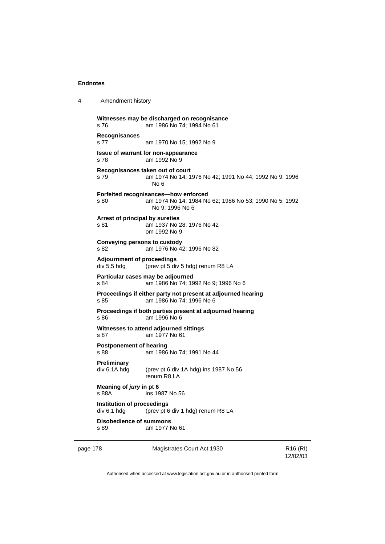4 Amendment history

**Witnesses may be discharged on recognisance**  s 76 am 1986 No 74; 1994 No 61 **Recognisances**  s 77 am 1970 No 15; 1992 No 9 **Issue of warrant for non-appearance**  s 78 am 1992 No 9 **Recognisances taken out of court**  s 79 am 1974 No 14; 1976 No 42; 1991 No 44; 1992 No 9; 1996 No 6 **Forfeited recognisances—how enforced**  s 80 am 1974 No 14; 1984 No 62; 1986 No 53; 1990 No 5; 1992 No 9; 1996 No 6 **Arrest of principal by sureties**  s 81 am 1937 No 28; 1976 No 42 om 1992 No 9 **Conveying persons to custody**  s 82 am 1976 No 42; 1996 No 82 **Adjournment of proceedings**  div 5.5 hdg (prev pt 5 div 5 hdg) renum R8 LA **Particular cases may be adjourned**  s 84 am 1986 No 74; 1992 No 9; 1996 No 6 **Proceedings if either party not present at adjourned hearing**  s 85 am 1986 No 74; 1996 No 6 **Proceedings if both parties present at adjourned hearing**  s 86 am 1996 No 6 **Witnesses to attend adjourned sittings**  s 87 am 1977 No 61 **Postponement of hearing**  s 88 **am 1986** No 74; 1991 No 44 **Preliminary**  div 6.1A hdg (prev pt 6 div 1A hdg) ins 1987 No 56 renum R8 LA **Meaning of** *jury* **in pt 6**  s 88A ins 1987 No 56 **Institution of proceedings**<br>div 6.1 hdg (prev pt 6 (prev pt 6 div 1 hdg) renum R8 LA **Disobedience of summons**  s 89 am 1977 No 61

page 178 Magistrates Court Act 1930 R16 (RI)

12/02/03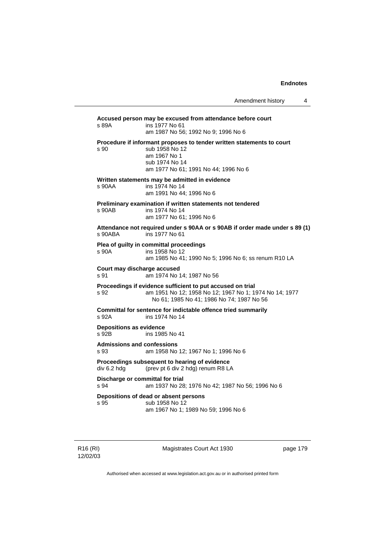**Accused person may be excused from attendance before court**  s 89A ins 1977 No 61 am 1987 No 56; 1992 No 9; 1996 No 6 **Procedure if informant proposes to tender written statements to court**  s 90 sub 1958 No 12 am 1967 No 1 sub 1974 No 14 am 1977 No 61; 1991 No 44; 1996 No 6 **Written statements may be admitted in evidence**  s 90AA ins 1974 No 14 am 1991 No 44; 1996 No 6 **Preliminary examination if written statements not tendered**  s 90AB ins 1974 No 14 am 1977 No 61; 1996 No 6 **Attendance not required under s 90AA or s 90AB if order made under s 89 (1)**  s 90ABA ins 1977 No 61 **Plea of guilty in committal proceedings**  s 90A ins 1958 No 12 am 1985 No 41; 1990 No 5; 1996 No 6; ss renum R10 LA **Court may discharge accused**  s 91 am 1974 No 14; 1987 No 56 **Proceedings if evidence sufficient to put accused on trial**  s 92 am 1951 No 12; 1958 No 12; 1967 No 1; 1974 No 14; 1977 No 61; 1985 No 41; 1986 No 74; 1987 No 56 **Committal for sentence for indictable offence tried summarily**  s 92A ins 1974 No 14 **Depositions as evidence**  s 92B ins 1985 No 41 **Admissions and confessions**  s 93 am 1958 No 12; 1967 No 1; 1996 No 6 **Proceedings subsequent to hearing of evidence**  div 6.2 hdg (prev pt 6 div 2 hdg) renum R8 LA **Discharge or committal for trial**  s 94 am 1937 No 28; 1976 No 42; 1987 No 56; 1996 No 6 **Depositions of dead or absent persons**  s 95 sub 1958 No 12 am 1967 No 1; 1989 No 59; 1996 No 6

Magistrates Court Act 1930 **page 179**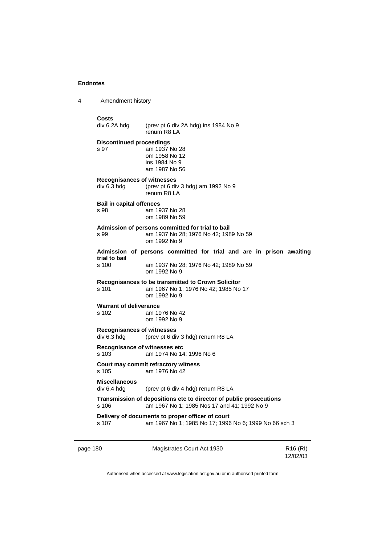4 Amendment history

**Costs**  (prev pt 6 div 2A hdg) ins 1984 No 9 renum R8 LA **Discontinued proceedings**  s 97 am 1937 No 28 om 1958 No 12 ins 1984 No 9 am 1987 No 56 **Recognisances of witnesses**  div  $6.\overline{3}$  hdg (prev pt  $6$  div  $3$  hdg) am 1992 No  $9$  renum R8 LA **Bail in capital offences**  s 98 am 1937 No 28 om 1989 No 59 **Admission of persons committed for trial to bail**  s 99 am 1937 No 28; 1976 No 42; 1989 No 59 om 1992 No 9 **Admission of persons committed for trial and are in prison awaiting trial to bail**  am 1937 No 28; 1976 No 42; 1989 No 59 om 1992 No 9 **Recognisances to be transmitted to Crown Solicitor**  s 101 am 1967 No 1; 1976 No 42; 1985 No 17 om 1992 No 9 **Warrant of deliverance**  s 102 am 1976 No 42 om 1992 No 9 **Recognisances of witnesses**  div 6.3 hdg (prev pt 6 div 3 hdg) renum R8 LA **Recognisance of witnesses etc**  s 103 am 1974 No 14; 1996 No 6 **Court may commit refractory witness**  s 105 am 1976 No 42 **Miscellaneous**  (prev pt 6 div 4 hdg) renum R8 LA **Transmission of depositions etc to director of public prosecutions**  s 106 am 1967 No 1; 1985 Nos 17 and 41; 1992 No 9 **Delivery of documents to proper officer of court**  s 107 am 1967 No 1; 1985 No 17; 1996 No 6; 1999 No 66 sch 3

page 180 Magistrates Court Act 1930 R16 (RI)

12/02/03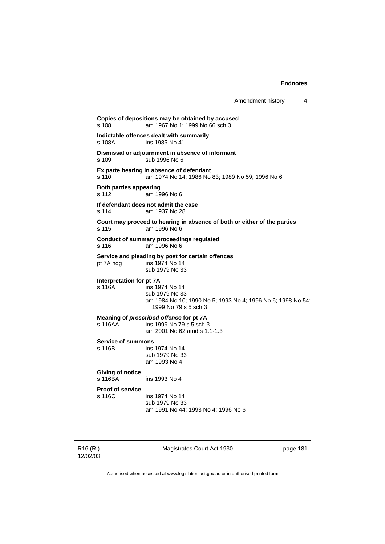**Copies of depositions may be obtained by accused**  s 108 am 1967 No 1; 1999 No 66 sch 3 **Indictable offences dealt with summarily**  ins 1985 No 41 **Dismissal or adjournment in absence of informant**  sub 1996 No 6 **Ex parte hearing in absence of defendant**  s 110 am 1974 No 14; 1986 No 83; 1989 No 59; 1996 No 6 **Both parties appearing**  am 1996 No 6 **If defendant does not admit the case**  s 114 am 1937 No 28 **Court may proceed to hearing in absence of both or either of the parties**  s 115 am 1996 No 6 **Conduct of summary proceedings regulated**  s 116 am 1996 No 6 **Service and pleading by post for certain offences**  pt 7A hdg ins 1974 No 14 sub 1979 No 33 **Interpretation for pt 7A**<br>s 116A *ins* 19  $ins 1974$  No 14 sub 1979 No 33 am 1984 No 10; 1990 No 5; 1993 No 4; 1996 No 6; 1998 No 54; 1999 No 79 s 5 sch 3 **Meaning of** *prescribed offence* **for pt 7A**  s 116AA ins 1999 No 79 s 5 sch 3 am 2001 No 62 amdts 1.1-1.3 **Service of summons**  s 116B ins 1974 No 14 sub 1979 No 33 am 1993 No 4 **Giving of notice**  ins 1993 No 4 **Proof of service**  ins 1974 No 14 sub 1979 No 33 am 1991 No 44; 1993 No 4; 1996 No 6

R16 (RI) 12/02/03 Magistrates Court Act 1930 **page 181**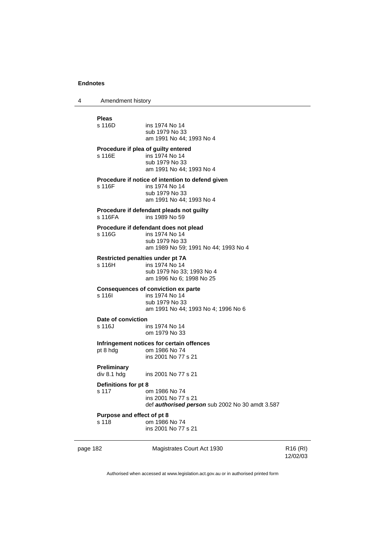4 Amendment history

page 182 Magistrates Court Act 1930 R16 (RI) **Pleas**  ins 1974 No 14 sub 1979 No 33 am 1991 No 44; 1993 No 4 **Procedure if plea of guilty entered**  s 116E ins 1974 No 14 sub 1979 No 33 am 1991 No 44; 1993 No 4 **Procedure if notice of intention to defend given**  s 116F ins 1974 No 14 sub 1979 No 33 am 1991 No 44; 1993 No 4 **Procedure if defendant pleads not guilty**  s 116FA ins 1989 No 59 **Procedure if defendant does not plead**  s 116G ins 1974 No 14 sub 1979 No 33 am 1989 No 59; 1991 No 44; 1993 No 4 **Restricted penalties under pt 7A**  ins 1974 No 14 sub 1979 No 33; 1993 No 4 am 1996 No 6; 1998 No 25 **Consequences of conviction ex parte**  s 116| ins 1974 No 14 sub 1979 No 33 am 1991 No 44; 1993 No 4; 1996 No 6 **Date of conviction**  s 116J ins 1974 No 14 om 1979 No 33 **Infringement notices for certain offences**<br>pt 8 hdg om 1986 No 74 om 1986 No 74 ins 2001 No 77 s 21 **Preliminary**  ins 2001 No 77 s 21 **Definitions for pt 8**  s 117 om 1986 No 74 ins 2001 No 77 s 21 def *authorised person* sub 2002 No 30 amdt 3.587 **Purpose and effect of pt 8**  s 118 om 1986 No 74 ins 2001 No 77 s 21

12/02/03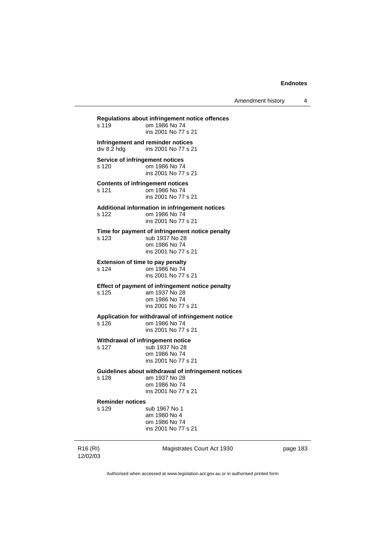Amendment history 4

**Regulations about infringement notice offences**  om 1986 No 74 ins 2001 No 77 s 21 **Infringement and reminder notices**<br>div 8.2 hdg ins 2001 No 77 s 2 ins 2001 No 77 s 21 **Service of infringement notices**  s 120 om 1986 No 74 ins 2001 No 77 s 21 **Contents of infringement notices**  s 121 om 1986 No 74 ins 2001 No 77 s 21 **Additional information in infringement notices**  s 122 om 1986 No 74 ins 2001 No 77 s 21 **Time for payment of infringement notice penalty**  sub 1937 No 28 om 1986 No 74 ins 2001 No 77 s 21 **Extension of time to pay penalty**  s 124 om 1986 No 74 ins 2001 No 77 s 21 **Effect of payment of infringement notice penalty**  s 125 am 1937 No 28 om 1986 No 74 ins 2001 No 77 s 21 **Application for withdrawal of infringement notice**  om 1986 No 74 ins 2001 No 77 s 21 **Withdrawal of infringement notice**  s 127 sub 1937 No 28 om 1986 No 74 ins 2001 No 77 s 21 **Guidelines about withdrawal of infringement notices**  am 1937 No 28 om 1986 No 74 ins 2001 No 77 s 21 **Reminder notices**  sub 1967 No 1 am 1980 No 4 om 1986 No 74 ins 2001 No 77 s 21

R16 (RI) 12/02/03 Magistrates Court Act 1930 **page 183**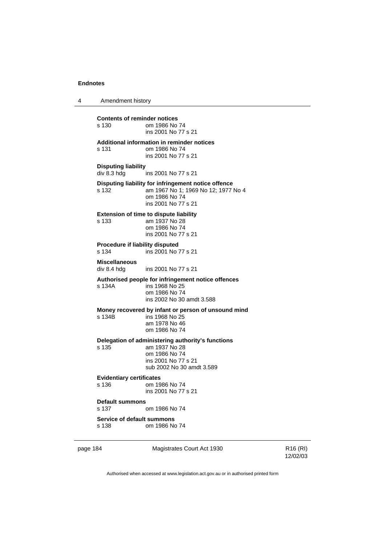4 Amendment history

**Contents of reminder notices**  om 1986 No 74 ins 2001 No 77 s 21 **Additional information in reminder notices**  s 131 om 1986 No 74 ins 2001 No 77 s 21 **Disputing liability**  div 8.3 hdg ins 2001 No 77 s 21 **Disputing liability for infringement notice offence**  s 132 am 1967 No 1; 1969 No 12; 1977 No 4 om 1986 No 74 ins 2001 No 77 s 21 **Extension of time to dispute liability**  s 133 am 1937 No 28 om 1986 No 74 ins 2001 No 77 s 21 **Procedure if liability disputed**  s 134 ins 2001 No 77 s 21 **Miscellaneous**  ins 2001 No 77 s 21 **Authorised people for infringement notice offences**  s 134A ins 1968 No 25 om 1986 No 74 ins 2002 No 30 amdt 3.588 **Money recovered by infant or person of unsound mind**  ins 1968 No 25 am 1978 No 46 om 1986 No 74 **Delegation of administering authority's functions**  s 135 am 1937 No 28 om 1986 No 74 ins 2001 No 77 s 21 sub 2002 No 30 amdt 3.589 **Evidentiary certificates**  om 1986 No 74 ins 2001 No 77 s 21 **Default summons**  s 137 om 1986 No 74 **Service of default summons**  s 138 om 1986 No 74

page 184 Magistrates Court Act 1930 R16 (RI)

12/02/03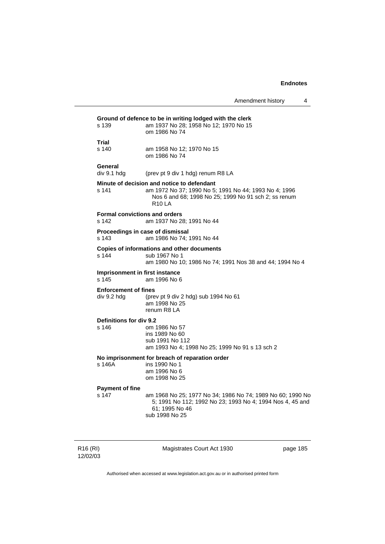| Ground of defence to be in writing lodged with the clerk<br>am 1937 No 28; 1958 No 12; 1970 No 15<br>s 139<br>om 1986 No 74<br>Trial<br>s 140<br>am 1958 No 12; 1970 No 15<br>om 1986 No 74<br>General<br>div 9.1 hdg<br>(prev pt 9 div 1 hdg) renum R8 LA<br>Minute of decision and notice to defendant<br>s 141<br>am 1972 No 37; 1990 No 5; 1991 No 44; 1993 No 4; 1996<br>Nos 6 and 68; 1998 No 25; 1999 No 91 sch 2; ss renum<br><b>R10 LA</b><br><b>Formal convictions and orders</b><br>s 142<br>am 1937 No 28; 1991 No 44<br>Proceedings in case of dismissal<br>s 143<br>am 1986 No 74; 1991 No 44<br>Copies of informations and other documents<br>s 144<br>sub 1967 No 1<br>Imprisonment in first instance<br>s 145<br>am 1996 No 6<br><b>Enforcement of fines</b><br>div 9.2 hdg<br>(prev pt 9 div 2 hdg) sub 1994 No 61<br>am 1998 No 25<br>renum R8 LA<br>Definitions for div 9.2<br>s 146<br>om 1986 No 57<br>ins 1989 No 60<br>sub 1991 No 112<br>am 1993 No 4; 1998 No 25; 1999 No 91 s 13 sch 2<br>No imprisonment for breach of reparation order<br>s 146A<br>ins 1990 No 1<br>am 1996 No 6<br>om 1998 No 25<br><b>Payment of fine</b><br>s 147 | Amenament history<br>4                                                                                                                    |
|--------------------------------------------------------------------------------------------------------------------------------------------------------------------------------------------------------------------------------------------------------------------------------------------------------------------------------------------------------------------------------------------------------------------------------------------------------------------------------------------------------------------------------------------------------------------------------------------------------------------------------------------------------------------------------------------------------------------------------------------------------------------------------------------------------------------------------------------------------------------------------------------------------------------------------------------------------------------------------------------------------------------------------------------------------------------------------------------------------------------------------------------------------------------|-------------------------------------------------------------------------------------------------------------------------------------------|
|                                                                                                                                                                                                                                                                                                                                                                                                                                                                                                                                                                                                                                                                                                                                                                                                                                                                                                                                                                                                                                                                                                                                                                    |                                                                                                                                           |
|                                                                                                                                                                                                                                                                                                                                                                                                                                                                                                                                                                                                                                                                                                                                                                                                                                                                                                                                                                                                                                                                                                                                                                    |                                                                                                                                           |
|                                                                                                                                                                                                                                                                                                                                                                                                                                                                                                                                                                                                                                                                                                                                                                                                                                                                                                                                                                                                                                                                                                                                                                    |                                                                                                                                           |
|                                                                                                                                                                                                                                                                                                                                                                                                                                                                                                                                                                                                                                                                                                                                                                                                                                                                                                                                                                                                                                                                                                                                                                    |                                                                                                                                           |
|                                                                                                                                                                                                                                                                                                                                                                                                                                                                                                                                                                                                                                                                                                                                                                                                                                                                                                                                                                                                                                                                                                                                                                    |                                                                                                                                           |
|                                                                                                                                                                                                                                                                                                                                                                                                                                                                                                                                                                                                                                                                                                                                                                                                                                                                                                                                                                                                                                                                                                                                                                    |                                                                                                                                           |
|                                                                                                                                                                                                                                                                                                                                                                                                                                                                                                                                                                                                                                                                                                                                                                                                                                                                                                                                                                                                                                                                                                                                                                    |                                                                                                                                           |
|                                                                                                                                                                                                                                                                                                                                                                                                                                                                                                                                                                                                                                                                                                                                                                                                                                                                                                                                                                                                                                                                                                                                                                    |                                                                                                                                           |
|                                                                                                                                                                                                                                                                                                                                                                                                                                                                                                                                                                                                                                                                                                                                                                                                                                                                                                                                                                                                                                                                                                                                                                    | am 1980 No 10; 1986 No 74; 1991 Nos 38 and 44; 1994 No 4                                                                                  |
|                                                                                                                                                                                                                                                                                                                                                                                                                                                                                                                                                                                                                                                                                                                                                                                                                                                                                                                                                                                                                                                                                                                                                                    |                                                                                                                                           |
|                                                                                                                                                                                                                                                                                                                                                                                                                                                                                                                                                                                                                                                                                                                                                                                                                                                                                                                                                                                                                                                                                                                                                                    |                                                                                                                                           |
|                                                                                                                                                                                                                                                                                                                                                                                                                                                                                                                                                                                                                                                                                                                                                                                                                                                                                                                                                                                                                                                                                                                                                                    |                                                                                                                                           |
|                                                                                                                                                                                                                                                                                                                                                                                                                                                                                                                                                                                                                                                                                                                                                                                                                                                                                                                                                                                                                                                                                                                                                                    |                                                                                                                                           |
| sub 1998 No 25                                                                                                                                                                                                                                                                                                                                                                                                                                                                                                                                                                                                                                                                                                                                                                                                                                                                                                                                                                                                                                                                                                                                                     | am 1968 No 25; 1977 No 34; 1986 No 74; 1989 No 60; 1990 No<br>5; 1991 No 112; 1992 No 23; 1993 No 4; 1994 Nos 4, 45 and<br>61: 1995 No 46 |

R16 (RI) 12/02/03 Magistrates Court Act 1930 **page 185**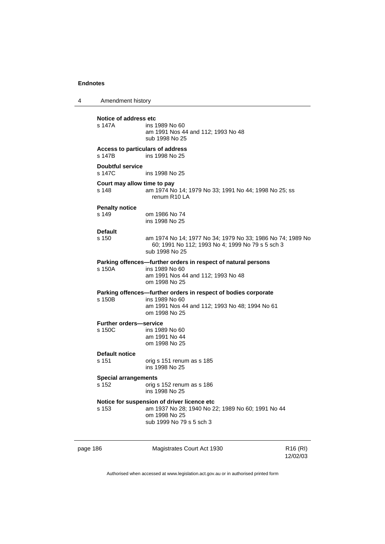| Notice of address etc<br>s 147A         | ins 1989 No 60<br>am 1991 Nos 44 and 112; 1993 No 48<br>sub 1998 No 25                                                                              |
|-----------------------------------------|-----------------------------------------------------------------------------------------------------------------------------------------------------|
| s 147B                                  | Access to particulars of address<br>ins 1998 No 25                                                                                                  |
| <b>Doubtful service</b><br>s 147C       | ins 1998 No 25                                                                                                                                      |
| Court may allow time to pay<br>s 148    | am 1974 No 14; 1979 No 33; 1991 No 44; 1998 No 25; ss<br>renum R10 LA                                                                               |
| <b>Penalty notice</b><br>s 149          | om 1986 No 74<br>ins 1998 No 25                                                                                                                     |
| <b>Default</b><br>s 150                 | am 1974 No 14; 1977 No 34; 1979 No 33; 1986 No 74; 1989 No<br>60; 1991 No 112; 1993 No 4; 1999 No 79 s 5 sch 3<br>sub 1998 No 25                    |
| s 150A                                  | Parking offences-further orders in respect of natural persons<br>ins 1989 No 60<br>am 1991 Nos 44 and 112; 1993 No 48<br>om 1998 No 25              |
| s 150B                                  | Parking offences-further orders in respect of bodies corporate<br>ins 1989 No 60<br>am 1991 Nos 44 and 112; 1993 No 48; 1994 No 61<br>om 1998 No 25 |
| <b>Further orders-service</b><br>s 150C | ins 1989 No 60<br>am 1991 No 44<br>om 1998 No 25                                                                                                    |
| Default notice<br>s 151                 | orig s 151 renum as s 185<br>ins 1998 No 25                                                                                                         |
| <b>Special arrangements</b><br>s 152    | orig s 152 renum as s 186<br>ins 1998 No 25                                                                                                         |
| s 153                                   | Notice for suspension of driver licence etc<br>am 1937 No 28; 1940 No 22; 1989 No 60; 1991 No 44<br>om 1998 No 25<br>sub 1999 No 79 s 5 sch 3       |
|                                         |                                                                                                                                                     |

page 186 Magistrates Court Act 1930

R16 (RI)<br>12/02/03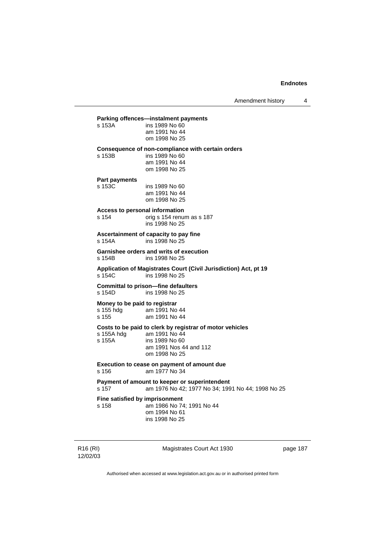Amendment history 4

# **Parking offences—instalment payments**

ins 1989 No 60 am 1991 No 44 om 1998 No 25

## **Consequence of non-compliance with certain orders**

s 153B ins 1989 No 60 am 1991 No 44 om 1998 No 25

## **Part payments**

s 153C ins 1989 No 60

 am 1991 No 44 om 1998 No 25

## **Access to personal information**

s 154 orig s 154 renum as s 187 ins 1998 No 25

#### **Ascertainment of capacity to pay fine**  s 154A ins 1998 No 25

**Garnishee orders and writs of execution**  ins 1998 No 25

**Application of Magistrates Court (Civil Jurisdiction) Act, pt 19**  s 154C ins 1998 No 25

#### **Committal to prison—fine defaulters**  ins 1998 No 25

# **Money to be paid to registrar**

| s 155 hdg | am 1991 No 44 |
|-----------|---------------|
| s 155     | am 1991 No 44 |

### **Costs to be paid to clerk by registrar of motor vehicles**

| s 155A hdg | am 1991 No 44          |
|------------|------------------------|
| s 155A     | ins 1989 No 60         |
|            | am 1991 Nos 44 and 112 |
|            | om 1998 No 25          |

#### **Execution to cease on payment of amount due**  s 156 am 1977 No 34

**Payment of amount to keeper or superintendent**  s 157 am 1976 No 42; 1977 No 34; 1991 No 44; 1998 No 25

#### **Fine satisfied by imprisonment**

s 158 am 1986 No 74; 1991 No 44 om 1994 No 61 ins 1998 No 25

R16 (RI) 12/02/03 Magistrates Court Act 1930 **page 187**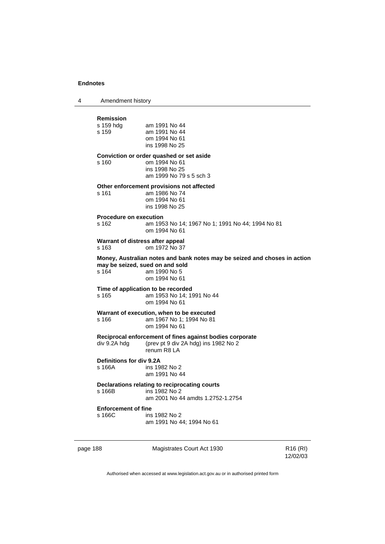4 Amendment history

# **Remission**  am 1991 No 44 s 159 am 1991 No 44 om 1994 No 61 ins 1998 No 25 **Conviction or order quashed or set aside**  s 160 om 1994 No 61 ins 1998 No 25 am 1999 No 79 s 5 sch 3 **Other enforcement provisions not affected**  s 161 am 1986 No 74 om 1994 No 61 ins 1998 No 25 **Procedure on execution**  am 1953 No 14; 1967 No 1; 1991 No 44; 1994 No 81 om 1994 No 61 **Warrant of distress after appeal**  s 163 om 1972 No 37 **Money, Australian notes and bank notes may be seized and choses in action may be seized, sued on and sold**  s 164 am 1990 No 5 om 1994 No 61 **Time of application to be recorded**  s 165 am 1953 No 14; 1991 No 44 om 1994 No 61 **Warrant of execution, when to be executed**  s 166 am 1967 No 1; 1994 No 81 om 1994 No 61 **Reciprocal enforcement of fines against bodies corporate**<br>div 9.2A hdg (prev pt 9 div 2A hdg) ins 1982 No 2 (prev pt 9 div 2A hdg) ins 1982 No  $2$  renum R8 LA **Definitions for div 9.2A**  s 166A ins 1982 No 2 am 1991 No 44 **Declarations relating to reciprocating courts**  s 166B ins 1982 No 2 am 2001 No 44 amdts 1.2752-1.2754 **Enforcement of fine**  s 166C ins 1982 No 2 am 1991 No 44; 1994 No 61

page 188 Magistrates Court Act 1930 R16 (RI)

12/02/03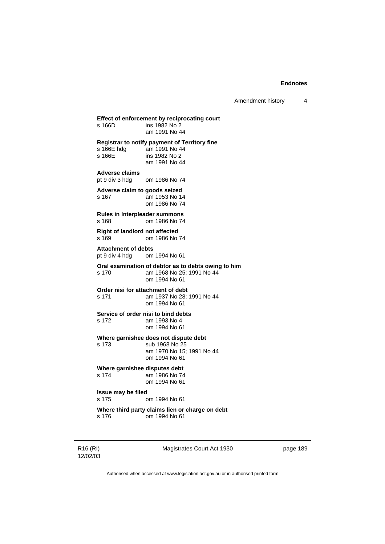Amendment history 4

**Effect of enforcement by reciprocating court**<br>
s 166D ins 1982 No 2  $ins$  1982 No 2 am 1991 No 44 **Registrar to notify payment of Territory fine**  s 166E hdg am 1991 No 44 s 166E ins 1982 No 2 am 1991 No 44 **Adverse claims**  om 1986 No 74 **Adverse claim to goods seized**  s 167 am 1953 No 14 om 1986 No 74 **Rules in Interpleader summons**  s 168 om 1986 No 74 **Right of landlord not affected**<br>s 169 cm 1986 No om 1986 No 74 **Attachment of debts**  pt 9 div 4 hdg om 1994 No 61 **Oral examination of debtor as to debts owing to him**  am 1968 No 25; 1991 No 44 om 1994 No 61 **Order nisi for attachment of debt**  s 171 am 1937 No 28; 1991 No 44 om 1994 No 61 **Service of order nisi to bind debts**  s 172 am 1993 No 4 om 1994 No 61 **Where garnishee does not dispute debt**  s 173 sub 1968 No 25 am 1970 No 15; 1991 No 44 om 1994 No 61 **Where garnishee disputes debt**  s 174 am 1986 No 74 om 1994 No 61 **Issue may be filed**  s 175 om 1994 No 61 **Where third party claims lien or charge on debt**  s 176 om 1994 No 61

R16 (RI) 12/02/03 Magistrates Court Act 1930 **page 189**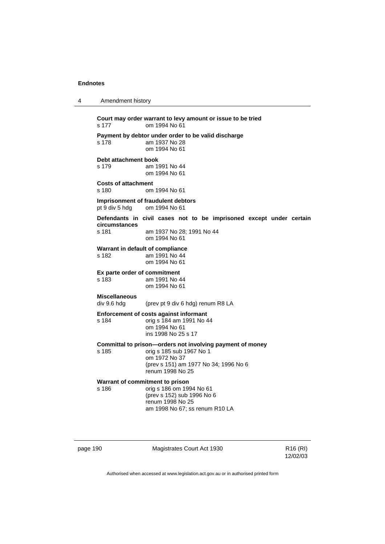```
4 Amendment history 
      Court may order warrant to levy amount or issue to be tried 
      s 177 om 1994 No 61 
      Payment by debtor under order to be valid discharge 
                       am 1937 No 28
                        om 1994 No 61 
      Debt attachment book 
      s 179 am 1991 No 44 
                        om 1994 No 61 
      Costs of attachment 
      s 180 om 1994 No 61 
      Imprisonment of fraudulent debtors 
      pt 9 div 5 hdg om 1994 No 61 
      Defendants in civil cases not to be imprisoned except under certain 
      circumstances 
      s 181 am 1937 No 28; 1991 No 44 
                        om 1994 No 61 
      Warrant in default of compliance 
      s 182 am 1991 No 44 
                        om 1994 No 61 
      Ex parte order of commitment<br>s 183 am 1991 No 4
                       am 1991 No 44
                        om 1994 No 61 
      Miscellaneous 
      div 9.6 hdg (prev pt 9 div 6 hdg) renum R8 LA 
      Enforcement of costs against informant 
      s 184 orig s 184 am 1991 No 44 
                        om 1994 No 61 
                        ins 1998 No 25 s 17 
      Committal to prison—orders not involving payment of money 
      s 185 orig s 185 sub 1967 No 1 
                        om 1972 No 37 
                        (prev s 151) am 1977 No 34; 1996 No 6 
                        renum 1998 No 25 
      Warrant of commitment to prison<br>s 186<br>orig s 186 om 199
                       s 186 orig s 186 om 1994 No 61 
                        (prev s 152) sub 1996 No 6 
                        renum 1998 No 25 
                        am 1998 No 67; ss renum R10 LA
```
page 190 Magistrates Court Act 1930 R16 (RI)

12/02/03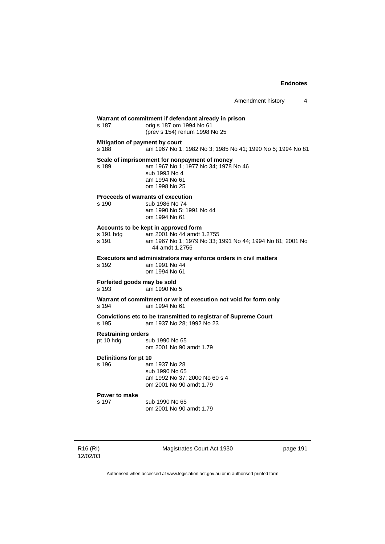Amendment history 4

| s 187                                   | Warrant of commitment if defendant already in prison<br>orig s 187 om 1994 No 61<br>(prev s 154) renum 1998 No 25                                |
|-----------------------------------------|--------------------------------------------------------------------------------------------------------------------------------------------------|
| Mitigation of payment by court<br>s 188 | am 1967 No 1; 1982 No 3; 1985 No 41; 1990 No 5; 1994 No 81                                                                                       |
| s 189                                   | Scale of imprisonment for nonpayment of money<br>am 1967 No 1; 1977 No 34; 1978 No 46<br>sub 1993 No 4<br>am 1994 No 61<br>om 1998 No 25         |
| s 190                                   | <b>Proceeds of warrants of execution</b><br>sub 1986 No 74<br>am 1990 No 5; 1991 No 44<br>om 1994 No 61                                          |
| s 191 hdg<br>s 191                      | Accounts to be kept in approved form<br>am 2001 No 44 amdt 1.2755<br>am 1967 No 1; 1979 No 33; 1991 No 44; 1994 No 81; 2001 No<br>44 amdt 1.2756 |
| s 192                                   | Executors and administrators may enforce orders in civil matters<br>am 1991 No 44<br>om 1994 No 61                                               |
| Forfeited goods may be sold<br>s 193    | am 1990 No 5                                                                                                                                     |
| s 194                                   | Warrant of commitment or writ of execution not void for form only<br>am 1994 No 61                                                               |
| s 195                                   | Convictions etc to be transmitted to registrar of Supreme Court<br>am 1937 No 28; 1992 No 23                                                     |
| <b>Restraining orders</b><br>pt 10 hdg  | sub 1990 No 65<br>om 2001 No 90 amdt 1.79                                                                                                        |
| Definitions for pt 10<br>s 196          | am 1937 No 28<br>sub 1990 No 65<br>am 1992 No 37; 2000 No 60 s 4<br>om 2001 No 90 amdt 1.79                                                      |
| Power to make<br>s 197                  | sub 1990 No 65<br>om 2001 No 90 amdt 1.79                                                                                                        |

R16 (RI) 12/02/03 Magistrates Court Act 1930 **page 191**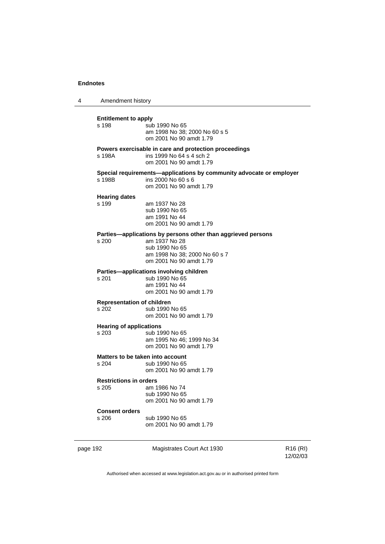4 Amendment history page 192 Magistrates Court Act 1930 R16 (RI) **Entitlement to apply**<br>s 198 sub  $sub$  1990 No 65 am 1998 No 38; 2000 No 60 s 5 om 2001 No 90 amdt 1.79 **Powers exercisable in care and protection proceedings**  s 198A ins 1999 No 64 s 4 sch 2 om 2001 No 90 amdt 1.79 **Special requirements—applications by community advocate or employer**   $ins$  2000 No 60 s 6 om 2001 No 90 amdt 1.79 **Hearing dates**  am 1937 No 28 sub 1990 No 65 am 1991 No 44 om 2001 No 90 amdt 1.79 **Parties—applications by persons other than aggrieved persons**  s 200 am 1937 No 28 sub 1990 No 65 am 1998 No 38; 2000 No 60 s 7 om 2001 No 90 amdt 1.79 **Parties—applications involving children**  sub 1990 No 65 am 1991 No 44 om 2001 No 90 amdt 1.79 **Representation of children**  sub 1990 No 65 om 2001 No 90 amdt 1.79 **Hearing of applications**  s 203 sub 1990 No 65 am 1995 No 46; 1999 No 34 om 2001 No 90 amdt 1.79 **Matters to be taken into account**<br>s 204 **budy** sub 1990 No 65 sub 1990 No 65 om 2001 No 90 amdt 1.79 **Restrictions in orders**  s 205 am 1986 No 74 sub 1990 No 65 om 2001 No 90 amdt 1.79 **Consent orders**  sub 1990 No 65 om 2001 No 90 amdt 1.79

12/02/03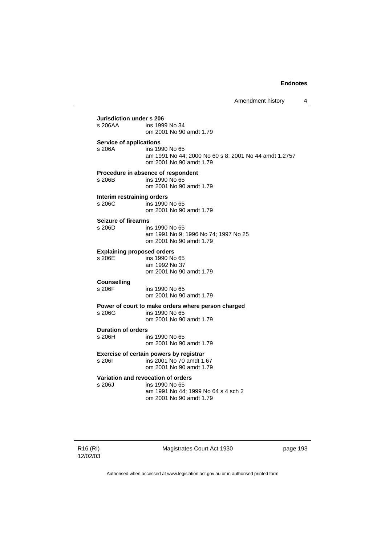**Jurisdiction under s 206**  ins 1999 No 34 om 2001 No 90 amdt 1.79 **Service of applications**  ins 1990 No 65 am 1991 No 44; 2000 No 60 s 8; 2001 No 44 amdt 1.2757 om 2001 No 90 amdt 1.79 **Procedure in absence of respondent**<br>  $\frac{1}{206B}$  ins 1990 No 65 ins 1990 No 65 om 2001 No 90 amdt 1.79 **Interim restraining orders**  ins 1990 No 65 om 2001 No 90 amdt 1.79 **Seizure of firearms**  ins 1990 No 65 am 1991 No 9; 1996 No 74; 1997 No 25 om 2001 No 90 amdt 1.79 **Explaining proposed orders**  ins 1990 No 65 am 1992 No 37 om 2001 No 90 amdt 1.79 **Counselling**  ins 1990 No 65 om 2001 No 90 amdt 1.79 **Power of court to make orders where person charged**  ins 1990 No 65 om 2001 No 90 amdt 1.79 **Duration of orders**  s 206H ins 1990 No 65 om 2001 No 90 amdt 1.79 **Exercise of certain powers by registrar**  s 206I ins 2001 No 70 amdt 1.67 om 2001 No 90 amdt 1.79 **Variation and revocation of orders**<br>s 206J ins 1990 No 65 ins 1990 No 65 am 1991 No 44; 1999 No 64 s 4 sch 2 om 2001 No 90 amdt 1.79

R16 (RI) 12/02/03 Magistrates Court Act 1930 **page 193**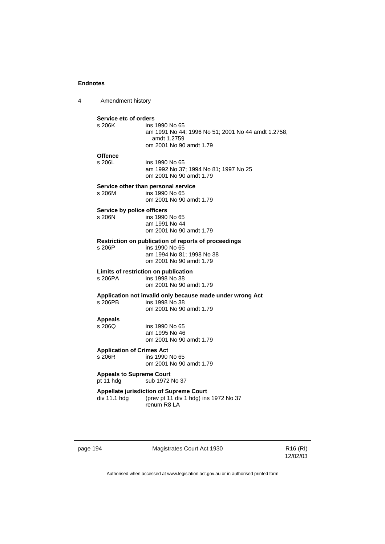| 4 | Amendment history                            |                                                                                                                                |
|---|----------------------------------------------|--------------------------------------------------------------------------------------------------------------------------------|
|   | Service etc of orders<br>s 206K              | ins 1990 No 65<br>am 1991 No 44; 1996 No 51; 2001 No 44 amdt 1.2758,<br>amdt 1.2759<br>om 2001 No 90 amdt 1.79                 |
|   | <b>Offence</b><br>s 206L                     | ins 1990 No 65<br>am 1992 No 37; 1994 No 81; 1997 No 25<br>om 2001 No 90 amdt 1.79                                             |
|   | s 206M                                       | Service other than personal service<br>ins 1990 No 65<br>om 2001 No 90 amdt 1.79                                               |
|   | Service by police officers<br>s 206N         | ins 1990 No 65<br>am 1991 No 44<br>om 2001 No 90 amdt 1.79                                                                     |
|   | s 206P                                       | Restriction on publication of reports of proceedings<br>ins 1990 No 65<br>am 1994 No 81: 1998 No 38<br>om 2001 No 90 amdt 1.79 |
|   | s 206PA                                      | Limits of restriction on publication<br>ins 1998 No 38<br>om 2001 No 90 amdt 1.79                                              |
|   | s 206PB                                      | Application not invalid only because made under wrong Act<br>ins 1998 No 38<br>om 2001 No 90 amdt 1.79                         |
|   | <b>Appeals</b><br>s 206Q                     | ins 1990 No 65<br>am 1995 No 46<br>om 2001 No 90 amdt 1.79                                                                     |
|   | <b>Application of Crimes Act</b><br>s 206R   | ins 1990 No 65<br>om 2001 No 90 amdt 1.79                                                                                      |
|   | <b>Appeals to Supreme Court</b><br>pt 11 hdg | sub 1972 No 37                                                                                                                 |
|   | div 11.1 hdg                                 | <b>Appellate jurisdiction of Supreme Court</b><br>(prev pt 11 div 1 hdg) ins 1972 No 37<br>renum R8 LA                         |

page 194 Magistrates Court Act 1930 R16 (RI)

12/02/03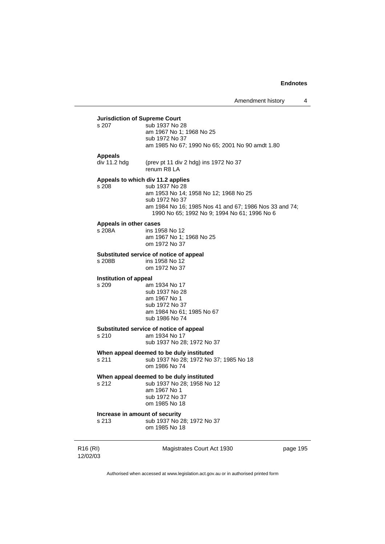# **Jurisdiction of Supreme Court**<br>
s 207 **bub 1937** No 2

sub 1937 No 28 am 1967 No 1; 1968 No 25 sub 1972 No 37 am 1985 No 67; 1990 No 65; 2001 No 90 amdt 1.80

div 11.2 hdg (prev pt 11 div 2 hdg) ins 1972 No 37 renum R8 LA

## **Appeals to which div 11.2 applies**

s 208 sub 1937 No 28 am 1953 No 14; 1958 No 12; 1968 No 25 sub 1972 No 37 am 1984 No 16; 1985 Nos 41 and 67; 1986 Nos 33 and 74; 1990 No 65; 1992 No 9; 1994 No 61; 1996 No 6

# **Appeals in other cases**

**Appeals** 

ins 1958 No 12 am 1967 No 1; 1968 No 25 om 1972 No 37

### **Substituted service of notice of appeal**

s 208B ins 1958 No 12 om 1972 No 37

## **Institution of appeal**

s 209 am 1934 No 17 sub 1937 No 28 am 1967 No 1 sub 1972 No 37 am 1984 No 61; 1985 No 67 sub 1986 No 74

# **Substituted service of notice of appeal**

am 1934 No 17

sub 1937 No 28; 1972 No 37

# **When appeal deemed to be duly instituted**<br>s 211 **b** sub 1937 No 28: 1972 No 3

sub 1937 No 28; 1972 No 37; 1985 No 18 om 1986 No 74

## **When appeal deemed to be duly instituted**

s 212 sub 1937 No 28; 1958 No 12 am 1967 No 1 sub 1972 No 37 om 1985 No 18

# **Increase in amount of security**<br>s 213 **IDE** Sub 1937 No 2

sub 1937 No 28; 1972 No 37 om 1985 No 18

R16 (RI) 12/02/03 Magistrates Court Act 1930 **page 195**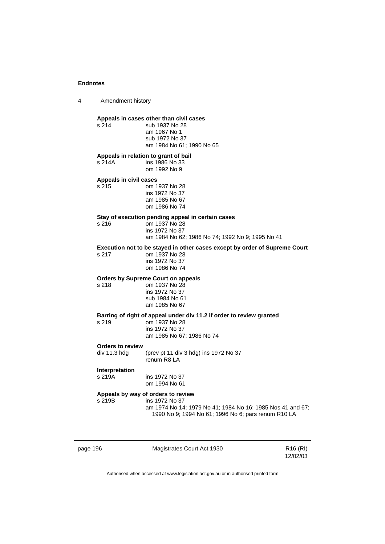4 Amendment history

**Appeals in cases other than civil cases**  sub 1937 No 28 am 1967 No 1 sub 1972 No 37 am 1984 No 61; 1990 No 65 **Appeals in relation to grant of bail**  s 214A ins 1986 No 33 om 1992 No 9 **Appeals in civil cases**  s 215 om 1937 No 28 ins 1972 No 37 am 1985 No 67 om 1986 No 74 **Stay of execution pending appeal in certain cases**  om 1937 No 28 ins 1972 No 37 am 1984 No 62; 1986 No 74; 1992 No 9; 1995 No 41 **Execution not to be stayed in other cases except by order of Supreme Court**  s 217 om 1937 No 28 ins 1972 No 37 om 1986 No 74 **Orders by Supreme Court on appeals**  s 218 om 1937 No 28 ins 1972 No 37 sub 1984 No 61 am 1985 No 67 **Barring of right of appeal under div 11.2 if order to review granted**  s 219 om 1937 No 28 ins 1972 No 37 am 1985 No 67; 1986 No 74 **Orders to review**  div 11.3 hdg (prev pt 11 div 3 hdg) ins 1972 No 37 renum R8 LA **Interpretation**  s 219A ins 1972 No 37 om 1994 No 61 **Appeals by way of orders to review**  ins 1972 No 37 am 1974 No 14; 1979 No 41; 1984 No 16; 1985 Nos 41 and 67; 1990 No 9; 1994 No 61; 1996 No 6; pars renum R10 LA

page 196 Magistrates Court Act 1930 R16 (RI)

12/02/03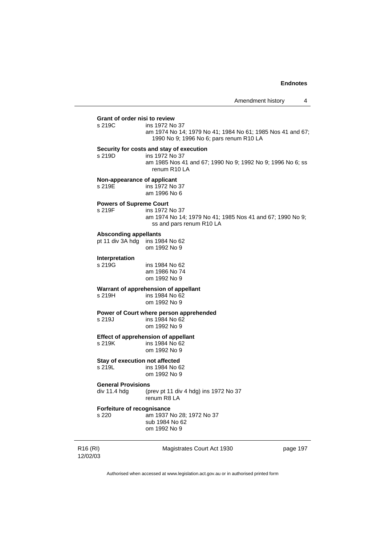# **Grant of order nisi to review**  ins 1972 No 37 am 1974 No 14; 1979 No 41; 1984 No 61; 1985 Nos 41 and 67; 1990 No 9; 1996 No 6; pars renum R10 LA **Security for costs and stay of execution**  s 219D ins 1972 No 37 am 1985 Nos 41 and 67; 1990 No 9; 1992 No 9; 1996 No 6; ss renum R10 LA **Non-appearance of applicant**  s 219E ins 1972 No 37 am 1996 No 6 **Powers of Supreme Court**  ins 1972 No 37 am 1974 No 14; 1979 No 41; 1985 Nos 41 and 67; 1990 No 9; ss and pars renum R10 LA **Absconding appellants**  pt 11 div 3A hdg ins 1984 No 62 om 1992 No 9 **Interpretation**  ins 1984 No 62 am 1986 No 74 om 1992 No 9 **Warrant of apprehension of appellant**  s 219H ins 1984 No 62 om 1992 No 9

**Power of Court where person apprehended** 

s 219J ins 1984 No 62 om 1992 No 9

# **Effect of apprehension of appellant**<br>s 219K ins 1984 No 62

ins 1984 No 62 om 1992 No 9

## **Stay of execution not affected**

s 219L ins 1984 No 62 om 1992 No 9

## **General Provisions**

div 11.4 hdg (prev pt 11 div 4 hdg) ins 1972 No 37 renum R8 LA

# **Forfeiture of recognisance**

s 220 am 1937 No 28; 1972 No 37 sub 1984 No 62 om 1992 No 9

R16 (RI) 12/02/03 Magistrates Court Act 1930 **page 197**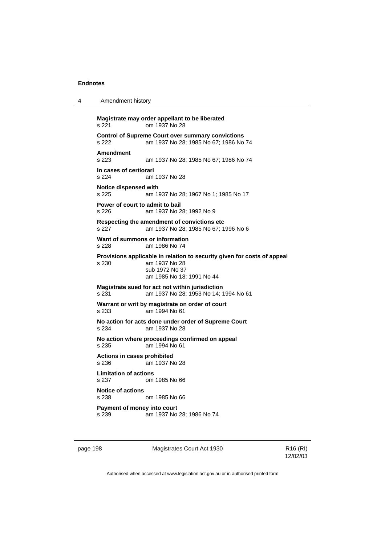4 Amendment history

| s 221                                       | Magistrate may order appellant to be liberated<br>om 1937 No 28                                                                         |
|---------------------------------------------|-----------------------------------------------------------------------------------------------------------------------------------------|
| s 222                                       | <b>Control of Supreme Court over summary convictions</b><br>am 1937 No 28; 1985 No 67; 1986 No 74                                       |
| <b>Amendment</b><br>s 223                   | am 1937 No 28; 1985 No 67; 1986 No 74                                                                                                   |
| In cases of certiorari<br>s 224             | am 1937 No 28                                                                                                                           |
| Notice dispensed with<br>s 225              | am 1937 No 28; 1967 No 1; 1985 No 17                                                                                                    |
| Power of court to admit to bail<br>s 226    | am 1937 No 28; 1992 No 9                                                                                                                |
| s 227                                       | Respecting the amendment of convictions etc<br>am 1937 No 28; 1985 No 67; 1996 No 6                                                     |
| s 228                                       | Want of summons or information<br>am 1986 No 74                                                                                         |
| s 230                                       | Provisions applicable in relation to security given for costs of appeal<br>am 1937 No 28<br>sub 1972 No 37<br>am 1985 No 18; 1991 No 44 |
| s 231                                       | Magistrate sued for act not within jurisdiction<br>am 1937 No 28; 1953 No 14; 1994 No 61                                                |
| s 233                                       | Warrant or writ by magistrate on order of court<br>am 1994 No 61                                                                        |
| s 234                                       | No action for acts done under order of Supreme Court<br>am 1937 No 28                                                                   |
| s 235                                       | No action where proceedings confirmed on appeal<br>am 1994 No 61                                                                        |
| <b>Actions in cases prohibited</b><br>s 236 | am 1937 No 28                                                                                                                           |
| <b>Limitation of actions</b><br>s 237       | om 1985 No 66                                                                                                                           |
| <b>Notice of actions</b><br>s 238           | om 1985 No 66                                                                                                                           |
| Payment of money into court<br>s 239        | am 1937 No 28; 1986 No 74                                                                                                               |
|                                             |                                                                                                                                         |

page 198 Magistrates Court Act 1930

R16 (RI)<br>12/02/03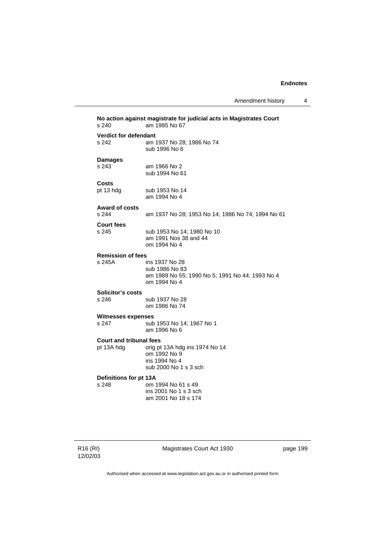| No action against magistrate for judicial acts in Magistrates Court<br>am 1985 No 67<br>$s$ 240 |                                                                                                     |  |
|-------------------------------------------------------------------------------------------------|-----------------------------------------------------------------------------------------------------|--|
| <b>Verdict for defendant</b><br>s 242                                                           | am 1937 No 28; 1986 No 74<br>sub 1996 No 6                                                          |  |
| <b>Damages</b><br>s 243                                                                         | am 1966 No 2<br>sub 1994 No 61                                                                      |  |
| <b>Costs</b><br>pt 13 hdg                                                                       | sub 1953 No 14<br>am 1994 No 4                                                                      |  |
| <b>Award of costs</b><br>s 244                                                                  | am 1937 No 28; 1953 No 14; 1986 No 74; 1994 No 61                                                   |  |
| <b>Court fees</b><br>s 245                                                                      | sub 1953 No 14; 1980 No 10<br>am 1991 Nos 38 and 44<br>om 1994 No 4                                 |  |
| <b>Remission of fees</b><br>s 245A                                                              | ins 1937 No 28<br>sub 1986 No 83<br>am 1989 No 55; 1990 No 5; 1991 No 44; 1993 No 4<br>om 1994 No 4 |  |
| Solicitor's costs<br>s 246                                                                      | sub 1937 No 28<br>om 1986 No 74                                                                     |  |
| <b>Witnesses expenses</b><br>s 247                                                              | sub 1953 No 14; 1967 No 1<br>am 1996 No 6                                                           |  |
| <b>Court and tribunal fees</b><br>pt 13A hdg                                                    | orig pt 13A hdg ins 1974 No 14<br>om 1992 No 9<br>ins 1994 No 4<br>sub 2000 No 1 s 3 sch            |  |
| Definitions for pt 13A<br>s 248                                                                 | om 1994 No 61 s 49<br>ins 2001 No 1 s 3 sch<br>am 2001 No 18 s 174                                  |  |

R16 (RI) 12/02/03 Magistrates Court Act 1930 **page 199**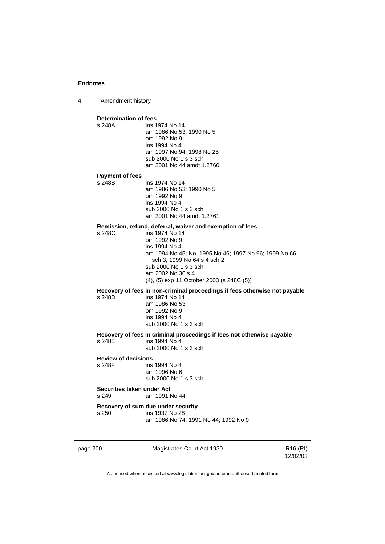4 Amendment history

**Determination of fees**<br>s 248A **ins 1** ins 1974 No 14 am 1986 No 53; 1990 No 5 om 1992 No 9 ins 1994 No 4 am 1997 No 94; 1998 No 25 sub 2000 No 1 s 3 sch am 2001 No 44 amdt 1.2760 **Payment of fees**  ins 1974 No 14 am 1986 No 53; 1990 No 5 om 1992 No 9 ins 1994 No 4 sub 2000 No 1 s 3 sch am 2001 No 44 amdt 1.2761 **Remission, refund, deferral, waiver and exemption of fees**  s 248C ins 1974 No 14 om 1992 No 9 ins 1994 No 4 am 1994 No 45; No. 1995 No 46; 1997 No 96; 1999 No 66 sch 3; 1999 No 64 s 4 sch 2 sub 2000 No 1 s 3 sch am 2002 No 36 s 4 (4), (5) exp 11 October 2003 (s 248C (5)) **Recovery of fees in non-criminal proceedings if fees otherwise not payable**  s 248D ins 1974 No 14 am 1986 No 53 om 1992 No 9 ins 1994 No 4 sub 2000 No 1 s 3 sch **Recovery of fees in criminal proceedings if fees not otherwise payable**  ins 1994 No 4 sub 2000 No 1 s 3 sch **Review of decisions**  ins 1994 No 4 am 1996 No 6 sub 2000 No 1 s 3 sch **Securities taken under Act**  s 249 am 1991 No 44 **Recovery of sum due under security**  s 250 ins 1937 No 28 am 1986 No 74; 1991 No 44; 1992 No 9

page 200 Magistrates Court Act 1930 R16 (RI)

12/02/03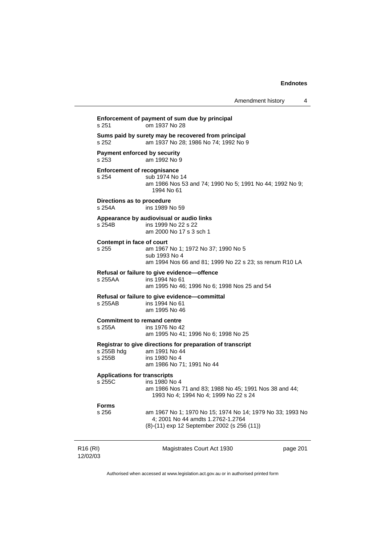| Enforcement of payment of sum due by principal<br>s 251<br>om 1937 No 28                             |                                                                                                                                               |          |
|------------------------------------------------------------------------------------------------------|-----------------------------------------------------------------------------------------------------------------------------------------------|----------|
| Sums paid by surety may be recovered from principal<br>am 1937 No 28; 1986 No 74; 1992 No 9<br>s 252 |                                                                                                                                               |          |
| Payment enforced by security<br>s 253                                                                | am 1992 No 9                                                                                                                                  |          |
| <b>Enforcement of recognisance</b><br>s 254                                                          | sub 1974 No 14<br>am 1986 Nos 53 and 74; 1990 No 5; 1991 No 44; 1992 No 9;<br>1994 No 61                                                      |          |
| Directions as to procedure<br>s 254A                                                                 | ins 1989 No 59                                                                                                                                |          |
| s 254B                                                                                               | Appearance by audiovisual or audio links<br>ins 1999 No 22 s 22<br>am 2000 No 17 s 3 sch 1                                                    |          |
| Contempt in face of court<br>s 255                                                                   | am 1967 No 1; 1972 No 37; 1990 No 5<br>sub 1993 No 4<br>am 1994 Nos 66 and 81; 1999 No 22 s 23; ss renum R10 LA                               |          |
| s 255AA                                                                                              | Refusal or failure to give evidence-offence<br>ins 1994 No 61<br>am 1995 No 46; 1996 No 6; 1998 Nos 25 and 54                                 |          |
| s 255AB                                                                                              | Refusal or failure to give evidence-committal<br>ins 1994 No 61<br>am 1995 No 46                                                              |          |
| <b>Commitment to remand centre</b><br>s 255A                                                         | ins 1976 No 42<br>am 1995 No 41; 1996 No 6; 1998 No 25                                                                                        |          |
| s 255B hdg<br>s 255B                                                                                 | Registrar to give directions for preparation of transcript<br>am 1991 No 44<br>ins 1980 No 4<br>am 1986 No 71; 1991 No 44                     |          |
| <b>Applications for transcripts</b><br>s 255C                                                        | ins 1980 No 4<br>am 1986 Nos 71 and 83; 1988 No 45; 1991 Nos 38 and 44;<br>1993 No 4; 1994 No 4; 1999 No 22 s 24                              |          |
| <b>Forms</b><br>s 256                                                                                | am 1967 No 1; 1970 No 15; 1974 No 14; 1979 No 33; 1993 No<br>4; 2001 No 44 amdts 1.2762-1.2764<br>(8)-(11) exp 12 September 2002 (s 256 (11)) |          |
| (RI)                                                                                                 | Magistrates Court Act 1930                                                                                                                    | page 201 |

Authorised when accessed at www.legislation.act.gov.au or in authorised printed form

R16 (RI) 12/02/03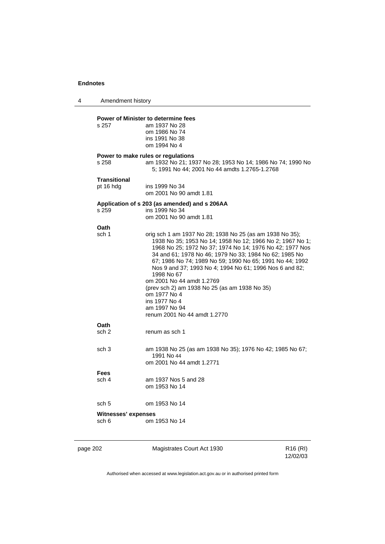4 Amendment history page 202 Magistrates Court Act 1930 R16 (RI) **Power of Minister to determine fees**<br>s 257 am 1937 No 28 am 1937 No 28 om 1986 No 74 ins 1991 No 38 om 1994 No 4 **Power to make rules or regulations**  s 258 am 1932 No 21; 1937 No 28; 1953 No 14; 1986 No 74; 1990 No 5; 1991 No 44; 2001 No 44 amdts 1.2765-1.2768 **Transitional**  pt 16 hdg ins 1999 No 34 om 2001 No 90 amdt 1.81 **Application of s 203 (as amended) and s 206AA**  ins 1999 No 34 om 2001 No 90 amdt 1.81 **Oath**  sch 1 orig sch 1 am 1937 No 28; 1938 No 25 (as am 1938 No 35); 1938 No 35; 1953 No 14; 1958 No 12; 1966 No 2; 1967 No 1; 1968 No 25; 1972 No 37; 1974 No 14; 1976 No 42; 1977 Nos 34 and 61; 1978 No 46; 1979 No 33; 1984 No 62; 1985 No 67; 1986 No 74; 1989 No 59; 1990 No 65; 1991 No 44; 1992 Nos 9 and 37; 1993 No 4; 1994 No 61; 1996 Nos 6 and 82; 1998 No 67 om 2001 No 44 amdt 1.2769 (prev sch 2) am 1938 No 25 (as am 1938 No 35) om 1977 No 4 ins 1977 No 4 am 1997 No 94 renum 2001 No 44 amdt 1.2770 **Oath**  sch 2 renum as sch 1 sch 3 am 1938 No 25 (as am 1938 No 35); 1976 No 42; 1985 No 67; 1991 No 44 om 2001 No 44 amdt 1.2771 **Fees**<br>sch 4 am 1937 Nos 5 and 28 om 1953 No 14 sch 5 om 1953 No 14 **Witnesses' expenses**<br>sch 6 om om 1953 No 14

12/02/03